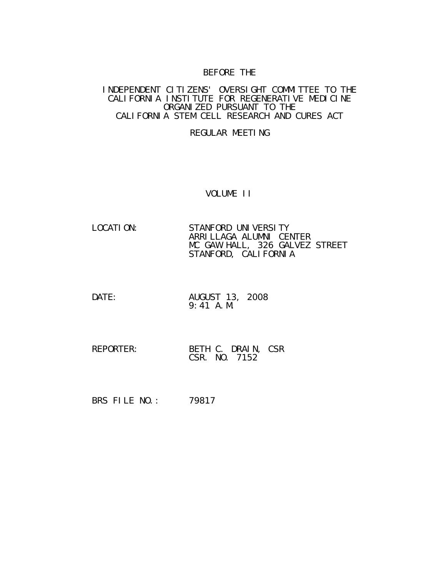## BEFORE THE

#### INDEPENDENT CITIZENS' OVERSIGHT COMMITTEE TO THE CALIFORNIA INSTITUTE FOR REGENERATIVE MEDICINE ORGANIZED PURSUANT TO THE CALIFORNIA STEM CELL RESEARCH AND CURES ACT

## REGULAR MEETING

#### VOLUME II

- LOCATION: STANFORD UNIVERSITY ARRILLAGA ALUMNI CENTER MC GAW HALL, 326 GALVEZ STREET STANFORD, CALIFORNIA
- DATE: AUGUST 13, 2008 9:41 A.M.
- REPORTER: BETH C. DRAIN, CSR CSR. NO. 7152

BRS FILE NO.: 79817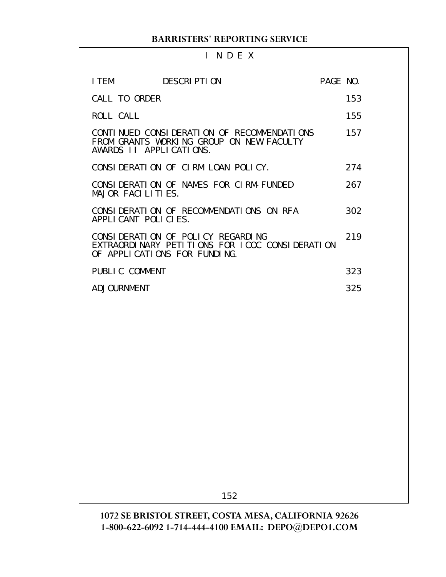## I N D E X

| I TEM                   | <b>DESCRIPTION</b>                                                                                                  | PAGE NO. |     |
|-------------------------|---------------------------------------------------------------------------------------------------------------------|----------|-----|
| CALL TO ORDER           |                                                                                                                     |          | 153 |
| ROLL CALL               |                                                                                                                     |          | 155 |
| AWARDS II APPLICATIONS. | CONTINUED CONSIDERATION OF RECOMMENDATIONS<br>FROM GRANTS WORKING GROUP ON NEW FACULTY                              |          | 157 |
|                         | CONSIDERATION OF CIRM LOAN POLICY.                                                                                  |          | 274 |
| MAJOR FACILITIES.       | CONSIDERATION OF NAMES FOR CIRM-FUNDED                                                                              |          | 267 |
| APPLICANT POLICIES.     | CONSIDERATION OF RECOMMENDATIONS ON RFA                                                                             |          | 302 |
|                         | CONSIDERATION OF POLICY REGARDING<br>EXTRAORDINARY PETITIONS FOR ICOC CONSIDERATION<br>OF APPLICATIONS FOR FUNDING. |          | 219 |
| PUBLIC COMMENT          |                                                                                                                     |          | 323 |
| <b>ADJOURNMENT</b>      |                                                                                                                     |          | 325 |
|                         |                                                                                                                     |          |     |
|                         |                                                                                                                     |          |     |
|                         |                                                                                                                     |          |     |
|                         |                                                                                                                     |          |     |
|                         |                                                                                                                     |          |     |
|                         |                                                                                                                     |          |     |
|                         |                                                                                                                     |          |     |
|                         |                                                                                                                     |          |     |
|                         |                                                                                                                     |          |     |

152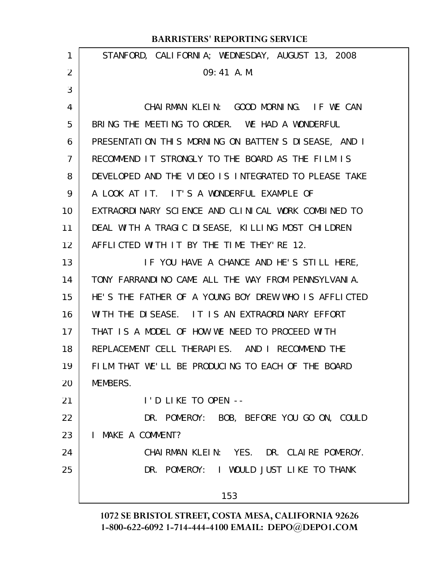| 1  | STANFORD, CALIFORNIA; WEDNESDAY, AUGUST 13, 2008     |
|----|------------------------------------------------------|
| 2  | 09:41 A.M.                                           |
| 3  |                                                      |
| 4  | CHAIRMAN KLEIN: GOOD MORNING. IF WE CAN              |
| 5  | BRING THE MEETING TO ORDER. WE HAD A WONDERFUL       |
| 6  | PRESENTATION THIS MORNING ON BATTEN'S DISEASE, AND I |
| 7  | RECOMMEND IT STRONGLY TO THE BOARD AS THE FILM IS    |
| 8  | DEVELOPED AND THE VIDEO IS INTEGRATED TO PLEASE TAKE |
| 9  | A LOOK AT IT. IT'S A WONDERFUL EXAMPLE OF            |
| 10 | EXTRAORDINARY SCIENCE AND CLINICAL WORK COMBINED TO  |
| 11 | DEAL WITH A TRAGIC DISEASE, KILLING MOST CHILDREN    |
| 12 | AFFLICTED WITH IT BY THE TIME THEY'RE 12.            |
| 13 | IF YOU HAVE A CHANCE AND HE'S STILL HERE,            |
| 14 | TONY FARRANDINO CAME ALL THE WAY FROM PENNSYLVANIA.  |
| 15 | HE'S THE FATHER OF A YOUNG BOY DREW WHO IS AFFLICTED |
| 16 | WITH THE DISEASE. IT IS AN EXTRAORDINARY EFFORT      |
| 17 | THAT IS A MODEL OF HOW WE NEED TO PROCEED WITH       |
| 18 | REPLACEMENT CELL THERAPIES. AND I RECOMMEND THE      |
| 19 | FILM THAT WE'LL BE PRODUCING TO EACH OF THE BOARD    |
| 20 | MEMBERS.                                             |
| 21 | I'D LIKE TO OPEN --                                  |
| 22 | DR. POMEROY: BOB, BEFORE YOU GO ON, COULD            |
| 23 | MAKE A COMMENT?<br>$\mathbf{L}$                      |
| 24 | CHAIRMAN KLEIN: YES. DR. CLAIRE POMEROY.             |
| 25 | DR. POMEROY: I WOULD JUST LIKE TO THANK              |
|    | 153                                                  |
|    |                                                      |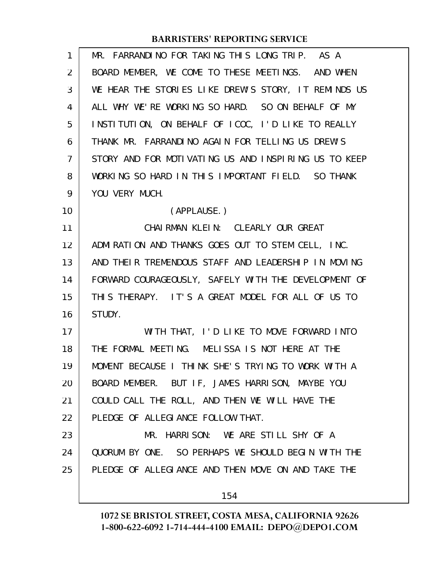| $\mathbf{1}$      | MR. FARRANDINO FOR TAKING THIS LONG TRIP. AS A       |
|-------------------|------------------------------------------------------|
| 2                 | BOARD MEMBER, WE COME TO THESE MEETINGS. AND WHEN    |
| 3                 | WE HEAR THE STORIES LIKE DREW'S STORY, IT REMINDS US |
| 4                 | ALL WHY WE'RE WORKING SO HARD. SO ON BEHALF OF MY    |
| 5                 | INSTITUTION, ON BEHALF OF ICOC, I'D LIKE TO REALLY   |
| 6                 | THANK MR. FARRANDINO AGAIN FOR TELLING US DREW'S     |
| 7                 | STORY AND FOR MOTIVATING US AND INSPIRING US TO KEEP |
| 8                 | WORKING SO HARD IN THIS IMPORTANT FIELD. SO THANK    |
| 9                 | YOU VERY MUCH.                                       |
| 10                | (APPLAUSE.)                                          |
| 11                | CHAIRMAN KLEIN: CLEARLY OUR GREAT                    |
| $12 \overline{ }$ | ADMIRATION AND THANKS GOES OUT TO STEM CELL, INC.    |
| 13                | AND THEIR TREMENDOUS STAFF AND LEADERSHIP IN MOVING  |
| 14                | FORWARD COURAGEOUSLY, SAFELY WITH THE DEVELOPMENT OF |
| 15                | THIS THERAPY. IT'S A GREAT MODEL FOR ALL OF US TO    |
| 16                | STUDY.                                               |
| 17                | WITH THAT, I'D LIKE TO MOVE FORWARD INTO             |
| 18                | THE FORMAL MEETING. MELISSA IS NOT HERE AT THE       |
| 19                | MOMENT BECAUSE I THINK SHE'S TRYING TO WORK WITH A   |
| 20                | BOARD MEMBER. BUT IF, JAMES HARRISON, MAYBE YOU      |
| 21                | COULD CALL THE ROLL, AND THEN WE WILL HAVE THE       |
| 22                | PLEDGE OF ALLEGIANCE FOLLOW THAT.                    |
| 23                | MR. HARRISON: WE ARE STILL SHY OF A                  |
| 24                | QUORUM BY ONE. SO PERHAPS WE SHOULD BEGIN WITH THE   |
| 25                | PLEDGE OF ALLEGIANCE AND THEN MOVE ON AND TAKE THE   |
|                   | 154                                                  |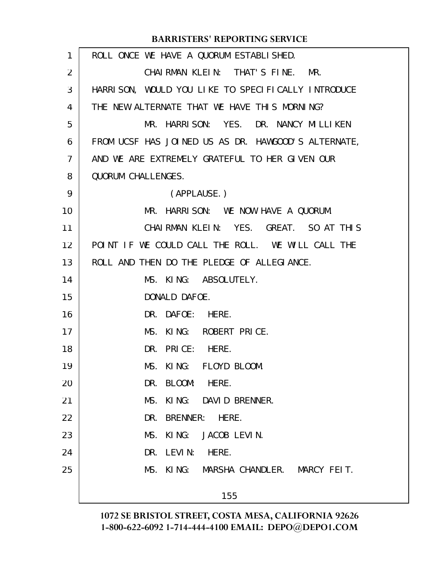| $\mathbf{1}$   | ROLL ONCE WE HAVE A QUORUM ESTABLISHED.             |
|----------------|-----------------------------------------------------|
| $\overline{2}$ | CHAIRMAN KLEIN: THAT'S FINE. MR.                    |
| 3              | HARRISON, WOULD YOU LIKE TO SPECIFICALLY INTRODUCE  |
| 4              | THE NEW ALTERNATE THAT WE HAVE THIS MORNING?        |
| 5              | MR. HARRISON: YES. DR. NANCY MILLIKEN               |
| 6              | FROM UCSF HAS JOINED US AS DR. HAWGOOD'S ALTERNATE, |
| 7              | AND WE ARE EXTREMELY GRATEFUL TO HER GIVEN OUR      |
| 8              | QUORUM CHALLENGES.                                  |
| 9              | (APPLAUSE.)                                         |
| 10             | MR. HARRISON: WE NOW HAVE A QUORUM.                 |
| 11             | CHAIRMAN KLEIN: YES. GREAT. SO AT THIS              |
| 12             | POINT IF WE COULD CALL THE ROLL. WE WILL CALL THE   |
| 13             | ROLL AND THEN DO THE PLEDGE OF ALLEGIANCE.          |
| 14             | MS. KING: ABSOLUTELY.                               |
| 15             | DONALD DAFOE.                                       |
| 16             | DR. DAFOE: HERE.                                    |
| 17             | MS. KING: ROBERT PRICE.                             |
| 18             | DR. PRICE: HERE.                                    |
| 19             | MS. KING: FLOYD BLOOM.                              |
| 20             | DR. BLOOM: HERE.                                    |
| 21             | MS. KING: DAVID BRENNER.                            |
| 22             | DR. BRENNER: HERE.                                  |
| 23             | MS. KING: JACOB LEVIN.                              |
| 24             | DR. LEVIN: HERE.                                    |
| 25             | MS. KING: MARSHA CHANDLER. MARCY FEIT.              |
|                | 155                                                 |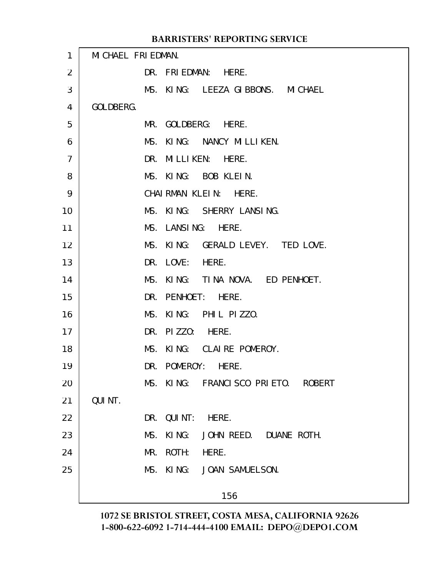| $\mathbf{1}$   | MI CHAEL FRI EDMAN.                |  |
|----------------|------------------------------------|--|
| $\overline{2}$ | DR. FRIEDMAN: HERE.                |  |
| 3              | MS. KING: LEEZA GIBBONS. MICHAEL   |  |
| 4              | GOLDBERG.                          |  |
| 5              | MR. GOLDBERG: HERE.                |  |
| 6              | MS. KING: NANCY MILLIKEN.          |  |
| $\overline{7}$ | DR. MILLIKEN: HERE.                |  |
| 8              | MS. KING: BOB KLEIN.               |  |
| 9              | CHAIRMAN KLEIN: HERE.              |  |
| 10             | MS. KING: SHERRY LANSING.          |  |
| 11             | MS. LANSING: HERE.                 |  |
| 12             | MS. KING: GERALD LEVEY. TED LOVE.  |  |
| 13             | DR. LOVE: HERE.                    |  |
| 14             | MS. KING: TINA NOVA. ED PENHOET.   |  |
| 15             | DR. PENHOET: HERE.                 |  |
| 16             | MS. KING: PHIL PIZZO.              |  |
| 17             | DR. PIZZO: HERE.                   |  |
| 18             | MS. KING: CLAIRE POMEROY.          |  |
| 19             | DR. POMEROY: HERE.                 |  |
| 20             | MS. KING: FRANCISCO PRIETO. ROBERT |  |
| 21             | QUI NT.                            |  |
| 22             | DR. QUINT: HERE.                   |  |
| 23             | MS. KING: JOHN REED. DUANE ROTH.   |  |
| 24             | MR. ROTH: HERE.                    |  |
| 25             | MS. KING: JOAN SAMUELSON.          |  |
|                | 156                                |  |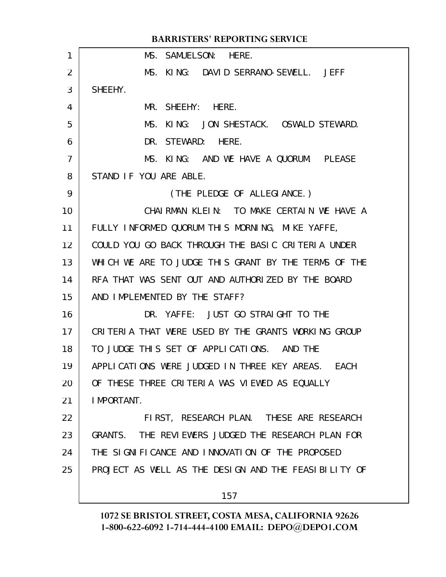| <b>BARRISTERS' REPORTING SERVICE</b> |                                                      |  |
|--------------------------------------|------------------------------------------------------|--|
| 1                                    | MS. SAMUELSON: HERE.                                 |  |
| $\overline{2}$                       | MS. KING: DAVID SERRANO-SEWELL. JEFF                 |  |
| 3                                    | SHEEHY.                                              |  |
| 4                                    | MR. SHEEHY: HERE.                                    |  |
| 5                                    | KING: JON SHESTACK. OSWALD STEWARD.<br>MS.           |  |
| 6                                    | DR. STEWARD: HERE.                                   |  |
| $\overline{7}$                       | MS. KING: AND WE HAVE A QUORUM. PLEASE               |  |
| 8                                    | STAND IF YOU ARE ABLE.                               |  |
| 9                                    | (THE PLEDGE OF ALLEGIANCE.)                          |  |
| 10                                   | CHAIRMAN KLEIN: TO MAKE CERTAIN WE HAVE A            |  |
| 11                                   | FULLY INFORMED QUORUM THIS MORNING, MIKE YAFFE,      |  |
| 12                                   | COULD YOU GO BACK THROUGH THE BASIC CRITERIA UNDER   |  |
| 13                                   | WHICH WE ARE TO JUDGE THIS GRANT BY THE TERMS OF THE |  |
| 14                                   | RFA THAT WAS SENT OUT AND AUTHORIZED BY THE BOARD    |  |
| 15                                   | AND IMPLEMENTED BY THE STAFF?                        |  |
| 16                                   | DR. YAFFE: JUST GO STRAIGHT TO THE                   |  |
| 17                                   | CRITERIA THAT WERE USED BY THE GRANTS WORKING GROUP  |  |
| 18                                   | TO JUDGE THIS SET OF APPLICATIONS. AND THE           |  |
| 19                                   | APPLICATIONS WERE JUDGED IN THREE KEY AREAS. EACH    |  |
| 20                                   | OF THESE THREE CRITERIA WAS VIEWED AS EQUALLY        |  |
| 21                                   | I MPORTANT.                                          |  |
| 22                                   | FIRST, RESEARCH PLAN. THESE ARE RESEARCH             |  |
| 23                                   | GRANTS. THE REVIEWERS JUDGED THE RESEARCH PLAN FOR   |  |
| 24                                   | THE SIGNIFICANCE AND INNOVATION OF THE PROPOSED      |  |
| 25                                   | PROJECT AS WELL AS THE DESIGN AND THE FEASIBILITY OF |  |
|                                      | 157                                                  |  |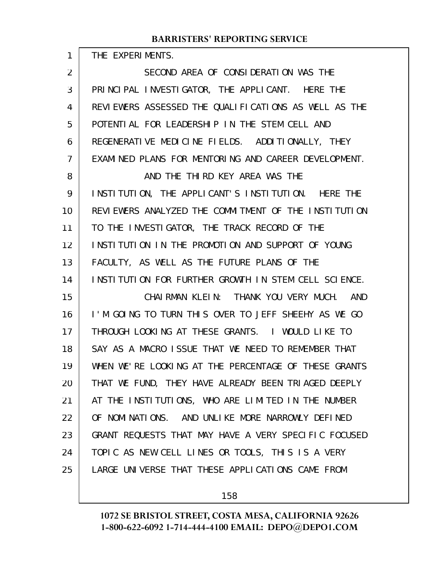| THE EXPERIMENTS. |
|------------------|
|                  |

1

| $\overline{2}$ | SECOND AREA OF CONSIDERATION WAS THE                 |
|----------------|------------------------------------------------------|
| 3              | PRINCIPAL INVESTIGATOR, THE APPLICANT. HERE THE      |
| 4              | REVIEWERS ASSESSED THE QUALIFICATIONS AS WELL AS THE |
| 5              | POTENTIAL FOR LEADERSHIP IN THE STEM CELL AND        |
| 6              | REGENERATIVE MEDICINE FIELDS. ADDITIONALLY, THEY     |
| 7              | EXAMINED PLANS FOR MENTORING AND CAREER DEVELOPMENT. |
| 8              | AND THE THIRD KEY AREA WAS THE                       |
| 9              | INSTITUTION, THE APPLICANT'S INSTITUTION. HERE THE   |
| 10             | REVIEWERS ANALYZED THE COMMITMENT OF THE INSTITUTION |
| 11             | TO THE INVESTIGATOR, THE TRACK RECORD OF THE         |
| 12             | INSTITUTION IN THE PROMOTION AND SUPPORT OF YOUNG    |
| 13             | FACULTY, AS WELL AS THE FUTURE PLANS OF THE          |
| 14             | INSTITUTION FOR FURTHER GROWTH IN STEM CELL SCIENCE. |
| 15             | CHAIRMAN KLEIN: THANK YOU VERY MUCH. AND             |
| 16             | I'M GOING TO TURN THIS OVER TO JEFF SHEEHY AS WE GO  |
| 17             | THROUGH LOOKING AT THESE GRANTS. I WOULD LIKE TO     |
| 18             | SAY AS A MACRO ISSUE THAT WE NEED TO REMEMBER THAT   |
| 19             | WHEN WE'RE LOOKING AT THE PERCENTAGE OF THESE GRANTS |
| 20             | THAT WE FUND, THEY HAVE ALREADY BEEN TRIAGED DEEPLY  |
| 21             | AT THE INSTITUTIONS, WHO ARE LIMITED IN THE NUMBER   |
| 22             | OF NOMINATIONS. AND UNLIKE MORE NARROWLY DEFINED     |
| 23             | GRANT REQUESTS THAT MAY HAVE A VERY SPECIFIC FOCUSED |
| 24             | TOPIC AS NEW CELL LINES OR TOOLS, THIS IS A VERY     |
| 25             | LARGE UNIVERSE THAT THESE APPLICATIONS CAME FROM     |

158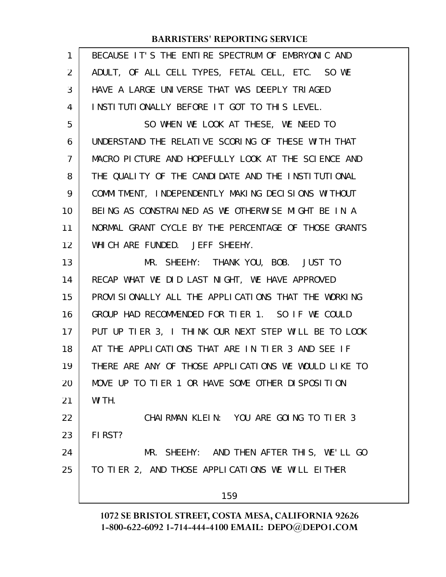| 1  | BECAUSE IT'S THE ENTIRE SPECTRUM OF EMBRYONIC AND    |
|----|------------------------------------------------------|
| 2  | ADULT, OF ALL CELL TYPES, FETAL CELL, ETC. SO WE     |
| 3  | HAVE A LARGE UNIVERSE THAT WAS DEEPLY TRIAGED        |
| 4  | INSTITUTIONALLY BEFORE IT GOT TO THIS LEVEL.         |
| 5  | SO WHEN WE LOOK AT THESE, WE NEED TO                 |
| 6  | UNDERSTAND THE RELATIVE SCORING OF THESE WITH THAT   |
| 7  | MACRO PICTURE AND HOPEFULLY LOOK AT THE SCIENCE AND  |
| 8  | THE QUALITY OF THE CANDIDATE AND THE INSTITUTIONAL   |
| 9  | COMMITMENT, INDEPENDENTLY MAKING DECISIONS WITHOUT   |
| 10 | BEING AS CONSTRAINED AS WE OTHERWISE MIGHT BE IN A   |
| 11 | NORMAL GRANT CYCLE BY THE PERCENTAGE OF THOSE GRANTS |
| 12 | WHICH ARE FUNDED. JEFF SHEEHY.                       |
| 13 | MR. SHEEHY: THANK YOU, BOB. JUST TO                  |
| 14 | RECAP WHAT WE DID LAST NIGHT, WE HAVE APPROVED       |
| 15 | PROVISIONALLY ALL THE APPLICATIONS THAT THE WORKING  |
| 16 | GROUP HAD RECOMMENDED FOR TIER 1. SO IF WE COULD     |
| 17 | PUT UP TIER 3, I THINK OUR NEXT STEP WILL BE TO LOOK |
| 18 | AT THE APPLICATIONS THAT ARE IN TIER 3 AND SEE IF    |
| 19 | THERE ARE ANY OF THOSE APPLICATIONS WE WOULD LIKE TO |
| 20 | MOVE UP TO TIER 1 OR HAVE SOME OTHER DISPOSITION     |
| 21 | WI TH.                                               |
| 22 | CHAIRMAN KLEIN: YOU ARE GOING TO TIER 3              |
| 23 | FIRST?                                               |
| 24 | MR. SHEEHY: AND THEN AFTER THIS, WE'LL GO            |
| 25 | TO TIER 2, AND THOSE APPLICATIONS WE WILL EITHER     |
|    | 159                                                  |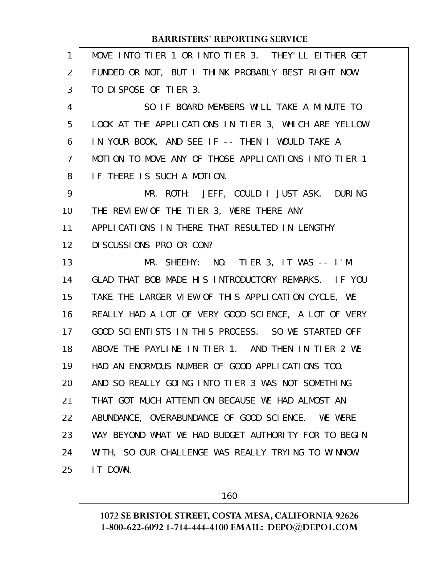| 1              | MOVE INTO TIER 1 OR INTO TIER 3. THEY'LL EITHER GET  |
|----------------|------------------------------------------------------|
| 2              | FUNDED OR NOT, BUT I THINK PROBABLY BEST RIGHT NOW   |
| 3              | TO DISPOSE OF TIER 3.                                |
| 4              | SO IF BOARD MEMBERS WILL TAKE A MINUTE TO            |
| 5              | LOOK AT THE APPLICATIONS IN TIER 3, WHICH ARE YELLOW |
| 6              | IN YOUR BOOK, AND SEE IF -- THEN I WOULD TAKE A      |
| $\overline{7}$ | MOTION TO MOVE ANY OF THOSE APPLICATIONS INTO TIER 1 |
| 8              | IF THERE IS SUCH A MOTION.                           |
| 9              | MR. ROTH: JEFF, COULD I JUST ASK. DURING             |
| 10             | THE REVIEW OF THE TIER 3, WERE THERE ANY             |
| 11             | APPLICATIONS IN THERE THAT RESULTED IN LENGTHY       |
| 12             | DI SCUSSIONS PRO OR CON?                             |
| 13             | MR. SHEEHY: NO. TIER 3, IT WAS -- I'M                |
| 14             | GLAD THAT BOB MADE HIS INTRODUCTORY REMARKS. IF YOU  |
| 15             | TAKE THE LARGER VIEW OF THIS APPLICATION CYCLE, WE   |
| 16             | REALLY HAD A LOT OF VERY GOOD SCIENCE, A LOT OF VERY |
| 17             | GOOD SCIENTISTS IN THIS PROCESS. SO WE STARTED OFF   |
| 18             | ABOVE THE PAYLINE IN TIER 1. AND THEN IN TIER 2 WE   |
| 19             | HAD AN ENORMOUS NUMBER OF GOOD APPLICATIONS TOO.     |
| 20             | AND SO REALLY GOING INTO TIER 3 WAS NOT SOMETHING    |
| 21             | THAT GOT MUCH ATTENTION BECAUSE WE HAD ALMOST AN     |
| 22             | ABUNDANCE, OVERABUNDANCE OF GOOD SCIENCE. WE WERE    |
| 23             | WAY BEYOND WHAT WE HAD BUDGET AUTHORITY FOR TO BEGIN |
| 24             | WITH, SO OUR CHALLENGE WAS REALLY TRYING TO WINNOW   |
| 25             | IT DOWN.                                             |
|                |                                                      |

160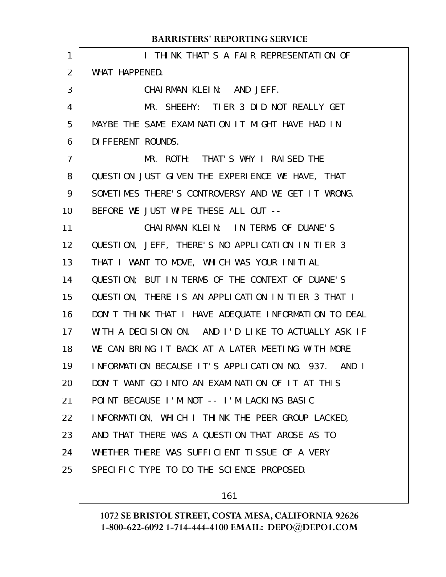| 1              | I THINK THAT'S A FAIR REPRESENTATION OF              |
|----------------|------------------------------------------------------|
| 2              | WHAT HAPPENED.                                       |
| 3              | CHAIRMAN KLEIN: AND JEFF.                            |
| 4              | MR. SHEEHY: TIER 3 DID NOT REALLY GET                |
| 5              | MAYBE THE SAME EXAMINATION IT MIGHT HAVE HAD IN      |
| 6              | DI FFERENT ROUNDS.                                   |
| $\overline{7}$ | MR. ROTH: THAT'S WHY I RAISED THE                    |
| 8              | QUESTION JUST GIVEN THE EXPERIENCE WE HAVE, THAT     |
| 9              | SOMETIMES THERE'S CONTROVERSY AND WE GET IT WRONG.   |
| 10             | BEFORE WE JUST WIPE THESE ALL OUT --                 |
| 11             | CHAIRMAN KLEIN: IN TERMS OF DUANE'S                  |
| 12             | QUESTION, JEFF, THERE'S NO APPLICATION IN TIER 3     |
| 13             | THAT I WANT TO MOVE, WHICH WAS YOUR INITIAL          |
| 14             | QUESTION; BUT IN TERMS OF THE CONTEXT OF DUANE'S     |
| 15             | QUESTION, THERE IS AN APPLICATION IN TIER 3 THAT I   |
| 16             | DON'T THINK THAT I HAVE ADEQUATE INFORMATION TO DEAL |
| 17             | WITH A DECISION ON. AND I'D LIKE TO ACTUALLY ASK IF  |
| 18             | WE CAN BRING IT BACK AT A LATER MEETING WITH MORE    |
| 19             | INFORMATION BECAUSE IT'S APPLICATION NO. 937. AND I  |
| 20             | DON'T WANT GO INTO AN EXAMINATION OF IT AT THIS      |
| 21             | POINT BECAUSE I'M NOT -- I'M LACKING BASIC           |
| 22             | INFORMATION, WHICH I THINK THE PEER GROUP LACKED,    |
| 23             | AND THAT THERE WAS A QUESTION THAT AROSE AS TO       |
| 24             | WHETHER THERE WAS SUFFICIENT TISSUE OF A VERY        |
| 25             | SPECIFIC TYPE TO DO THE SCIENCE PROPOSED.            |
|                |                                                      |

161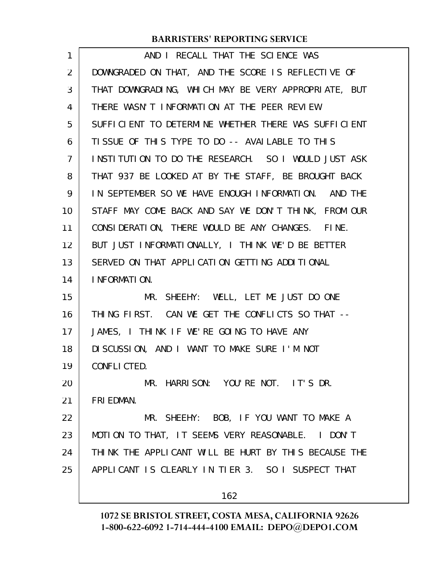| 1              | AND I RECALL THAT THE SCIENCE WAS                    |
|----------------|------------------------------------------------------|
| $\overline{2}$ | DOWNGRADED ON THAT, AND THE SCORE IS REFLECTIVE OF   |
| 3              | THAT DOWNGRADING, WHICH MAY BE VERY APPROPRIATE, BUT |
| 4              | THERE WASN'T INFORMATION AT THE PEER REVIEW          |
| 5              | SUFFICIENT TO DETERMINE WHETHER THERE WAS SUFFICIENT |
| 6              | TISSUE OF THIS TYPE TO DO -- AVAILABLE TO THIS       |
| $\overline{7}$ | INSTITUTION TO DO THE RESEARCH. SO I WOULD JUST ASK  |
| 8              | THAT 937 BE LOOKED AT BY THE STAFF, BE BROUGHT BACK  |
| 9              | IN SEPTEMBER SO WE HAVE ENOUGH INFORMATION. AND THE  |
| 10             | STAFF MAY COME BACK AND SAY WE DON'T THINK, FROM OUR |
| 11             | CONSIDERATION, THERE WOULD BE ANY CHANGES. FINE.     |
| 12             | BUT JUST INFORMATIONALLY, I THINK WE'D BE BETTER     |
| 13             | SERVED ON THAT APPLICATION GETTING ADDITIONAL        |
| 14             | I NFORMATION.                                        |
| 15             | MR. SHEEHY: WELL, LET ME JUST DO ONE                 |
| 16             | THING FIRST. CAN WE GET THE CONFLICTS SO THAT --     |
| 17             | JAMES, I THINK IF WE'RE GOING TO HAVE ANY            |
| 18             | DISCUSSION, AND I WANT TO MAKE SURE I'M NOT          |
| 19             | CONFLICTED.                                          |
| 20             | MR. HARRISON: YOU'RE NOT. IT'S DR.                   |
| 21             | FRI EDMAN.                                           |
| 22             | MR. SHEEHY: BOB, IF YOU WANT TO MAKE A               |
| 23             | MOTION TO THAT, IT SEEMS VERY REASONABLE. I DON'T    |
| 24             | THINK THE APPLICANT WILL BE HURT BY THIS BECAUSE THE |
| 25             | APPLICANT IS CLEARLY IN TIER 3. SO I SUSPECT THAT    |
|                | 162                                                  |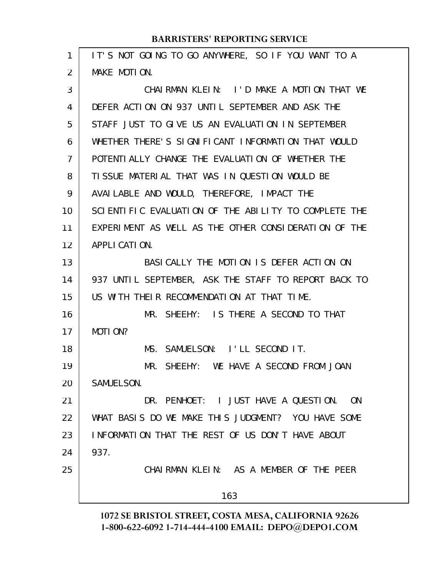| 1  | IT'S NOT GOING TO GO ANYWHERE, SO IF YOU WANT TO A   |
|----|------------------------------------------------------|
| 2  | MAKE MOTION.                                         |
| 3  | CHAIRMAN KLEIN: I'D MAKE A MOTION THAT WE            |
| 4  | DEFER ACTION ON 937 UNTIL SEPTEMBER AND ASK THE      |
| 5  | STAFF JUST TO GIVE US AN EVALUATION IN SEPTEMBER     |
| 6  | WHETHER THERE'S SIGNIFICANT INFORMATION THAT WOULD   |
| 7  | POTENTIALLY CHANGE THE EVALUATION OF WHETHER THE     |
| 8  | TI SSUE MATERIAL THAT WAS IN QUESTION WOULD BE       |
| 9  | AVAILABLE AND WOULD, THEREFORE, IMPACT THE           |
| 10 | SCIENTIFIC EVALUATION OF THE ABILITY TO COMPLETE THE |
| 11 | EXPERIMENT AS WELL AS THE OTHER CONSIDERATION OF THE |
| 12 | APPLI CATION.                                        |
| 13 | BASI CALLY THE MOTION IS DEFER ACTION ON             |
| 14 | 937 UNTIL SEPTEMBER, ASK THE STAFF TO REPORT BACK TO |
| 15 | US WITH THEIR RECOMMENDATION AT THAT TIME.           |
| 16 | MR. SHEEHY: IS THERE A SECOND TO THAT                |
| 17 | MOTION?                                              |
| 18 | MS. SAMUELSON: I'LL SECOND IT.                       |
| 19 | MR. SHEEHY: WE HAVE A SECOND FROM JOAN               |
| 20 | SAMUELSON.                                           |
| 21 | DR. PENHOET: I JUST HAVE A QUESTION. ON              |
| 22 | WHAT BASIS DO WE MAKE THIS JUDGMENT? YOU HAVE SOME   |
| 23 | INFORMATION THAT THE REST OF US DON'T HAVE ABOUT     |
| 24 | 937.                                                 |
| 25 | CHAIRMAN KLEIN: AS A MEMBER OF THE PEER              |
|    | 163                                                  |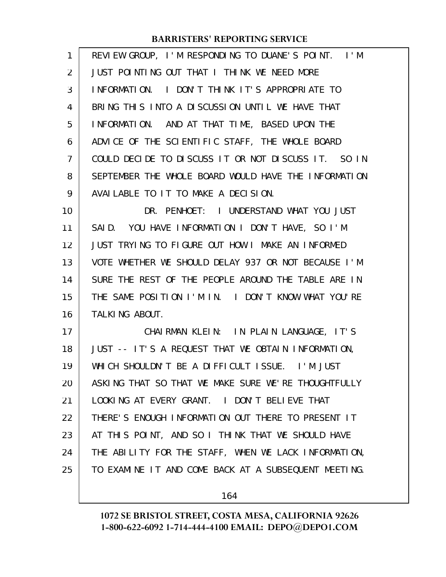| 1              | REVIEW GROUP, I'M RESPONDING TO DUANE'S POINT. I'M   |
|----------------|------------------------------------------------------|
| $\overline{2}$ | JUST POINTING OUT THAT I THINK WE NEED MORE          |
| 3              | INFORMATION. I DON'T THINK IT'S APPROPRIATE TO       |
| 4              | BRING THIS INTO A DISCUSSION UNTIL WE HAVE THAT      |
| 5              | INFORMATION. AND AT THAT TIME, BASED UPON THE        |
| 6              | ADVICE OF THE SCIENTIFIC STAFF, THE WHOLE BOARD      |
| $\overline{7}$ | COULD DECIDE TO DISCUSS IT OR NOT DISCUSS IT. SO IN  |
| 8              | SEPTEMBER THE WHOLE BOARD WOULD HAVE THE INFORMATION |
| 9              | AVAILABLE TO IT TO MAKE A DECISION.                  |
| 10             | DR. PENHOET: I UNDERSTAND WHAT YOU JUST              |
| 11             | SAID. YOU HAVE INFORMATION I DON'T HAVE, SO I'M      |
| 12             | JUST TRYING TO FIGURE OUT HOW I MAKE AN INFORMED     |
| 13             | VOTE WHETHER WE SHOULD DELAY 937 OR NOT BECAUSE I'M  |
| 14             | SURE THE REST OF THE PEOPLE AROUND THE TABLE ARE IN  |
| 15             | THE SAME POSITION I'M IN. I DON'T KNOW WHAT YOU'RE   |
| 16             | TALKING ABOUT.                                       |
| 17             | CHAIRMAN KLEIN: IN PLAIN LANGUAGE, IT'S              |
| 18             | JUST -- IT'S A REQUEST THAT WE OBTAIN INFORMATION,   |
| 19             | WHICH SHOULDN'T BE A DIFFICULT ISSUE. I'M JUST       |
| 20             | ASKING THAT SO THAT WE MAKE SURE WE'RE THOUGHTFULLY  |
| 21             | LOOKING AT EVERY GRANT. I DON'T BELIEVE THAT         |
| 22             | THERE'S ENOUGH INFORMATION OUT THERE TO PRESENT IT   |
| 23             | AT THIS POINT, AND SO I THINK THAT WE SHOULD HAVE    |
| 24             | THE ABILITY FOR THE STAFF, WHEN WE LACK INFORMATION, |
| 25             | TO EXAMINE IT AND COME BACK AT A SUBSEQUENT MEETING. |
|                |                                                      |

164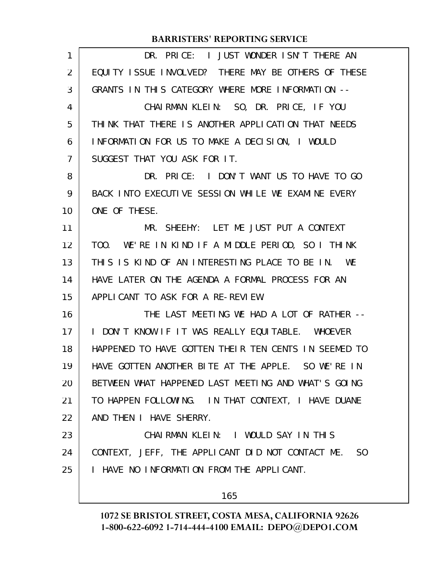| 1              | DR. PRICE: I JUST WONDER ISN'T THERE AN                           |
|----------------|-------------------------------------------------------------------|
| 2              | EQUITY ISSUE INVOLVED? THERE MAY BE OTHERS OF THESE               |
| 3              | GRANTS IN THIS CATEGORY WHERE MORE INFORMATION --                 |
| 4              | CHAIRMAN KLEIN: SO, DR. PRICE, IF YOU                             |
| 5              | THINK THAT THERE IS ANOTHER APPLICATION THAT NEEDS                |
| 6              | INFORMATION FOR US TO MAKE A DECISION, I WOULD                    |
| $\overline{7}$ | SUGGEST THAT YOU ASK FOR IT.                                      |
| 8              | DR. PRICE: I DON'T WANT US TO HAVE TO GO                          |
| 9              | BACK INTO EXECUTIVE SESSION WHILE WE EXAMINE EVERY                |
| 10             | ONE OF THESE.                                                     |
| 11             | MR. SHEEHY: LET ME JUST PUT A CONTEXT                             |
| 12             | WE'RE IN KIND IF A MIDDLE PERIOD, SO I THINK<br>T <sub>00</sub> . |
| 13             | THIS IS KIND OF AN INTERESTING PLACE TO BE IN. WE                 |
| 14             | HAVE LATER ON THE AGENDA A FORMAL PROCESS FOR AN                  |
| 15             | APPLICANT TO ASK FOR A RE-REVIEW.                                 |
| 16             | THE LAST MEETING WE HAD A LOT OF RATHER --                        |
| 17             | I DON'T KNOW IF IT WAS REALLY EQUITABLE. WHOEVER                  |
| 18             | HAPPENED TO HAVE GOTTEN THEIR TEN CENTS IN SEEMED TO              |
| 19             | HAVE GOTTEN ANOTHER BITE AT THE APPLE. SO WE'RE IN                |
| 20             | BETWEEN WHAT HAPPENED LAST MEETING AND WHAT'S GOING               |
| 21             | TO HAPPEN FOLLOWING. IN THAT CONTEXT, I HAVE DUANE                |
| 22             | AND THEN I HAVE SHERRY.                                           |
| 23             | CHAIRMAN KLEIN: I WOULD SAY IN THIS                               |
| 24             | CONTEXT, JEFF, THE APPLICANT DID NOT CONTACT ME. SO               |
| 25             | I HAVE NO INFORMATION FROM THE APPLICANT.                         |
|                | 165                                                               |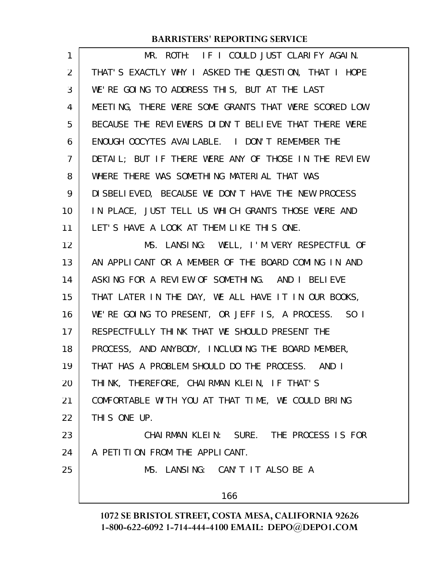| 1              | MR. ROTH: IF I COULD JUST CLARIFY AGAIN.             |
|----------------|------------------------------------------------------|
| $\overline{2}$ | THAT'S EXACTLY WHY I ASKED THE QUESTION, THAT I HOPE |
| 3              | WE'RE GOING TO ADDRESS THIS, BUT AT THE LAST         |
| 4              | MEETING, THERE WERE SOME GRANTS THAT WERE SCORED LOW |
| 5              | BECAUSE THE REVIEWERS DIDN'T BELIEVE THAT THERE WERE |
| 6              | ENOUGH OOCYTES AVAILABLE. I DON'T REMEMBER THE       |
| $\overline{7}$ | DETAIL; BUT IF THERE WERE ANY OF THOSE IN THE REVIEW |
| 8              | WHERE THERE WAS SOMETHING MATERIAL THAT WAS          |
| 9              | DI SBELI EVED, BECAUSE WE DON'T HAVE THE NEW PROCESS |
| 10             | IN PLACE, JUST TELL US WHICH GRANTS THOSE WERE AND   |
| 11             | LET'S HAVE A LOOK AT THEM LIKE THIS ONE.             |
| 12             | MS. LANSING: WELL, I'M VERY RESPECTFUL OF            |
| 13             | AN APPLICANT OR A MEMBER OF THE BOARD COMING IN AND  |
| 14             | ASKING FOR A REVIEW OF SOMETHING. AND I BELIEVE      |
| 15             | THAT LATER IN THE DAY, WE ALL HAVE IT IN OUR BOOKS,  |
| 16             | WE'RE GOING TO PRESENT, OR JEFF IS, A PROCESS. SO I  |
| 17             | RESPECTFULLY THINK THAT WE SHOULD PRESENT THE        |
| 18             | PROCESS, AND ANYBODY, INCLUDING THE BOARD MEMBER,    |
| 19             | THAT HAS A PROBLEM SHOULD DO THE PROCESS. AND I      |
| 20             | THINK, THEREFORE, CHAIRMAN KLEIN, IF THAT'S          |
| 21             | COMFORTABLE WITH YOU AT THAT TIME, WE COULD BRING    |
| 22             | THIS ONE UP.                                         |
| 23             | CHAIRMAN KLEIN: SURE. THE PROCESS IS FOR             |
| 24             | A PETITION FROM THE APPLICANT.                       |
| 25             | MS. LANSING: CAN'T IT ALSO BE A                      |
|                | 166                                                  |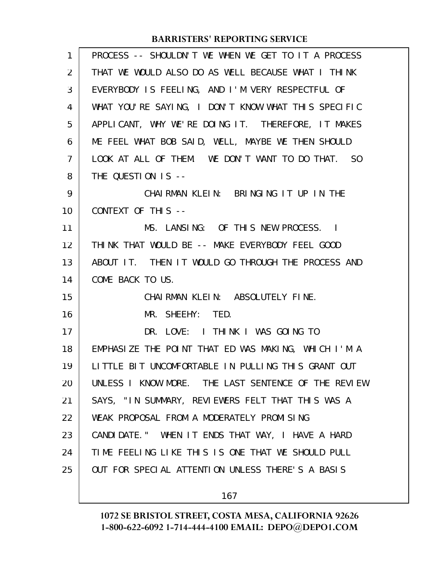| 1              | PROCESS -- SHOULDN'T WE WHEN WE GET TO IT A PROCESS |
|----------------|-----------------------------------------------------|
| 2              | THAT WE WOULD ALSO DO AS WELL BECAUSE WHAT I THINK  |
| 3              | EVERYBODY IS FEELING, AND I'M VERY RESPECTFUL OF    |
| 4              | WHAT YOU'RE SAYING, I DON'T KNOW WHAT THIS SPECIFIC |
| 5              | APPLICANT, WHY WE'RE DOING IT. THEREFORE, IT MAKES  |
| 6              | ME FEEL WHAT BOB SAID, WELL, MAYBE WE THEN SHOULD   |
| $\overline{7}$ | LOOK AT ALL OF THEM. WE DON'T WANT TO DO THAT. SO   |
| 8              | THE QUESTION IS --                                  |
| 9              | CHAIRMAN KLEIN: BRINGING IT UP IN THE               |
| 10             | CONTEXT OF THIS --                                  |
| 11             | MS. LANSING: OF THIS NEW PROCESS. I                 |
| 12             | THINK THAT WOULD BE -- MAKE EVERYBODY FEEL GOOD     |
| 13             | ABOUT IT. THEN IT WOULD GO THROUGH THE PROCESS AND  |
| 14             | COME BACK TO US.                                    |
| 15             | CHAIRMAN KLEIN: ABSOLUTELY FINE.                    |
| 16             | MR. SHEEHY: TED.                                    |
| 17             | DR. LOVE: I THINK I WAS GOING TO                    |
| 18             | EMPHASIZE THE POINT THAT ED WAS MAKING, WHICH I'M A |
| 19             | LITTLE BIT UNCOMFORTABLE IN PULLING THIS GRANT OUT  |
| 20             | UNLESS I KNOW MORE. THE LAST SENTENCE OF THE REVIEW |
| 21             | SAYS, "IN SUMMARY, REVIEWERS FELT THAT THIS WAS A   |
| 22             | WEAK PROPOSAL FROM A MODERATELY PROMISING           |
| 23             | CANDIDATE." WHEN IT ENDS THAT WAY, I HAVE A HARD    |
| 24             | TIME FEELING LIKE THIS IS ONE THAT WE SHOULD PULL   |
| 25             | OUT FOR SPECIAL ATTENTION UNLESS THERE'S A BASIS    |
|                |                                                     |

167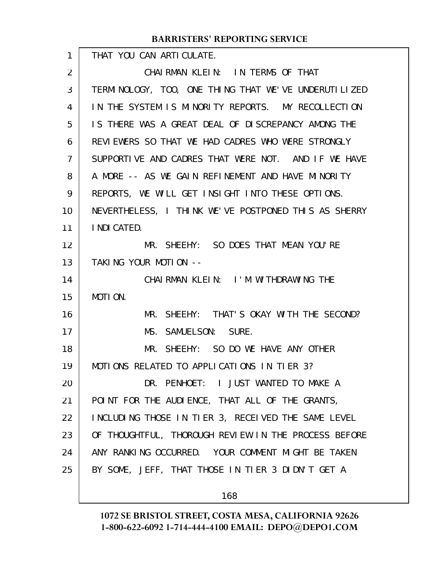|                | <b>BARRISTERS' REPORTING SERVICE</b>                 |
|----------------|------------------------------------------------------|
| $\mathbf{1}$   | THAT YOU CAN ARTICULATE.                             |
| 2              | CHAIRMAN KLEIN: IN TERMS OF THAT                     |
| 3              | TERMINOLOGY, TOO, ONE THING THAT WE'VE UNDERUTILIZED |
| 4              | IN THE SYSTEM IS MINORITY REPORTS. MY RECOLLECTION   |
| 5              | IS THERE WAS A GREAT DEAL OF DISCREPANCY AMONG THE   |
| 6              | REVIEWERS SO THAT WE HAD CADRES WHO WERE STRONGLY    |
| $\overline{7}$ | SUPPORTIVE AND CADRES THAT WERE NOT. AND IF WE HAVE  |
| 8              | A MORE -- AS WE GAIN REFINEMENT AND HAVE MINORITY    |
| 9              | REPORTS, WE WILL GET INSIGHT INTO THESE OPTIONS.     |
| 10             | NEVERTHELESS, I THINK WE'VE POSTPONED THIS AS SHERRY |
| 11             | I NDI CATED.                                         |
| 12             | MR. SHEEHY: SO DOES THAT MEAN YOU'RE                 |
| 13             | TAKING YOUR MOTION --                                |
| 14             | CHAIRMAN KLEIN: I'M WITHDRAWING THE                  |
| 15             | MOTION.                                              |
| 16             | MR. SHEEHY: THAT'S OKAY WITH THE SECOND?             |
| 17             | MS. SAMUELSON: SURE.                                 |
| 18             | MR. SHEEHY: SO DO WE HAVE ANY OTHER                  |
| 19             | MOTIONS RELATED TO APPLICATIONS IN TIER 3?           |
| 20             | DR. PENHOET: I JUST WANTED TO MAKE A                 |
| 21             | POINT FOR THE AUDIENCE, THAT ALL OF THE GRANTS,      |
| 22             | INCLUDING THOSE IN TIER 3, RECEIVED THE SAME LEVEL   |
| 23             | OF THOUGHTFUL, THOROUGH REVIEW IN THE PROCESS BEFORE |
| 24             | ANY RANKING OCCURRED. YOUR COMMENT MIGHT BE TAKEN    |
| 25             | BY SOME, JEFF, THAT THOSE IN TIER 3 DIDN'T GET A     |
|                |                                                      |
|                | 168                                                  |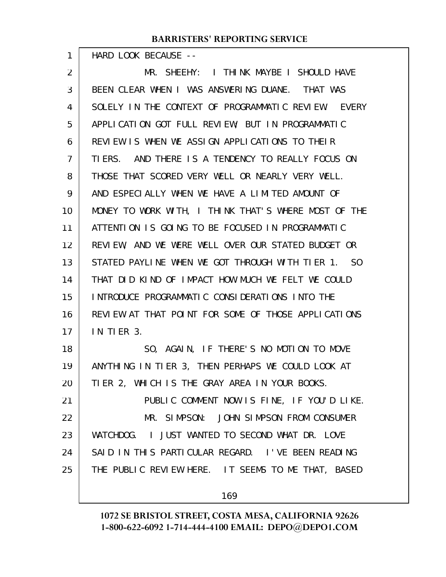HARD LOOK BECAUSE --

1

MR. SHEEHY: I THINK MAYBE I SHOULD HAVE BEEN CLEAR WHEN I WAS ANSWERING DUANE. THAT WAS SOLELY IN THE CONTEXT OF PROGRAMMATIC REVIEW. EVERY APPLICATION GOT FULL REVIEW; BUT IN PROGRAMMATIC REVIEW IS WHEN WE ASSIGN APPLICATIONS TO THEIR TIERS. AND THERE IS A TENDENCY TO REALLY FOCUS ON THOSE THAT SCORED VERY WELL OR NEARLY VERY WELL. AND ESPECIALLY WHEN WE HAVE A LIMITED AMOUNT OF MONEY TO WORK WITH, I THINK THAT'S WHERE MOST OF THE ATTENTION IS GOING TO BE FOCUSED IN PROGRAMMATIC REVIEW, AND WE WERE WELL OVER OUR STATED BUDGET OR STATED PAYLINE WHEN WE GOT THROUGH WITH TIER 1. SO THAT DID KIND OF IMPACT HOW MUCH WE FELT WE COULD INTRODUCE PROGRAMMATIC CONSIDERATIONS INTO THE REVIEW AT THAT POINT FOR SOME OF THOSE APPLICATIONS IN TIER 3. SO, AGAIN, IF THERE'S NO MOTION TO MOVE ANYTHING IN TIER 3, THEN PERHAPS WE COULD LOOK AT TIER 2, WHICH IS THE GRAY AREA IN YOUR BOOKS. PUBLIC COMMENT NOW IS FINE, IF YOU'D LIKE. MR. SIMPSON: JOHN SIMPSON FROM CONSUMER WATCHDOG. I JUST WANTED TO SECOND WHAT DR. LOVE SAID IN THIS PARTICULAR REGARD. I'VE BEEN READING THE PUBLIC REVIEW HERE. IT SEEMS TO ME THAT, BASED 2 3 4 5 6 7 8 9 10 11 12 13 14 15 16 17 18 19 20 21 22 23 24 25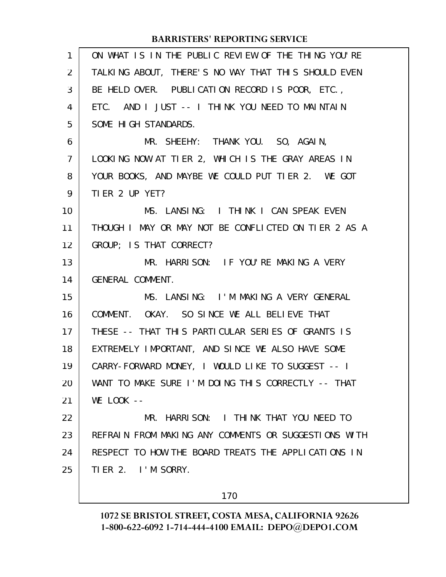| 1              | ON WHAT IS IN THE PUBLIC REVIEW OF THE THING YOU'RE  |
|----------------|------------------------------------------------------|
| $\overline{2}$ | TALKING ABOUT, THERE'S NO WAY THAT THIS SHOULD EVEN  |
| 3              | BE HELD OVER. PUBLICATION RECORD IS POOR, ETC.,      |
| 4              | ETC. AND I JUST -- I THINK YOU NEED TO MAINTAIN      |
| 5              | SOME HIGH STANDARDS.                                 |
| 6              | MR. SHEEHY: THANK YOU. SO, AGAIN,                    |
| $\overline{7}$ | LOOKING NOW AT TIER 2, WHICH IS THE GRAY AREAS IN    |
| 8              | YOUR BOOKS, AND MAYBE WE COULD PUT TIER 2. WE GOT    |
| 9              | TIER 2 UP YET?                                       |
| 10             | MS. LANSING: I THINK I CAN SPEAK EVEN                |
| 11             | THOUGH I MAY OR MAY NOT BE CONFLICTED ON TIER 2 AS A |
| 12             | GROUP; IS THAT CORRECT?                              |
| 13             | MR. HARRISON: IF YOU'RE MAKING A VERY                |
| 14             | GENERAL COMMENT.                                     |
| 15             | MS. LANSING: I'M MAKING A VERY GENERAL               |
| 16             | COMMENT. OKAY. SO SINCE WE ALL BELIEVE THAT          |
| 17             | THESE -- THAT THIS PARTICULAR SERIES OF GRANTS IS    |
| 18             | EXTREMELY IMPORTANT, AND SINCE WE ALSO HAVE SOME     |
| 19             | CARRY-FORWARD MONEY, I WOULD LIKE TO SUGGEST -- I    |
| 20             | WANT TO MAKE SURE I'M DOING THIS CORRECTLY -- THAT   |
| 21             | $WE$ $LOOK$ $--$                                     |
| 22             | MR. HARRISON: I THINK THAT YOU NEED TO               |
| 23             | REFRAIN FROM MAKING ANY COMMENTS OR SUGGESTIONS WITH |
| 24             | RESPECT TO HOW THE BOARD TREATS THE APPLICATIONS IN  |
| 25             | TIER 2. I'M SORRY.                                   |
|                |                                                      |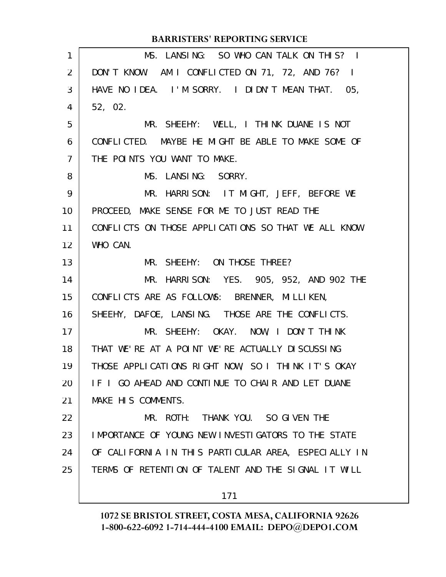|                 | <b>BARRISTERS' REPORTING SERVICE</b>                 |
|-----------------|------------------------------------------------------|
| $\mathbf{1}$    | MS. LANSING: SO WHO CAN TALK ON THIS? I              |
| $\overline{2}$  | DON'T KNOW. AM I CONFLICTED ON 71, 72, AND 76? I     |
| 3               | HAVE NO IDEA. I'M SORRY. I DIDN'T MEAN THAT. 05,     |
| 4               | 52, 02.                                              |
| 5               | MR. SHEEHY: WELL, I THINK DUANE IS NOT               |
| 6               | CONFLICTED. MAYBE HE MIGHT BE ABLE TO MAKE SOME OF   |
| $\overline{7}$  | THE POINTS YOU WANT TO MAKE.                         |
| 8               | MS. LANSING: SORRY.                                  |
| 9               | MR. HARRISON: IT MIGHT, JEFF, BEFORE WE              |
| 10 <sup>°</sup> | PROCEED, MAKE SENSE FOR ME TO JUST READ THE          |
| 11              | CONFLICTS ON THOSE APPLICATIONS SO THAT WE ALL KNOW  |
| 12 <sup>2</sup> | WHO CAN.                                             |
| 13              | MR. SHEEHY: ON THOSE THREE?                          |
| 14              | MR. HARRISON: YES. 905, 952, AND 902 THE             |
| 15              | CONFLICTS ARE AS FOLLOWS: BRENNER, MILLIKEN,         |
| 16              | SHEEHY, DAFOE, LANSING. THOSE ARE THE CONFLICTS.     |
| 17              | MR. SHEEHY: OKAY. NOW, I DON'T THINK                 |
| 18              | THAT WE'RE AT A POINT WE'RE ACTUALLY DISCUSSING      |
| 19              | THOSE APPLICATIONS RIGHT NOW, SO I THINK IT'S OKAY   |
| 20              | IF I GO AHEAD AND CONTINUE TO CHAIR AND LET DUANE    |
| 21              | MAKE HIS COMMENTS.                                   |
| 22              | MR. ROTH: THANK YOU. SO GIVEN THE                    |
| 23              | IMPORTANCE OF YOUNG NEW INVESTIGATORS TO THE STATE   |
| 24              | OF CALIFORNIA IN THIS PARTICULAR AREA, ESPECIALLY IN |
| 25              | TERMS OF RETENTION OF TALENT AND THE SIGNAL IT WILL  |
|                 |                                                      |

**1072 SE BRISTOL STREET, COSTA MESA, CALIFORNIA 92626 1-800-622-6092 1-714-444-4100 EMAIL: DEPO@DEPO1.COM**

171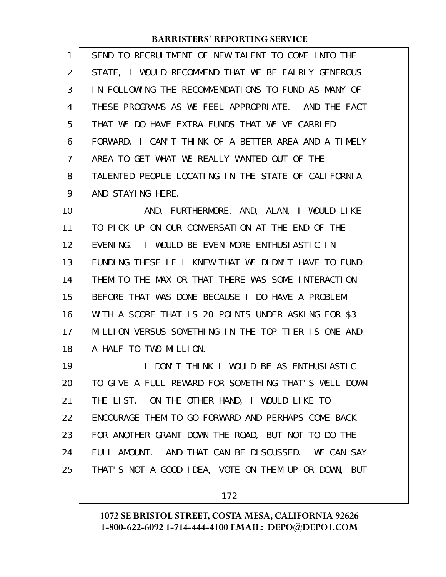| $\mathbf{1}$   | SEND TO RECRUITMENT OF NEW TALENT TO COME INTO THE   |
|----------------|------------------------------------------------------|
| $\overline{2}$ | STATE, I WOULD RECOMMEND THAT WE BE FAIRLY GENEROUS  |
| 3              | IN FOLLOWING THE RECOMMENDATIONS TO FUND AS MANY OF  |
| $\overline{4}$ | THESE PROGRAMS AS WE FEEL APPROPRIATE. AND THE FACT  |
| 5              | THAT WE DO HAVE EXTRA FUNDS THAT WE'VE CARRIED       |
| 6              | FORWARD, I CAN'T THINK OF A BETTER AREA AND A TIMELY |
| 7              | AREA TO GET WHAT WE REALLY WANTED OUT OF THE         |
| 8              | TALENTED PEOPLE LOCATING IN THE STATE OF CALIFORNIA  |
| 9              | AND STAYING HERE.                                    |

AND, FURTHERMORE, AND, ALAN, I WOULD LIKE TO PICK UP ON OUR CONVERSATION AT THE END OF THE EVENING. I WOULD BE EVEN MORE ENTHUSIASTIC IN FUNDING THESE IF I KNEW THAT WE DIDN'T HAVE TO FUND THEM TO THE MAX OR THAT THERE WAS SOME INTERACTION BEFORE THAT WAS DONE BECAUSE I DO HAVE A PROBLEM WITH A SCORE THAT IS 20 POINTS UNDER ASKING FOR \$3 MILLION VERSUS SOMETHING IN THE TOP TIER IS ONE AND A HALF TO TWO MILLION. 10 11 12 13 14 15 16 17 18

I DON'T THINK I WOULD BE AS ENTHUSIASTIC TO GIVE A FULL REWARD FOR SOMETHING THAT'S WELL DOWN THE LIST. ON THE OTHER HAND, I WOULD LIKE TO ENCOURAGE THEM TO GO FORWARD AND PERHAPS COME BACK FOR ANOTHER GRANT DOWN THE ROAD, BUT NOT TO DO THE FULL AMOUNT. AND THAT CAN BE DISCUSSED. WE CAN SAY THAT'S NOT A GOOD IDEA, VOTE ON THEM UP OR DOWN, BUT 19 20 21 22 23 24 25

172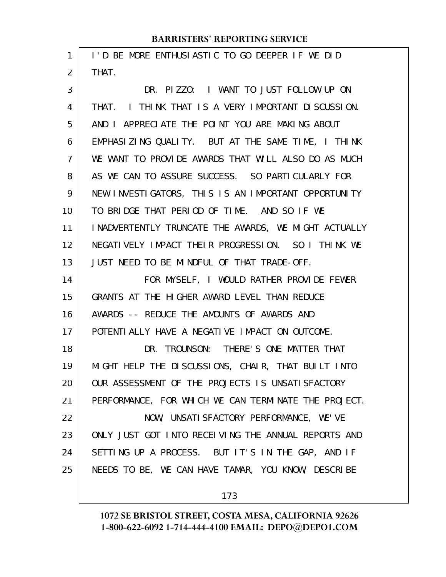| 1              | I'D BE MORE ENTHUSIASTIC TO GO DEEPER IF WE DID       |
|----------------|-------------------------------------------------------|
| $\overline{2}$ | THAT.                                                 |
| 3              | DR. PIZZO: I WANT TO JUST FOLLOW UP ON                |
| 4              | I THINK THAT IS A VERY IMPORTANT DISCUSSION.<br>THAT. |
| 5              | AND I APPRECIATE THE POINT YOU ARE MAKING ABOUT       |
| 6              | EMPHASIZING QUALITY. BUT AT THE SAME TIME, I THINK    |
| 7              | WE WANT TO PROVIDE AWARDS THAT WILL ALSO DO AS MUCH   |
| 8              | AS WE CAN TO ASSURE SUCCESS. SO PARTICULARLY FOR      |
| 9              | NEW INVESTIGATORS, THIS IS AN IMPORTANT OPPORTUNITY   |
| 10             | TO BRIDGE THAT PERIOD OF TIME. AND SO IF WE           |
| 11             | INADVERTENTLY TRUNCATE THE AWARDS, WE MIGHT ACTUALLY  |
| 12             | NEGATIVELY IMPACT THEIR PROGRESSION. SO I THINK WE    |
| 13             | JUST NEED TO BE MINDFUL OF THAT TRADE-OFF.            |
| 14             | FOR MYSELF, I WOULD RATHER PROVIDE FEWER              |
| 15             | GRANTS AT THE HIGHER AWARD LEVEL THAN REDUCE          |
| 16             | AWARDS -- REDUCE THE AMOUNTS OF AWARDS AND            |
| 17             | POTENTI ALLY HAVE A NEGATI VE IMPACT ON OUTCOME.      |
| 18             | DR. TROUNSON: THERE'S ONE MATTER THAT                 |
| 19             | MIGHT HELP THE DISCUSSIONS, CHAIR, THAT BUILT INTO    |
| 20             | OUR ASSESSMENT OF THE PROJECTS IS UNSATISFACTORY      |
| 21             | PERFORMANCE, FOR WHICH WE CAN TERMINATE THE PROJECT.  |
| 22             | NOW, UNSATI SFACTORY PERFORMANCE, WE'VE               |
| 23             | ONLY JUST GOT INTO RECEIVING THE ANNUAL REPORTS AND   |
| 24             | SETTING UP A PROCESS. BUT IT'S IN THE GAP, AND IF     |
| 25             | NEEDS TO BE, WE CAN HAVE TAMAR, YOU KNOW, DESCRIBE    |
|                |                                                       |

173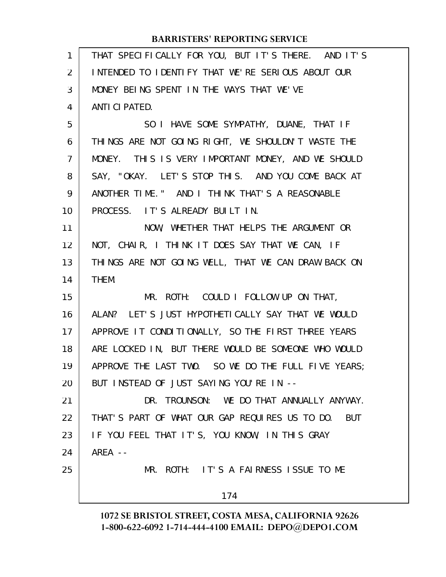| $\mathbf{1}$   | THAT SPECIFICALLY FOR YOU, BUT IT'S THERE. AND IT'S |
|----------------|-----------------------------------------------------|
| 2              | INTENDED TO IDENTIFY THAT WE'RE SERIOUS ABOUT OUR   |
| 3              | MONEY BEING SPENT IN THE WAYS THAT WE'VE            |
| 4              | ANTI CI PATED.                                      |
| 5              | SO I HAVE SOME SYMPATHY, DUANE, THAT IF             |
| 6              | THINGS ARE NOT GOING RIGHT, WE SHOULDN'T WASTE THE  |
| $\overline{7}$ | MONEY. THIS IS VERY IMPORTANT MONEY, AND WE SHOULD  |
| 8              | SAY, "OKAY. LET'S STOP THIS. AND YOU COME BACK AT   |
| 9              | ANOTHER TIME." AND I THINK THAT'S A REASONABLE      |
| 10             | PROCESS. IT'S ALREADY BUILT IN.                     |
| 11             | NOW, WHETHER THAT HELPS THE ARGUMENT OR             |
| 12             | NOT, CHAIR, I THINK IT DOES SAY THAT WE CAN, IF     |
| 13             | THINGS ARE NOT GOING WELL, THAT WE CAN DRAW BACK ON |
| 14             | THEM.                                               |
| 15             | MR. ROTH: COULD I FOLLOW UP ON THAT,                |
| 16             | ALAN? LET'S JUST HYPOTHETI CALLY SAY THAT WE WOULD  |
| 17             | APPROVE IT CONDITIONALLY, SO THE FIRST THREE YEARS  |
| 18             | ARE LOCKED IN, BUT THERE WOULD BE SOMEONE WHO WOULD |
| 19             | APPROVE THE LAST TWO. SO WE DO THE FULL FIVE YEARS; |
| 20             | BUT INSTEAD OF JUST SAYING YOU'RE IN --             |
| 21             | DR. TROUNSON: WE DO THAT ANNUALLY ANYWAY.           |
| 22             | THAT'S PART OF WHAT OUR GAP REQUIRES US TO DO. BUT  |
| 23             | IF YOU FEEL THAT IT'S, YOU KNOW, IN THIS GRAY       |
| 24             | $AREA - -$                                          |
| 25             | MR. ROTH: IT'S A FAIRNESS ISSUE TO ME               |
|                | 174                                                 |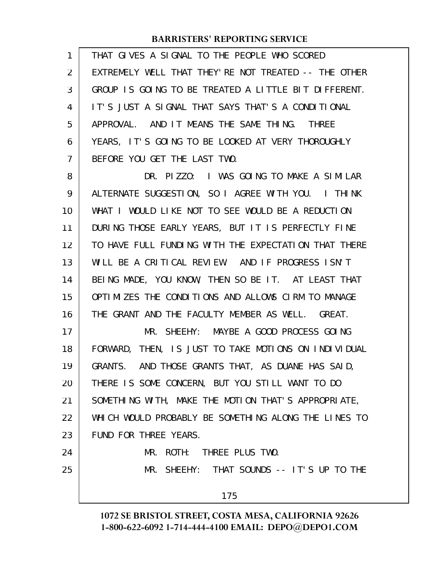| 1              | THAT GIVES A SIGNAL TO THE PEOPLE WHO SCORED         |
|----------------|------------------------------------------------------|
| 2              | EXTREMELY WELL THAT THEY'RE NOT TREATED -- THE OTHER |
| 3              | GROUP IS GOING TO BE TREATED A LITTLE BIT DIFFERENT. |
| 4              | IT'S JUST A SIGNAL THAT SAYS THAT'S A CONDITIONAL    |
| 5              | APPROVAL. AND IT MEANS THE SAME THING. THREE         |
| 6              | YEARS, IT'S GOING TO BE LOOKED AT VERY THOROUGHLY    |
| $\overline{7}$ | BEFORE YOU GET THE LAST TWO.                         |
| 8              | DR. PIZZO: I WAS GOING TO MAKE A SIMILAR             |
| 9              | ALTERNATE SUGGESTION, SO I AGREE WITH YOU. I THINK   |
| 10             | WHAT I WOULD LIKE NOT TO SEE WOULD BE A REDUCTION    |
| 11             | DURING THOSE EARLY YEARS, BUT IT IS PERFECTLY FINE   |
| 12             | TO HAVE FULL FUNDING WITH THE EXPECTATION THAT THERE |
| 13             | WILL BE A CRITICAL REVIEW. AND IF PROGRESS ISN'T     |
| 14             | BEING MADE, YOU KNOW, THEN SO BE IT. AT LEAST THAT   |
| 15             | OPTIMIZES THE CONDITIONS AND ALLOWS CIRM TO MANAGE   |
| 16             | THE GRANT AND THE FACULTY MEMBER AS WELL. GREAT.     |
| 17             | MR. SHEEHY: MAYBE A GOOD PROCESS GOING               |
| 18             | FORWARD, THEN, IS JUST TO TAKE MOTIONS ON INDIVIDUAL |
| 19             | GRANTS. AND THOSE GRANTS THAT, AS DUANE HAS SAID,    |
| 20             | THERE IS SOME CONCERN, BUT YOU STILL WANT TO DO      |
| 21             | SOMETHING WITH, MAKE THE MOTION THAT'S APPROPRIATE,  |
| 22             | WHICH WOULD PROBABLY BE SOMETHING ALONG THE LINES TO |
| 23             | FUND FOR THREE YEARS.                                |
| 24             | MR. ROTH: THREE PLUS TWO.                            |
| 25             | MR. SHEEHY: THAT SOUNDS -- IT'S UP TO THE            |
|                | 175                                                  |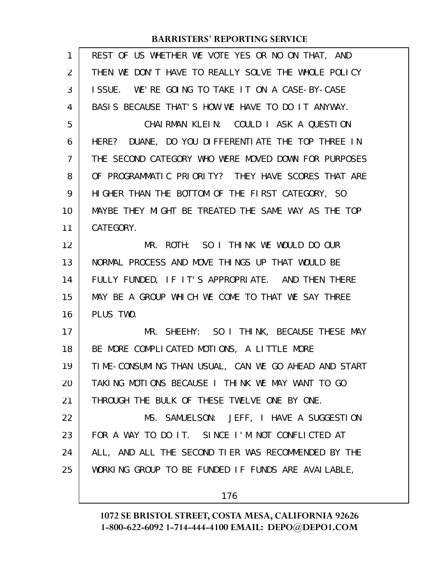| 1  | REST OF US WHETHER WE VOTE YES OR NO ON THAT, AND    |
|----|------------------------------------------------------|
| 2  | THEN WE DON'T HAVE TO REALLY SOLVE THE WHOLE POLICY  |
| 3  | ISSUE. WE'RE GOING TO TAKE IT ON A CASE-BY-CASE      |
| 4  | BASIS BECAUSE THAT'S HOW WE HAVE TO DO IT ANYWAY.    |
| 5  | CHAIRMAN KLEIN: COULD I ASK A QUESTION               |
| 6  | HERE? DUANE, DO YOU DIFFERENTIATE THE TOP THREE IN   |
| 7  | THE SECOND CATEGORY WHO WERE MOVED DOWN FOR PURPOSES |
| 8  | OF PROGRAMMATIC PRIORITY? THEY HAVE SCORES THAT ARE  |
| 9  | HIGHER THAN THE BOTTOM OF THE FIRST CATEGORY, SO     |
| 10 | MAYBE THEY MIGHT BE TREATED THE SAME WAY AS THE TOP  |
| 11 | CATEGORY.                                            |
| 12 | MR. ROTH: SO I THINK WE WOULD DO OUR                 |
| 13 | NORMAL PROCESS AND MOVE THINGS UP THAT WOULD BE      |
| 14 | FULLY FUNDED, IF IT'S APPROPRIATE. AND THEN THERE    |
| 15 | MAY BE A GROUP WHICH WE COME TO THAT WE SAY THREE    |
| 16 | PLUS TWO.                                            |
| 17 | MR. SHEEHY: SO I THINK, BECAUSE THESE MAY            |
| 18 | BE MORE COMPLICATED MOTIONS, A LITTLE MORE           |
| 19 | TIME-CONSUMING THAN USUAL, CAN WE GO AHEAD AND START |
| 20 | TAKING MOTIONS BECAUSE I THINK WE MAY WANT TO GO     |
| 21 | THROUGH THE BULK OF THESE TWELVE ONE BY ONE.         |
| 22 | MS. SAMUELSON: JEFF, I HAVE A SUGGESTION             |
| 23 | FOR A WAY TO DO IT. SINCE I'M NOT CONFLICTED AT      |
| 24 | ALL, AND ALL THE SECOND TIER WAS RECOMMENDED BY THE  |
| 25 | WORKING GROUP TO BE FUNDED IF FUNDS ARE AVAILABLE,   |
|    |                                                      |

176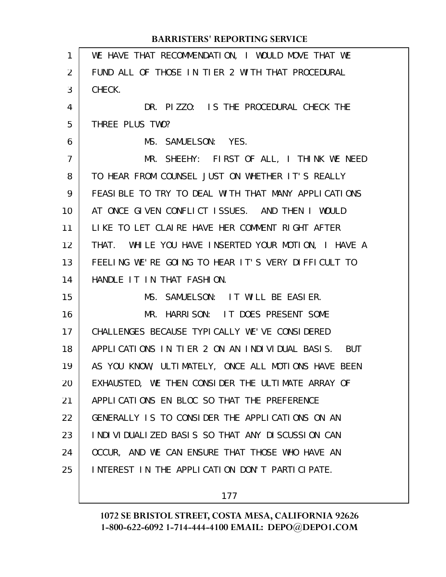| $\mathbf{1}$   | WE HAVE THAT RECOMMENDATION, I WOULD MOVE THAT WE      |
|----------------|--------------------------------------------------------|
| 2              | FUND ALL OF THOSE IN TIER 2 WITH THAT PROCEDURAL       |
| 3              | CHECK.                                                 |
| 4              | DR. PIZZO: IS THE PROCEDURAL CHECK THE                 |
| 5              | THREE PLUS TWO?                                        |
| 6              | MS. SAMUELSON: YES.                                    |
| $\overline{7}$ | MR. SHEEHY: FIRST OF ALL, I THINK WE NEED              |
| 8              | TO HEAR FROM COUNSEL JUST ON WHETHER IT'S REALLY       |
| 9              | FEASIBLE TO TRY TO DEAL WITH THAT MANY APPLICATIONS    |
| 10             | AT ONCE GIVEN CONFLICT ISSUES. AND THEN I WOULD        |
| 11             | LIKE TO LET CLAIRE HAVE HER COMMENT RIGHT AFTER        |
| 12             | THAT. WHILE YOU HAVE INSERTED YOUR MOTION, I HAVE A    |
| 13             | FEELING WE'RE GOING TO HEAR IT'S VERY DIFFICULT TO     |
| 14             | HANDLE IT IN THAT FASHION.                             |
| 15             | MS. SAMUELSON: IT WILL BE EASIER.                      |
| 16             | MR. HARRISON: IT DOES PRESENT SOME                     |
| 17             | CHALLENGES BECAUSE TYPICALLY WE'VE CONSIDERED          |
| 18             | APPLICATIONS IN TIER 2 ON AN INDIVIDUAL BASIS. BUT     |
| 19             | AS YOU KNOW, ULTIMATELY, ONCE ALL MOTIONS HAVE BEEN    |
| 20             | EXHAUSTED, WE THEN CONSIDER THE ULTIMATE ARRAY OF      |
| 21             | APPLICATIONS EN BLOC SO THAT THE PREFERENCE            |
| 22             | GENERALLY IS TO CONSIDER THE APPLICATIONS ON AN        |
| 23             | I NDI VI DUALI ZED BASI S SO THAT ANY DI SCUSSI ON CAN |
| 24             | OCCUR, AND WE CAN ENSURE THAT THOSE WHO HAVE AN        |
| 25             | INTEREST IN THE APPLICATION DON'T PARTICIPATE.         |
|                |                                                        |

177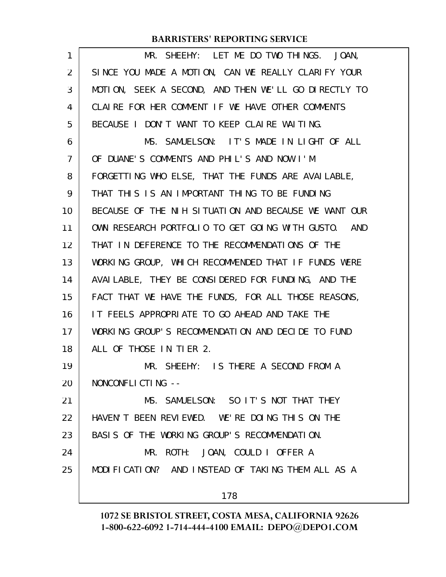| 1  | MR. SHEEHY: LET ME DO TWO THINGS. JOAN,              |
|----|------------------------------------------------------|
| 2  | SINCE YOU MADE A MOTION, CAN WE REALLY CLARIFY YOUR  |
| 3  | MOTION, SEEK A SECOND, AND THEN WE'LL GO DIRECTLY TO |
| 4  | CLAIRE FOR HER COMMENT IF WE HAVE OTHER COMMENTS     |
| 5  | BECAUSE I DON'T WANT TO KEEP CLAIRE WAITING.         |
| 6  | MS. SAMUELSON: IT'S MADE IN LIGHT OF ALL             |
| 7  | OF DUANE'S COMMENTS AND PHIL'S AND NOW I'M           |
| 8  | FORGETTING WHO ELSE, THAT THE FUNDS ARE AVAILABLE,   |
| 9  | THAT THIS IS AN IMPORTANT THING TO BE FUNDING        |
| 10 | BECAUSE OF THE NIH SITUATION AND BECAUSE WE WANT OUR |
| 11 | OWN RESEARCH PORTFOLIO TO GET GOING WITH GUSTO. AND  |
| 12 | THAT IN DEFERENCE TO THE RECOMMENDATIONS OF THE      |
| 13 | WORKING GROUP, WHICH RECOMMENDED THAT IF FUNDS WERE  |
| 14 | AVAI LABLE, THEY BE CONSIDERED FOR FUNDING, AND THE  |
| 15 | FACT THAT WE HAVE THE FUNDS, FOR ALL THOSE REASONS,  |
| 16 | IT FEELS APPROPRIATE TO GO AHEAD AND TAKE THE        |
| 17 | WORKING GROUP'S RECOMMENDATION AND DECIDE TO FUND    |
| 18 | ALL OF THOSE IN TIER 2.                              |
| 19 | MR. SHEEHY: IS THERE A SECOND FROM A                 |
| 20 | NONCONFLICTING --                                    |
| 21 | MS. SAMUELSON: SO IT'S NOT THAT THEY                 |
| 22 | HAVEN'T BEEN REVIEWED. WE'RE DOING THIS ON THE       |
| 23 | BASIS OF THE WORKING GROUP'S RECOMMENDATION.         |
| 24 | MR. ROTH: JOAN, COULD I OFFER A                      |
| 25 | MODIFICATION? AND INSTEAD OF TAKING THEM ALL AS A    |
|    | 178                                                  |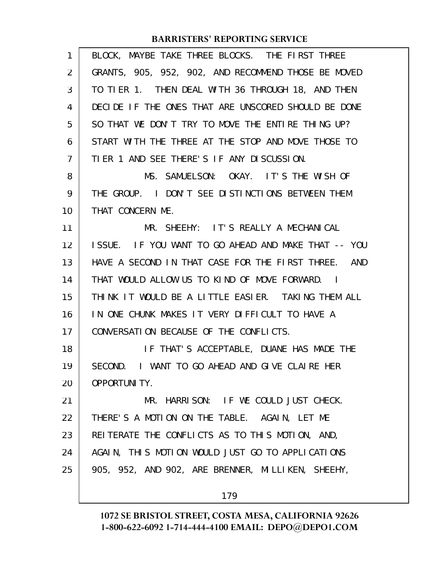| 1  | BLOCK, MAYBE TAKE THREE BLOCKS. THE FIRST THREE     |
|----|-----------------------------------------------------|
| 2  | GRANTS, 905, 952, 902, AND RECOMMEND THOSE BE MOVED |
| 3  | TO TIER 1. THEN DEAL WITH 36 THROUGH 18, AND THEN   |
| 4  | DECIDE IF THE ONES THAT ARE UNSCORED SHOULD BE DONE |
| 5  | SO THAT WE DON'T TRY TO MOVE THE ENTIRE THING UP?   |
| 6  | START WITH THE THREE AT THE STOP AND MOVE THOSE TO  |
| 7  | TIER 1 AND SEE THERE'S IF ANY DISCUSSION.           |
| 8  | MS. SAMUELSON: OKAY. IT'S THE WISH OF               |
| 9  | THE GROUP. I DON'T SEE DISTINCTIONS BETWEEN THEM    |
| 10 | THAT CONCERN ME.                                    |
| 11 | MR. SHEEHY: IT'S REALLY A MECHANICAL                |
| 12 | ISSUE. IF YOU WANT TO GO AHEAD AND MAKE THAT -- YOU |
| 13 | HAVE A SECOND IN THAT CASE FOR THE FIRST THREE. AND |
| 14 | THAT WOULD ALLOW US TO KIND OF MOVE FORWARD. I      |
| 15 | THINK IT WOULD BE A LITTLE EASIER. TAKING THEM ALL  |
| 16 | IN ONE CHUNK MAKES IT VERY DIFFICULT TO HAVE A      |
| 17 | CONVERSATION BECAUSE OF THE CONFLICTS.              |
| 18 | IF THAT'S ACCEPTABLE, DUANE HAS MADE THE            |
| 19 | SECOND. I WANT TO GO AHEAD AND GIVE CLAIRE HER      |
| 20 | <b>OPPORTUNITY.</b>                                 |
| 21 | MR. HARRISON: IF WE COULD JUST CHECK.               |
| 22 | THERE'S A MOTION ON THE TABLE. AGAIN, LET ME        |
| 23 | REITERATE THE CONFLICTS AS TO THIS MOTION, AND,     |
| 24 | AGAIN, THIS MOTION WOULD JUST GO TO APPLICATIONS    |
| 25 | 905, 952, AND 902, ARE BRENNER, MILLIKEN, SHEEHY,   |
|    | 179                                                 |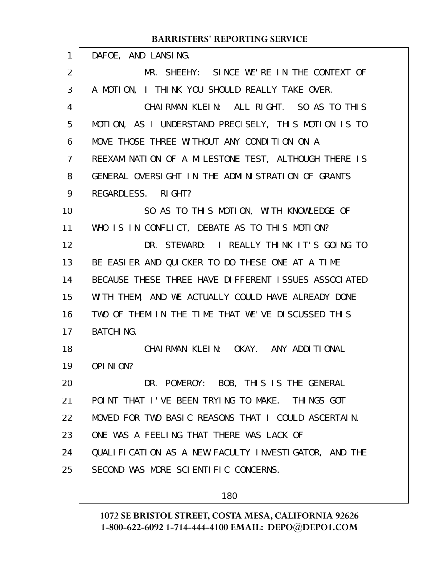| 1                 | DAFOE, AND LANSING.                                  |
|-------------------|------------------------------------------------------|
| $\overline{2}$    | MR. SHEEHY: SINCE WE'RE IN THE CONTEXT OF            |
| 3                 | A MOTION, I THINK YOU SHOULD REALLY TAKE OVER.       |
| 4                 | CHAIRMAN KLEIN: ALL RIGHT. SO AS TO THIS             |
| 5                 | MOTION, AS I UNDERSTAND PRECISELY, THIS MOTION IS TO |
| 6                 | MOVE THOSE THREE WITHOUT ANY CONDITION ON A          |
| 7                 | REEXAMINATION OF A MILESTONE TEST, ALTHOUGH THERE IS |
| 8                 | GENERAL OVERSIGHT IN THE ADMINISTRATION OF GRANTS    |
| 9                 | REGARDLESS. RIGHT?                                   |
| 10                | SO AS TO THIS MOTION, WITH KNOWLEDGE OF              |
| 11                | WHO IS IN CONFLICT, DEBATE AS TO THIS MOTION?        |
| $12 \overline{ }$ | DR. STEWARD: I REALLY THINK IT'S GOING TO            |
| 13                | BE EASIER AND QUICKER TO DO THESE ONE AT A TIME      |
| 14                | BECAUSE THESE THREE HAVE DIFFERENT ISSUES ASSOCIATED |
| 15                | WITH THEM, AND WE ACTUALLY COULD HAVE ALREADY DONE   |
| 16                | TWO OF THEM IN THE TIME THAT WE'VE DISCUSSED THIS    |
| 17                | <b>BATCHING.</b>                                     |
| 18                | CHAI RMAN KLEIN: OKAY. ANY ADDITIONAL                |
| 19                | OPINION?                                             |
| 20                | DR. POMEROY: BOB, THIS IS THE GENERAL                |
| 21                | POINT THAT I'VE BEEN TRYING TO MAKE. THINGS GOT      |
| 22                | MOVED FOR TWO BASIC REASONS THAT I COULD ASCERTAIN.  |
| 23                | ONE WAS A FEELING THAT THERE WAS LACK OF             |
| 24                | QUALIFICATION AS A NEW FACULTY INVESTIGATOR, AND THE |
| 25                | SECOND WAS MORE SCIENTIFIC CONCERNS.                 |
|                   |                                                      |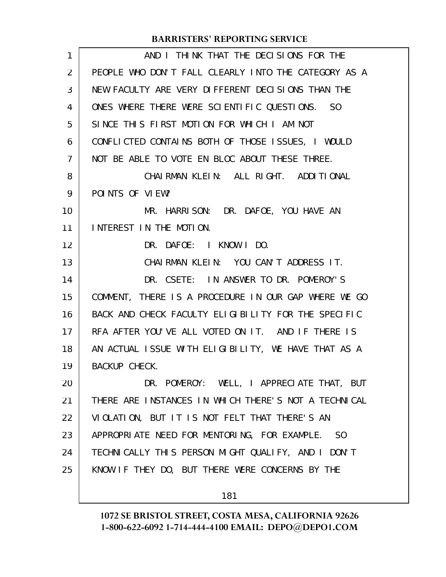| 1              | AND I THINK THAT THE DECISIONS FOR THE               |
|----------------|------------------------------------------------------|
| $\overline{2}$ | PEOPLE WHO DON'T FALL CLEARLY INTO THE CATEGORY AS A |
| 3              | NEW FACULTY ARE VERY DIFFERENT DECISIONS THAN THE    |
| 4              | ONES WHERE THERE WERE SCIENTIFIC QUESTIONS. SO       |
| 5              | SINCE THIS FIRST MOTION FOR WHICH I AM NOT           |
| 6              | CONFLICTED CONTAINS BOTH OF THOSE ISSUES, I WOULD    |
| $\overline{7}$ | NOT BE ABLE TO VOTE EN BLOC ABOUT THESE THREE.       |
| 8              | CHAIRMAN KLEIN: ALL RIGHT. ADDITIONAL                |
| 9              | POINTS OF VIEW?                                      |
| 10             | MR. HARRISON: DR. DAFOE, YOU HAVE AN                 |
| 11             | INTEREST IN THE MOTION.                              |
| 12             | DR. DAFOE: I KNOW I DO.                              |
| 13             | CHAIRMAN KLEIN: YOU CAN'T ADDRESS IT.                |
| 14             | DR. CSETE: IN ANSWER TO DR. POMEROY'S                |
| 15             | COMMENT, THERE IS A PROCEDURE IN OUR GAP WHERE WE GO |
| 16             | BACK AND CHECK FACULTY ELIGIBILITY FOR THE SPECIFIC  |
| 17             | RFA AFTER YOU'VE ALL VOTED ON IT. AND IF THERE IS    |
| 18             | AN ACTUAL ISSUE WITH ELIGIBILITY, WE HAVE THAT AS A  |
| 19             | <b>BACKUP CHECK.</b>                                 |
| 20             | DR. POMEROY: WELL, I APPRECIATE THAT, BUT            |
| 21             | THERE ARE INSTANCES IN WHICH THERE'S NOT A TECHNICAL |
| 22             | VIOLATION, BUT IT IS NOT FELT THAT THERE'S AN        |
| 23             | APPROPRIATE NEED FOR MENTORING, FOR EXAMPLE. SO      |
| 24             | TECHNICALLY THIS PERSON MIGHT QUALIFY, AND I DON'T   |
| 25             | KNOW IF THEY DO, BUT THERE WERE CONCERNS BY THE      |
|                |                                                      |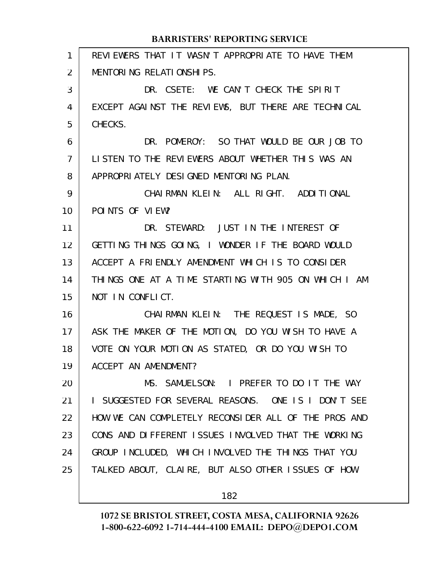| 1              | REVIEWERS THAT IT WASN'T APPROPRIATE TO HAVE THEM    |
|----------------|------------------------------------------------------|
| $\overline{2}$ | MENTORING RELATIONSHIPS.                             |
| 3              | DR. CSETE: WE CAN'T CHECK THE SPIRIT                 |
| 4              | EXCEPT AGAINST THE REVIEWS, BUT THERE ARE TECHNICAL  |
| 5              | CHECKS.                                              |
| 6              | DR. POMEROY: SO THAT WOULD BE OUR JOB TO             |
| 7              | LISTEN TO THE REVIEWERS ABOUT WHETHER THIS WAS AN    |
| 8              | APPROPRIATELY DESIGNED MENTORING PLAN.               |
| 9              | CHAIRMAN KLEIN: ALL RIGHT. ADDITIONAL                |
| 10             | POINTS OF VIEW?                                      |
| 11             | DR. STEWARD: JUST IN THE INTEREST OF                 |
| 12             | GETTING THINGS GOING, I WONDER IF THE BOARD WOULD    |
| 13             | ACCEPT A FRIENDLY AMENDMENT WHICH IS TO CONSIDER     |
| 14             | THINGS ONE AT A TIME STARTING WITH 905 ON WHICH I AM |
| 15             | NOT IN CONFLICT.                                     |
| 16             | CHAIRMAN KLEIN: THE REQUEST IS MADE, SO              |
| 17             | ASK THE MAKER OF THE MOTION, DO YOU WISH TO HAVE A   |
| 18             | VOTE ON YOUR MOTION AS STATED, OR DO YOU WISH TO     |
| 19             | ACCEPT AN AMENDMENT?                                 |
| 20             | MS. SAMUELSON: I PREFER TO DO IT THE WAY             |
| 21             | I SUGGESTED FOR SEVERAL REASONS. ONE IS I DON'T SEE  |
| 22             | HOW WE CAN COMPLETELY RECONSIDER ALL OF THE PROS AND |
| 23             | CONS AND DIFFERENT ISSUES INVOLVED THAT THE WORKING  |
| 24             | GROUP INCLUDED, WHICH INVOLVED THE THINGS THAT YOU   |
| 25             | TALKED ABOUT, CLAIRE, BUT ALSO OTHER ISSUES OF HOW   |
|                |                                                      |

182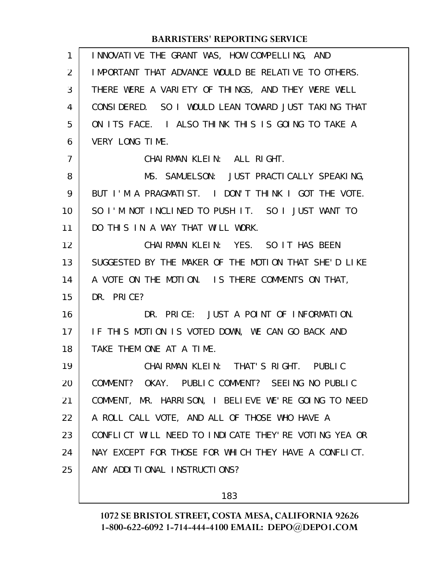| 1  | INNOVATIVE THE GRANT WAS, HOW COMPELLING, AND         |
|----|-------------------------------------------------------|
| 2  | IMPORTANT THAT ADVANCE WOULD BE RELATIVE TO OTHERS.   |
| 3  | THERE WERE A VARIETY OF THINGS, AND THEY WERE WELL    |
| 4  | CONSIDERED. SO I WOULD LEAN TOWARD JUST TAKING THAT   |
| 5  | ON ITS FACE. I ALSO THINK THIS IS GOING TO TAKE A     |
| 6  | VERY LONG TIME.                                       |
| 7  | CHAIRMAN KLEIN: ALL RIGHT.                            |
| 8  | MS. SAMUELSON: JUST PRACTICALLY SPEAKING,             |
| 9  | BUT I'M A PRAGMATIST. I DON'T THINK I GOT THE VOTE.   |
| 10 | SO I'M NOT INCLINED TO PUSH IT. SO I JUST WANT TO     |
| 11 | DO THIS IN A WAY THAT WILL WORK.                      |
| 12 | CHAIRMAN KLEIN: YES. SO IT HAS BEEN                   |
| 13 | SUGGESTED BY THE MAKER OF THE MOTION THAT SHE'D LIKE  |
| 14 | A VOTE ON THE MOTION. IS THERE COMMENTS ON THAT,      |
| 15 | DR. PRICE?                                            |
| 16 | DR. PRICE: JUST A POINT OF INFORMATION.               |
| 17 | IF THIS MOTION IS VOTED DOWN, WE CAN GO BACK AND      |
| 18 | TAKE THEM ONE AT A TIME.                              |
| 19 | CHAIRMAN KLEIN: THAT'S RIGHT. PUBLIC                  |
| 20 | COMMENT? OKAY. PUBLIC COMMENT? SEEING NO PUBLIC       |
| 21 | COMMENT, MR. HARRISON, I BELIEVE WE'RE GOING TO NEED  |
| 22 | A ROLL CALL VOTE, AND ALL OF THOSE WHO HAVE A         |
| 23 | CONFLICT WILL NEED TO INDICATE THEY' RE VOTING YEA OR |
| 24 | NAY EXCEPT FOR THOSE FOR WHICH THEY HAVE A CONFLICT.  |
| 25 | ANY ADDITIONAL INSTRUCTIONS?                          |
|    |                                                       |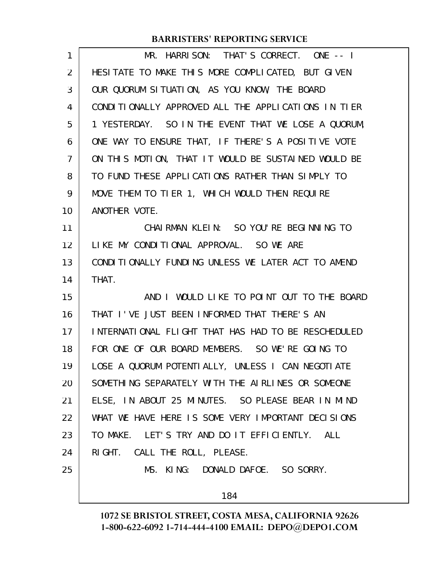| MR. HARRISON: THAT'S CORRECT. ONE -- I              |
|-----------------------------------------------------|
| HESITATE TO MAKE THIS MORE COMPLICATED, BUT GIVEN   |
| OUR QUORUM SITUATION, AS YOU KNOW, THE BOARD        |
| CONDITIONALLY APPROVED ALL THE APPLICATIONS IN TIER |
| 1 YESTERDAY. SO IN THE EVENT THAT WE LOSE A QUORUM, |
| ONE WAY TO ENSURE THAT, IF THERE'S A POSITIVE VOTE  |
| ON THIS MOTION, THAT IT WOULD BE SUSTAINED WOULD BE |
| TO FUND THESE APPLICATIONS RATHER THAN SIMPLY TO    |
| MOVE THEM TO TIER 1, WHICH WOULD THEN REQUIRE       |
| ANOTHER VOTE.                                       |
| CHAI RMAN KLEIN: SO YOU' RE BEGI NNING TO           |
| LIKE MY CONDITIONAL APPROVAL. SO WE ARE             |
| CONDITIONALLY FUNDING UNLESS WE LATER ACT TO AMEND  |
| THAT.                                               |
| AND I WOULD LIKE TO POINT OUT TO THE BOARD          |
| THAT I'VE JUST BEEN INFORMED THAT THERE'S AN        |
| INTERNATIONAL FLIGHT THAT HAS HAD TO BE RESCHEDULED |
| FOR ONE OF OUR BOARD MEMBERS. SO WE'RE GOING TO     |
| LOSE A QUORUM POTENTIALLY, UNLESS I CAN NEGOTIATE   |
| SOMETHING SEPARATELY WITH THE AIRLINES OR SOMEONE   |
| ELSE, IN ABOUT 25 MINUTES. SO PLEASE BEAR IN MIND   |
| WHAT WE HAVE HERE IS SOME VERY IMPORTANT DECISIONS  |
| TO MAKE. LET'S TRY AND DO IT EFFICIENTLY. ALL       |
| RIGHT. CALL THE ROLL, PLEASE.                       |
| MS. KING: DONALD DAFOE. SO SORRY.                   |
| 184                                                 |
|                                                     |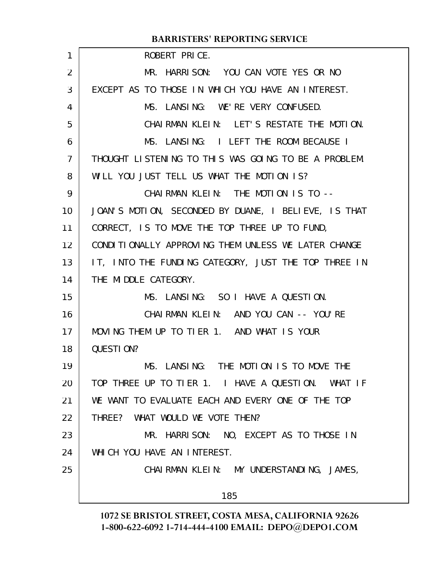|                 | <b>BARRISTERS' REPORTING SERVICE</b>                 |
|-----------------|------------------------------------------------------|
| 1               | ROBERT PRICE.                                        |
| 2               | MR. HARRISON: YOU CAN VOTE YES OR NO                 |
| 3               | EXCEPT AS TO THOSE IN WHICH YOU HAVE AN INTEREST.    |
| 4               | MS. LANSING: WE'RE VERY CONFUSED.                    |
| 5               | CHAIRMAN KLEIN: LET'S RESTATE THE MOTION.            |
| 6               | MS. LANSING: I LEFT THE ROOM BECAUSE I               |
| $\overline{7}$  | THOUGHT LISTENING TO THIS WAS GOING TO BE A PROBLEM. |
| 8               | WILL YOU JUST TELL US WHAT THE MOTION IS?            |
| 9               | CHAIRMAN KLEIN: THE MOTION IS TO --                  |
| 10              | JOAN'S MOTION, SECONDED BY DUANE, I BELIEVE, IS THAT |
| 11              | CORRECT, IS TO MOVE THE TOP THREE UP TO FUND,        |
| 12 <sup>2</sup> | CONDITIONALLY APPROVING THEM UNLESS WE LATER CHANGE  |
| 13              | IT, INTO THE FUNDING CATEGORY, JUST THE TOP THREE IN |
| 14              | THE MIDDLE CATEGORY.                                 |
| 15              | MS. LANSING: SO I HAVE A QUESTION.                   |
| 16              | CHAIRMAN KLEIN: AND YOU CAN -- YOU'RE                |
| 17              | MOVING THEM UP TO TIER 1. AND WHAT IS YOUR           |
| 18              | QUESTION?                                            |
| 19              | MS. LANSING: THE MOTION IS TO MOVE THE               |
| 20              | TOP THREE UP TO TIER 1. I HAVE A QUESTION. WHAT IF   |
| 21              | WE WANT TO EVALUATE EACH AND EVERY ONE OF THE TOP    |
| 22              | THREE? WHAT WOULD WE VOTE THEN?                      |
| 23              | MR. HARRISON: NO, EXCEPT AS TO THOSE IN              |
| 24              | WHICH YOU HAVE AN INTEREST.                          |
| 25              | CHAI RMAN KLEIN: MY UNDERSTANDING, JAMES,            |
|                 |                                                      |
|                 | 185                                                  |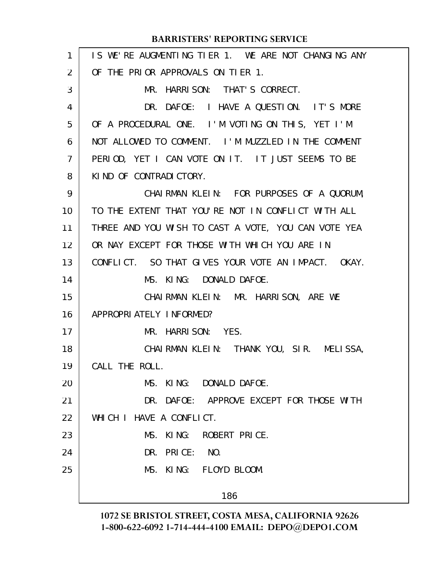| $\mathbf{1}$ | IS WE'RE AUGMENTING TIER 1. WE ARE NOT CHANGING ANY |
|--------------|-----------------------------------------------------|
| 2            | OF THE PRIOR APPROVALS ON TIER 1.                   |
| 3            | MR. HARRISON: THAT'S CORRECT.                       |
| 4            | DR. DAFOE: I HAVE A QUESTION. IT'S MORE             |
| 5            | OF A PROCEDURAL ONE. I'M VOTING ON THIS, YET I'M    |
| 6            | NOT ALLOWED TO COMMENT. I'M MUZZLED IN THE COMMENT  |
| 7            | PERIOD, YET I CAN VOTE ON IT. IT JUST SEEMS TO BE   |
| 8            | KIND OF CONTRADICTORY.                              |
| 9            | CHAIRMAN KLEIN: FOR PURPOSES OF A QUORUM,           |
| 10           | TO THE EXTENT THAT YOU'RE NOT IN CONFLICT WITH ALL  |
| 11           | THREE AND YOU WISH TO CAST A VOTE, YOU CAN VOTE YEA |
| 12           | OR NAY EXCEPT FOR THOSE WITH WHICH YOU ARE IN       |
| 13           | CONFLICT. SO THAT GIVES YOUR VOTE AN IMPACT. OKAY.  |
| 14           | MS. KING: DONALD DAFOE.                             |
| 15           | CHAIRMAN KLEIN: MR. HARRISON, ARE WE                |
| 16           | APPROPRIATELY INFORMED?                             |
| 17           | MR. HARRISON: YES.                                  |
| 18           | CHAIRMAN KLEIN: THANK YOU, SIR. MELISSA,            |
| 19           | CALL THE ROLL.                                      |
| 20           | MS. KING: DONALD DAFOE.                             |
| 21           | DR. DAFOE: APPROVE EXCEPT FOR THOSE WITH            |
| 22           | WHICH I HAVE A CONFLICT.                            |
| 23           | MS. KING: ROBERT PRICE.                             |
| 24           | DR. PRICE: NO.                                      |
| 25           | MS. KING: FLOYD BLOOM.                              |
|              | 186                                                 |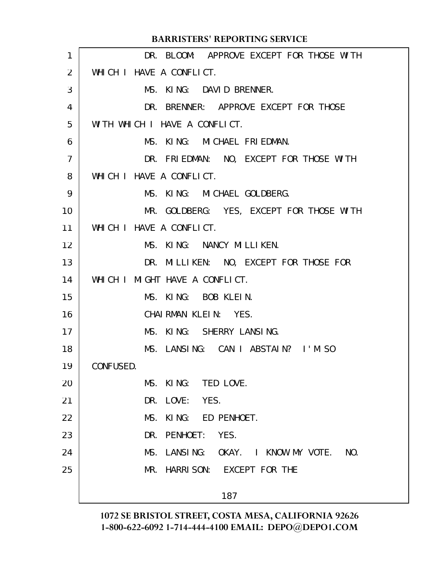|                 | <b>BARRISTERS' REPORTING SERVICE</b>             |
|-----------------|--------------------------------------------------|
| 1               | DR. BLOOM: APPROVE EXCEPT FOR THOSE WITH         |
| 2               | WHICH I HAVE A CONFLICT.                         |
| 3               | MS. KING: DAVID BRENNER.                         |
| 4               | DR. BRENNER: APPROVE EXCEPT FOR THOSE            |
| 5               | WITH WHICH I HAVE A CONFLICT.                    |
| 6               | MS. KING: MICHAEL FRIEDMAN.                      |
| $\overline{7}$  | DR. FRIEDMAN: NO, EXCEPT FOR THOSE WITH          |
| 8               | WHICH I HAVE A CONFLICT.                         |
| 9               | MS. KING: MICHAEL GOLDBERG.                      |
| 10              | MR. GOLDBERG: YES, EXCEPT FOR THOSE WITH         |
| 11              | WHICH I HAVE A CONFLICT.                         |
| 12 <sup>2</sup> | MS. KING: NANCY MILLIKEN.                        |
| 13              | DR. MILLIKEN: NO, EXCEPT FOR THOSE FOR           |
| 14              | WHICH I MIGHT HAVE A CONFLICT.                   |
| 15              | MS. KING: BOB KLEIN.                             |
| 16              | CHAIRMAN KLEIN: YES.                             |
| 17              | MS. KING: SHERRY LANSING.                        |
| 18              | MS. LANSING: CAN I ABSTAIN? I'M SO               |
| 19              | CONFUSED.                                        |
| 20              | MS. KING: TED LOVE.                              |
| 21              | LOVE: YES.<br>DR.                                |
| 22              | KING: ED PENHOET.<br>MS.                         |
| 23              | PENHOET:<br>YES.<br>DR.                          |
| 24              | LANSI NG:<br>OKAY. I KNOW MY VOTE.<br>NO.<br>MS. |
| 25              | HARRI SON: EXCEPT FOR THE<br>MR.                 |
|                 | 187                                              |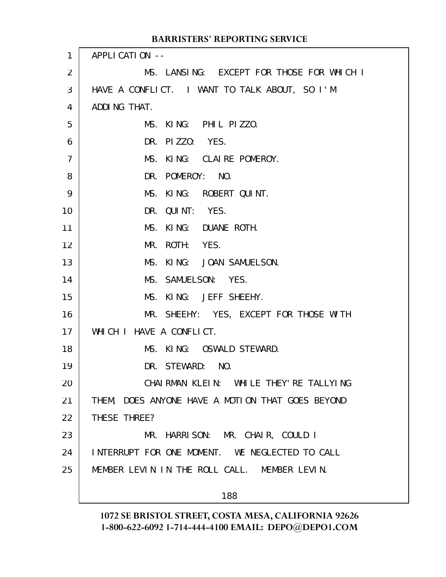| 1  | APPLICATION --                                   |
|----|--------------------------------------------------|
| 2  | MS. LANSING: EXCEPT FOR THOSE FOR WHICH I        |
| 3  | HAVE A CONFLICT. I WANT TO TALK ABOUT, SO I'M    |
| 4  | ADDING THAT.                                     |
| 5  | MS. KING: PHIL PIZZO.                            |
| 6  | DR. PIZZO: YES.                                  |
| 7  | MS. KING: CLAIRE POMEROY.                        |
| 8  | DR. POMEROY: NO.                                 |
| 9  | MS. KING: ROBERT QUINT.                          |
| 10 | DR. QUINT: YES.                                  |
| 11 | KING: DUANE ROTH.<br>MS.                         |
| 12 | ROTH: YES.<br>MR.                                |
| 13 | MS. KING: JOAN SAMUELSON.                        |
| 14 | MS. SAMUELSON: YES.                              |
| 15 | MS. KING: JEFF SHEEHY.                           |
| 16 | MR. SHEEHY: YES, EXCEPT FOR THOSE WITH           |
| 17 | WHICH I HAVE A CONFLICT.                         |
| 18 | MS. KING: OSWALD STEWARD.                        |
| 19 | DR. STEWARD: NO.                                 |
| 20 | CHAIRMAN KLEIN: WHILE THEY'RE TALLYING           |
| 21 | THEM, DOES ANYONE HAVE A MOTION THAT GOES BEYOND |
| 22 | THESE THREE?                                     |
| 23 | MR. HARRISON: MR. CHAIR, COULD I                 |
| 24 | INTERRUPT FOR ONE MOMENT. WE NEGLECTED TO CALL   |
| 25 | MEMBER LEVIN IN THE ROLL CALL. MEMBER LEVIN.     |
|    | 188                                              |
|    |                                                  |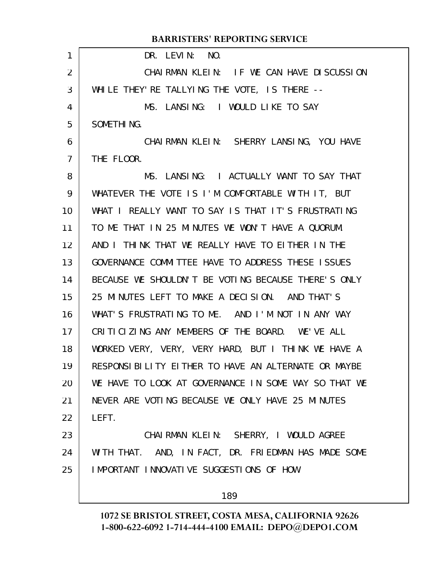|                | <b>BARRISTERS' REPORTING SERVICE</b>                 |
|----------------|------------------------------------------------------|
| 1              | DR. LEVIN: NO.                                       |
| 2              | CHAIRMAN KLEIN: IF WE CAN HAVE DISCUSSION            |
| 3              | WHILE THEY' RE TALLYING THE VOTE, IS THERE --        |
| 4              | MS. LANSING: I WOULD LIKE TO SAY                     |
| 5              | SOMETHING.                                           |
| 6              | CHAIRMAN KLEIN: SHERRY LANSING, YOU HAVE             |
| $\overline{7}$ | THE FLOOR.                                           |
| 8              | MS. LANSING: I ACTUALLY WANT TO SAY THAT             |
| 9              | WHATEVER THE VOTE IS I'M COMFORTABLE WITH IT, BUT    |
| 10             | WHAT I REALLY WANT TO SAY IS THAT IT'S FRUSTRATING   |
| 11             | TO ME THAT IN 25 MINUTES WE WON'T HAVE A QUORUM.     |
| 12             | AND I THINK THAT WE REALLY HAVE TO EITHER IN THE     |
| 13             | GOVERNANCE COMMITTEE HAVE TO ADDRESS THESE ISSUES    |
| 14             | BECAUSE WE SHOULDN'T BE VOTING BECAUSE THERE'S ONLY  |
| 15             | 25 MINUTES LEFT TO MAKE A DECISION. AND THAT'S       |
| 16             | WHAT'S FRUSTRATING TO ME. AND I'M NOT IN ANY WAY     |
| 17             | CRITICIZING ANY MEMBERS OF THE BOARD. WE'VE ALL      |
| 18             | WORKED VERY, VERY, VERY HARD, BUT I THINK WE HAVE A  |
| 19             | RESPONSIBILITY EITHER TO HAVE AN ALTERNATE OR MAYBE  |
| 20             | WE HAVE TO LOOK AT GOVERNANCE IN SOME WAY SO THAT WE |
| 21             | NEVER ARE VOTING BECAUSE WE ONLY HAVE 25 MINUTES     |
| 22             | LEFT.                                                |
| 23             | CHAIRMAN KLEIN: SHERRY, I WOULD AGREE                |
| 24             | WITH THAT. AND, IN FACT, DR. FRIEDMAN HAS MADE SOME  |
| 25             | IMPORTANT INNOVATIVE SUGGESTIONS OF HOW              |
|                |                                                      |

# **1072 SE BRISTOL STREET, COSTA MESA, CALIFORNIA 92626 1-800-622-6092 1-714-444-4100 EMAIL: DEPO@DEPO1.COM**

189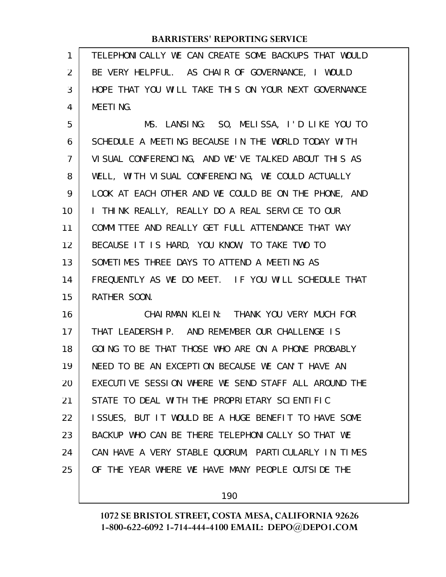TELEPHONICALLY WE CAN CREATE SOME BACKUPS THAT WOULD BE VERY HELPFUL. AS CHAIR OF GOVERNANCE, I WOULD HOPE THAT YOU WILL TAKE THIS ON YOUR NEXT GOVERNANCE MEETING. 1 2 3 4

MS. LANSING: SO, MELISSA, I'D LIKE YOU TO SCHEDULE A MEETING BECAUSE IN THE WORLD TODAY WITH VISUAL CONFERENCING, AND WE'VE TALKED ABOUT THIS AS WELL, WITH VISUAL CONFERENCING, WE COULD ACTUALLY LOOK AT EACH OTHER AND WE COULD BE ON THE PHONE, AND I THINK REALLY, REALLY DO A REAL SERVICE TO OUR COMMITTEE AND REALLY GET FULL ATTENDANCE THAT WAY BECAUSE IT IS HARD, YOU KNOW, TO TAKE TWO TO SOMETIMES THREE DAYS TO ATTEND A MEETING AS FREQUENTLY AS WE DO MEET. IF YOU WILL SCHEDULE THAT RATHER SOON. 5 6 7 8 9 10 11 12 13 14 15

CHAIRMAN KLEIN: THANK YOU VERY MUCH FOR THAT LEADERSHIP. AND REMEMBER OUR CHALLENGE IS GOING TO BE THAT THOSE WHO ARE ON A PHONE PROBABLY NEED TO BE AN EXCEPTION BECAUSE WE CAN'T HAVE AN EXECUTIVE SESSION WHERE WE SEND STAFF ALL AROUND THE STATE TO DEAL WITH THE PROPRIETARY SCIENTIFIC ISSUES, BUT IT WOULD BE A HUGE BENEFIT TO HAVE SOME BACKUP WHO CAN BE THERE TELEPHONICALLY SO THAT WE CAN HAVE A VERY STABLE QUORUM, PARTICULARLY IN TIMES OF THE YEAR WHERE WE HAVE MANY PEOPLE OUTSIDE THE 16 17 18 19 20 21 22 23 24 25

190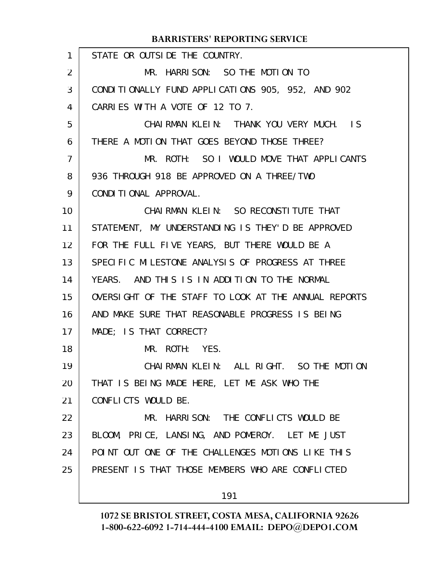STATE OR OUTSIDE THE COUNTRY. MR. HARRISON: SO THE MOTION TO CONDITIONALLY FUND APPLICATIONS 905, 952, AND 902 CARRIES WITH A VOTE OF 12 TO 7. CHAIRMAN KLEIN: THANK YOU VERY MUCH. IS THERE A MOTION THAT GOES BEYOND THOSE THREE? MR. ROTH: SO I WOULD MOVE THAT APPLICANTS 936 THROUGH 918 BE APPROVED ON A THREE/TWO CONDITIONAL APPROVAL. CHAIRMAN KLEIN: SO RECONSTITUTE THAT STATEMENT, MY UNDERSTANDING IS THEY'D BE APPROVED FOR THE FULL FIVE YEARS, BUT THERE WOULD BE A SPECIFIC MILESTONE ANALYSIS OF PROGRESS AT THREE YEARS. AND THIS IS IN ADDITION TO THE NORMAL OVERSIGHT OF THE STAFF TO LOOK AT THE ANNUAL REPORTS AND MAKE SURE THAT REASONABLE PROGRESS IS BEING MADE; IS THAT CORRECT? MR. ROTH: YES. CHAIRMAN KLEIN: ALL RIGHT. SO THE MOTION THAT IS BEING MADE HERE, LET ME ASK WHO THE CONFLICTS WOULD BE. MR. HARRISON: THE CONFLICTS WOULD BE BLOOM, PRICE, LANSING, AND POMEROY. LET ME JUST POINT OUT ONE OF THE CHALLENGES MOTIONS LIKE THIS PRESENT IS THAT THOSE MEMBERS WHO ARE CONFLICTED 1 2 3 4 5 6 7 8 9 10 11 12 13 14 15 16 17 18 19 20 21 22 23 24 25

191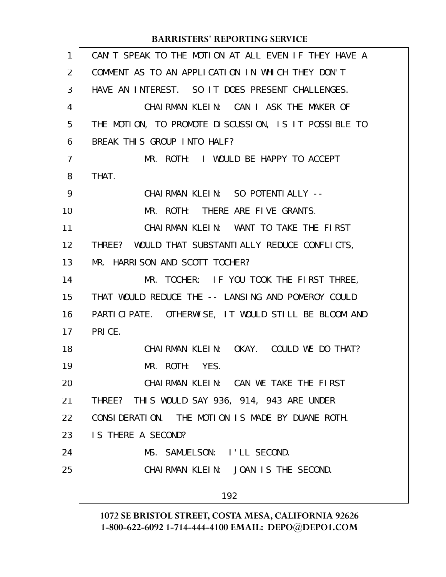| 1              | CAN'T SPEAK TO THE MOTION AT ALL EVEN IF THEY HAVE A |
|----------------|------------------------------------------------------|
| 2              | COMMENT AS TO AN APPLICATION IN WHICH THEY DON'T     |
| 3              | HAVE AN INTEREST. SO IT DOES PRESENT CHALLENGES.     |
| 4              | CHAIRMAN KLEIN: CAN I ASK THE MAKER OF               |
| 5              | THE MOTION, TO PROMOTE DISCUSSION, IS IT POSSIBLE TO |
| 6              | BREAK THIS GROUP INTO HALF?                          |
| $\overline{7}$ | MR. ROTH: I WOULD BE HAPPY TO ACCEPT                 |
| 8              | THAT.                                                |
| 9              | CHAI RMAN KLEIN: SO POTENTI ALLY --                  |
| 10             | MR. ROTH: THERE ARE FIVE GRANTS.                     |
| 11             | CHAIRMAN KLEIN: WANT TO TAKE THE FIRST               |
| 12             | THREE? WOULD THAT SUBSTANTIALLY REDUCE CONFLICTS,    |
| 13             | MR. HARRISON AND SCOTT TOCHER?                       |
| 14             | MR. TOCHER: IF YOU TOOK THE FIRST THREE,             |
| 15             | THAT WOULD REDUCE THE -- LANSING AND POMEROY COULD   |
| 16             | PARTICIPATE. OTHERWISE, IT WOULD STILL BE BLOOM AND  |
| 17             | PRICE.                                               |
| 18             | CHAIRMAN KLEIN: OKAY. COULD WE DO THAT?              |
| 19             | MR. ROTH: YES.                                       |
| 20             | CHAIRMAN KLEIN: CAN WE TAKE THE FIRST                |
| 21             | THREE? THIS WOULD SAY 936, 914, 943 ARE UNDER        |
| 22             | CONSIDERATION. THE MOTION IS MADE BY DUANE ROTH.     |
| 23             | IS THERE A SECOND?                                   |
| 24             | MS. SAMUELSON: I'LL SECOND.                          |
| 25             | CHAIRMAN KLEIN: JOAN IS THE SECOND.                  |
|                | 192                                                  |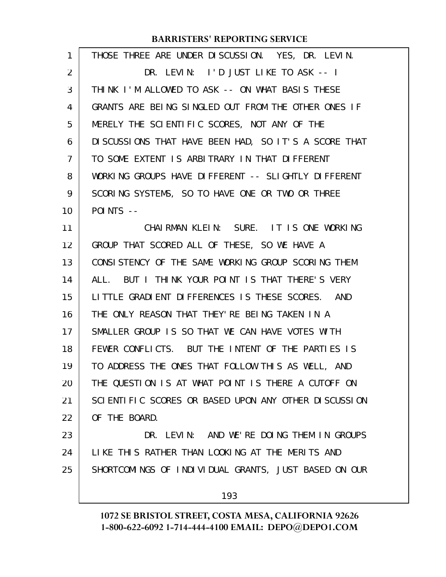| 1              | THOSE THREE ARE UNDER DISCUSSION. YES, DR. LEVIN.     |
|----------------|-------------------------------------------------------|
| 2              | DR. LEVIN: I'D JUST LIKE TO ASK -- I                  |
| 3              | THINK I'M ALLOWED TO ASK -- ON WHAT BASIS THESE       |
| 4              | GRANTS ARE BEING SINGLED OUT FROM THE OTHER ONES IF   |
| 5              | MERELY THE SCIENTIFIC SCORES, NOT ANY OF THE          |
| 6              | DI SCUSSIONS THAT HAVE BEEN HAD, SO IT'S A SCORE THAT |
| $\overline{7}$ | TO SOME EXTENT IS ARBITRARY IN THAT DIFFERENT         |
| 8              | WORKING GROUPS HAVE DIFFERENT -- SLIGHTLY DIFFERENT   |
| 9              | SCORING SYSTEMS, SO TO HAVE ONE OR TWO OR THREE       |
| 10             | $POINTS$ --                                           |
| 11             | CHAIRMAN KLEIN: SURE. IT IS ONE WORKING               |
| 12             | GROUP THAT SCORED ALL OF THESE, SO WE HAVE A          |
| 13             | CONSISTENCY OF THE SAME WORKING GROUP SCORING THEM    |
| 14             | ALL. BUT I THINK YOUR POINT IS THAT THERE'S VERY      |
| 15             | LITTLE GRADIENT DIFFERENCES IS THESE SCORES. AND      |
| 16             | THE ONLY REASON THAT THEY'RE BEING TAKEN IN A         |
| 17             | SMALLER GROUP IS SO THAT WE CAN HAVE VOTES WITH       |
| 18             | FEWER CONFLICTS. BUT THE INTENT OF THE PARTIES IS     |
| 19             | TO ADDRESS THE ONES THAT FOLLOW THIS AS WELL, AND     |
| 20             | THE QUESTION IS AT WHAT POINT IS THERE A CUTOFF ON    |
| 21             | SCIENTIFIC SCORES OR BASED UPON ANY OTHER DISCUSSION  |
| 22             | OF THE BOARD.                                         |
| 23             | DR. LEVIN: AND WE'RE DOING THEM IN GROUPS             |
| 24             | LIKE THIS RATHER THAN LOOKING AT THE MERITS AND       |
| 25             | SHORTCOMINGS OF INDIVIDUAL GRANTS, JUST BASED ON OUR  |
|                | 193                                                   |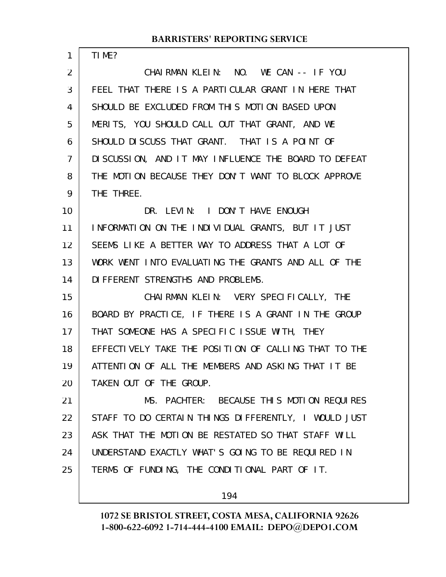TIME?

CHAIRMAN KLEIN: NO. WE CAN -- IF YOU FEEL THAT THERE IS A PARTICULAR GRANT IN HERE THAT SHOULD BE EXCLUDED FROM THIS MOTION BASED UPON MERITS, YOU SHOULD CALL OUT THAT GRANT, AND WE SHOULD DISCUSS THAT GRANT. THAT IS A POINT OF DISCUSSION, AND IT MAY INFLUENCE THE BOARD TO DEFEAT THE MOTION BECAUSE THEY DON'T WANT TO BLOCK APPROVE THE THREE. DR. LEVIN: I DON'T HAVE ENOUGH INFORMATION ON THE INDIVIDUAL GRANTS, BUT IT JUST SEEMS LIKE A BETTER WAY TO ADDRESS THAT A LOT OF WORK WENT INTO EVALUATING THE GRANTS AND ALL OF THE DIFFERENT STRENGTHS AND PROBLEMS. CHAIRMAN KLEIN: VERY SPECIFICALLY, THE BOARD BY PRACTICE, IF THERE IS A GRANT IN THE GROUP THAT SOMEONE HAS A SPECIFIC ISSUE WITH, THEY EFFECTIVELY TAKE THE POSITION OF CALLING THAT TO THE ATTENTION OF ALL THE MEMBERS AND ASKING THAT IT BE TAKEN OUT OF THE GROUP. MS. PACHTER: BECAUSE THIS MOTION REQUIRES STAFF TO DO CERTAIN THINGS DIFFERENTLY, I WOULD JUST ASK THAT THE MOTION BE RESTATED SO THAT STAFF WILL 1 2 3 4 5 6 7 8 9 10 11 12 13 14 15 16 17 18 19 20 21 22 23

UNDERSTAND EXACTLY WHAT'S GOING TO BE REQUIRED IN TERMS OF FUNDING, THE CONDITIONAL PART OF IT. 24 25

194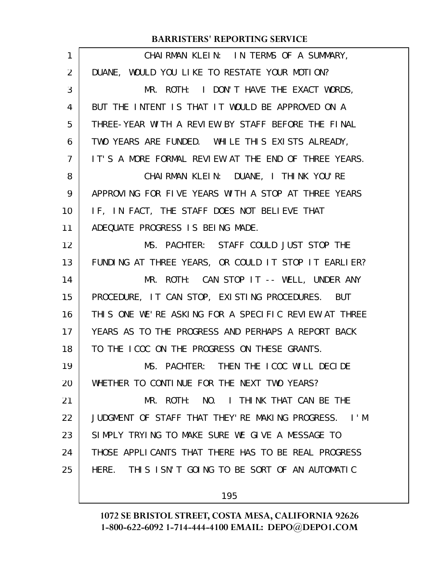| 1  | CHAIRMAN KLEIN: IN TERMS OF A SUMMARY,               |
|----|------------------------------------------------------|
| 2  | DUANE, WOULD YOU LIKE TO RESTATE YOUR MOTION?        |
| 3  | MR. ROTH: I DON'T HAVE THE EXACT WORDS,              |
| 4  | BUT THE INTENT IS THAT IT WOULD BE APPROVED ON A     |
| 5  | THREE-YEAR WITH A REVIEW BY STAFF BEFORE THE FINAL   |
| 6  | TWO YEARS ARE FUNDED. WHILE THIS EXISTS ALREADY,     |
| 7  | IT'S A MORE FORMAL REVIEW AT THE END OF THREE YEARS. |
| 8  | CHAIRMAN KLEIN: DUANE, I THINK YOU'RE                |
| 9  | APPROVING FOR FIVE YEARS WITH A STOP AT THREE YEARS  |
| 10 | IF, IN FACT, THE STAFF DOES NOT BELIEVE THAT         |
| 11 | ADEQUATE PROGRESS IS BEING MADE.                     |
| 12 | MS. PACHTER: STAFF COULD JUST STOP THE               |
| 13 | FUNDING AT THREE YEARS, OR COULD IT STOP IT EARLIER? |
| 14 | MR. ROTH: CAN STOP IT -- WELL, UNDER ANY             |
| 15 | PROCEDURE, IT CAN STOP, EXISTING PROCEDURES. BUT     |
| 16 | THIS ONE WE'RE ASKING FOR A SPECIFIC REVIEW AT THREE |
| 17 | YEARS AS TO THE PROGRESS AND PERHAPS A REPORT BACK   |
| 18 | TO THE LCOC ON THE PROGRESS ON THESE GRANTS.         |
| 19 | MS. PACHTER: THEN THE ICOC WILL DECIDE               |
| 20 | WHETHER TO CONTINUE FOR THE NEXT TWO YEARS?          |
| 21 | MR. ROTH: NO. I THINK THAT CAN BE THE                |
| 22 | JUDGMENT OF STAFF THAT THEY'RE MAKING PROGRESS. I'M  |
| 23 | SIMPLY TRYING TO MAKE SURE WE GIVE A MESSAGE TO      |
| 24 | THOSE APPLICANTS THAT THERE HAS TO BE REAL PROGRESS  |
| 25 | HERE. THIS ISN'T GOING TO BE SORT OF AN AUTOMATIC    |
|    | 195                                                  |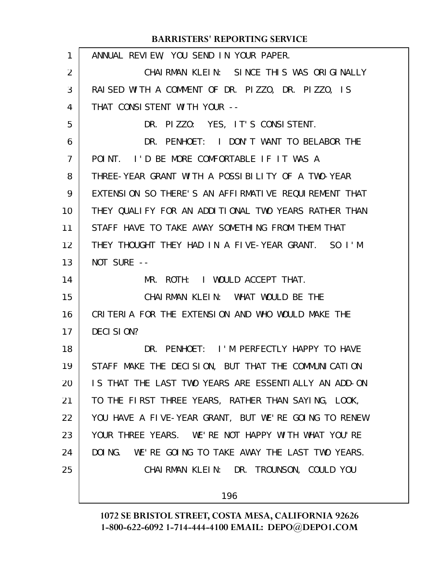| 1  | ANNUAL REVIEW, YOU SEND IN YOUR PAPER.               |
|----|------------------------------------------------------|
| 2  | CHAIRMAN KLEIN: SINCE THIS WAS ORIGINALLY            |
| 3  | RAISED WITH A COMMENT OF DR. PIZZO, DR. PIZZO, IS    |
| 4  | THAT CONSISTENT WITH YOUR --                         |
| 5  | DR. PIZZO: YES, IT'S CONSISTENT.                     |
| 6  | DR. PENHOET: I DON'T WANT TO BELABOR THE             |
| 7  | POINT. I'D BE MORE COMFORTABLE IF IT WAS A           |
| 8  | THREE-YEAR GRANT WITH A POSSIBILITY OF A TWO-YEAR    |
| 9  | EXTENSION SO THERE'S AN AFFIRMATIVE REQUIREMENT THAT |
| 10 | THEY QUALIFY FOR AN ADDITIONAL TWO YEARS RATHER THAN |
| 11 | STAFF HAVE TO TAKE AWAY SOMETHING FROM THEM THAT     |
| 12 | THEY THOUGHT THEY HAD IN A FIVE-YEAR GRANT. SO I'M   |
| 13 | NOT SURE --                                          |
| 14 | MR. ROTH: I WOULD ACCEPT THAT.                       |
| 15 | CHAIRMAN KLEIN: WHAT WOULD BE THE                    |
| 16 | CRITERIA FOR THE EXTENSION AND WHO WOULD MAKE THE    |
| 17 | DECI SION?                                           |
| 18 | DR. PENHOET: I'M PERFECTLY HAPPY TO HAVE             |
| 19 | STAFF MAKE THE DECISION, BUT THAT THE COMMUNICATION  |
| 20 | IS THAT THE LAST TWO YEARS ARE ESSENTIALLY AN ADD-ON |
| 21 | TO THE FIRST THREE YEARS, RATHER THAN SAYING, LOOK,  |
| 22 | YOU HAVE A FIVE-YEAR GRANT, BUT WE'RE GOING TO RENEW |
| 23 | YOUR THREE YEARS. WE'RE NOT HAPPY WITH WHAT YOU'RE   |
| 24 | DOING. WE'RE GOING TO TAKE AWAY THE LAST TWO YEARS.  |
| 25 | CHAIRMAN KLEIN: DR. TROUNSON, COULD YOU              |
|    |                                                      |
|    | 196                                                  |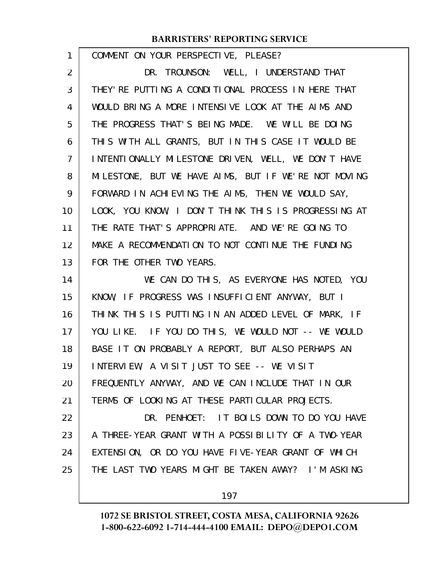| 1  | COMMENT ON YOUR PERSPECTIVE, PLEASE?                 |
|----|------------------------------------------------------|
| 2  | DR. TROUNSON: WELL, I UNDERSTAND THAT                |
| 3  | THEY' RE PUTTING A CONDITIONAL PROCESS IN HERE THAT  |
| 4  | WOULD BRING A MORE INTENSIVE LOOK AT THE AIMS AND    |
| 5  | THE PROGRESS THAT'S BEING MADE. WE WILL BE DOING     |
| 6  | THIS WITH ALL GRANTS, BUT IN THIS CASE IT WOULD BE   |
| 7  | INTENTIONALLY MILESTONE DRIVEN, WELL, WE DON'T HAVE  |
| 8  | MILESTONE, BUT WE HAVE AIMS, BUT IF WE'RE NOT MOVING |
| 9  | FORWARD IN ACHIEVING THE AIMS, THEN WE WOULD SAY,    |
| 10 | LOOK, YOU KNOW, I DON'T THINK THIS IS PROGRESSING AT |
| 11 | THE RATE THAT'S APPROPRIATE. AND WE'RE GOING TO      |
| 12 | MAKE A RECOMMENDATION TO NOT CONTINUE THE FUNDING    |
| 13 | FOR THE OTHER TWO YEARS.                             |
|    |                                                      |
| 14 | WE CAN DO THIS, AS EVERYONE HAS NOTED, YOU           |
| 15 | KNOW, IF PROGRESS WAS INSUFFICIENT ANYWAY, BUT I     |
| 16 | THINK THIS IS PUTTING IN AN ADDED LEVEL OF MARK, IF  |
| 17 | YOU LIKE. IF YOU DO THIS, WE WOULD NOT -- WE WOULD   |
| 18 | BASE IT ON PROBABLY A REPORT, BUT ALSO PERHAPS AN    |
| 19 | INTERVIEW, A VISIT JUST TO SEE -- WE VISIT           |
| 20 | FREQUENTLY ANYWAY, AND WE CAN INCLUDE THAT IN OUR    |
| 21 | TERMS OF LOOKING AT THESE PARTICULAR PROJECTS.       |
| 22 | DR. PENHOET: IT BOILS DOWN TO DO YOU HAVE            |
| 23 | A THREE-YEAR GRANT WITH A POSSIBILITY OF A TWO-YEAR  |
| 24 | EXTENSION, OR DO YOU HAVE FIVE-YEAR GRANT OF WHICH   |
| 25 | THE LAST TWO YEARS MIGHT BE TAKEN AWAY? I'M ASKING   |

197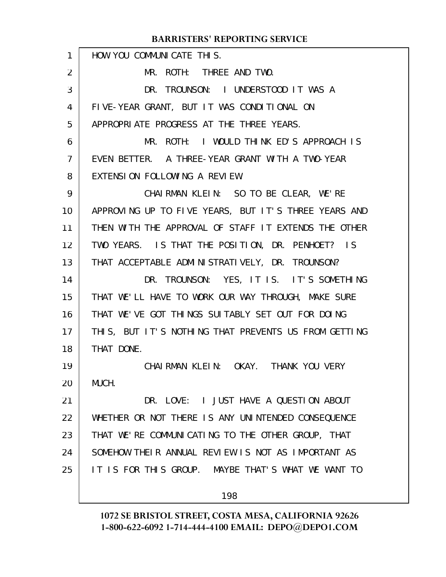| 1  | HOW YOU COMMUNICATE THIS.                            |
|----|------------------------------------------------------|
| 2  | MR. ROTH: THREE AND TWO.                             |
| 3  | DR. TROUNSON: I UNDERSTOOD IT WAS A                  |
| 4  | FIVE-YEAR GRANT, BUT IT WAS CONDITIONAL ON           |
| 5  | APPROPRIATE PROGRESS AT THE THREE YEARS.             |
| 6  | MR. ROTH: I WOULD THINK ED'S APPROACH IS             |
| 7  | EVEN BETTER. A THREE-YEAR GRANT WITH A TWO-YEAR      |
| 8  | EXTENSION FOLLOWING A REVIEW.                        |
| 9  | CHAIRMAN KLEIN: SO TO BE CLEAR, WE'RE                |
| 10 | APPROVING UP TO FIVE YEARS, BUT IT'S THREE YEARS AND |
| 11 | THEN WITH THE APPROVAL OF STAFF IT EXTENDS THE OTHER |
| 12 | TWO YEARS. IS THAT THE POSITION, DR. PENHOET? IS     |
| 13 | THAT ACCEPTABLE ADMINISTRATIVELY, DR. TROUNSON?      |
| 14 | DR. TROUNSON: YES, IT IS. IT'S SOMETHING             |
| 15 | THAT WE'LL HAVE TO WORK OUR WAY THROUGH, MAKE SURE   |
| 16 | THAT WE'VE GOT THINGS SUITABLY SET OUT FOR DOING     |
| 17 | THIS, BUT IT'S NOTHING THAT PREVENTS US FROM GETTING |
| 18 | THAT DONE.                                           |
| 19 | CHAIRMAN KLEIN: OKAY. THANK YOU VERY                 |
| 20 | MUCH.                                                |
| 21 | DR. LOVE: I JUST HAVE A QUESTION ABOUT               |
| 22 | WHETHER OR NOT THERE IS ANY UNINTENDED CONSEQUENCE   |
| 23 | THAT WE'RE COMMUNICATING TO THE OTHER GROUP, THAT    |
| 24 | SOMEHOW THEIR ANNUAL REVIEW IS NOT AS IMPORTANT AS   |
| 25 | IT IS FOR THIS GROUP. MAYBE THAT'S WHAT WE WANT TO   |
|    | 198                                                  |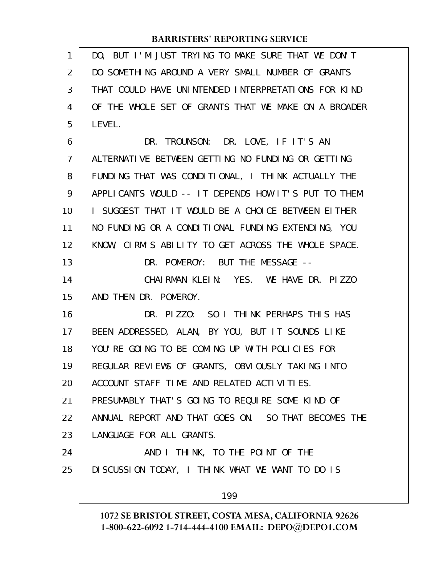| 1              | DO, BUT I'M JUST TRYING TO MAKE SURE THAT WE DON'T   |
|----------------|------------------------------------------------------|
| 2              | DO SOMETHING AROUND A VERY SMALL NUMBER OF GRANTS    |
| 3              | THAT COULD HAVE UNINTENDED INTERPRETATIONS FOR KIND  |
| 4              | OF THE WHOLE SET OF GRANTS THAT WE MAKE ON A BROADER |
| 5              | LEVEL.                                               |
| 6              | DR. TROUNSON: DR. LOVE, IF IT'S AN                   |
| $\overline{7}$ | ALTERNATIVE BETWEEN GETTING NO FUNDING OR GETTING    |
| 8              | FUNDING THAT WAS CONDITIONAL, I THINK ACTUALLY THE   |
| 9              | APPLICANTS WOULD -- IT DEPENDS HOW IT'S PUT TO THEM. |
| 10             | I SUGGEST THAT IT WOULD BE A CHOICE BETWEEN EITHER   |
| 11             | NO FUNDING OR A CONDITIONAL FUNDING EXTENDING, YOU   |
| 12             | KNOW, CIRM'S ABILITY TO GET ACROSS THE WHOLE SPACE.  |
| 13             | DR. POMEROY: BUT THE MESSAGE --                      |
| 14             | CHAIRMAN KLEIN: YES. WE HAVE DR. PIZZO               |
| 15             | AND THEN DR. POMEROY.                                |
| 16             | DR. PIZZO: SO I THINK PERHAPS THIS HAS               |
| 17             | BEEN ADDRESSED, ALAN, BY YOU, BUT IT SOUNDS LIKE     |
| 18             | YOU'RE GOING TO BE COMING UP WITH POLICIES FOR       |
| 19             | REGULAR REVIEWS OF GRANTS, OBVIOUSLY TAKING INTO     |
| 20             | ACCOUNT STAFF TIME AND RELATED ACTIVITIES.           |
| 21             | PRESUMABLY THAT'S GOING TO REQUIRE SOME KIND OF      |
| 22             | ANNUAL REPORT AND THAT GOES ON. SO THAT BECOMES THE  |
| 23             | LANGUAGE FOR ALL GRANTS.                             |
| 24             | AND I THINK, TO THE POINT OF THE                     |
| 25             | DISCUSSION TODAY, I THINK WHAT WE WANT TO DO IS      |
|                | 199                                                  |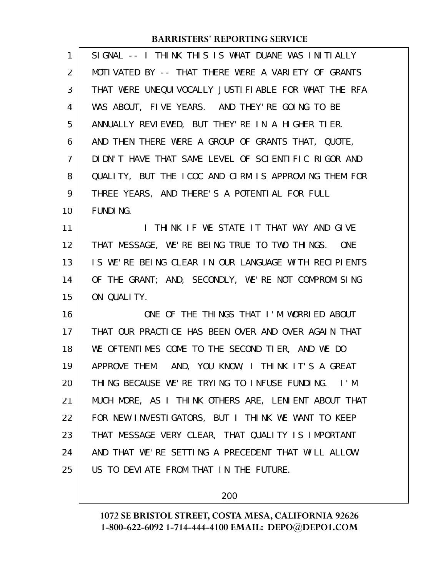| 1              | SIGNAL -- I THINK THIS IS WHAT DUANE WAS INITIALLY   |
|----------------|------------------------------------------------------|
| 2              | MOTIVATED BY -- THAT THERE WERE A VARIETY OF GRANTS  |
| 3              | THAT WERE UNEQUIVOCALLY JUSTIFIABLE FOR WHAT THE RFA |
| 4              | WAS ABOUT, FIVE YEARS. AND THEY'RE GOING TO BE       |
| 5              | ANNUALLY REVIEWED, BUT THEY'RE IN A HIGHER TIER.     |
| 6              | AND THEN THERE WERE A GROUP OF GRANTS THAT, QUOTE,   |
| $\overline{7}$ | DIDN'T HAVE THAT SAME LEVEL OF SCIENTIFIC RIGOR AND  |
| 8              | QUALITY, BUT THE ICOC AND CIRM IS APPROVING THEM FOR |
| 9              | THREE YEARS, AND THERE'S A POTENTIAL FOR FULL        |
| 10             | FUNDI NG.                                            |
| 11             | I THINK IF WE STATE IT THAT WAY AND GIVE             |
| 12             | THAT MESSAGE, WE'RE BEING TRUE TO TWO THINGS. ONE    |
| 13             | IS WE'RE BEING CLEAR IN OUR LANGUAGE WITH RECIPIENTS |
| 14             | OF THE GRANT; AND, SECONDLY, WE'RE NOT COMPROMISING  |
| 15             | ON QUALITY.                                          |
| 16             | ONE OF THE THINGS THAT I'M WORRIED ABOUT             |
| 17             | THAT OUR PRACTICE HAS BEEN OVER AND OVER AGAIN THAT  |
| 18             | WE OFTENTIMES COME TO THE SECOND TIER, AND WE DO     |
| 19             | APPROVE THEM. AND, YOU KNOW, I THINK IT'S A GREAT    |
| 20             | THING BECAUSE WE'RE TRYING TO INFUSE FUNDING. I'M    |
| 21             | MUCH MORE, AS I THINK OTHERS ARE, LENIENT ABOUT THAT |
| 22             | FOR NEW INVESTIGATORS, BUT I THINK WE WANT TO KEEP   |
| 23             | THAT MESSAGE VERY CLEAR, THAT QUALITY IS IMPORTANT   |
| 24             | AND THAT WE'RE SETTING A PRECEDENT THAT WILL ALLOW   |
| 25             | US TO DEVIATE FROM THAT IN THE FUTURE.               |

200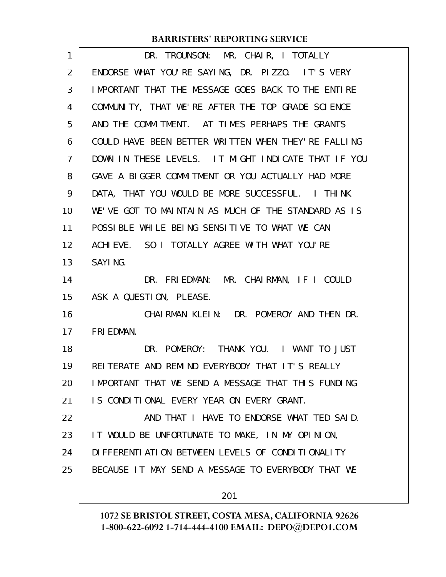| 1  | DR. TROUNSON: MR. CHAIR, I TOTALLY                   |
|----|------------------------------------------------------|
| 2  | ENDORSE WHAT YOU'RE SAYING, DR. PIZZO. IT'S VERY     |
| 3  | IMPORTANT THAT THE MESSAGE GOES BACK TO THE ENTIRE   |
| 4  | COMMUNITY, THAT WE'RE AFTER THE TOP GRADE SCIENCE    |
| 5  | AND THE COMMITMENT. AT TIMES PERHAPS THE GRANTS      |
| 6  | COULD HAVE BEEN BETTER WRITTEN WHEN THEY' RE FALLING |
| 7  | DOWN IN THESE LEVELS. IT MIGHT INDICATE THAT IF YOU  |
| 8  | GAVE A BIGGER COMMITMENT OR YOU ACTUALLY HAD MORE    |
| 9  | DATA, THAT YOU WOULD BE MORE SUCCESSFUL. I THINK     |
| 10 | WE'VE GOT TO MAINTAIN AS MUCH OF THE STANDARD AS IS  |
| 11 | POSSIBLE WHILE BEING SENSITIVE TO WHAT WE CAN        |
| 12 | ACHIEVE. SO I TOTALLY AGREE WITH WHAT YOU'RE         |
| 13 | SAYI NG.                                             |
| 14 | DR. FRIEDMAN: MR. CHAIRMAN, IF I COULD               |
| 15 | ASK A QUESTION, PLEASE.                              |
| 16 | CHAIRMAN KLEIN: DR. POMEROY AND THEN DR.             |
| 17 | FRI EDMAN.                                           |
| 18 | DR. POMEROY: THANK YOU. I WANT TO JUST               |
| 19 | REITERATE AND REMIND EVERYBODY THAT IT'S REALLY      |
| 20 | IMPORTANT THAT WE SEND A MESSAGE THAT THIS FUNDING   |
| 21 | IS CONDITIONAL EVERY YEAR ON EVERY GRANT.            |
| 22 | AND THAT I HAVE TO ENDORSE WHAT TED SAID.            |
| 23 | IT WOULD BE UNFORTUNATE TO MAKE, IN MY OPINION,      |
| 24 | DI FFERENTI ATI ON BETWEEN LEVELS OF CONDITIONALITY  |
| 25 | BECAUSE IT MAY SEND A MESSAGE TO EVERYBODY THAT WE   |
|    | 201                                                  |
|    |                                                      |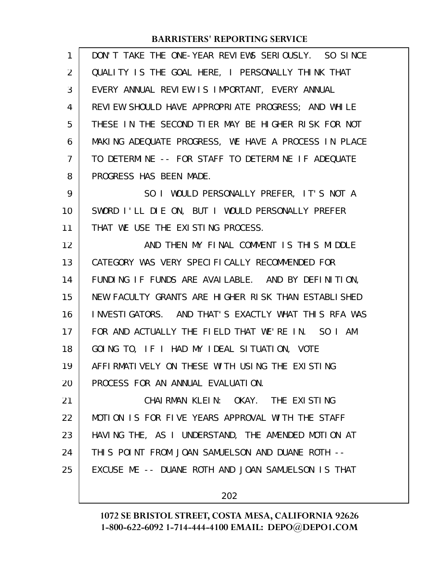| 1              | DON'T TAKE THE ONE-YEAR REVIEWS SERIOUSLY. SO SINCE  |
|----------------|------------------------------------------------------|
| 2              | QUALITY IS THE GOAL HERE, I PERSONALLY THINK THAT    |
| 3              | EVERY ANNUAL REVIEW IS IMPORTANT, EVERY ANNUAL       |
| 4              | REVIEW SHOULD HAVE APPROPRIATE PROGRESS; AND WHILE   |
| 5              | THESE IN THE SECOND TIER MAY BE HIGHER RISK FOR NOT  |
| 6              | MAKING ADEQUATE PROGRESS, WE HAVE A PROCESS IN PLACE |
| $\overline{7}$ | TO DETERMINE -- FOR STAFF TO DETERMINE IF ADEQUATE   |
| 8              | PROGRESS HAS BEEN MADE.                              |
| 9              | SO I WOULD PERSONALLY PREFER, IT'S NOT A             |
| 10             | SWORD I'LL DIE ON, BUT I WOULD PERSONALLY PREFER     |
| 11             | THAT WE USE THE EXISTING PROCESS.                    |
| 12             | AND THEN MY FINAL COMMENT IS THIS MIDDLE             |
| 13             | CATEGORY WAS VERY SPECIFICALLY RECOMMENDED FOR       |
| 14             | FUNDING IF FUNDS ARE AVAILABLE. AND BY DEFINITION,   |
| 15             | NEW FACULTY GRANTS ARE HIGHER RISK THAN ESTABLISHED  |
| 16             | INVESTIGATORS. AND THAT'S EXACTLY WHAT THIS RFA WAS  |
| 17             | FOR AND ACTUALLY THE FIELD THAT WE'RE IN. SO I AM    |
| 18             | GOING TO, IF I HAD MY IDEAL SITUATION, VOTE          |
| 19             | AFFIRMATIVELY ON THESE WITH USING THE EXISTING       |
| 20             | PROCESS FOR AN ANNUAL EVALUATION.                    |
| 21             | CHAIRMAN KLEIN: OKAY. THE EXISTING                   |
| 22             | MOTION IS FOR FIVE YEARS APPROVAL WITH THE STAFF     |
| 23             | HAVING THE, AS I UNDERSTAND, THE AMENDED MOTION AT   |
| 24             | THIS POINT FROM JOAN SAMUELSON AND DUANE ROTH --     |
| 25             | EXCUSE ME -- DUANE ROTH AND JOAN SAMUELSON IS THAT   |
|                |                                                      |

202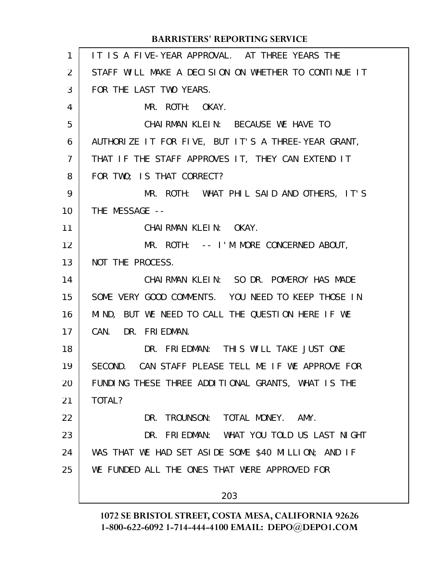|                | <b>BARRISTERS' REPORTING SERVICE</b>                  |
|----------------|-------------------------------------------------------|
| $\mathbf{1}$   | IT IS A FIVE-YEAR APPROVAL. AT THREE YEARS THE        |
| 2              | STAFF WILL MAKE A DECISION ON WHETHER TO CONTINUE IT  |
| 3              | FOR THE LAST TWO YEARS.                               |
| 4              | MR. ROTH: OKAY.                                       |
| 5              | CHAIRMAN KLEIN: BECAUSE WE HAVE TO                    |
| 6              | AUTHORIZE IT FOR FIVE, BUT IT'S A THREE-YEAR GRANT,   |
| $\overline{7}$ | THAT IF THE STAFF APPROVES IT, THEY CAN EXTEND IT     |
| 8              | FOR TWO; IS THAT CORRECT?                             |
| 9              | MR. ROTH: WHAT PHIL SAID AND OTHERS, IT'S             |
| 10             | THE MESSAGE --                                        |
| 11             | CHAIRMAN KLEIN: OKAY.                                 |
| 12             | MR. ROTH: -- I'M MORE CONCERNED ABOUT,                |
| 13             | NOT THE PROCESS.                                      |
| 14             | CHAIRMAN KLEIN: SO DR. POMEROY HAS MADE               |
| 15             | SOME VERY GOOD COMMENTS. YOU NEED TO KEEP THOSE IN    |
| 16             | MIND, BUT WE NEED TO CALL THE QUESTION HERE IF WE     |
| 17             | CAN. DR. FRIEDMAN.                                    |
| 18             | DR. FRIEDMAN: THIS WILL TAKE JUST ONE                 |
| 19             | CAN STAFF PLEASE TELL ME IF WE APPROVE FOR<br>SECOND. |
| 20             | FUNDING THESE THREE ADDITIONAL GRANTS, WHAT IS THE    |
| 21             | TOTAL?                                                |
| 22             | TROUNSON: TOTAL MONEY.<br>AMY.<br>DR.                 |
| 23             | DR. FRIEDMAN: WHAT YOU TOLD US LAST NIGHT             |
| 24             | WAS THAT WE HAD SET ASIDE SOME \$40 MILLION; AND IF   |
| 25             | WE FUNDED ALL THE ONES THAT WERE APPROVED FOR         |
|                | 203                                                   |
|                |                                                       |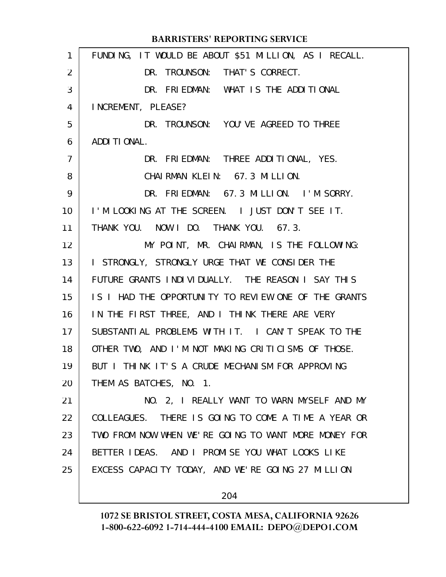| 1              | FUNDING, IT WOULD BE ABOUT \$51 MILLION, AS I RECALL. |
|----------------|-------------------------------------------------------|
| $\overline{2}$ | DR. TROUNSON: THAT'S CORRECT.                         |
| 3              | DR. FRIEDMAN: WHAT IS THE ADDITIONAL                  |
| 4              | INCREMENT, PLEASE?                                    |
| 5              | DR. TROUNSON: YOU'VE AGREED TO THREE                  |
| 6              | ADDI TI ONAL.                                         |
| 7              | DR. FRIEDMAN: THREE ADDITIONAL, YES.                  |
| 8              | CHAIRMAN KLEIN: 67.3 MILLION.                         |
| 9              | DR. FRIEDMAN: 67.3 MILLION. I'M SORRY.                |
| 10             | I'M LOOKING AT THE SCREEN. I JUST DON'T SEE IT.       |
| 11             | THANK YOU. NOW I DO. THANK YOU. 67.3.                 |
| 12             | MY POINT, MR. CHAIRMAN, IS THE FOLLOWING:             |
| 13             | I STRONGLY, STRONGLY URGE THAT WE CONSIDER THE        |
| 14             | FUTURE GRANTS INDIVIDUALLY. THE REASON I SAY THIS     |
| 15             | IS I HAD THE OPPORTUNITY TO REVIEW ONE OF THE GRANTS  |
| 16             | IN THE FIRST THREE, AND I THINK THERE ARE VERY        |
| 17             | SUBSTANTIAL PROBLEMS WITH IT. I CAN'T SPEAK TO THE    |
| 18             | OTHER TWO, AND I'M NOT MAKING CRITICISMS OF THOSE.    |
| 19             | BUT I THINK IT'S A CRUDE MECHANISM FOR APPROVING      |
| 20             | THEM AS BATCHES, NO. 1.                               |
| 21             | NO. 2, I REALLY WANT TO WARN MYSELF AND MY            |
| 22             | COLLEAGUES. THERE IS GOING TO COME A TIME A YEAR OR   |
| 23             | TWO FROM NOW WHEN WE'RE GOING TO WANT MORE MONEY FOR  |
| 24             | BETTER IDEAS. AND I PROMISE YOU WHAT LOOKS LIKE       |
| 25             | EXCESS CAPACITY TODAY, AND WE'RE GOING 27 MILLION     |
|                | 204                                                   |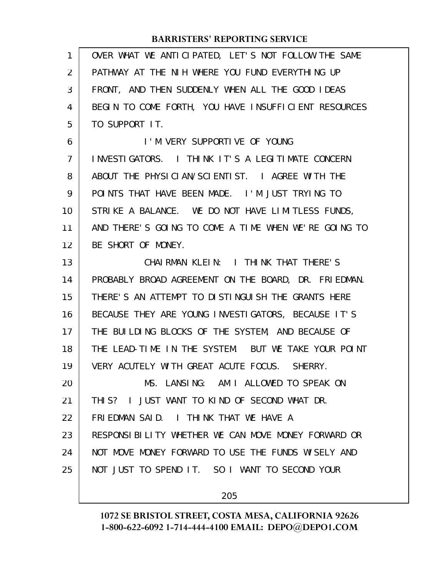| 1  | OVER WHAT WE ANTICIPATED, LET'S NOT FOLLOW THE SAME  |
|----|------------------------------------------------------|
| 2  | PATHWAY AT THE NIH WHERE YOU FUND EVERYTHING UP      |
| 3  | FRONT, AND THEN SUDDENLY WHEN ALL THE GOOD IDEAS     |
| 4  | BEGIN TO COME FORTH, YOU HAVE INSUFFICIENT RESOURCES |
| 5  | TO SUPPORT IT.                                       |
| 6  | I'M VERY SUPPORTIVE OF YOUNG                         |
| 7  | INVESTIGATORS. I THINK IT'S A LEGITIMATE CONCERN     |
| 8  | ABOUT THE PHYSICIAN/SCIENTIST. I AGREE WITH THE      |
| 9  | POINTS THAT HAVE BEEN MADE. I'M JUST TRYING TO       |
| 10 | STRIKE A BALANCE. WE DO NOT HAVE LIMITLESS FUNDS,    |
| 11 | AND THERE'S GOING TO COME A TIME WHEN WE'RE GOING TO |
| 12 | BE SHORT OF MONEY.                                   |
| 13 | CHAIRMAN KLEIN: I THINK THAT THERE'S                 |
| 14 | PROBABLY BROAD AGREEMENT ON THE BOARD, DR. FRIEDMAN. |
| 15 | THERE'S AN ATTEMPT TO DISTINGUISH THE GRANTS HERE    |
| 16 | BECAUSE THEY ARE YOUNG INVESTIGATORS, BECAUSE IT'S   |
| 17 | THE BUILDING BLOCKS OF THE SYSTEM, AND BECAUSE OF    |
| 18 | THE LEAD-TIME IN THE SYSTEM. BUT WE TAKE YOUR POINT  |
| 19 | VERY ACUTELY WITH GREAT ACUTE FOCUS. SHERRY.         |
| 20 | MS. LANSING: AM I ALLOWED TO SPEAK ON                |
| 21 | THIS? I JUST WANT TO KIND OF SECOND WHAT DR.         |
| 22 | FRIEDMAN SAID. I THINK THAT WE HAVE A                |
| 23 | RESPONSIBILITY WHETHER WE CAN MOVE MONEY FORWARD OR  |
| 24 | NOT MOVE MONEY FORWARD TO USE THE FUNDS WISELY AND   |
| 25 | NOT JUST TO SPEND IT. SO I WANT TO SECOND YOUR       |
|    |                                                      |

205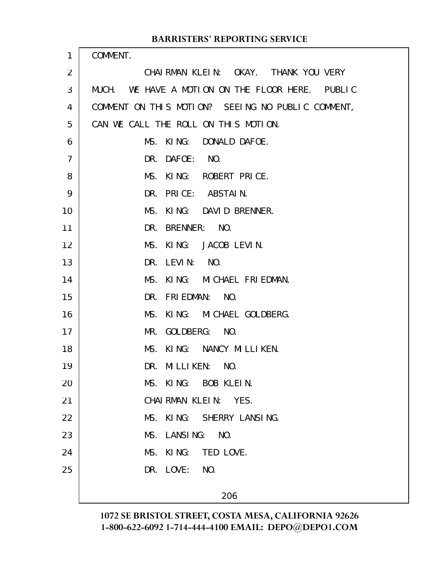| 1              | COMMENT.                                            |
|----------------|-----------------------------------------------------|
| $\overline{2}$ | CHAIRMAN KLEIN: OKAY. THANK YOU VERY                |
| 3              | WE HAVE A MOTION ON THE FLOOR HERE. PUBLIC<br>MUCH. |
| 4              | COMMENT ON THIS MOTION? SEEING NO PUBLIC COMMENT,   |
| 5              | CAN WE CALL THE ROLL ON THIS MOTION.                |
| 6              | MS.<br>KING: DONALD DAFOE.                          |
| $\overline{7}$ | NO.<br>DAFOE:<br>DR.                                |
| 8              | MS.<br>KING: ROBERT PRICE.                          |
| 9              | DR.<br>PRICE: ABSTAIN.                              |
| 10             | MS.<br>KING: DAVID BRENNER.                         |
| 11             | BRENNER:<br>NO.<br>DR.                              |
| 12             | KING: JACOB LEVIN.<br>MS.                           |
| 13             | LEVI <sub>N</sub> :<br>NO.<br>DR.                   |
| 14             | MS.<br>KING: MICHAEL FRIEDMAN.                      |
| 15             | NO.<br><b>FRI EDMAN:</b><br>DR.                     |
| 16             | KING: MICHAEL GOLDBERG.<br>MS.                      |
| 17             | NO.<br>GOLDBERG:<br>MR.                             |
| 18             | KING: NANCY MILLIKEN.<br>MS.                        |
| 19             | <b>MILLIKEN:</b><br>NO.<br>DR.                      |
| 20             | MS. KING: BOB KLEIN.                                |
| 21             | CHAIRMAN KLEIN: YES.                                |
| 22             | MS. KING: SHERRY LANSING.                           |
| 23             | MS. LANSING: NO.                                    |
| 24             | MS.<br>KI NG:<br>TED LOVE.                          |
| 25             | DR. LOVE:<br>NO.                                    |
|                | 206                                                 |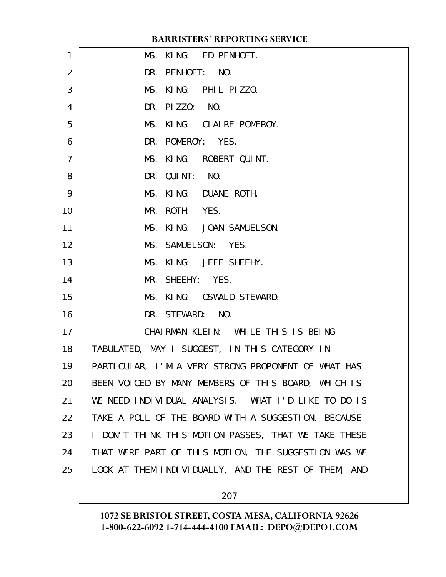| 1              | MS. KING: ED PENHOET.                                |
|----------------|------------------------------------------------------|
| 2              | DR. PENHOET: NO.                                     |
| 3              | MS. KING: PHIL PIZZO.                                |
| 4              | DR. PIZZO: NO.                                       |
| 5              | MS. KING: CLAIRE POMEROY.                            |
| 6              | DR. POMEROY: YES.                                    |
| $\overline{7}$ | MS. KING: ROBERT QUINT.                              |
| 8              | DR. QUINT: NO.                                       |
| 9              | MS. KING: DUANE ROTH.                                |
| 10             | MR. ROTH: YES.                                       |
| 11             | MS. KING: JOAN SAMUELSON.                            |
| 12             | MS. SAMUELSON: YES.                                  |
| 13             | MS. KING: JEFF SHEEHY.                               |
| 14             | MR. SHEEHY: YES.                                     |
| 15             | MS. KING: OSWALD STEWARD.                            |
| 16             | DR. STEWARD: NO.                                     |
| 17             | CHAIRMAN KLEIN: WHILE THIS IS BEING                  |
| 18             | TABULATED, MAY I SUGGEST, IN THIS CATEGORY IN        |
| 19             | PARTICULAR, I'M A VERY STRONG PROPONENT OF WHAT HAS  |
| 20             | BEEN VOICED BY MANY MEMBERS OF THIS BOARD, WHICH IS  |
| 21             | WE NEED INDIVIDUAL ANALYSIS. WHAT I'D LIKE TO DO IS  |
| 22             | TAKE A POLL OF THE BOARD WITH A SUGGESTION, BECAUSE  |
| 23             | I DON'T THINK THIS MOTION PASSES, THAT WE TAKE THESE |
| 24             | THAT WERE PART OF THIS MOTION, THE SUGGESTION WAS WE |
| 25             | LOOK AT THEM INDIVIDUALLY, AND THE REST OF THEM, AND |
|                |                                                      |

207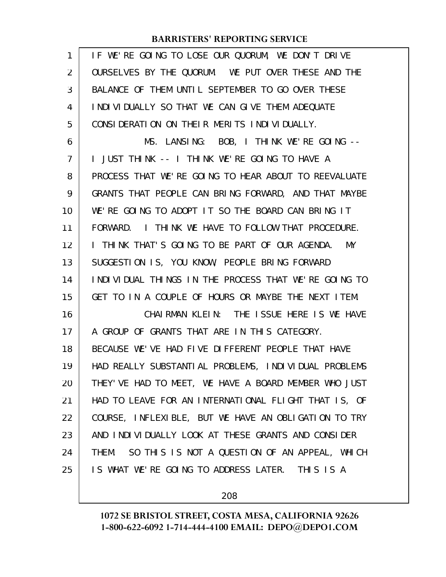| 1              | IF WE'RE GOING TO LOSE OUR QUORUM, WE DON'T DRIVE     |
|----------------|-------------------------------------------------------|
| $\overline{2}$ | OURSELVES BY THE QUORUM. WE PUT OVER THESE AND THE    |
| 3              | BALANCE OF THEM UNTIL SEPTEMBER TO GO OVER THESE      |
| 4              | INDIVIDUALLY SO THAT WE CAN GIVE THEM ADEQUATE        |
| 5              | CONSIDERATION ON THEIR MERITS INDIVIDUALLY.           |
| 6              | MS. LANSING: BOB, I THINK WE'RE GOING --              |
| 7              | I JUST THINK -- I THINK WE'RE GOING TO HAVE A         |
| 8              | PROCESS THAT WE'RE GOING TO HEAR ABOUT TO REEVALUATE  |
| 9              | GRANTS THAT PEOPLE CAN BRING FORWARD, AND THAT MAYBE  |
| 10             | WE'RE GOING TO ADOPT IT SO THE BOARD CAN BRING IT     |
| 11             | I THINK WE HAVE TO FOLLOW THAT PROCEDURE.<br>FORWARD. |
| 12             | I THINK THAT'S GOING TO BE PART OF OUR AGENDA.<br>MY  |
| 13             | SUGGESTION IS, YOU KNOW, PEOPLE BRING FORWARD         |
| 14             | INDIVIDUAL THINGS IN THE PROCESS THAT WE'RE GOING TO  |
| 15             | GET TO IN A COUPLE OF HOURS OR MAYBE THE NEXT ITEM.   |
| 16             | CHAIRMAN KLEIN: THE ISSUE HERE IS WE HAVE             |
| 17             | A GROUP OF GRANTS THAT ARE IN THIS CATEGORY.          |
| 18             | BECAUSE WE'VE HAD FIVE DIFFERENT PEOPLE THAT HAVE     |
| 19             | HAD REALLY SUBSTANTIAL PROBLEMS, INDIVIDUAL PROBLEMS  |
| 20             | THEY' VE HAD TO MEET, WE HAVE A BOARD MEMBER WHO JUST |
| 21             | HAD TO LEAVE FOR AN INTERNATIONAL FLIGHT THAT IS, OF  |
| 22             | COURSE, INFLEXIBLE, BUT WE HAVE AN OBLIGATION TO TRY  |
| 23             | AND INDIVIDUALLY LOOK AT THESE GRANTS AND CONSIDER    |
| 24             | THEM. SO THIS IS NOT A QUESTION OF AN APPEAL, WHICH   |
| 25             | IS WHAT WE'RE GOING TO ADDRESS LATER. THIS IS A       |
|                |                                                       |

208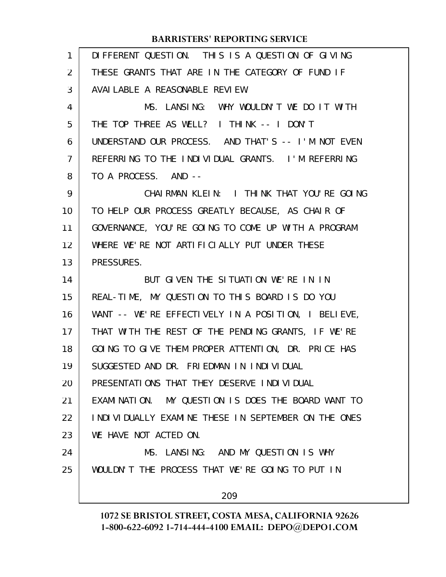| $\mathbf{1}$ | DIFFERENT QUESTION. THIS IS A QUESTION OF GIVING    |
|--------------|-----------------------------------------------------|
| 2            | THESE GRANTS THAT ARE IN THE CATEGORY OF FUND IF    |
| 3            | AVAI LABLE A REASONABLE REVIEW.                     |
| 4            | MS. LANSING: WHY WOULDN'T WE DO IT WITH             |
| 5            | THE TOP THREE AS WELL? I THINK -- I DON'T           |
| 6            | UNDERSTAND OUR PROCESS. AND THAT'S -- I'M NOT EVEN  |
| 7            | REFERRING TO THE INDIVIDUAL GRANTS. I'M REFERRING   |
| 8            | TO A PROCESS. AND --                                |
| 9            | CHAIRMAN KLEIN: I THINK THAT YOU'RE GOING           |
| 10           | TO HELP OUR PROCESS GREATLY BECAUSE, AS CHAIR OF    |
| 11           | GOVERNANCE, YOU'RE GOING TO COME UP WITH A PROGRAM  |
| 12           | WHERE WE'RE NOT ARTIFICIALLY PUT UNDER THESE        |
| 13           | PRESSURES.                                          |
| 14           | BUT GIVEN THE SITUATION WE'RE IN IN                 |
| 15           | REAL-TIME, MY QUESTION TO THIS BOARD IS DO YOU      |
| 16           | WANT -- WE'RE EFFECTIVELY IN A POSITION, I BELIEVE, |
| 17           | THAT WITH THE REST OF THE PENDING GRANTS, IF WE'RE  |
| 18           | GOING TO GIVE THEM PROPER ATTENTION, DR. PRICE HAS  |
| 19           | SUGGESTED AND DR. FRIEDMAN IN INDIVIDUAL            |
| 20           | PRESENTATIONS THAT THEY DESERVE INDIVIDUAL          |
| 21           | EXAMINATION. MY QUESTION IS DOES THE BOARD WANT TO  |
| 22           | INDIVIDUALLY EXAMINE THESE IN SEPTEMBER ON THE ONES |
| 23           | WE HAVE NOT ACTED ON.                               |
| 24           | MS. LANSING: AND MY QUESTION IS WHY                 |
| 25           | WOULDN'T THE PROCESS THAT WE'RE GOING TO PUT IN     |
|              | 209                                                 |
|              |                                                     |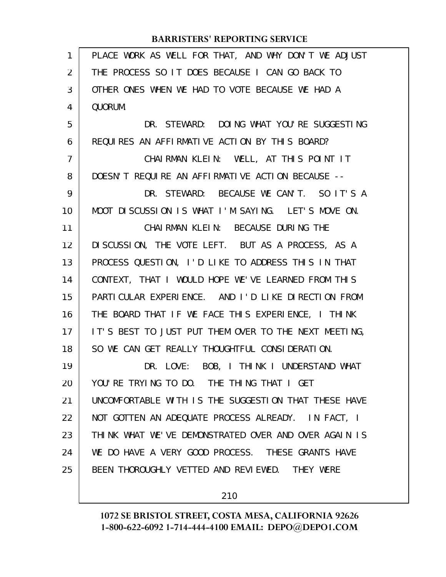| $\mathbf{1}$ | PLACE WORK AS WELL FOR THAT, AND WHY DON'T WE ADJUST |
|--------------|------------------------------------------------------|
| 2            | THE PROCESS SO IT DOES BECAUSE I CAN GO BACK TO      |
| 3            | OTHER ONES WHEN WE HAD TO VOTE BECAUSE WE HAD A      |
| 4            | QUORUM.                                              |
| 5            | DR. STEWARD: DOING WHAT YOU'RE SUGGESTING            |
| 6            | REQUIRES AN AFFIRMATIVE ACTION BY THIS BOARD?        |
| 7            | CHAIRMAN KLEIN: WELL, AT THIS POINT IT               |
| 8            | DOESN'T REQUIRE AN AFFIRMATIVE ACTION BECAUSE --     |
| 9            | DR. STEWARD: BECAUSE WE CAN'T. SO IT'S A             |
| 10           | MOOT DISCUSSION IS WHAT I'M SAYING. LET'S MOVE ON.   |
| 11           | CHAI RMAN KLEIN: BECAUSE DURING THE                  |
| 12           | DI SCUSSION, THE VOTE LEFT. BUT AS A PROCESS, AS A   |
| 13           | PROCESS QUESTION, I'D LIKE TO ADDRESS THIS IN THAT   |
| 14           | CONTEXT, THAT I WOULD HOPE WE'VE LEARNED FROM THIS   |
| 15           | PARTICULAR EXPERIENCE. AND I'D LIKE DIRECTION FROM   |
| 16           | THE BOARD THAT IF WE FACE THIS EXPERIENCE, I THINK   |
| 17           | IT'S BEST TO JUST PUT THEM OVER TO THE NEXT MEETING, |
| 18           | SO WE CAN GET REALLY THOUGHTFUL CONSIDERATION.       |
| 19           | DR. LOVE: BOB, I THINK I UNDERSTAND WHAT             |
| 20           | YOU'RE TRYING TO DO. THE THING THAT I GET            |
| 21           | UNCOMFORTABLE WITH IS THE SUGGESTION THAT THESE HAVE |
| 22           | NOT GOTTEN AN ADEQUATE PROCESS ALREADY. IN FACT, I   |
| 23           | THINK WHAT WE'VE DEMONSTRATED OVER AND OVER AGAIN IS |
| 24           | WE DO HAVE A VERY GOOD PROCESS. THESE GRANTS HAVE    |
| 25           | BEEN THOROUGHLY VETTED AND REVIEWED. THEY WERE       |
|              |                                                      |

210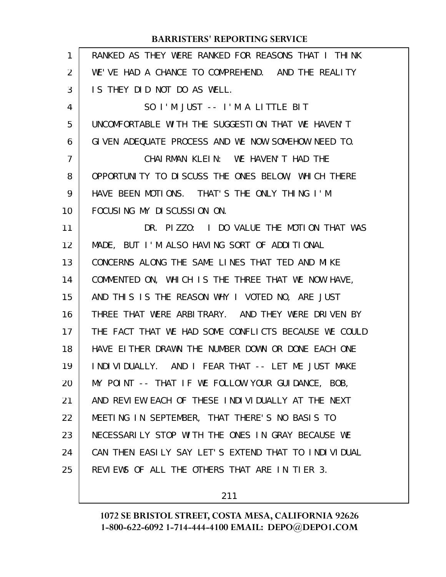| $\mathbf{1}$   | RANKED AS THEY WERE RANKED FOR REASONS THAT I THINK  |
|----------------|------------------------------------------------------|
| $\overline{2}$ | WE'VE HAD A CHANCE TO COMPREHEND. AND THE REALITY    |
| 3              | IS THEY DID NOT DO AS WELL.                          |
| 4              | SO I'M JUST -- I'M A LITTLE BIT                      |
| 5              | UNCOMFORTABLE WITH THE SUGGESTION THAT WE HAVEN'T    |
| 6              | GIVEN ADEQUATE PROCESS AND WE NOW SOMEHOW NEED TO.   |
| $\overline{7}$ | CHAIRMAN KLEIN: WE HAVEN'T HAD THE                   |
| 8              | OPPORTUNITY TO DISCUSS THE ONES BELOW, WHICH THERE   |
| 9              | HAVE BEEN MOTIONS. THAT'S THE ONLY THING I'M         |
| 10             | FOCUSING MY DISCUSSION ON.                           |
| 11             | DR. PIZZO: I DO VALUE THE MOTION THAT WAS            |
| 12             | MADE, BUT I'M ALSO HAVING SORT OF ADDITIONAL         |
| 13             | CONCERNS ALONG THE SAME LINES THAT TED AND MIKE      |
| 14             | COMMENTED ON, WHICH IS THE THREE THAT WE NOW HAVE,   |
| 15             | AND THIS IS THE REASON WHY I VOTED NO, ARE JUST      |
| 16             | THREE THAT WERE ARBITRARY. AND THEY WERE DRIVEN BY   |
| 17             | THE FACT THAT WE HAD SOME CONFLICTS BECAUSE WE COULD |
| 18             | HAVE EITHER DRAWN THE NUMBER DOWN OR DONE EACH ONE   |
| 19             | INDIVIDUALLY. AND I FEAR THAT -- LET ME JUST MAKE    |
| 20             | MY POINT -- THAT IF WE FOLLOW YOUR GUIDANCE, BOB,    |
| 21             | AND REVIEW EACH OF THESE INDIVIDUALLY AT THE NEXT    |
| 22             | MEETING IN SEPTEMBER, THAT THERE'S NO BASIS TO       |
| 23             | NECESSARILY STOP WITH THE ONES IN GRAY BECAUSE WE    |
| 24             | CAN THEN EASILY SAY LET'S EXTEND THAT TO INDIVIDUAL  |
| 25             | REVIEWS OF ALL THE OTHERS THAT ARE IN TIER 3.        |

211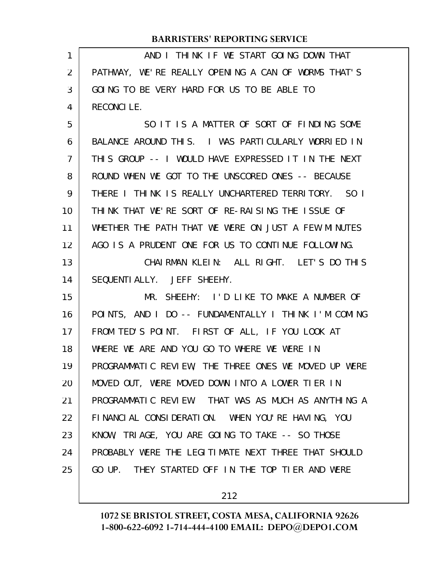| 1  | AND I THINK IF WE START GOING DOWN THAT              |
|----|------------------------------------------------------|
| 2  | PATHWAY, WE'RE REALLY OPENING A CAN OF WORMS THAT'S  |
| 3  | GOING TO BE VERY HARD FOR US TO BE ABLE TO           |
| 4  | <b>RECONCILE.</b>                                    |
| 5  | SO IT IS A MATTER OF SORT OF FINDING SOME            |
| 6  | BALANCE AROUND THIS. I WAS PARTICULARLY WORRIED IN   |
| 7  | THIS GROUP -- I WOULD HAVE EXPRESSED IT IN THE NEXT  |
| 8  | ROUND WHEN WE GOT TO THE UNSCORED ONES -- BECAUSE    |
| 9  | THERE I THINK IS REALLY UNCHARTERED TERRITORY. SO I  |
| 10 | THINK THAT WE'RE SORT OF RE-RAISING THE ISSUE OF     |
| 11 | WHETHER THE PATH THAT WE WERE ON JUST A FEW MINUTES  |
| 12 | AGO IS A PRUDENT ONE FOR US TO CONTINUE FOLLOWING.   |
| 13 | CHAIRMAN KLEIN: ALL RIGHT. LET'S DO THIS             |
| 14 | SEQUENTI ALLY. JEFF SHEEHY.                          |
| 15 | MR. SHEEHY: I'D LIKE TO MAKE A NUMBER OF             |
| 16 | POINTS, AND I DO -- FUNDAMENTALLY I THINK I'M COMING |
| 17 | FROM TED'S POINT. FIRST OF ALL, IF YOU LOOK AT       |
| 18 | WHERE WE ARE AND YOU GO TO WHERE WE WERE IN          |
| 19 | PROGRAMMATIC REVIEW, THE THREE ONES WE MOVED UP WERE |
| 20 | MOVED OUT, WERE MOVED DOWN INTO A LOWER TIER IN      |
| 21 | PROGRAMMATIC REVIEW. THAT WAS AS MUCH AS ANYTHING A  |
| 22 | FINANCIAL CONSIDERATION. WHEN YOU'RE HAVING, YOU     |
| 23 | KNOW, TRIAGE, YOU ARE GOING TO TAKE -- SO THOSE      |
| 24 | PROBABLY WERE THE LEGITIMATE NEXT THREE THAT SHOULD  |
| 25 | GO UP. THEY STARTED OFF IN THE TOP TIER AND WERE     |
|    |                                                      |

212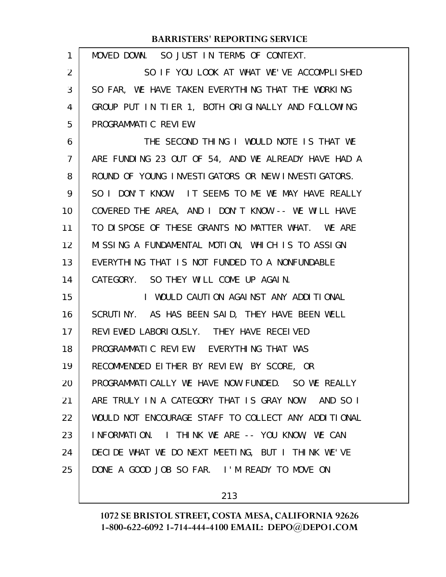| 1              | MOVED DOWN. SO JUST IN TERMS OF CONTEXT.            |
|----------------|-----------------------------------------------------|
| 2              | SO IF YOU LOOK AT WHAT WE'VE ACCOMPLISHED           |
| 3              | SO FAR, WE HAVE TAKEN EVERYTHING THAT THE WORKING   |
| 4              | GROUP PUT IN TIER 1, BOTH ORIGINALLY AND FOLLOWING  |
| 5              | PROGRAMMATIC REVIEW.                                |
| 6              | THE SECOND THING I WOULD NOTE IS THAT WE            |
| $\overline{7}$ | ARE FUNDING 23 OUT OF 54, AND WE ALREADY HAVE HAD A |
| 8              | ROUND OF YOUNG INVESTIGATORS OR NEW INVESTIGATORS.  |
| 9              | SO I DON'T KNOW. IT SEEMS TO ME WE MAY HAVE REALLY  |
| 10             | COVERED THE AREA, AND I DON'T KNOW -- WE WILL HAVE  |
| 11             | TO DISPOSE OF THESE GRANTS NO MATTER WHAT. WE ARE   |
| 12             | MISSING A FUNDAMENTAL MOTION, WHICH IS TO ASSIGN    |
| 13             | EVERYTHING THAT IS NOT FUNDED TO A NONFUNDABLE      |
| 14             | CATEGORY. SO THEY WILL COME UP AGAIN.               |
| 15             | I WOULD CAUTION AGAINST ANY ADDITIONAL              |
| 16             | SCRUTINY. AS HAS BEEN SAID, THEY HAVE BEEN WELL     |
| 17             | REVIEWED LABORIOUSLY. THEY HAVE RECEIVED            |
| 18             | PROGRAMMATIC REVIEW. EVERYTHING THAT WAS            |
| 19             | RECOMMENDED EITHER BY REVIEW, BY SCORE, OR          |
| 20             | PROGRAMMATICALLY WE HAVE NOW FUNDED. SO WE REALLY   |
| 21             | ARE TRULY IN A CATEGORY THAT IS GRAY NOW. AND SO I  |
| 22             | WOULD NOT ENCOURAGE STAFF TO COLLECT ANY ADDITIONAL |
| 23             | INFORMATION. I THINK WE ARE -- YOU KNOW, WE CAN     |
| 24             | DECIDE WHAT WE DO NEXT MEETING, BUT I THINK WE'VE   |
| 25             | DONE A GOOD JOB SO FAR. I'M READY TO MOVE ON        |
|                |                                                     |

213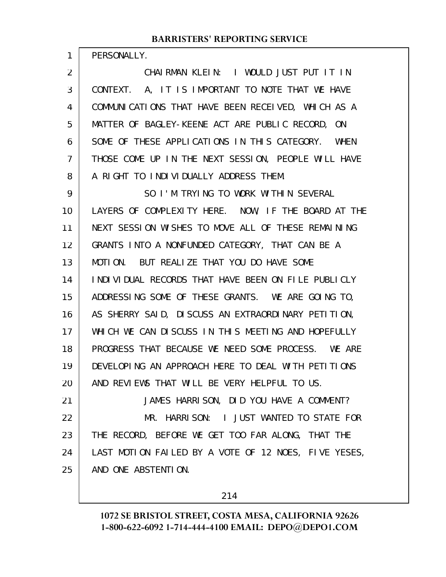PERSONALLY.

1

CHAIRMAN KLEIN: I WOULD JUST PUT IT IN CONTEXT. A, IT IS IMPORTANT TO NOTE THAT WE HAVE COMMUNICATIONS THAT HAVE BEEN RECEIVED, WHICH AS A MATTER OF BAGLEY-KEENE ACT ARE PUBLIC RECORD, ON SOME OF THESE APPLICATIONS IN THIS CATEGORY. WHEN THOSE COME UP IN THE NEXT SESSION, PEOPLE WILL HAVE A RIGHT TO INDIVIDUALLY ADDRESS THEM. 2 3 4 5 6 7 8

SO I'M TRYING TO WORK WITHIN SEVERAL LAYERS OF COMPLEXITY HERE. NOW, IF THE BOARD AT THE NEXT SESSION WISHES TO MOVE ALL OF THESE REMAINING GRANTS INTO A NONFUNDED CATEGORY, THAT CAN BE A MOTION. BUT REALIZE THAT YOU DO HAVE SOME INDIVIDUAL RECORDS THAT HAVE BEEN ON FILE PUBLICLY ADDRESSING SOME OF THESE GRANTS. WE ARE GOING TO, AS SHERRY SAID, DISCUSS AN EXTRAORDINARY PETITION, WHICH WE CAN DISCUSS IN THIS MEETING AND HOPEFULLY PROGRESS THAT BECAUSE WE NEED SOME PROCESS. WE ARE DEVELOPING AN APPROACH HERE TO DEAL WITH PETITIONS AND REVIEWS THAT WILL BE VERY HELPFUL TO US. JAMES HARRISON, DID YOU HAVE A COMMENT? MR. HARRISON: I JUST WANTED TO STATE FOR THE RECORD, BEFORE WE GET TOO FAR ALONG, THAT THE LAST MOTION FAILED BY A VOTE OF 12 NOES, FIVE YESES, AND ONE ABSTENTION. 9 10 11 12 13 14 15 16 17 18 19 20 21 22 23 24 25

214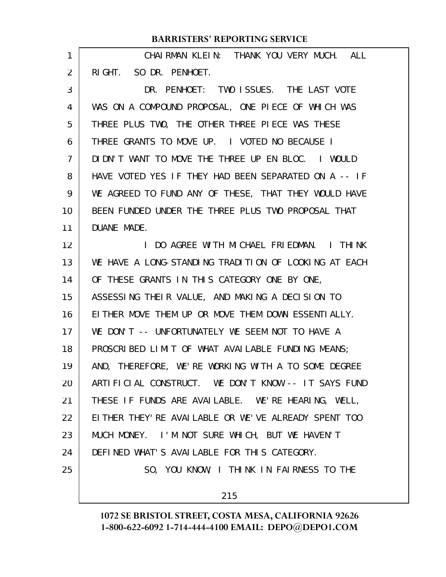|                | <b>BARRISTERS' REPORTING SERVICE</b>                  |
|----------------|-------------------------------------------------------|
| 1              | CHAIRMAN KLEIN: THANK YOU VERY MUCH. ALL              |
| 2              | RIGHT. SO DR. PENHOET.                                |
| 3              | DR. PENHOET: TWO ISSUES. THE LAST VOTE                |
| 4              | WAS ON A COMPOUND PROPOSAL, ONE PIECE OF WHICH WAS    |
| 5              | THREE PLUS TWO, THE OTHER THREE PIECE WAS THESE       |
| 6              | THREE GRANTS TO MOVE UP. I VOTED NO BECAUSE I         |
| $\overline{7}$ | DIDN'T WANT TO MOVE THE THREE UP EN BLOC. I WOULD     |
| 8              | HAVE VOTED YES IF THEY HAD BEEN SEPARATED ON A -- IF  |
| 9              | WE AGREED TO FUND ANY OF THESE, THAT THEY WOULD HAVE  |
| 10             | BEEN FUNDED UNDER THE THREE PLUS TWO PROPOSAL THAT    |
| 11             | DUANE MADE.                                           |
| 12             | I DO AGREE WITH MICHAEL FRIEDMAN. I THINK             |
| 13             | WE HAVE A LONG-STANDING TRADITION OF LOOKING AT EACH  |
| 14             | OF THESE GRANTS IN THIS CATEGORY ONE BY ONE,          |
| 15             | ASSESSING THEIR VALUE, AND MAKING A DECISION TO       |
| 16             | EITHER MOVE THEM UP OR MOVE THEM DOWN ESSENTIALLY.    |
| 17             | WE DON'T -- UNFORTUNATELY WE SEEM NOT TO HAVE A       |
| 18             | PROSCRIBED LIMIT OF WHAT AVAILABLE FUNDING MEANS:     |
| 19             | AND, THEREFORE, WE'RE WORKING WITH A TO SOME DEGREE   |
| 20             | ARTIFICIAL CONSTRUCT. WE DON'T KNOW -- IT SAYS FUND   |
| 21             | THESE IF FUNDS ARE AVAILABLE. WE'RE HEARING, WELL,    |
| 22             | EITHER THEY' RE AVAILABLE OR WE' VE ALREADY SPENT TOO |
| 23             | MUCH MONEY. I'M NOT SURE WHICH, BUT WE HAVEN'T        |
| 24             | DEFINED WHAT'S AVAILABLE FOR THIS CATEGORY.           |
| 25             | SO, YOU KNOW, I THINK IN FAIRNESS TO THE              |
|                | 215                                                   |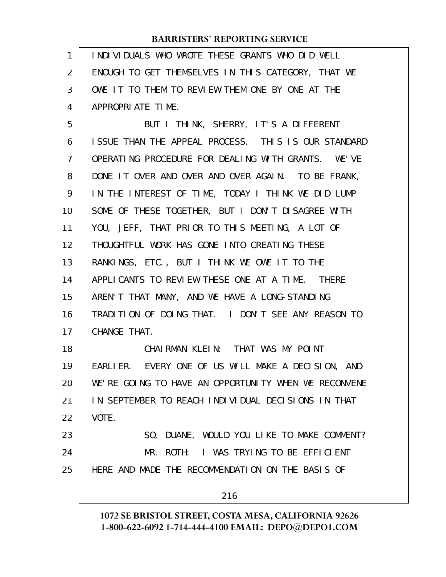INDIVIDUALS WHO WROTE THESE GRANTS WHO DID WELL ENOUGH TO GET THEMSELVES IN THIS CATEGORY, THAT WE OWE IT TO THEM TO REVIEW THEM ONE BY ONE AT THE APPROPRIATE TIME. 1 2 3 4

BUT I THINK, SHERRY, IT'S A DIFFERENT ISSUE THAN THE APPEAL PROCESS. THIS IS OUR STANDARD OPERATING PROCEDURE FOR DEALING WITH GRANTS. WE'VE DONE IT OVER AND OVER AND OVER AGAIN. TO BE FRANK, IN THE INTEREST OF TIME, TODAY I THINK WE DID LUMP SOME OF THESE TOGETHER, BUT I DON'T DISAGREE WITH YOU, JEFF, THAT PRIOR TO THIS MEETING, A LOT OF THOUGHTFUL WORK HAS GONE INTO CREATING THESE RANKINGS, ETC., BUT I THINK WE OWE IT TO THE APPLICANTS TO REVIEW THESE ONE AT A TIME. THERE AREN'T THAT MANY, AND WE HAVE A LONG-STANDING TRADITION OF DOING THAT. I DON'T SEE ANY REASON TO CHANGE THAT. CHAIRMAN KLEIN: THAT WAS MY POINT EARLIER. EVERY ONE OF US WILL MAKE A DECISION, AND WE'RE GOING TO HAVE AN OPPORTUNITY WHEN WE RECONVENE IN SEPTEMBER TO REACH INDIVIDUAL DECISIONS IN THAT VOTE. SO, DUANE, WOULD YOU LIKE TO MAKE COMMENT? MR. ROTH: I WAS TRYING TO BE EFFICIENT HERE AND MADE THE RECOMMENDATION ON THE BASIS OF 5 6 7 8 9 10 11 12 13 14 15 16 17 18 19 20 21 22 23 24 25

216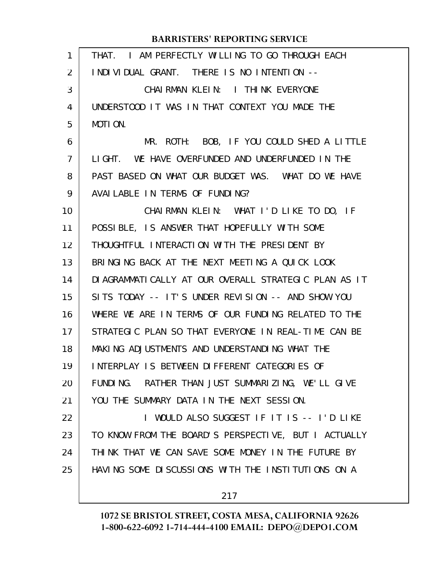| $\mathbf{1}$ | I AM PERFECTLY WILLING TO GO THROUGH EACH<br>THAT.     |
|--------------|--------------------------------------------------------|
| 2            | INDIVIDUAL GRANT. THERE IS NO INTENTION --             |
| 3            | CHAIRMAN KLEIN: I THINK EVERYONE                       |
| 4            | UNDERSTOOD IT WAS IN THAT CONTEXT YOU MADE THE         |
| 5            | MOTION.                                                |
| 6            | MR. ROTH: BOB, IF YOU COULD SHED A LITTLE              |
| 7            | LIGHT. WE HAVE OVERFUNDED AND UNDERFUNDED IN THE       |
| 8            | PAST BASED ON WHAT OUR BUDGET WAS. WHAT DO WE HAVE     |
| 9            | AVAILABLE IN TERMS OF FUNDING?                         |
| 10           | CHAIRMAN KLEIN: WHAT I'D LIKE TO DO, IF                |
| 11           | POSSIBLE, IS ANSWER THAT HOPEFULLY WITH SOME           |
| 12           | THOUGHTFUL INTERACTION WITH THE PRESIDENT BY           |
| 13           | BRINGING BACK AT THE NEXT MEETING A QUICK LOOK         |
| 14           | DI AGRAMMATI CALLY AT OUR OVERALL STRATEGIC PLAN AS IT |
| 15           | SITS TODAY -- IT'S UNDER REVISION -- AND SHOW YOU      |
| 16           | WHERE WE ARE IN TERMS OF OUR FUNDING RELATED TO THE    |
| 17           | STRATEGIC PLAN SO THAT EVERYONE IN REAL-TIME CAN BE    |
| 18           | MAKING ADJUSTMENTS AND UNDERSTANDING WHAT THE          |
| 19           | INTERPLAY IS BETWEEN DIFFERENT CATEGORIES OF           |
| 20           | FUNDING. RATHER THAN JUST SUMMARIZING, WE'LL GIVE      |
| 21           | YOU THE SUMMARY DATA IN THE NEXT SESSION.              |
| 22           | I WOULD ALSO SUGGEST IF IT IS -- I'D LIKE              |
| 23           | TO KNOW FROM THE BOARD'S PERSPECTIVE, BUT I ACTUALLY   |
| 24           | THINK THAT WE CAN SAVE SOME MONEY IN THE FUTURE BY     |
| 25           | HAVING SOME DISCUSSIONS WITH THE INSTITUTIONS ON A     |
|              |                                                        |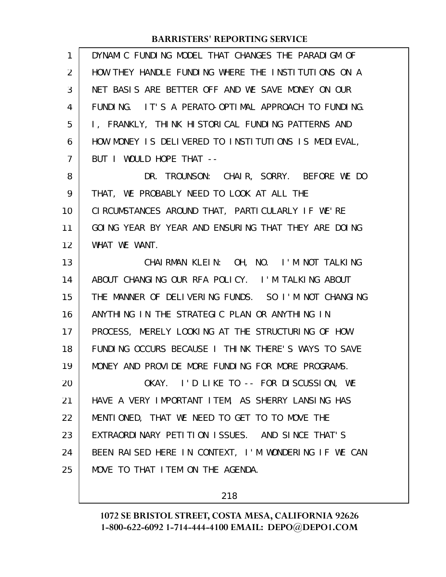| $\mathbf{1}$   | DYNAMIC FUNDING MODEL THAT CHANGES THE PARADIGM OF   |
|----------------|------------------------------------------------------|
| $\overline{2}$ | HOW THEY HANDLE FUNDING WHERE THE INSTITUTIONS ON A  |
| 3              | NET BASIS ARE BETTER OFF AND WE SAVE MONEY ON OUR    |
| 4              | FUNDING. IT'S A PERATO-OPTIMAL APPROACH TO FUNDING.  |
| 5              | I, FRANKLY, THINK HISTORICAL FUNDING PATTERNS AND    |
| 6              | HOW MONEY IS DELIVERED TO INSTITUTIONS IS MEDIEVAL,  |
| $\overline{7}$ | BUT I WOULD HOPE THAT --                             |
| 8              | DR. TROUNSON: CHAIR, SORRY. BEFORE WE DO             |
| 9              | THAT, WE PROBABLY NEED TO LOOK AT ALL THE            |
| 10             | CIRCUMSTANCES AROUND THAT, PARTICULARLY IF WE'RE     |
| 11             | GOING YEAR BY YEAR AND ENSURING THAT THEY ARE DOING  |
| 12             | WHAT WE WANT.                                        |
| 13             | CHAIRMAN KLEIN: OH, NO. I'M NOT TALKING              |
| 14             | ABOUT CHANGING OUR RFA POLICY. I'M TALKING ABOUT     |
| 15             | THE MANNER OF DELIVERING FUNDS. SO I'M NOT CHANGING  |
| 16             | ANYTHING IN THE STRATEGIC PLAN OR ANYTHING IN        |
| 17             | PROCESS, MERELY LOOKING AT THE STRUCTURING OF HOW    |
| 18             | FUNDING OCCURS BECAUSE I THINK THERE'S WAYS TO SAVE  |
| 19             | MONEY AND PROVIDE MORE FUNDING FOR MORE PROGRAMS.    |
| 20             | OKAY. I'D LIKE TO -- FOR DISCUSSION, WE              |
| 21             | HAVE A VERY IMPORTANT ITEM, AS SHERRY LANSING HAS    |
| 22             | MENTIONED, THAT WE NEED TO GET TO TO MOVE THE        |
| 23             | EXTRAORDINARY PETITION ISSUES. AND SINCE THAT'S      |
| 24             | BEEN RAISED HERE IN CONTEXT, I'M WONDERING IF WE CAN |
| 25             | MOVE TO THAT I TEM ON THE AGENDA.                    |
|                |                                                      |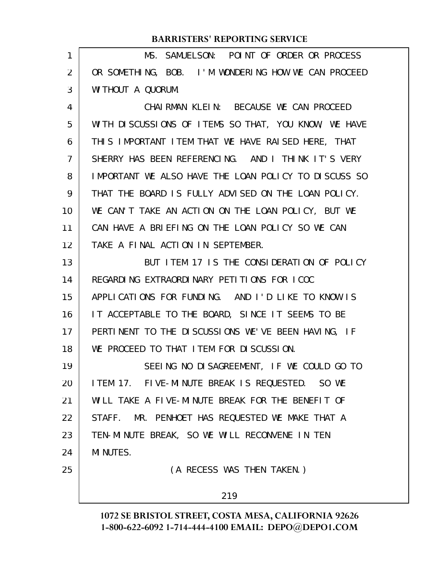| 1  | MS. SAMUELSON: POINT OF ORDER OR PROCESS             |
|----|------------------------------------------------------|
| 2  | OR SOMETHING, BOB. I'M WONDERING HOW WE CAN PROCEED  |
| 3  | WI THOUT A QUORUM.                                   |
| 4  | CHAIRMAN KLEIN: BECAUSE WE CAN PROCEED               |
| 5  | WITH DISCUSSIONS OF ITEMS SO THAT, YOU KNOW, WE HAVE |
| 6  | THIS IMPORTANT ITEM THAT WE HAVE RAISED HERE, THAT   |
| 7  | SHERRY HAS BEEN REFERENCING. AND I THINK IT'S VERY   |
| 8  | IMPORTANT WE ALSO HAVE THE LOAN POLICY TO DISCUSS SO |
| 9  | THAT THE BOARD IS FULLY ADVISED ON THE LOAN POLICY.  |
| 10 | WE CAN'T TAKE AN ACTION ON THE LOAN POLICY, BUT WE   |
| 11 | CAN HAVE A BRIEFING ON THE LOAN POLICY SO WE CAN     |
| 12 | TAKE A FINAL ACTION IN SEPTEMBER.                    |
| 13 | BUT I TEM 17 IS THE CONSIDERATION OF POLICY          |
| 14 | REGARDING EXTRAORDINARY PETITIONS FOR ICOC           |
| 15 | APPLICATIONS FOR FUNDING. AND I'D LIKE TO KNOW IS    |
| 16 | IT ACCEPTABLE TO THE BOARD, SINCE IT SEEMS TO BE     |
| 17 | PERTINENT TO THE DISCUSSIONS WE'VE BEEN HAVING, IF   |
| 18 | WE PROCEED TO THAT ITEM FOR DISCUSSION.              |
| 19 | SEEING NO DISAGREEMENT, IF WE COULD GO TO            |
| 20 | ITEM 17. FIVE-MINUTE BREAK IS REQUESTED. SO WE       |
| 21 | WILL TAKE A FIVE-MINUTE BREAK FOR THE BENEFIT OF     |
| 22 | STAFF. MR. PENHOET HAS REQUESTED WE MAKE THAT A      |
| 23 | TEN-MINUTE BREAK, SO WE WILL RECONVENE IN TEN        |
| 24 | <b>MI NUTES.</b>                                     |
| 25 | (A RECESS WAS THEN TAKEN.)                           |
|    | 219                                                  |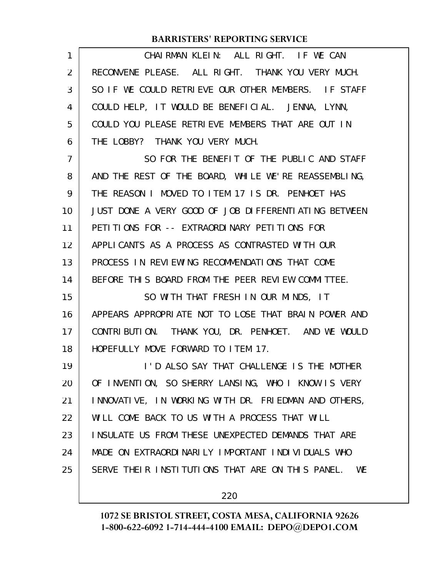| 1  | CHAIRMAN KLEIN: ALL RIGHT. IF WE CAN                   |
|----|--------------------------------------------------------|
| 2  | RECONVENE PLEASE. ALL RIGHT. THANK YOU VERY MUCH.      |
| 3  | SO IF WE COULD RETRIEVE OUR OTHER MEMBERS. IF STAFF    |
| 4  | COULD HELP, IT WOULD BE BENEFICIAL. JENNA, LYNN,       |
| 5  | COULD YOU PLEASE RETRIEVE MEMBERS THAT ARE OUT IN      |
| 6  | THE LOBBY? THANK YOU VERY MUCH.                        |
| 7  | SO FOR THE BENEFIT OF THE PUBLIC AND STAFF             |
| 8  | AND THE REST OF THE BOARD, WHILE WE'RE REASSEMBLING,   |
| 9  | THE REASON I MOVED TO ITEM 17 IS DR. PENHOET HAS       |
| 10 | JUST DONE A VERY GOOD OF JOB DIFFERENTIATING BETWEEN   |
| 11 | PETITIONS FOR -- EXTRAORDINARY PETITIONS FOR           |
| 12 | APPLICANTS AS A PROCESS AS CONTRASTED WITH OUR         |
| 13 | PROCESS IN REVIEWING RECOMMENDATIONS THAT COME         |
| 14 | BEFORE THIS BOARD FROM THE PEER REVIEW COMMITTEE.      |
| 15 | SO WITH THAT FRESH IN OUR MINDS, IT                    |
| 16 | APPEARS APPROPRIATE NOT TO LOSE THAT BRAIN POWER AND   |
| 17 | CONTRIBUTION. THANK YOU, DR. PENHOET. AND WE WOULD     |
| 18 | HOPEFULLY MOVE FORWARD TO ITEM 17.                     |
| 19 | I'D ALSO SAY THAT CHALLENGE IS THE MOTHER              |
| 20 | OF INVENTION, SO SHERRY LANSING, WHO I KNOW IS VERY    |
| 21 | INNOVATIVE, IN WORKING WITH DR. FRIEDMAN AND OTHERS,   |
| 22 | WILL COME BACK TO US WITH A PROCESS THAT WILL          |
| 23 | INSULATE US FROM THESE UNEXPECTED DEMANDS THAT ARE     |
| 24 | MADE ON EXTRAORDINARILY IMPORTANT INDIVIDUALS WHO      |
| 25 | SERVE THEIR INSTITUTIONS THAT ARE ON THIS PANEL.<br>WE |
|    |                                                        |

220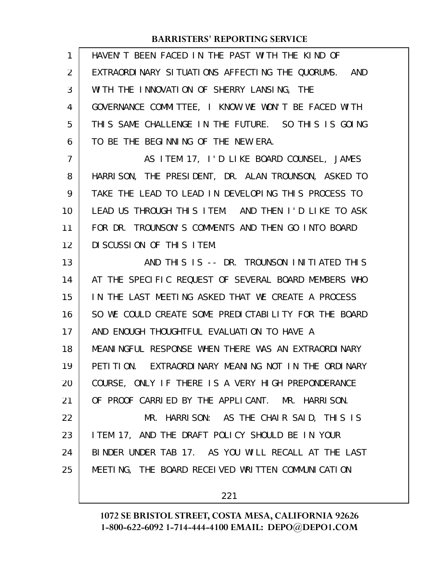| 1  | HAVEN'T BEEN FACED IN THE PAST WITH THE KIND OF      |
|----|------------------------------------------------------|
| 2  | EXTRAORDINARY SITUATIONS AFFECTING THE QUORUMS. AND  |
| 3  | WITH THE INNOVATION OF SHERRY LANSING, THE           |
| 4  | GOVERNANCE COMMITTEE, I KNOW WE WON'T BE FACED WITH  |
| 5  | THIS SAME CHALLENGE IN THE FUTURE. SO THIS IS GOING  |
| 6  | TO BE THE BEGINNING OF THE NEW ERA.                  |
| 7  | AS ITEM 17, I'D LIKE BOARD COUNSEL, JAMES            |
| 8  | HARRISON, THE PRESIDENT, DR. ALAN TROUNSON, ASKED TO |
| 9  | TAKE THE LEAD TO LEAD IN DEVELOPING THIS PROCESS TO  |
| 10 | LEAD US THROUGH THIS ITEM. AND THEN I'D LIKE TO ASK  |
| 11 | FOR DR. TROUNSON'S COMMENTS AND THEN GO INTO BOARD   |
| 12 | DI SCUSSION OF THIS ITEM.                            |
| 13 | AND THIS IS -- DR. TROUNSON INITIATED THIS           |
| 14 | AT THE SPECIFIC REQUEST OF SEVERAL BOARD MEMBERS WHO |
| 15 | IN THE LAST MEETING ASKED THAT WE CREATE A PROCESS   |
| 16 | SO WE COULD CREATE SOME PREDICTABILITY FOR THE BOARD |
| 17 | AND ENOUGH THOUGHTFUL EVALUATION TO HAVE A           |
| 18 | MEANINGFUL RESPONSE WHEN THERE WAS AN EXTRAORDINARY  |
| 19 | PETITION. EXTRAORDINARY MEANING NOT IN THE ORDINARY  |
| 20 | COURSE, ONLY IF THERE IS A VERY HIGH PREPONDERANCE   |
| 21 | OF PROOF CARRIED BY THE APPLICANT. MR. HARRISON.     |
| 22 | MR. HARRISON: AS THE CHAIR SAID, THIS IS             |
| 23 | I TEM 17, AND THE DRAFT POLICY SHOULD BE IN YOUR     |
| 24 | BINDER UNDER TAB 17. AS YOU WILL RECALL AT THE LAST  |
| 25 | MEETING, THE BOARD RECEIVED WRITTEN COMMUNICATION    |
|    |                                                      |

221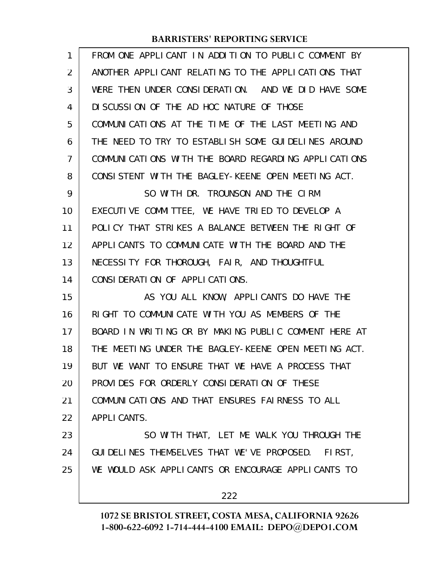| 1  | FROM ONE APPLICANT IN ADDITION TO PUBLIC COMMENT BY  |
|----|------------------------------------------------------|
| 2  | ANOTHER APPLICANT RELATING TO THE APPLICATIONS THAT  |
| 3  | WERE THEN UNDER CONSIDERATION. AND WE DID HAVE SOME  |
| 4  | DI SCUSSION OF THE AD HOC NATURE OF THOSE            |
| 5  | COMMUNICATIONS AT THE TIME OF THE LAST MEETING AND   |
| 6  | THE NEED TO TRY TO ESTABLISH SOME GUIDELINES AROUND  |
| 7  | COMMUNICATIONS WITH THE BOARD REGARDING APPLICATIONS |
| 8  | CONSISTENT WITH THE BAGLEY-KEENE OPEN MEETING ACT.   |
| 9  | SO WITH DR. TROUNSON AND THE CIRM                    |
| 10 | EXECUTIVE COMMITTEE, WE HAVE TRIED TO DEVELOP A      |
| 11 | POLICY THAT STRIKES A BALANCE BETWEEN THE RIGHT OF   |
| 12 | APPLICANTS TO COMMUNICATE WITH THE BOARD AND THE     |
| 13 | NECESSITY FOR THOROUGH, FAIR, AND THOUGHTFUL         |
| 14 | CONSIDERATION OF APPLICATIONS.                       |
| 15 | AS YOU ALL KNOW, APPLICANTS DO HAVE THE              |
| 16 | RIGHT TO COMMUNICATE WITH YOU AS MEMBERS OF THE      |
| 17 | BOARD IN WRITING OR BY MAKING PUBLIC COMMENT HERE AT |
| 18 | THE MEETING UNDER THE BAGLEY-KEENE OPEN MEETING ACT. |
| 19 | BUT WE WANT TO ENSURE THAT WE HAVE A PROCESS THAT    |
| 20 | PROVIDES FOR ORDERLY CONSIDERATION OF THESE          |
| 21 | COMMUNICATIONS AND THAT ENSURES FAIRNESS TO ALL      |
| 22 | APPLI CANTS.                                         |
| 23 | SO WITH THAT, LET ME WALK YOU THROUGH THE            |
| 24 | GUIDELINES THEMSELVES THAT WE'VE PROPOSED. FIRST,    |
| 25 | WE WOULD ASK APPLICANTS OR ENCOURAGE APPLICANTS TO   |
|    | 222                                                  |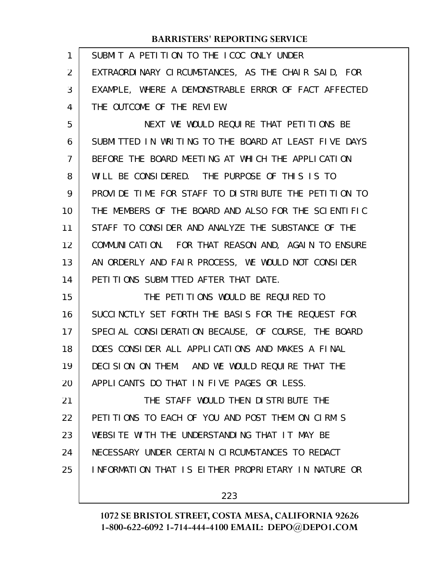| 1  | SUBMIT A PETITION TO THE ICOC ONLY UNDER             |
|----|------------------------------------------------------|
| 2  | EXTRAORDINARY CIRCUMSTANCES, AS THE CHAIR SAID, FOR  |
| 3  | EXAMPLE, WHERE A DEMONSTRABLE ERROR OF FACT AFFECTED |
| 4  | THE OUTCOME OF THE REVIEW.                           |
| 5  | NEXT WE WOULD REQUIRE THAT PETITIONS BE              |
| 6  | SUBMITTED IN WRITING TO THE BOARD AT LEAST FIVE DAYS |
| 7  | BEFORE THE BOARD MEETING AT WHICH THE APPLICATION    |
| 8  | WILL BE CONSIDERED. THE PURPOSE OF THIS IS TO        |
| 9  | PROVIDE TIME FOR STAFF TO DISTRIBUTE THE PETITION TO |
| 10 | THE MEMBERS OF THE BOARD AND ALSO FOR THE SCIENTIFIC |
| 11 | STAFF TO CONSIDER AND ANALYZE THE SUBSTANCE OF THE   |
| 12 | COMMUNICATION. FOR THAT REASON AND, AGAIN TO ENSURE  |
| 13 | AN ORDERLY AND FAIR PROCESS, WE WOULD NOT CONSIDER   |
| 14 | PETI TIONS SUBMITTED AFTER THAT DATE.                |
| 15 | THE PETITIONS WOULD BE REQUIRED TO                   |
|    |                                                      |
| 16 | SUCCINCTLY SET FORTH THE BASIS FOR THE REQUEST FOR   |
| 17 | SPECIAL CONSIDERATION BECAUSE, OF COURSE, THE BOARD  |
| 18 | DOES CONSIDER ALL APPLICATIONS AND MAKES A FINAL     |
| 19 | DECISION ON THEM. AND WE WOULD REQUIRE THAT THE      |
| 20 | APPLICANTS DO THAT IN FIVE PAGES OR LESS.            |
| 21 | THE STAFF WOULD THEN DISTRIBUTE THE                  |
| 22 | PETITIONS TO EACH OF YOU AND POST THEM ON CIRM'S     |
| 23 | WEBSITE WITH THE UNDERSTANDING THAT IT MAY BE        |
| 24 | NECESSARY UNDER CERTAIN CIRCUMSTANCES TO REDACT      |
| 25 | INFORMATION THAT IS EITHER PROPRIETARY IN NATURE OR  |

223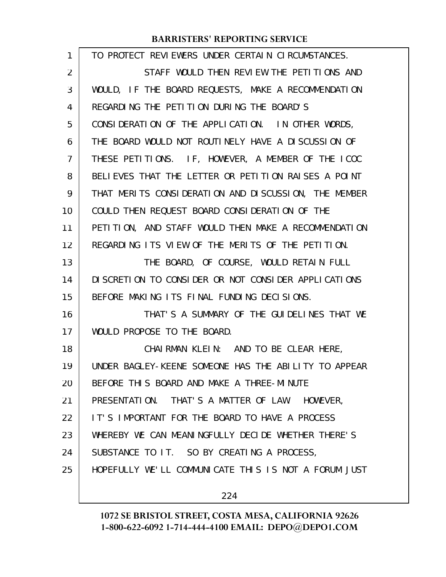| 1  | TO PROTECT REVIEWERS UNDER CERTAIN CIRCUMSTANCES.    |
|----|------------------------------------------------------|
| 2  | STAFF WOULD THEN REVIEW THE PETITIONS AND            |
| 3  | WOULD, IF THE BOARD REQUESTS, MAKE A RECOMMENDATION  |
| 4  | REGARDING THE PETITION DURING THE BOARD'S            |
| 5  | CONSIDERATION OF THE APPLICATION. IN OTHER WORDS,    |
| 6  | THE BOARD WOULD NOT ROUTINELY HAVE A DISCUSSION OF   |
| 7  | THESE PETITIONS. IF, HOWEVER, A MEMBER OF THE ICOC   |
| 8  | BELIEVES THAT THE LETTER OR PETITION RAISES A POINT  |
| 9  | THAT MERITS CONSIDERATION AND DISCUSSION, THE MEMBER |
| 10 | COULD THEN REQUEST BOARD CONSIDERATION OF THE        |
| 11 | PETITION, AND STAFF WOULD THEN MAKE A RECOMMENDATION |
| 12 | REGARDING ITS VIEW OF THE MERITS OF THE PETITION.    |
| 13 | THE BOARD, OF COURSE, WOULD RETAIN FULL              |
| 14 | DISCRETION TO CONSIDER OR NOT CONSIDER APPLICATIONS  |
| 15 | BEFORE MAKING ITS FINAL FUNDING DECISIONS.           |
| 16 | THAT'S A SUMMARY OF THE GUIDELINES THAT WE           |
| 17 | WOULD PROPOSE TO THE BOARD.                          |
| 18 | CHAIRMAN KLEIN: AND TO BE CLEAR HERE,                |
| 19 | UNDER BAGLEY-KEENE SOMEONE HAS THE ABILITY TO APPEAR |
| 20 | BEFORE THIS BOARD AND MAKE A THREE-MINUTE            |
| 21 | PRESENTATION. THAT'S A MATTER OF LAW. HOWEVER,       |
| 22 | IT'S IMPORTANT FOR THE BOARD TO HAVE A PROCESS       |
| 23 | WHEREBY WE CAN MEANINGFULLY DECIDE WHETHER THERE'S   |
| 24 | SUBSTANCE TO IT. SO BY CREATING A PROCESS,           |
| 25 | HOPEFULLY WE'LL COMMUNICATE THIS IS NOT A FORUM JUST |
|    |                                                      |

224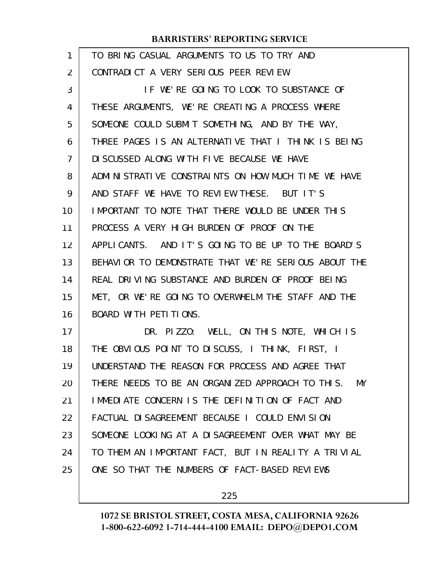| 1  | TO BRING CASUAL ARGUMENTS TO US TO TRY AND             |
|----|--------------------------------------------------------|
| 2  | CONTRADICT A VERY SERIOUS PEER REVIEW.                 |
| 3  | IF WE'RE GOING TO LOOK TO SUBSTANCE OF                 |
| 4  | THESE ARGUMENTS, WE'RE CREATING A PROCESS WHERE        |
| 5  | SOMEONE COULD SUBMIT SOMETHING, AND BY THE WAY,        |
| 6  | THREE PAGES IS AN ALTERNATIVE THAT I THINK IS BEING    |
| 7  | DI SCUSSED ALONG WITH FIVE BECAUSE WE HAVE             |
| 8  | ADMINISTRATIVE CONSTRAINTS ON HOW MUCH TIME WE HAVE    |
| 9  | AND STAFF WE HAVE TO REVIEW THESE. BUT IT'S            |
| 10 | IMPORTANT TO NOTE THAT THERE WOULD BE UNDER THIS       |
| 11 | PROCESS A VERY HIGH BURDEN OF PROOF ON THE             |
| 12 | APPLICANTS. AND IT'S GOING TO BE UP TO THE BOARD'S     |
| 13 | BEHAVIOR TO DEMONSTRATE THAT WE'RE SERIOUS ABOUT THE   |
| 14 | REAL DRIVING SUBSTANCE AND BURDEN OF PROOF BEING       |
| 15 | MET, OR WE'RE GOING TO OVERWHELM THE STAFF AND THE     |
| 16 | BOARD WITH PETITIONS.                                  |
| 17 | DR. PIZZO: WELL, ON THIS NOTE, WHICH IS                |
| 18 | THE OBVIOUS POINT TO DISCUSS, I THINK, FIRST, I        |
| 19 | UNDERSTAND THE REASON FOR PROCESS AND AGREE THAT       |
| 20 | THERE NEEDS TO BE AN ORGANIZED APPROACH TO THIS.<br>MY |
| 21 | IMMEDIATE CONCERN IS THE DEFINITION OF FACT AND        |
| 22 | FACTUAL DI SAGREEMENT BECAUSE I COULD ENVISION         |
| 23 | SOMEONE LOOKING AT A DISAGREEMENT OVER WHAT MAY BE     |
| 24 | TO THEM AN IMPORTANT FACT, BUT IN REALITY A TRIVIAL    |
| 25 | ONE SO THAT THE NUMBERS OF FACT-BASED REVIEWS          |
|    |                                                        |

225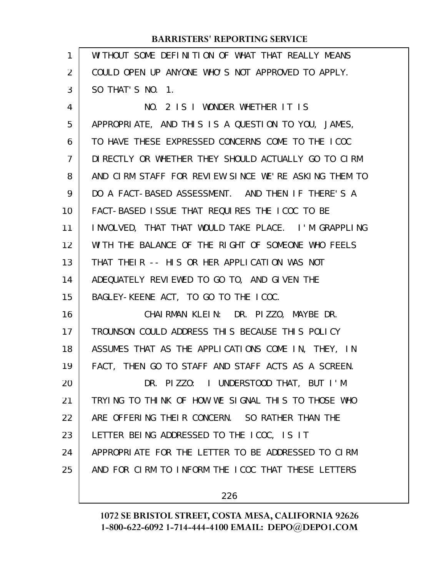| 1              | WITHOUT SOME DEFINITION OF WHAT THAT REALLY MEANS    |
|----------------|------------------------------------------------------|
| 2              | COULD OPEN UP ANYONE WHO'S NOT APPROVED TO APPLY.    |
| 3              | SO THAT'S NO. 1.                                     |
| 4              | NO. 2 IS I WONDER WHETHER IT IS                      |
| 5              | APPROPRIATE, AND THIS IS A QUESTION TO YOU, JAMES,   |
| 6              | TO HAVE THESE EXPRESSED CONCERNS COME TO THE LCOC    |
| $\overline{7}$ | DIRECTLY OR WHETHER THEY SHOULD ACTUALLY GO TO CIRM  |
| 8              | AND CIRM STAFF FOR REVIEW SINCE WE'RE ASKING THEM TO |
| 9              | DO A FACT-BASED ASSESSMENT. AND THEN IF THERE'S A    |
| 10             | FACT-BASED ISSUE THAT REQUIRES THE ICOC TO BE        |
| 11             | INVOLVED, THAT THAT WOULD TAKE PLACE. I'M GRAPPLING  |
| 12             | WITH THE BALANCE OF THE RIGHT OF SOMEONE WHO FEELS   |
| 13             | THAT THEIR -- HIS OR HER APPLICATION WAS NOT         |
| 14             | ADEQUATELY REVIEWED TO GO TO, AND GIVEN THE          |
| 15             | BAGLEY-KEENE ACT, TO GO TO THE ICOC.                 |
| 16             | CHAIRMAN KLEIN: DR. PIZZO, MAYBE DR.                 |
| 17             | TROUNSON COULD ADDRESS THIS BECAUSE THIS POLICY      |
| 18             | ASSUMES THAT AS THE APPLICATIONS COME IN, THEY, IN   |
| 19             | FACT, THEN GO TO STAFF AND STAFF ACTS AS A SCREEN.   |
| 20             | DR. PIZZO: I UNDERSTOOD THAT, BUT I'M                |
| 21             | TRYING TO THINK OF HOW WE SIGNAL THIS TO THOSE WHO   |
| 22             | ARE OFFERING THEIR CONCERN. SO RATHER THAN THE       |
| 23             | LETTER BEING ADDRESSED TO THE ICOC, IS IT            |
| 24             | APPROPRIATE FOR THE LETTER TO BE ADDRESSED TO CIRM   |
| 25             | AND FOR CIRM TO INFORM THE ICOC THAT THESE LETTERS   |
|                |                                                      |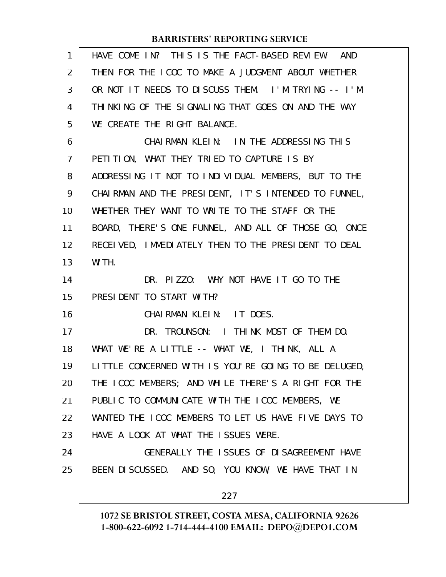| 1              | HAVE COME IN? THIS IS THE FACT-BASED REVIEW. AND     |
|----------------|------------------------------------------------------|
| $\overline{2}$ | THEN FOR THE ICOC TO MAKE A JUDGMENT ABOUT WHETHER   |
| 3              | OR NOT IT NEEDS TO DISCUSS THEM. I'M TRYING -- I'M   |
| 4              | THINKING OF THE SIGNALING THAT GOES ON AND THE WAY   |
| 5              | WE CREATE THE RIGHT BALANCE.                         |
| 6              | CHAIRMAN KLEIN: IN THE ADDRESSING THIS               |
| $\overline{7}$ | PETITION, WHAT THEY TRIED TO CAPTURE IS BY           |
| 8              | ADDRESSING IT NOT TO INDIVIDUAL MEMBERS, BUT TO THE  |
| 9              | CHAIRMAN AND THE PRESIDENT, IT'S INTENDED TO FUNNEL, |
| 10             | WHETHER THEY WANT TO WRITE TO THE STAFF OR THE       |
| 11             | BOARD, THERE'S ONE FUNNEL, AND ALL OF THOSE GO, ONCE |
| 12             | RECEIVED, IMMEDIATELY THEN TO THE PRESIDENT TO DEAL  |
| 13             | WI TH.                                               |
| 14             | DR. PIZZO: WHY NOT HAVE IT GO TO THE                 |
| 15             | PRESIDENT TO START WITH?                             |
| 16             | CHAIRMAN KLEIN: IT DOES.                             |
| 17             | DR. TROUNSON: I THINK MOST OF THEM DO.               |
| 18             | WHAT WE'RE A LITTLE -- WHAT WE, I THINK, ALL A       |
| 19             | LITTLE CONCERNED WITH IS YOU'RE GOING TO BE DELUGED, |
| 20             | THE ICOC MEMBERS; AND WHILE THERE'S A RIGHT FOR THE  |
| 21             | PUBLIC TO COMMUNICATE WITH THE ICOC MEMBERS, WE      |
| 22             | WANTED THE ICOC MEMBERS TO LET US HAVE FIVE DAYS TO  |
| 23             | HAVE A LOOK AT WHAT THE ISSUES WERE.                 |
| 24             | GENERALLY THE ISSUES OF DISAGREEMENT HAVE            |
| 25             | BEEN DISCUSSED. AND SO, YOU KNOW, WE HAVE THAT IN    |
|                | 227                                                  |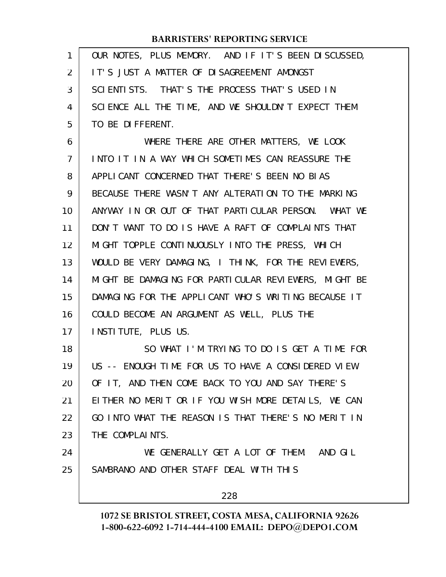| 1              | OUR NOTES, PLUS MEMORY. AND IF IT'S BEEN DISCUSSED,  |
|----------------|------------------------------------------------------|
| 2              | IT'S JUST A MATTER OF DISAGREEMENT AMONGST           |
| 3              | SCIENTISTS. THAT'S THE PROCESS THAT'S USED IN        |
| 4              | SCIENCE ALL THE TIME, AND WE SHOULDN'T EXPECT THEM   |
| 5              | TO BE DIFFERENT.                                     |
| 6              | WHERE THERE ARE OTHER MATTERS, WE LOOK               |
| $\overline{7}$ | INTO IT IN A WAY WHICH SOMETIMES CAN REASSURE THE    |
| 8              | APPLICANT CONCERNED THAT THERE'S BEEN NO BIAS        |
| 9              | BECAUSE THERE WASN'T ANY ALTERATION TO THE MARKING   |
| 10             | ANYWAY IN OR OUT OF THAT PARTICULAR PERSON. WHAT WE  |
| 11             | DON'T WANT TO DO IS HAVE A RAFT OF COMPLAINTS THAT   |
| 12             | MIGHT TOPPLE CONTINUOUSLY INTO THE PRESS, WHICH      |
| 13             | WOULD BE VERY DAMAGING, I THINK, FOR THE REVIEWERS,  |
| 14             | MIGHT BE DAMAGING FOR PARTICULAR REVIEWERS, MIGHT BE |
| 15             | DAMAGING FOR THE APPLICANT WHO'S WRITING BECAUSE IT  |
| 16             | COULD BECOME AN ARGUMENT AS WELL, PLUS THE           |
| 17             | INSTITUTE, PLUS US.                                  |
| 18             | SO WHAT I'M TRYING TO DO IS GET A TIME FOR           |
| 19             | US -- ENOUGH TIME FOR US TO HAVE A CONSIDERED VIEW   |
| 20             | OF IT, AND THEN COME BACK TO YOU AND SAY THERE'S     |
| 21             | EITHER NO MERIT OR IF YOU WISH MORE DETAILS, WE CAN  |
| 22             | GO INTO WHAT THE REASON IS THAT THERE'S NO MERIT IN  |
| 23             | THE COMPLAINTS.                                      |
| 24             | WE GENERALLY GET A LOT OF THEM. AND GIL              |
| 25             | SAMBRANO AND OTHER STAFF DEAL WITH THIS              |
|                | 228                                                  |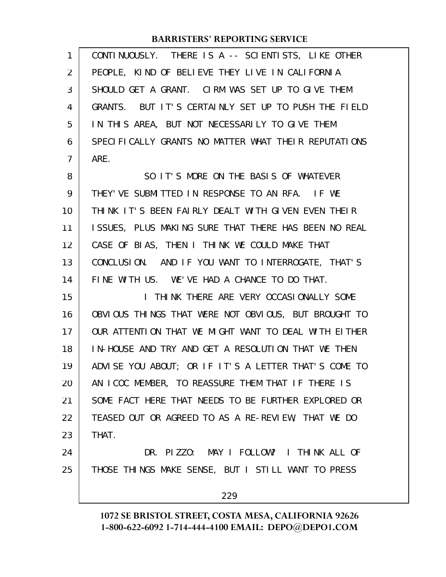| 1              | CONTINUOUSLY. THERE IS A -- SCIENTISTS, LIKE OTHER   |
|----------------|------------------------------------------------------|
| $\overline{2}$ | PEOPLE, KIND OF BELIEVE THEY LIVE IN CALIFORNIA      |
| 3              | SHOULD GET A GRANT. CIRM WAS SET UP TO GIVE THEM     |
| 4              | GRANTS. BUT IT'S CERTAINLY SET UP TO PUSH THE FIELD  |
| 5              | IN THIS AREA, BUT NOT NECESSARILY TO GIVE THEM       |
| 6              | SPECIFICALLY GRANTS NO MATTER WHAT THEIR REPUTATIONS |
| 7              | ARE.                                                 |
| 8              | SO IT'S MORE ON THE BASIS OF WHATEVER                |
| 9              | THEY'VE SUBMITTED IN RESPONSE TO AN RFA. IF WE       |
| 10             | THINK IT'S BEEN FAIRLY DEALT WITH GIVEN EVEN THEIR   |
| 11             | ISSUES, PLUS MAKING SURE THAT THERE HAS BEEN NO REAL |
| 12             | CASE OF BIAS, THEN I THINK WE COULD MAKE THAT        |
| 13             | CONCLUSION. AND IF YOU WANT TO INTERROGATE, THAT'S   |
| 14             | FINE WITH US. WE'VE HAD A CHANCE TO DO THAT.         |
| 15             | I THINK THERE ARE VERY OCCASIONALLY SOME             |
| 16             | OBVIOUS THINGS THAT WERE NOT OBVIOUS, BUT BROUGHT TO |
| 17             | OUR ATTENTION THAT WE MIGHT WANT TO DEAL WITH EITHER |
| 18             | IN-HOUSE AND TRY AND GET A RESOLUTION THAT WE THEN   |
| 19             | ADVISE YOU ABOUT; OR IF IT'S A LETTER THAT'S COME TO |
| 20             | AN ICOC MEMBER, TO REASSURE THEM THAT IF THERE IS    |
| 21             | SOME FACT HERE THAT NEEDS TO BE FURTHER EXPLORED OR  |
| 22             | TEASED OUT OR AGREED TO AS A RE-REVIEW, THAT WE DO   |
| 23             | THAT.                                                |
| 24             | DR. PIZZO: MAY I FOLLOW? I THINK ALL OF              |
| 25             | THOSE THINGS MAKE SENSE, BUT I STILL WANT TO PRESS   |
|                | 229                                                  |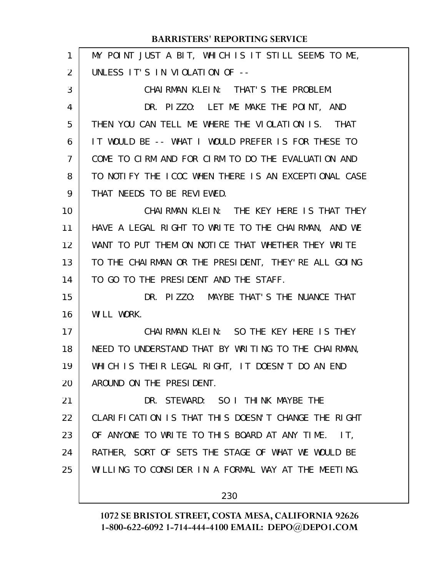| 1  | MY POINT JUST A BIT, WHICH IS IT STILL SEEMS TO ME,  |
|----|------------------------------------------------------|
| 2  | UNLESS IT'S IN VIOLATION OF --                       |
| 3  | CHAI RMAN KLEIN: THAT'S THE PROBLEM.                 |
| 4  | DR. PIZZO: LET ME MAKE THE POINT, AND                |
| 5  | THEN YOU CAN TELL ME WHERE THE VIOLATION IS. THAT    |
| 6  | IT WOULD BE -- WHAT I WOULD PREFER IS FOR THESE TO   |
| 7  | COME TO CIRM AND FOR CIRM TO DO THE EVALUATION AND   |
| 8  | TO NOTIFY THE ICOC WHEN THERE IS AN EXCEPTIONAL CASE |
| 9  | THAT NEEDS TO BE REVIEWED.                           |
| 10 | CHAIRMAN KLEIN: THE KEY HERE IS THAT THEY            |
| 11 | HAVE A LEGAL RIGHT TO WRITE TO THE CHAIRMAN, AND WE  |
| 12 | WANT TO PUT THEM ON NOTICE THAT WHETHER THEY WRITE   |
| 13 | TO THE CHAIRMAN OR THE PRESIDENT, THEY'RE ALL GOING  |
| 14 | TO GO TO THE PRESIDENT AND THE STAFF.                |
| 15 | DR. PIZZO: MAYBE THAT'S THE NUANCE THAT              |
| 16 | WILL WORK.                                           |
| 17 | CHAIRMAN KLEIN: SO THE KEY HERE IS THEY              |
| 18 | NEED TO UNDERSTAND THAT BY WRITING TO THE CHAIRMAN,  |
| 19 | WHICH IS THEIR LEGAL RIGHT, IT DOESN'T DO AN END     |
| 20 | AROUND ON THE PRESIDENT.                             |
| 21 | DR. STEWARD: SO I THINK MAYBE THE                    |
| 22 | CLARIFICATION IS THAT THIS DOESN'T CHANGE THE RIGHT  |
| 23 | OF ANYONE TO WRITE TO THIS BOARD AT ANY TIME. IT,    |
| 24 | RATHER, SORT OF SETS THE STAGE OF WHAT WE WOULD BE   |
| 25 | WILLING TO CONSIDER IN A FORMAL WAY AT THE MEETING.  |
|    | 230                                                  |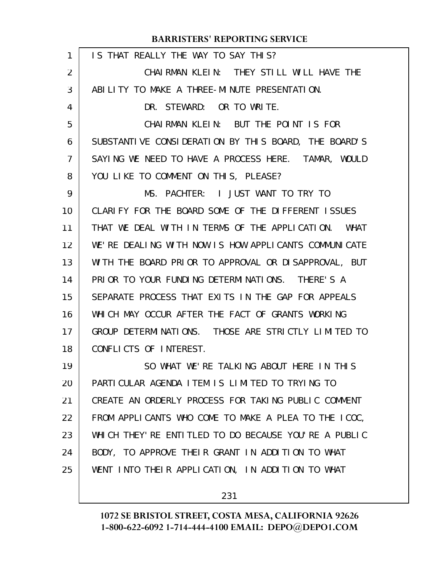| 1  | IS THAT REALLY THE WAY TO SAY THIS?                   |
|----|-------------------------------------------------------|
| 2  | CHAIRMAN KLEIN: THEY STILL WILL HAVE THE              |
| 3  | ABILITY TO MAKE A THREE-MINUTE PRESENTATION.          |
| 4  | DR. STEWARD: OR TO WRITE.                             |
| 5  | CHAIRMAN KLEIN: BUT THE POINT IS FOR                  |
| 6  | SUBSTANTIVE CONSIDERATION BY THIS BOARD, THE BOARD'S  |
| 7  | SAYING WE NEED TO HAVE A PROCESS HERE. TAMAR, WOULD   |
| 8  | YOU LIKE TO COMMENT ON THIS, PLEASE?                  |
| 9  | MS. PACHTER: I JUST WANT TO TRY TO                    |
| 10 | CLARIFY FOR THE BOARD SOME OF THE DIFFERENT ISSUES    |
| 11 | THAT WE DEAL WITH IN TERMS OF THE APPLICATION. WHAT   |
| 12 | WE'RE DEALING WITH NOW IS HOW APPLICANTS COMMUNICATE  |
| 13 | WITH THE BOARD PRIOR TO APPROVAL OR DISAPPROVAL, BUT  |
| 14 | PRIOR TO YOUR FUNDING DETERMINATIONS. THERE'S A       |
| 15 | SEPARATE PROCESS THAT EXITS IN THE GAP FOR APPEALS    |
| 16 | WHICH MAY OCCUR AFTER THE FACT OF GRANTS WORKING      |
| 17 | GROUP DETERMINATIONS. THOSE ARE STRICTLY LIMITED TO   |
| 18 | CONFLICTS OF INTEREST.                                |
| 19 | SO WHAT WE'RE TALKING ABOUT HERE IN THIS              |
| 20 | PARTICULAR AGENDA ITEM IS LIMITED TO TRYING TO        |
| 21 | CREATE AN ORDERLY PROCESS FOR TAKING PUBLIC COMMENT   |
| 22 | FROM APPLICANTS WHO COME TO MAKE A PLEA TO THE ICOC,  |
| 23 | WHICH THEY' RE ENTITLED TO DO BECAUSE YOU'RE A PUBLIC |
| 24 | BODY, TO APPROVE THEIR GRANT IN ADDITION TO WHAT      |
| 25 | WENT INTO THEIR APPLICATION, IN ADDITION TO WHAT      |
|    |                                                       |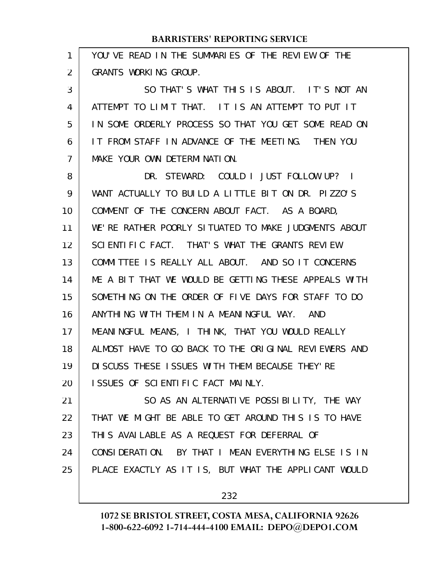| 1  | YOU'VE READ IN THE SUMMARIES OF THE REVIEW OF THE    |
|----|------------------------------------------------------|
| 2  | GRANTS WORKING GROUP.                                |
| 3  | SO THAT'S WHAT THIS IS ABOUT. IT'S NOT AN            |
| 4  | ATTEMPT TO LIMIT THAT. IT IS AN ATTEMPT TO PUT IT    |
| 5  | IN SOME ORDERLY PROCESS SO THAT YOU GET SOME READ ON |
| 6  | IT FROM STAFF IN ADVANCE OF THE MEETING. THEN YOU    |
| 7  | MAKE YOUR OWN DETERMINATION.                         |
| 8  | DR. STEWARD: COULD I JUST FOLLOW UP? I               |
| 9  | WANT ACTUALLY TO BUILD A LITTLE BIT ON DR. PIZZO'S   |
| 10 | COMMENT OF THE CONCERN ABOUT FACT. AS A BOARD,       |
| 11 | WE'RE RATHER POORLY SITUATED TO MAKE JUDGMENTS ABOUT |
| 12 | SCIENTIFIC FACT. THAT'S WHAT THE GRANTS REVIEW       |
| 13 | COMMITTEE IS REALLY ALL ABOUT. AND SO IT CONCERNS    |
| 14 | ME A BIT THAT WE WOULD BE GETTING THESE APPEALS WITH |
| 15 | SOMETHING ON THE ORDER OF FIVE DAYS FOR STAFF TO DO  |
| 16 | ANYTHING WITH THEM IN A MEANINGFUL WAY. AND          |
| 17 | MEANINGFUL MEANS, I THINK, THAT YOU WOULD REALLY     |
| 18 | ALMOST HAVE TO GO BACK TO THE ORIGINAL REVIEWERS AND |
| 19 | DI SCUSS THESE ISSUES WITH THEM BECAUSE THEY' RE     |
| 20 | ISSUES OF SCIENTIFIC FACT MAINLY.                    |
| 21 | SO AS AN ALTERNATIVE POSSIBILITY, THE WAY            |
| 22 | THAT WE MIGHT BE ABLE TO GET AROUND THIS IS TO HAVE  |
| 23 | THIS AVAILABLE AS A REQUEST FOR DEFERRAL OF          |
| 24 | CONSIDERATION. BY THAT I MEAN EVERYTHING ELSE IS IN  |
| 25 | PLACE EXACTLY AS IT IS, BUT WHAT THE APPLICANT WOULD |
|    |                                                      |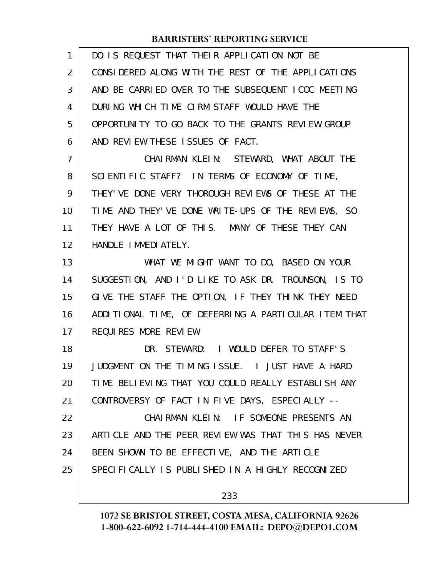| 1  | DO IS REQUEST THAT THEIR APPLICATION NOT BE          |
|----|------------------------------------------------------|
| 2  | CONSIDERED ALONG WITH THE REST OF THE APPLICATIONS   |
| 3  | AND BE CARRIED OVER TO THE SUBSEQUENT ICOC MEETING   |
| 4  | DURING WHICH TIME CIRM STAFF WOULD HAVE THE          |
| 5  | OPPORTUNITY TO GO BACK TO THE GRANTS REVIEW GROUP    |
| 6  | AND REVIEW THESE ISSUES OF FACT.                     |
| 7  | CHAIRMAN KLEIN: STEWARD, WHAT ABOUT THE              |
| 8  | SCIENTIFIC STAFF? IN TERMS OF ECONOMY OF TIME,       |
| 9  | THEY' VE DONE VERY THOROUGH REVIEWS OF THESE AT THE  |
| 10 | TIME AND THEY'VE DONE WRITE-UPS OF THE REVIEWS, SO   |
| 11 | THEY HAVE A LOT OF THIS. MANY OF THESE THEY CAN      |
| 12 | HANDLE IMMEDIATELY.                                  |
| 13 | WHAT WE MIGHT WANT TO DO, BASED ON YOUR              |
| 14 | SUGGESTION, AND I'D LIKE TO ASK DR. TROUNSON, IS TO  |
| 15 | GIVE THE STAFF THE OPTION, IF THEY THINK THEY NEED   |
| 16 | ADDITIONAL TIME, OF DEFERRING A PARTICULAR ITEM THAT |
| 17 | REQUIRES MORE REVIEW.                                |
| 18 | DR. STEWARD: I WOULD DEFER TO STAFF'S                |
| 19 | JUDGMENT ON THE TIMING ISSUE. I JUST HAVE A HARD     |
| 20 | TIME BELIEVING THAT YOU COULD REALLY ESTABLISH ANY   |
| 21 | CONTROVERSY OF FACT IN FIVE DAYS, ESPECIALLY --      |
| 22 | CHAIRMAN KLEIN: IF SOMEONE PRESENTS AN               |
| 23 | ARTICLE AND THE PEER REVIEW WAS THAT THIS HAS NEVER  |
| 24 | BEEN SHOWN TO BE EFFECTIVE, AND THE ARTICLE          |
| 25 | SPECIFICALLY IS PUBLISHED IN A HIGHLY RECOGNIZED     |
|    |                                                      |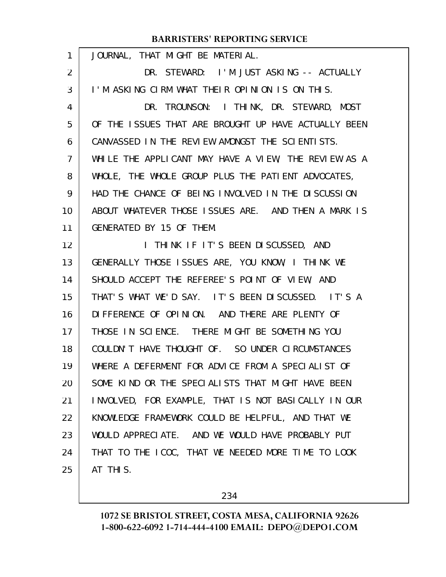| 1  | JOURNAL, THAT MIGHT BE MATERIAL.                     |
|----|------------------------------------------------------|
| 2  | DR. STEWARD: I'M JUST ASKING -- ACTUALLY             |
| 3  | I'M ASKING CIRM WHAT THEIR OPINION IS ON THIS.       |
| 4  | DR. TROUNSON: I THINK, DR. STEWARD, MOST             |
| 5  | OF THE ISSUES THAT ARE BROUGHT UP HAVE ACTUALLY BEEN |
| 6  | CANVASSED IN THE REVIEW AMONGST THE SCIENTISTS.      |
| 7  | WHILE THE APPLICANT MAY HAVE A VIEW, THE REVIEW AS A |
| 8  | WHOLE, THE WHOLE GROUP PLUS THE PATIENT ADVOCATES,   |
| 9  | HAD THE CHANCE OF BEING INVOLVED IN THE DISCUSSION   |
| 10 | ABOUT WHATEVER THOSE ISSUES ARE. AND THEN A MARK IS  |
| 11 | GENERATED BY 15 OF THEM.                             |
| 12 | I THINK IF IT'S BEEN DISCUSSED, AND                  |
| 13 | GENERALLY THOSE ISSUES ARE, YOU KNOW, I THINK WE     |
| 14 | SHOULD ACCEPT THE REFEREE'S POINT OF VIEW, AND       |
| 15 | THAT'S WHAT WE'D SAY. IT'S BEEN DISCUSSED. IT'S A    |
| 16 | DIFFERENCE OF OPINION. AND THERE ARE PLENTY OF       |
| 17 | THOSE IN SCIENCE. THERE MIGHT BE SOMETHING YOU       |
| 18 | COULDN'T HAVE THOUGHT OF. SO UNDER CIRCUMSTANCES     |
| 19 | WHERE A DEFERMENT FOR ADVICE FROM A SPECIALIST OF    |
| 20 | SOME KIND OR THE SPECIALISTS THAT MIGHT HAVE BEEN    |
| 21 | INVOLVED, FOR EXAMPLE, THAT IS NOT BASICALLY IN OUR  |
| 22 | KNOWLEDGE FRAMEWORK COULD BE HELPFUL, AND THAT WE    |
| 23 | WOULD APPRECIATE. AND WE WOULD HAVE PROBABLY PUT     |
| 24 | THAT TO THE ICOC, THAT WE NEEDED MORE TIME TO LOOK   |
| 25 | AT THIS.                                             |

234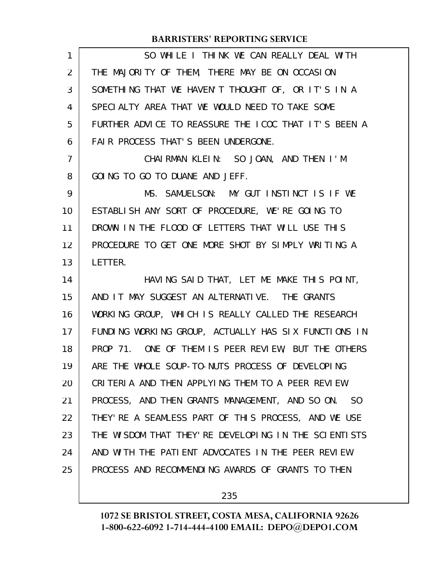| $\mathbf{1}$   | SO WHILE I THINK WE CAN REALLY DEAL WITH             |
|----------------|------------------------------------------------------|
| $\overline{2}$ | THE MAJORITY OF THEM, THERE MAY BE ON OCCASION       |
| 3              | SOMETHING THAT WE HAVEN'T THOUGHT OF, OR IT'S IN A   |
| 4              | SPECIALTY AREA THAT WE WOULD NEED TO TAKE SOME       |
| 5              | FURTHER ADVICE TO REASSURE THE ICOC THAT IT'S BEEN A |
| 6              | FAIR PROCESS THAT'S BEEN UNDERGONE.                  |
| 7              | CHAIRMAN KLEIN: SO JOAN, AND THEN I'M                |
| 8              | GOING TO GO TO DUANE AND JEFF.                       |
| 9              | MS. SAMUELSON: MY GUT INSTINCT IS IF WE              |
| 10             | ESTABLISH ANY SORT OF PROCEDURE, WE'RE GOING TO      |
| 11             | DROWN IN THE FLOOD OF LETTERS THAT WILL USE THIS     |
| 12             | PROCEDURE TO GET ONE MORE SHOT BY SIMPLY WRITING A   |
| 13             | LETTER.                                              |
| 14             | HAVING SAID THAT, LET ME MAKE THIS POINT,            |
| 15             | AND IT MAY SUGGEST AN ALTERNATIVE. THE GRANTS        |
| 16             | WORKING GROUP, WHICH IS REALLY CALLED THE RESEARCH   |
| 17             | FUNDING WORKING GROUP, ACTUALLY HAS SIX FUNCTIONS IN |
| 18             | PROP 71. ONE OF THEM IS PEER REVIEW, BUT THE OTHERS  |
| 19             | ARE THE WHOLE SOUP-TO-NUTS PROCESS OF DEVELOPING     |
| 20             | CRITERIA AND THEN APPLYING THEM TO A PEER REVIEW     |
| 21             | PROCESS, AND THEN GRANTS MANAGEMENT, AND SO ON. SO   |
| 22             | THEY' RE A SEAMLESS PART OF THIS PROCESS, AND WE USE |
| 23             | THE WISDOM THAT THEY'RE DEVELOPING IN THE SCIENTISTS |
| 24             | AND WITH THE PATIENT ADVOCATES IN THE PEER REVIEW    |
| 25             | PROCESS AND RECOMMENDING AWARDS OF GRANTS TO THEN    |
|                |                                                      |

235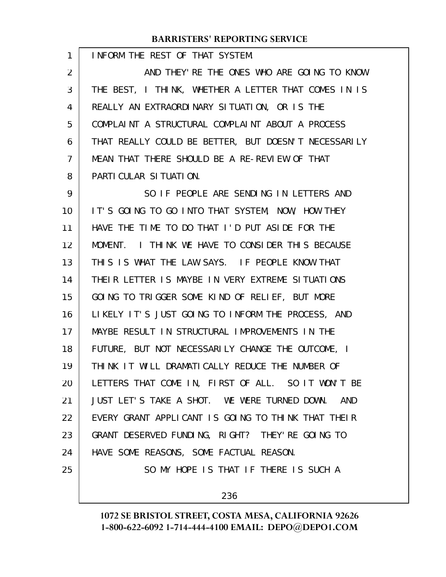INFORM THE REST OF THAT SYSTEM. AND THEY'RE THE ONES WHO ARE GOING TO KNOW THE BEST, I THINK, WHETHER A LETTER THAT COMES IN IS REALLY AN EXTRAORDINARY SITUATION, OR IS THE COMPLAINT A STRUCTURAL COMPLAINT ABOUT A PROCESS THAT REALLY COULD BE BETTER, BUT DOESN'T NECESSARILY MEAN THAT THERE SHOULD BE A RE-REVIEW OF THAT PARTICULAR SITUATION. SO IF PEOPLE ARE SENDING IN LETTERS AND IT'S GOING TO GO INTO THAT SYSTEM, NOW, HOW THEY HAVE THE TIME TO DO THAT I'D PUT ASIDE FOR THE MOMENT. I THINK WE HAVE TO CONSIDER THIS BECAUSE THIS IS WHAT THE LAW SAYS. IF PEOPLE KNOW THAT THEIR LETTER IS MAYBE IN VERY EXTREME SITUATIONS GOING TO TRIGGER SOME KIND OF RELIEF, BUT MORE LIKELY IT'S JUST GOING TO INFORM THE PROCESS, AND MAYBE RESULT IN STRUCTURAL IMPROVEMENTS IN THE FUTURE, BUT NOT NECESSARILY CHANGE THE OUTCOME, I THINK IT WILL DRAMATICALLY REDUCE THE NUMBER OF LETTERS THAT COME IN, FIRST OF ALL. SO IT WON'T BE JUST LET'S TAKE A SHOT. WE WERE TURNED DOWN. AND EVERY GRANT APPLICANT IS GOING TO THINK THAT THEIR GRANT DESERVED FUNDING, RIGHT? THEY'RE GOING TO HAVE SOME REASONS, SOME FACTUAL REASON. SO MY HOPE IS THAT IF THERE IS SUCH A 1 2 3 4 5 6 7 8 9 10 11 12 13 14 15 16 17 18 19 20 21 22 23 24 25

236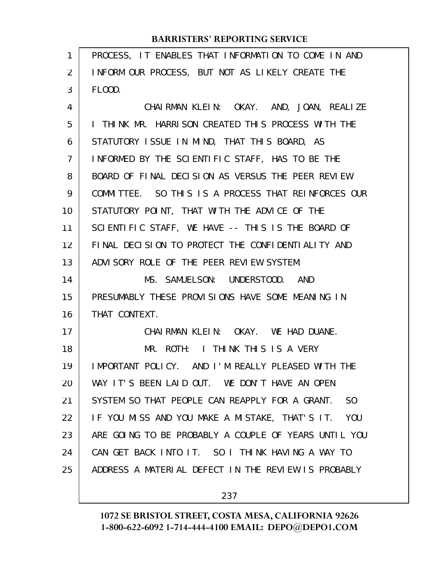| 1              | PROCESS, IT ENABLES THAT INFORMATION TO COME IN AND              |
|----------------|------------------------------------------------------------------|
| 2              | INFORM OUR PROCESS, BUT NOT AS LIKELY CREATE THE                 |
| 3              | FLOOD.                                                           |
| 4              | CHAIRMAN KLEIN: OKAY. AND, JOAN, REALIZE                         |
| 5              | I THINK MR. HARRISON CREATED THIS PROCESS WITH THE               |
| 6              | STATUTORY ISSUE IN MIND, THAT THIS BOARD, AS                     |
| $\overline{7}$ | INFORMED BY THE SCIENTIFIC STAFF, HAS TO BE THE                  |
| 8              | BOARD OF FINAL DECISION AS VERSUS THE PEER REVIEW                |
| 9              | COMMITTEE. SO THIS IS A PROCESS THAT REINFORCES OUR              |
| 10             | STATUTORY POINT, THAT WITH THE ADVICE OF THE                     |
| 11             | SCIENTIFIC STAFF, WE HAVE -- THIS IS THE BOARD OF                |
| 12             | FINAL DECISION TO PROTECT THE CONFIDENTIALITY AND                |
| 13             | ADVISORY ROLE OF THE PEER REVIEW SYSTEM.                         |
| 14             | MS. SAMUELSON: UNDERSTOOD. AND                                   |
| 15             | PRESUMABLY THESE PROVISIONS HAVE SOME MEANING IN                 |
| 16             | THAT CONTEXT.                                                    |
| 17             | CHAIRMAN KLEIN: OKAY. WE HAD DUANE.                              |
| 18             |                                                                  |
|                | MR. ROTH: I THINK THIS IS A VERY                                 |
| 19             | IMPORTANT POLICY. AND I'M REALLY PLEASED WITH THE                |
| 20             | WAY IT'S BEEN LAID OUT. WE DON'T HAVE AN OPEN                    |
| 21             | SYSTEM SO THAT PEOPLE CAN REAPPLY FOR A GRANT.<br>S <sub>0</sub> |
| 22             | IF YOU MISS AND YOU MAKE A MISTAKE, THAT'S IT. YOU               |
| 23             | ARE GOING TO BE PROBABLY A COUPLE OF YEARS UNTIL YOU             |
| 24             | CAN GET BACK INTO IT. SO I THINK HAVING A WAY TO                 |
| 25             | ADDRESS A MATERIAL DEFECT IN THE REVIEW IS PROBABLY              |

237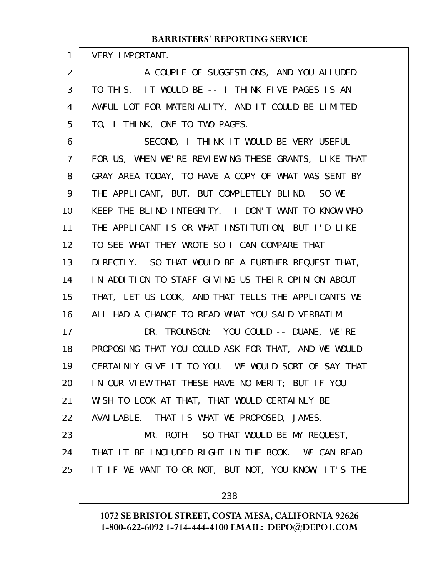|  | <b>VERY IMPORTANT</b> |
|--|-----------------------|
|--|-----------------------|

1

A COUPLE OF SUGGESTIONS, AND YOU ALLUDED TO THIS. IT WOULD BE -- I THINK FIVE PAGES IS AN AWFUL LOT FOR MATERIALITY, AND IT COULD BE LIMITED TO, I THINK, ONE TO TWO PAGES. 2 3 4 5

SECOND, I THINK IT WOULD BE VERY USEFUL FOR US, WHEN WE'RE REVIEWING THESE GRANTS, LIKE THAT GRAY AREA TODAY, TO HAVE A COPY OF WHAT WAS SENT BY THE APPLICANT, BUT, BUT COMPLETELY BLIND. SO WE KEEP THE BLIND INTEGRITY. I DON'T WANT TO KNOW WHO THE APPLICANT IS OR WHAT INSTITUTION, BUT I'D LIKE TO SEE WHAT THEY WROTE SO I CAN COMPARE THAT DIRECTLY. SO THAT WOULD BE A FURTHER REQUEST THAT, IN ADDITION TO STAFF GIVING US THEIR OPINION ABOUT THAT, LET US LOOK, AND THAT TELLS THE APPLICANTS WE ALL HAD A CHANCE TO READ WHAT YOU SAID VERBATIM. DR. TROUNSON: YOU COULD -- DUANE, WE'RE PROPOSING THAT YOU COULD ASK FOR THAT, AND WE WOULD CERTAINLY GIVE IT TO YOU. WE WOULD SORT OF SAY THAT IN OUR VIEW THAT THESE HAVE NO MERIT; BUT IF YOU 6 7 8 9 10 11 12 13 14 15 16 17 18 19 20

WISH TO LOOK AT THAT, THAT WOULD CERTAINLY BE 21

AVAILABLE. THAT IS WHAT WE PROPOSED, JAMES. 22

MR. ROTH: SO THAT WOULD BE MY REQUEST, THAT IT BE INCLUDED RIGHT IN THE BOOK. WE CAN READ IT IF WE WANT TO OR NOT, BUT NOT, YOU KNOW, IT'S THE 23 24 25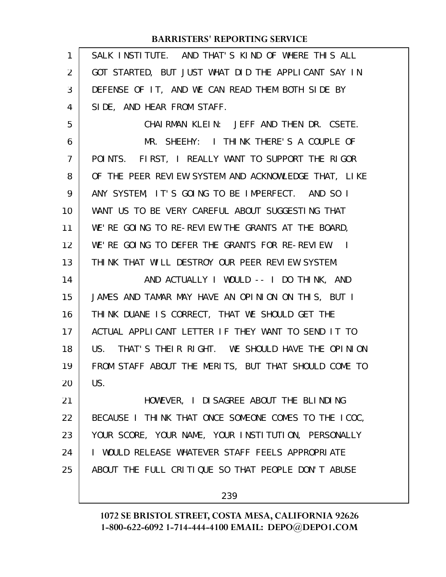| $\mathbf{1}$   | SALK INSTITUTE. AND THAT'S KIND OF WHERE THIS ALL    |
|----------------|------------------------------------------------------|
| $\overline{2}$ | GOT STARTED, BUT JUST WHAT DID THE APPLICANT SAY IN  |
| 3              | DEFENSE OF IT, AND WE CAN READ THEM BOTH SIDE BY     |
| 4              | SIDE, AND HEAR FROM STAFF.                           |
| 5              | CHAIRMAN KLEIN: JEFF AND THEN DR. CSETE.             |
| 6              | MR. SHEEHY: I THINK THERE'S A COUPLE OF              |
| 7              | POINTS. FIRST, I REALLY WANT TO SUPPORT THE RIGOR    |
| 8              | OF THE PEER REVIEW SYSTEM AND ACKNOWLEDGE THAT, LIKE |
| 9              | ANY SYSTEM, IT'S GOING TO BE IMPERFECT. AND SO I     |
| 10             | WANT US TO BE VERY CAREFUL ABOUT SUGGESTING THAT     |
| 11             | WE'RE GOING TO RE-REVIEW THE GRANTS AT THE BOARD,    |
| 12             | WE'RE GOING TO DEFER THE GRANTS FOR RE-REVIEW. I     |
| 13             | THINK THAT WILL DESTROY OUR PEER REVIEW SYSTEM.      |
|                |                                                      |
| 14             | AND ACTUALLY I WOULD -- I DO THINK, AND              |
| 15             | JAMES AND TAMAR MAY HAVE AN OPINION ON THIS, BUT I   |
| 16             | THINK DUANE IS CORRECT, THAT WE SHOULD GET THE       |
| 17             | ACTUAL APPLICANT LETTER IF THEY WANT TO SEND IT TO   |
| 18             | US. THAT'S THEIR RIGHT. WE SHOULD HAVE THE OPINION   |
| 19             | FROM STAFF ABOUT THE MERITS, BUT THAT SHOULD COME TO |
| 20             | US.                                                  |
| 21             | HOWEVER, I DISAGREE ABOUT THE BLINDING               |
| 22             | BECAUSE I THINK THAT ONCE SOMEONE COMES TO THE ICOC, |
| 23             | YOUR SCORE, YOUR NAME, YOUR INSTITUTION, PERSONALLY  |
| 24             | I WOULD RELEASE WHATEVER STAFF FEELS APPROPRIATE     |
| 25             | ABOUT THE FULL CRITIQUE SO THAT PEOPLE DON'T ABUSE   |

239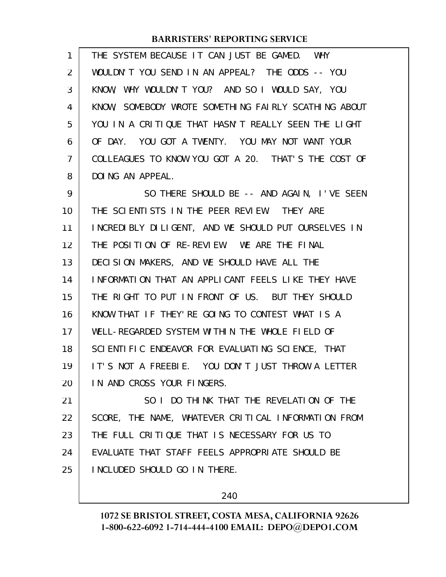| 1  | THE SYSTEM BECAUSE IT CAN JUST BE GAMED. WHY         |
|----|------------------------------------------------------|
| 2  | WOULDN'T YOU SEND IN AN APPEAL? THE ODDS -- YOU      |
| 3  | KNOW, WHY WOULDN'T YOU? AND SO I WOULD SAY, YOU      |
| 4  | KNOW, SOMEBODY WROTE SOMETHING FAIRLY SCATHING ABOUT |
| 5  | YOU IN A CRITIQUE THAT HASN'T REALLY SEEN THE LIGHT  |
| 6  | OF DAY. YOU GOT A TWENTY. YOU MAY NOT WANT YOUR      |
| 7  | COLLEAGUES TO KNOW YOU GOT A 20. THAT'S THE COST OF  |
| 8  | DOING AN APPEAL.                                     |
| 9  | SO THERE SHOULD BE -- AND AGAIN, I'VE SEEN           |
| 10 | THE SCIENTISTS IN THE PEER REVIEW. THEY ARE          |
| 11 | INCREDIBLY DILIGENT, AND WE SHOULD PUT OURSELVES IN  |
| 12 | THE POSITION OF RE-REVIEW. WE ARE THE FINAL          |
| 13 | DECISION MAKERS, AND WE SHOULD HAVE ALL THE          |
| 14 | INFORMATION THAT AN APPLICANT FEELS LIKE THEY HAVE   |
| 15 | THE RIGHT TO PUT IN FRONT OF US. BUT THEY SHOULD     |
| 16 | KNOW THAT IF THEY'RE GOING TO CONTEST WHAT IS A      |
| 17 | WELL-REGARDED SYSTEM WITHIN THE WHOLE FIELD OF       |
| 18 | SCIENTIFIC ENDEAVOR FOR EVALUATING SCIENCE, THAT     |
| 19 | IT'S NOT A FREEBIE. YOU DON'T JUST THROW A LETTER    |
| 20 | IN AND CROSS YOUR FINGERS.                           |
| 21 | SO I DO THINK THAT THE REVELATION OF THE             |
| 22 | SCORE, THE NAME, WHATEVER CRITICAL INFORMATION FROM  |
| 23 | THE FULL CRITIQUE THAT IS NECESSARY FOR US TO        |
| 24 | EVALUATE THAT STAFF FEELS APPROPRIATE SHOULD BE      |
| 25 | INCLUDED SHOULD GO IN THERE.                         |
|    |                                                      |

240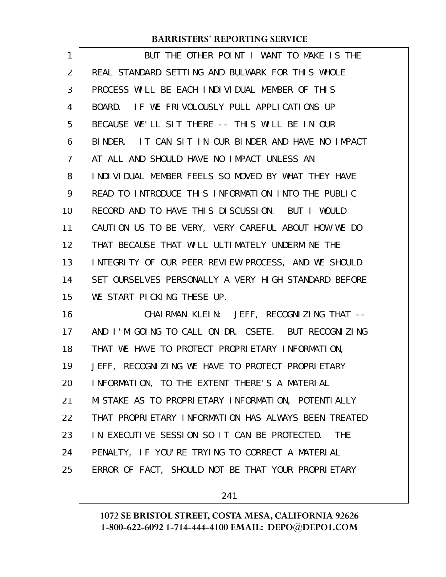| 1  | BUT THE OTHER POINT I WANT TO MAKE IS THE                  |
|----|------------------------------------------------------------|
| 2  | REAL STANDARD SETTING AND BULWARK FOR THIS WHOLE           |
| 3  | PROCESS WILL BE EACH INDIVIDUAL MEMBER OF THIS             |
| 4  | BOARD. IF WE FRIVOLOUSLY PULL APPLICATIONS UP              |
| 5  | BECAUSE WE'LL SIT THERE -- THIS WILL BE IN OUR             |
| 6  | BINDER. IT CAN SIT IN OUR BINDER AND HAVE NO IMPACT        |
| 7  | AT ALL AND SHOULD HAVE NO IMPACT UNLESS AN                 |
| 8  | I NDI VI DUAL MEMBER FEELS SO MOVED BY WHAT THEY HAVE      |
| 9  | READ TO INTRODUCE THIS INFORMATION INTO THE PUBLIC         |
| 10 | RECORD AND TO HAVE THIS DISCUSSION. BUT I WOULD            |
| 11 | CAUTION US TO BE VERY, VERY CAREFUL ABOUT HOW WE DO        |
| 12 | THAT BECAUSE THAT WILL ULTIMATELY UNDERMINE THE            |
| 13 | INTEGRITY OF OUR PEER REVIEW PROCESS, AND WE SHOULD        |
| 14 | SET OURSELVES PERSONALLY A VERY HIGH STANDARD BEFORE       |
| 15 | WE START PICKING THESE UP.                                 |
| 16 | CHAIRMAN KLEIN: JEFF, RECOGNIZING THAT --                  |
| 17 | AND I'M GOING TO CALL ON DR. CSETE. BUT RECOGNIZING        |
| 18 | THAT WE HAVE TO PROTECT PROPRIETARY INFORMATION,           |
| 19 | JEFF, RECOGNIZING WE HAVE TO PROTECT PROPRIETARY           |
| 20 | INFORMATION, TO THE EXTENT THERE'S A MATERIAL              |
| 21 | MISTAKE AS TO PROPRIETARY INFORMATION, POTENTIALLY         |
| 22 | THAT PROPRIETARY INFORMATION HAS ALWAYS BEEN TREATED       |
| 23 | IN EXECUTIVE SESSION SO IT CAN BE PROTECTED.<br><b>THE</b> |
| 24 | PENALTY, IF YOU'RE TRYING TO CORRECT A MATERIAL            |
| 25 | ERROR OF FACT, SHOULD NOT BE THAT YOUR PROPRIETARY         |
|    |                                                            |

241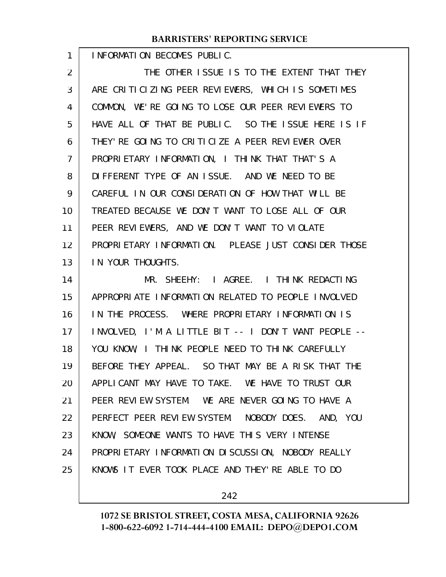INFORMATION BECOMES PUBLIC.

1

THE OTHER ISSUE IS TO THE EXTENT THAT THEY ARE CRITICIZING PEER REVIEWERS, WHICH IS SOMETIMES COMMON, WE'RE GOING TO LOSE OUR PEER REVIEWERS TO HAVE ALL OF THAT BE PUBLIC. SO THE ISSUE HERE IS IF THEY'RE GOING TO CRITICIZE A PEER REVIEWER OVER PROPRIETARY INFORMATION, I THINK THAT THAT'S A DIFFERENT TYPE OF AN ISSUE. AND WE NEED TO BE CAREFUL IN OUR CONSIDERATION OF HOW THAT WILL BE TREATED BECAUSE WE DON'T WANT TO LOSE ALL OF OUR PEER REVIEWERS, AND WE DON'T WANT TO VIOLATE PROPRIETARY INFORMATION. PLEASE JUST CONSIDER THOSE IN YOUR THOUGHTS. MR. SHEEHY: I AGREE. I THINK REDACTING 2 3 4 5 6 7 8 9 10 11 12 13 14

APPROPRIATE INFORMATION RELATED TO PEOPLE INVOLVED IN THE PROCESS. WHERE PROPRIETARY INFORMATION IS INVOLVED, I'M A LITTLE BIT -- I DON'T WANT PEOPLE -- YOU KNOW, I THINK PEOPLE NEED TO THINK CAREFULLY BEFORE THEY APPEAL. SO THAT MAY BE A RISK THAT THE APPLICANT MAY HAVE TO TAKE. WE HAVE TO TRUST OUR PEER REVIEW SYSTEM. WE ARE NEVER GOING TO HAVE A PERFECT PEER REVIEW SYSTEM. NOBODY DOES. AND, YOU KNOW, SOMEONE WANTS TO HAVE THIS VERY INTENSE PROPRIETARY INFORMATION DISCUSSION, NOBODY REALLY KNOWS IT EVER TOOK PLACE AND THEY'RE ABLE TO DO 15 16 17 18 19 20 21 22 23 24 25

242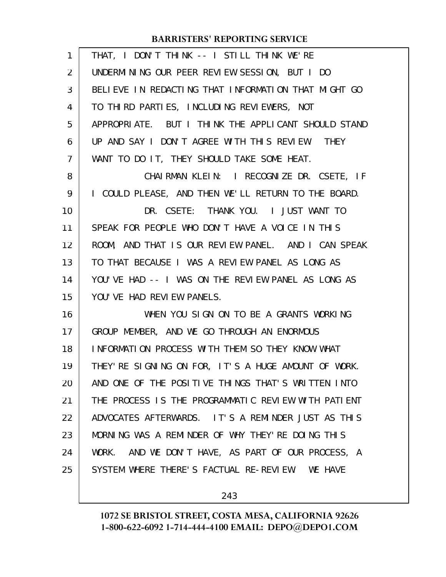| 1  | THAT, I DON'T THINK -- I STILL THINK WE'RE           |
|----|------------------------------------------------------|
| 2  | UNDERMINING OUR PEER REVIEW SESSION, BUT I DO        |
| 3  | BELIEVE IN REDACTING THAT INFORMATION THAT MIGHT GO  |
| 4  | TO THIRD PARTIES, INCLUDING REVIEWERS, NOT           |
| 5  | APPROPRIATE. BUT I THINK THE APPLICANT SHOULD STAND  |
| 6  | UP AND SAY I DON'T AGREE WITH THIS REVIEW. THEY      |
| 7  | WANT TO DO IT, THEY SHOULD TAKE SOME HEAT.           |
| 8  | CHAIRMAN KLEIN: I RECOGNIZE DR. CSETE, IF            |
| 9  | I COULD PLEASE, AND THEN WE'LL RETURN TO THE BOARD.  |
| 10 | DR. CSETE: THANK YOU. I JUST WANT TO                 |
| 11 | SPEAK FOR PEOPLE WHO DON'T HAVE A VOICE IN THIS      |
| 12 | ROOM, AND THAT IS OUR REVIEW PANEL. AND I CAN SPEAK  |
| 13 | TO THAT BECAUSE I WAS A REVIEW PANEL AS LONG AS      |
| 14 | YOU'VE HAD -- I WAS ON THE REVIEW PANEL AS LONG AS   |
| 15 | YOU' VE HAD REVIEW PANELS.                           |
| 16 | WHEN YOU SIGN ON TO BE A GRANTS WORKING              |
| 17 | GROUP MEMBER, AND WE GO THROUGH AN ENORMOUS          |
| 18 | INFORMATION PROCESS WITH THEM SO THEY KNOW WHAT      |
| 19 | THEY' RE SIGNING ON FOR, IT'S A HUGE AMOUNT OF WORK. |
| 20 | AND ONE OF THE POSITIVE THINGS THAT'S WRITTEN INTO   |
| 21 | THE PROCESS IS THE PROGRAMMATIC REVIEW WITH PATIENT  |
| 22 | ADVOCATES AFTERWARDS. IT'S A REMINDER JUST AS THIS   |
| 23 | MORNING WAS A REMINDER OF WHY THEY'RE DOING THIS     |
| 24 | WORK. AND WE DON'T HAVE, AS PART OF OUR PROCESS, A   |
| 25 | SYSTEM WHERE THERE'S FACTUAL RE-REVIEW. WE HAVE      |
|    |                                                      |

243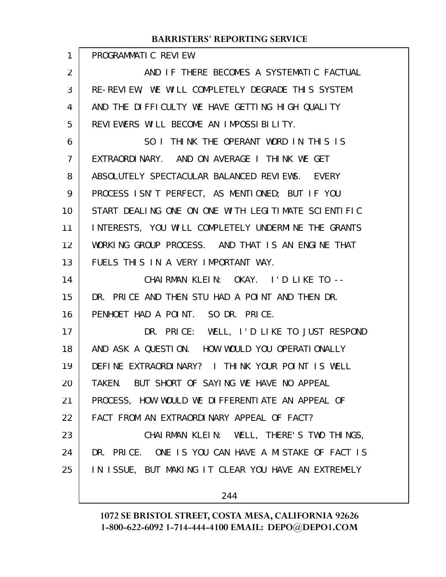PROGRAMMATIC REVIEW. AND IF THERE BECOMES A SYSTEMATIC FACTUAL RE-REVIEW, WE WILL COMPLETELY DEGRADE THIS SYSTEM. AND THE DIFFICULTY WE HAVE GETTING HIGH QUALITY REVIEWERS WILL BECOME AN IMPOSSIBILITY. SO I THINK THE OPERANT WORD IN THIS IS EXTRAORDINARY. AND ON AVERAGE I THINK WE GET ABSOLUTELY SPECTACULAR BALANCED REVIEWS. EVERY PROCESS ISN'T PERFECT, AS MENTIONED; BUT IF YOU START DEALING ONE ON ONE WITH LEGITIMATE SCIENTIFIC INTERESTS, YOU WILL COMPLETELY UNDERMINE THE GRANTS WORKING GROUP PROCESS. AND THAT IS AN ENGINE THAT FUELS THIS IN A VERY IMPORTANT WAY. CHAIRMAN KLEIN: OKAY. I'D LIKE TO -- DR. PRICE AND THEN STU HAD A POINT AND THEN DR. PENHOET HAD A POINT. SO DR. PRICE. DR. PRICE: WELL, I'D LIKE TO JUST RESPOND AND ASK A QUESTION. HOW WOULD YOU OPERATIONALLY DEFINE EXTRAORDINARY? I THINK YOUR POINT IS WELL TAKEN. BUT SHORT OF SAYING WE HAVE NO APPEAL PROCESS, HOW WOULD WE DIFFERENTIATE AN APPEAL OF FACT FROM AN EXTRAORDINARY APPEAL OF FACT? CHAIRMAN KLEIN: WELL, THERE'S TWO THINGS, DR. PRICE. ONE IS YOU CAN HAVE A MISTAKE OF FACT IS IN ISSUE, BUT MAKING IT CLEAR YOU HAVE AN EXTREMELY 1 2 3 4 5 6 7 8 9 10 11 12 13 14 15 16 17 18 19 20 21 22 23 24 25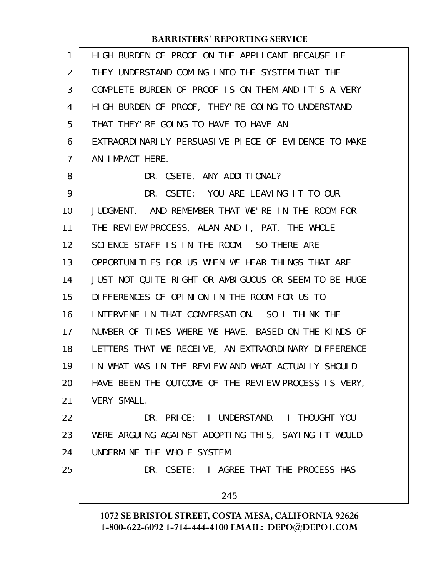| 1  | HIGH BURDEN OF PROOF ON THE APPLICANT BECAUSE IF     |
|----|------------------------------------------------------|
| 2  | THEY UNDERSTAND COMING INTO THE SYSTEM THAT THE      |
| 3  | COMPLETE BURDEN OF PROOF IS ON THEM AND IT'S A VERY  |
| 4  | HIGH BURDEN OF PROOF, THEY' RE GOING TO UNDERSTAND   |
| 5  | THAT THEY' RE GOING TO HAVE TO HAVE AN               |
| 6  | EXTRAORDINARILY PERSUASIVE PIECE OF EVIDENCE TO MAKE |
| 7  | AN IMPACT HERE.                                      |
| 8  | DR. CSETE, ANY ADDITIONAL?                           |
| 9  | DR. CSETE: YOU ARE LEAVING IT TO OUR                 |
| 10 | JUDGMENT. AND REMEMBER THAT WE'RE IN THE ROOM FOR    |
| 11 | THE REVIEW PROCESS, ALAN AND I, PAT, THE WHOLE       |
| 12 | SCIENCE STAFF IS IN THE ROOM. SO THERE ARE           |
| 13 | OPPORTUNITIES FOR US WHEN WE HEAR THINGS THAT ARE    |
| 14 | JUST NOT QUITE RIGHT OR AMBIGUOUS OR SEEM TO BE HUGE |
| 15 | DIFFERENCES OF OPINION IN THE ROOM FOR US TO         |
| 16 | INTERVENE IN THAT CONVERSATION. SO I THINK THE       |
| 17 | NUMBER OF TIMES WHERE WE HAVE, BASED ON THE KINDS OF |
| 18 | LETTERS THAT WE RECEIVE, AN EXTRAORDINARY DIFFERENCE |
| 19 | IN WHAT WAS IN THE REVIEW AND WHAT ACTUALLY SHOULD   |
| 20 | HAVE BEEN THE OUTCOME OF THE REVIEW PROCESS IS VERY, |
| 21 | VERY SMALL.                                          |
| 22 | DR. PRICE: I UNDERSTAND. I THOUGHT YOU               |
| 23 | WERE ARGUING AGAINST ADOPTING THIS, SAYING IT WOULD  |
| 24 | UNDERMINE THE WHOLE SYSTEM.                          |
| 25 | DR. CSETE: I AGREE THAT THE PROCESS HAS              |
|    | 245                                                  |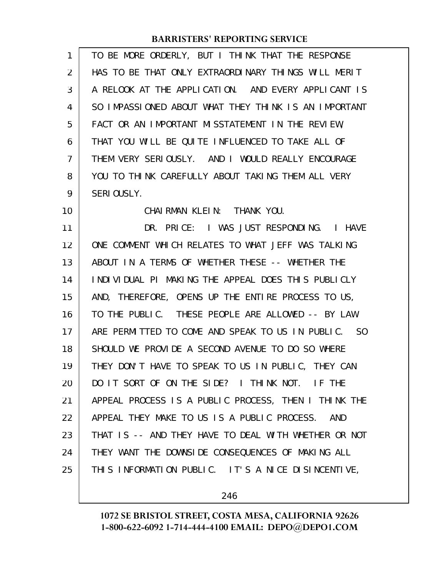| 1              | TO BE MORE ORDERLY, BUT I THINK THAT THE RESPONSE    |
|----------------|------------------------------------------------------|
| 2              | HAS TO BE THAT ONLY EXTRAORDINARY THINGS WILL MERIT  |
| 3              | A RELOOK AT THE APPLICATION. AND EVERY APPLICANT IS  |
| 4              | SO IMPASSIONED ABOUT WHAT THEY THINK IS AN IMPORTANT |
| 5              | FACT OR AN IMPORTANT MISSTATEMENT IN THE REVIEW,     |
| 6              | THAT YOU WILL BE QUITE INFLUENCED TO TAKE ALL OF     |
| $\overline{7}$ | THEM VERY SERIOUSLY. AND I WOULD REALLY ENCOURAGE    |
| 8              | YOU TO THINK CAREFULLY ABOUT TAKING THEM ALL VERY    |
| 9              | SERIOUSLY.                                           |
| 10             | CHAIRMAN KLEIN: THANK YOU.                           |
| 11             | DR. PRICE: I WAS JUST RESPONDING. I HAVE             |
| 12             | ONE COMMENT WHICH RELATES TO WHAT JEFF WAS TALKING   |
| 13             | ABOUT IN A TERMS OF WHETHER THESE -- WHETHER THE     |
| 14             | INDIVIDUAL PI MAKING THE APPEAL DOES THIS PUBLICLY   |
| 15             | AND, THEREFORE, OPENS UP THE ENTIRE PROCESS TO US,   |
| 16             | TO THE PUBLIC. THESE PEOPLE ARE ALLOWED -- BY LAW    |
| 17             | ARE PERMITTED TO COME AND SPEAK TO US IN PUBLIC. SO  |
| 18             | SHOULD WE PROVIDE A SECOND AVENUE TO DO SO WHERE     |
| 19             | THEY DON'T HAVE TO SPEAK TO US IN PUBLIC, THEY CAN   |
| 20             | DO IT SORT OF ON THE SIDE? I THINK NOT. IF THE       |
| 21             | APPEAL PROCESS IS A PUBLIC PROCESS, THEN I THINK THE |
| 22             | APPEAL THEY MAKE TO US IS A PUBLIC PROCESS.<br>AND   |
| 23             | THAT IS -- AND THEY HAVE TO DEAL WITH WHETHER OR NOT |
| 24             | THEY WANT THE DOWNSIDE CONSEQUENCES OF MAKING ALL    |
| 25             | THIS INFORMATION PUBLIC. IT'S A NICE DISINCENTIVE,   |

246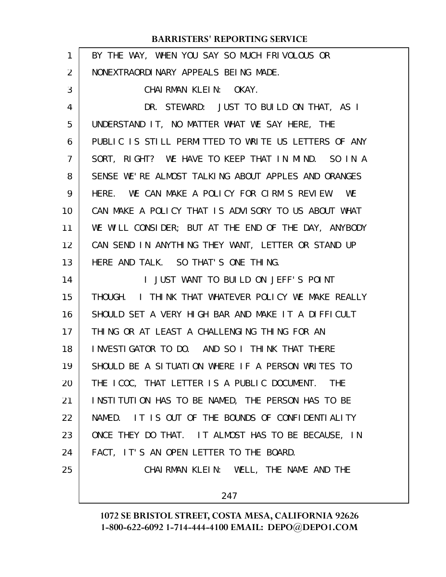| 1              | BY THE WAY, WHEN YOU SAY SO MUCH FRIVOLOUS OR        |
|----------------|------------------------------------------------------|
| $\overline{2}$ | NONEXTRAORDINARY APPEALS BEING MADE.                 |
| 3              | CHAIRMAN KLEIN: OKAY.                                |
| 4              | DR. STEWARD: JUST TO BUILD ON THAT, AS I             |
| 5              | UNDERSTAND IT, NO MATTER WHAT WE SAY HERE, THE       |
| 6              | PUBLIC IS STILL PERMITTED TO WRITE US LETTERS OF ANY |
| $\overline{7}$ | SORT, RIGHT? WE HAVE TO KEEP THAT IN MIND. SO IN A   |
| 8              | SENSE WE'RE ALMOST TALKING ABOUT APPLES AND ORANGES  |
| 9              | HERE. WE CAN MAKE A POLICY FOR CIRM'S REVIEW. WE     |
| 10             | CAN MAKE A POLICY THAT IS ADVISORY TO US ABOUT WHAT  |
| 11             | WE WILL CONSIDER; BUT AT THE END OF THE DAY, ANYBODY |
| 12             | CAN SEND IN ANYTHING THEY WANT, LETTER OR STAND UP   |
| 13             | HERE AND TALK. SO THAT'S ONE THING.                  |
| 14             | I JUST WANT TO BUILD ON JEFF'S POINT                 |
| 15             | THOUGH. I THINK THAT WHATEVER POLICY WE MAKE REALLY  |
| 16             | SHOULD SET A VERY HIGH BAR AND MAKE IT A DIFFICULT   |
| 17             | THING OR AT LEAST A CHALLENGING THING FOR AN         |
| 18             | INVESTIGATOR TO DO. AND SO I THINK THAT THERE        |
| 19             | SHOULD BE A SITUATION WHERE IF A PERSON WRITES TO    |
| 20             | THE ICOC, THAT LETTER IS A PUBLIC DOCUMENT. THE      |
| 21             | INSTITUTION HAS TO BE NAMED, THE PERSON HAS TO BE    |
| 22             | NAMED. IT IS OUT OF THE BOUNDS OF CONFIDENTIALITY    |
| 23             | ONCE THEY DO THAT. IT ALMOST HAS TO BE BECAUSE, IN   |
| 24             | FACT, IT'S AN OPEN LETTER TO THE BOARD.              |
| 25             | CHAIRMAN KLEIN: WELL, THE NAME AND THE               |
|                | 247                                                  |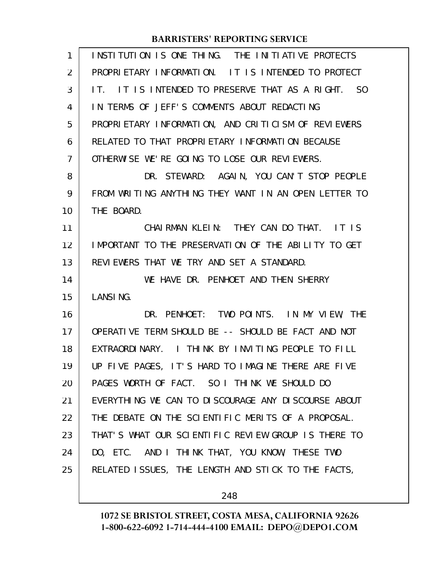| $\mathbf{1}$   | INSTITUTION IS ONE THING. THE INITIATIVE PROTECTS    |
|----------------|------------------------------------------------------|
| $\overline{2}$ | PROPRIETARY INFORMATION. IT IS INTENDED TO PROTECT   |
| 3              | IT. IT IS INTENDED TO PRESERVE THAT AS A RIGHT. SO   |
| 4              | IN TERMS OF JEFF'S COMMENTS ABOUT REDACTING          |
| 5              | PROPRIETARY INFORMATION, AND CRITICISM OF REVIEWERS  |
| 6              | RELATED TO THAT PROPRIETARY INFORMATION BECAUSE      |
| 7              | OTHERWISE WE'RE GOING TO LOSE OUR REVIEWERS.         |
| 8              | DR. STEWARD: AGAIN, YOU CAN'T STOP PEOPLE            |
| 9              | FROM WRITING ANYTHING THEY WANT IN AN OPEN LETTER TO |
| 10             | THE BOARD.                                           |
| 11             | CHAIRMAN KLEIN: THEY CAN DO THAT. IT IS              |
| 12             | IMPORTANT TO THE PRESERVATION OF THE ABILITY TO GET  |
| 13             | REVIEWERS THAT WE TRY AND SET A STANDARD.            |
| 14             | WE HAVE DR. PENHOET AND THEN SHERRY                  |
| 15             | LANSING.                                             |
| 16             | DR. PENHOET: TWO POINTS. IN MY VIEW, THE             |
| 17             | OPERATIVE TERM SHOULD BE -- SHOULD BE FACT AND NOT   |
| 18             | EXTRAORDINARY. I THINK BY INVITING PEOPLE TO FILL    |
| 19             | UP FIVE PAGES, IT'S HARD TO IMAGINE THERE ARE FIVE   |
| 20             | PAGES WORTH OF FACT. SO I THINK WE SHOULD DO         |
| 21             | EVERYTHING WE CAN TO DISCOURAGE ANY DISCOURSE ABOUT  |
| 22             | THE DEBATE ON THE SCIENTIFIC MERITS OF A PROPOSAL.   |
| 23             | THAT'S WHAT OUR SCIENTIFIC REVIEW GROUP IS THERE TO  |
| 24             | DO, ETC. AND I THINK THAT, YOU KNOW, THESE TWO       |
| 25             | RELATED ISSUES, THE LENGTH AND STICK TO THE FACTS,   |
|                |                                                      |

248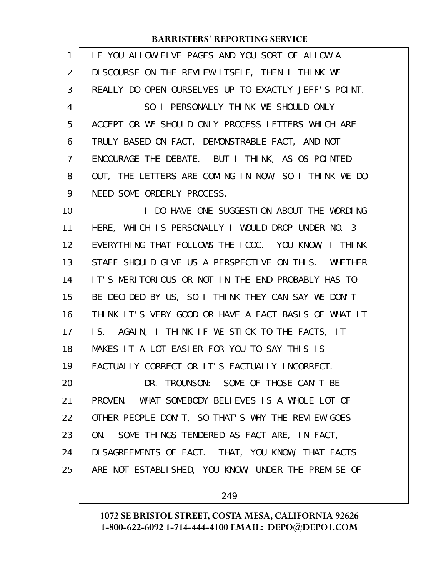| 1  | IF YOU ALLOW FIVE PAGES AND YOU SORT OF ALLOW A      |
|----|------------------------------------------------------|
| 2  | DISCOURSE ON THE REVIEW ITSELF, THEN I THINK WE      |
| 3  | REALLY DO OPEN OURSELVES UP TO EXACTLY JEFF'S POINT. |
| 4  | SO I PERSONALLY THINK WE SHOULD ONLY                 |
| 5  | ACCEPT OR WE SHOULD ONLY PROCESS LETTERS WHICH ARE   |
| 6  | TRULY BASED ON FACT, DEMONSTRABLE FACT, AND NOT      |
| 7  | ENCOURAGE THE DEBATE. BUT I THINK, AS OS POINTED     |
| 8  | OUT, THE LETTERS ARE COMING IN NOW, SO I THINK WE DO |
| 9  | NEED SOME ORDERLY PROCESS.                           |
| 10 | I DO HAVE ONE SUGGESTION ABOUT THE WORDING           |
| 11 | HERE, WHICH IS PERSONALLY I WOULD DROP UNDER NO. 3   |
| 12 | EVERYTHING THAT FOLLOWS THE ICOC. YOU KNOW, I THINK  |
| 13 | STAFF SHOULD GIVE US A PERSPECTIVE ON THIS. WHETHER  |
| 14 | IT'S MERITORIOUS OR NOT IN THE END PROBABLY HAS TO   |
| 15 | BE DECIDED BY US, SO I THINK THEY CAN SAY WE DON'T   |
| 16 | THINK IT'S VERY GOOD OR HAVE A FACT BASIS OF WHAT IT |
| 17 | IS. AGAIN, I THINK IF WE STICK TO THE FACTS, IT      |
| 18 | MAKES IT A LOT EASIER FOR YOU TO SAY THIS IS         |
| 19 | FACTUALLY CORRECT OR IT'S FACTUALLY INCORRECT.       |
| 20 | DR. TROUNSON: SOME OF THOSE CAN'T BE                 |
| 21 | PROVEN. WHAT SOMEBODY BELIEVES IS A WHOLE LOT OF     |
| 22 | OTHER PEOPLE DON'T, SO THAT'S WHY THE REVIEW GOES    |
| 23 | ON. SOME THINGS TENDERED AS FACT ARE, IN FACT,       |
| 24 | DI SAGREEMENTS OF FACT. THAT, YOU KNOW, THAT FACTS   |
| 25 | ARE NOT ESTABLISHED, YOU KNOW, UNDER THE PREMISE OF  |
|    |                                                      |

249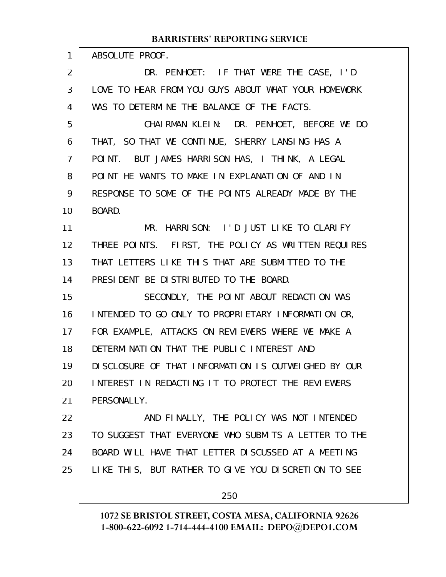| $\mathbf{1}$ | ABSOLUTE PROOF.                                      |
|--------------|------------------------------------------------------|
| 2            | DR. PENHOET: IF THAT WERE THE CASE, I'D              |
| 3            | LOVE TO HEAR FROM YOU GUYS ABOUT WHAT YOUR HOMEWORK  |
| 4            | WAS TO DETERMINE THE BALANCE OF THE FACTS.           |
| 5            | CHAIRMAN KLEIN: DR. PENHOET, BEFORE WE DO            |
| 6            | THAT, SO THAT WE CONTINUE, SHERRY LANSING HAS A      |
| 7            | POINT. BUT JAMES HARRISON HAS, I THINK, A LEGAL      |
| 8            | POINT HE WANTS TO MAKE IN EXPLANATION OF AND IN      |
| 9            | RESPONSE TO SOME OF THE POINTS ALREADY MADE BY THE   |
| 10           | BOARD.                                               |
| 11           | MR. HARRISON: I'D JUST LIKE TO CLARIFY               |
| 12           | THREE POINTS. FIRST, THE POLICY AS WRITTEN REQUIRES  |
| 13           | THAT LETTERS LIKE THIS THAT ARE SUBMITTED TO THE     |
| 14           | PRESIDENT BE DISTRIBUTED TO THE BOARD.               |
| 15           | SECONDLY, THE POINT ABOUT REDACTION WAS              |
| 16           | INTENDED TO GO ONLY TO PROPRIETARY INFORMATION OR,   |
| 17           | FOR EXAMPLE, ATTACKS ON REVIEWERS WHERE WE MAKE A    |
| 18           | DETERMINATION THAT THE PUBLIC INTEREST AND           |
| 19           | DISCLOSURE OF THAT INFORMATION IS OUTWEIGHED BY OUR  |
| 20           | INTEREST IN REDACTING IT TO PROTECT THE REVIEWERS    |
| 21           | PERSONALLY.                                          |
| 22           | AND FINALLY, THE POLICY WAS NOT INTENDED             |
| 23           | TO SUGGEST THAT EVERYONE WHO SUBMITS A LETTER TO THE |
| 24           | BOARD WILL HAVE THAT LETTER DISCUSSED AT A MEETING   |
| 25           | LIKE THIS, BUT RATHER TO GIVE YOU DISCRETION TO SEE  |
|              | 250                                                  |

**1072 SE BRISTOL STREET, COSTA MESA, CALIFORNIA 92626**

**1-800-622-6092 1-714-444-4100 EMAIL: DEPO@DEPO1.COM**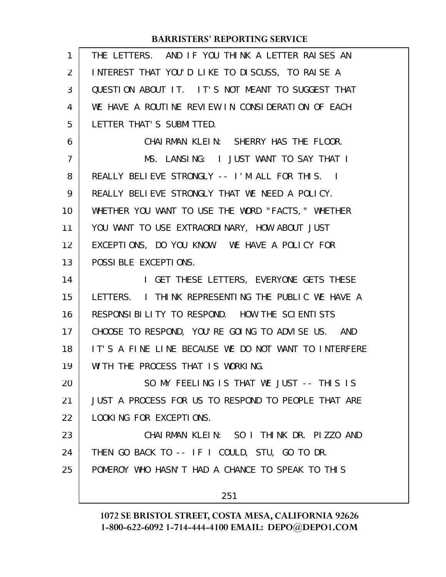| $\mathbf{1}$   | THE LETTERS. AND IF YOU THINK A LETTER RAISES AN     |
|----------------|------------------------------------------------------|
| 2              | INTEREST THAT YOU'D LIKE TO DISCUSS, TO RAISE A      |
| 3              | QUESTION ABOUT IT. IT'S NOT MEANT TO SUGGEST THAT    |
| 4              | WE HAVE A ROUTINE REVIEW IN CONSIDERATION OF EACH    |
| 5              | LETTER THAT'S SUBMITTED.                             |
| 6              | CHAIRMAN KLEIN: SHERRY HAS THE FLOOR.                |
| $\overline{7}$ | MS. LANSING: I JUST WANT TO SAY THAT I               |
| 8              | REALLY BELIEVE STRONGLY -- I'M ALL FOR THIS. I       |
| 9              | REALLY BELIEVE STRONGLY THAT WE NEED A POLICY.       |
| 10             | WHETHER YOU WANT TO USE THE WORD "FACTS, " WHETHER   |
| 11             | YOU WANT TO USE EXTRAORDINARY, HOW ABOUT JUST        |
| 12             | EXCEPTIONS, DO YOU KNOW. WE HAVE A POLICY FOR        |
| 13             | POSSIBLE EXCEPTIONS.                                 |
| 14             | I GET THESE LETTERS, EVERYONE GETS THESE             |
| 15             | LETTERS. I THINK REPRESENTING THE PUBLIC WE HAVE A   |
| 16             | RESPONSIBILITY TO RESPOND. HOW THE SCIENTISTS        |
| 17             | CHOOSE TO RESPOND, YOU'RE GOING TO ADVISE US. AND    |
| 18             | IT'S A FINE LINE BECAUSE WE DO NOT WANT TO INTERFERE |
| 19             | WITH THE PROCESS THAT IS WORKING.                    |
| 20             | SO MY FEELING IS THAT WE JUST -- THIS IS             |
| 21             | JUST A PROCESS FOR US TO RESPOND TO PEOPLE THAT ARE  |
| 22             | LOOKING FOR EXCEPTIONS.                              |
| 23             | CHAIRMAN KLEIN: SO I THINK DR. PIZZO AND             |
| 24             | THEN GO BACK TO -- IF I COULD, STU, GO TO DR.        |
| 25             | POMEROY WHO HASN'T HAD A CHANCE TO SPEAK TO THIS     |
|                | 251                                                  |
|                |                                                      |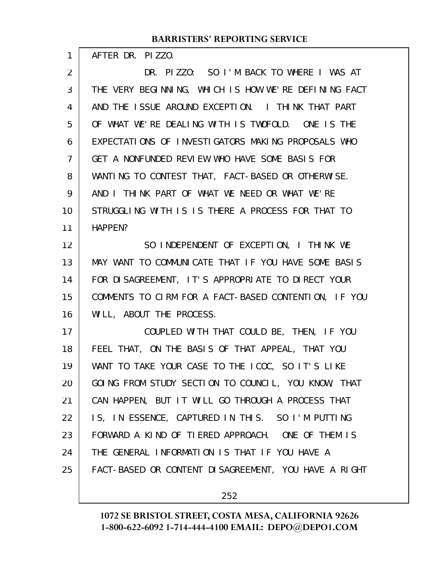AFTER DR. PIZZO.

1

24

DR. PIZZO: SO I'M BACK TO WHERE I WAS AT THE VERY BEGINNING, WHICH IS HOW WE'RE DEFINING FACT AND THE ISSUE AROUND EXCEPTION. I THINK THAT PART OF WHAT WE'RE DEALING WITH IS TWOFOLD. ONE IS THE EXPECTATIONS OF INVESTIGATORS MAKING PROPOSALS WHO GET A NONFUNDED REVIEW WHO HAVE SOME BASIS FOR WANTING TO CONTEST THAT, FACT-BASED OR OTHERWISE. AND I THINK PART OF WHAT WE NEED OR WHAT WE'RE STRUGGLING WITH IS IS THERE A PROCESS FOR THAT TO HAPPEN? SO INDEPENDENT OF EXCEPTION, I THINK WE MAY WANT TO COMMUNICATE THAT IF YOU HAVE SOME BASIS FOR DISAGREEMENT, IT'S APPROPRIATE TO DIRECT YOUR COMMENTS TO CIRM FOR A FACT-BASED CONTENTION, IF YOU WILL, ABOUT THE PROCESS. COUPLED WITH THAT COULD BE, THEN, IF YOU FEEL THAT, ON THE BASIS OF THAT APPEAL, THAT YOU WANT TO TAKE YOUR CASE TO THE ICOC, SO IT'S LIKE GOING FROM STUDY SECTION TO COUNCIL, YOU KNOW, THAT CAN HAPPEN, BUT IT WILL GO THROUGH A PROCESS THAT IS, IN ESSENCE, CAPTURED IN THIS. SO I'M PUTTING FORWARD A KIND OF TIERED APPROACH. ONE OF THEM IS 2 3 4 5 6 7 8 9 10 11 12 13 14 15 16 17 18 19 20 21 22 23

FACT-BASED OR CONTENT DISAGREEMENT, YOU HAVE A RIGHT 25

THE GENERAL INFORMATION IS THAT IF YOU HAVE A

252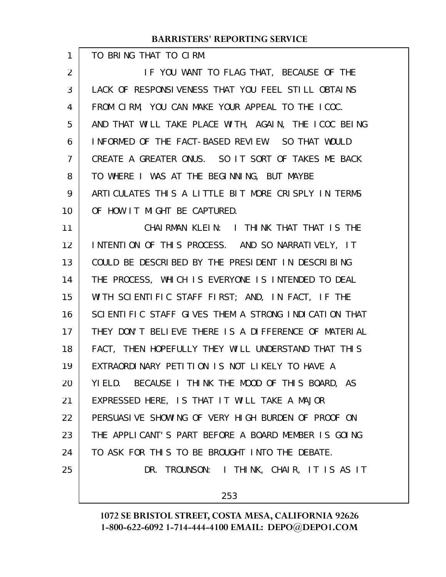TO BRING THAT TO CIRM.

1

IF YOU WANT TO FLAG THAT, BECAUSE OF THE LACK OF RESPONSIVENESS THAT YOU FEEL STILL OBTAINS FROM CIRM, YOU CAN MAKE YOUR APPEAL TO THE ICOC. AND THAT WILL TAKE PLACE WITH, AGAIN, THE ICOC BEING INFORMED OF THE FACT-BASED REVIEW. SO THAT WOULD CREATE A GREATER ONUS. SO IT SORT OF TAKES ME BACK TO WHERE I WAS AT THE BEGINNING, BUT MAYBE ARTICULATES THIS A LITTLE BIT MORE CRISPLY IN TERMS OF HOW IT MIGHT BE CAPTURED. 2 3 4 5 6 7 8 9 10

CHAIRMAN KLEIN: I THINK THAT THAT IS THE INTENTION OF THIS PROCESS. AND SO NARRATIVELY, IT COULD BE DESCRIBED BY THE PRESIDENT IN DESCRIBING THE PROCESS, WHICH IS EVERYONE IS INTENDED TO DEAL WITH SCIENTIFIC STAFF FIRST; AND, IN FACT, IF THE SCIENTIFIC STAFF GIVES THEM A STRONG INDICATION THAT THEY DON'T BELIEVE THERE IS A DIFFERENCE OF MATERIAL FACT, THEN HOPEFULLY THEY WILL UNDERSTAND THAT THIS EXTRAORDINARY PETITION IS NOT LIKELY TO HAVE A YIELD. BECAUSE I THINK THE MOOD OF THIS BOARD, AS EXPRESSED HERE, IS THAT IT WILL TAKE A MAJOR PERSUASIVE SHOWING OF VERY HIGH BURDEN OF PROOF ON THE APPLICANT'S PART BEFORE A BOARD MEMBER IS GOING TO ASK FOR THIS TO BE BROUGHT INTO THE DEBATE. DR. TROUNSON: I THINK, CHAIR, IT IS AS IT 11 12 13 14 15 16 17 18 19 20 21 22 23 24 25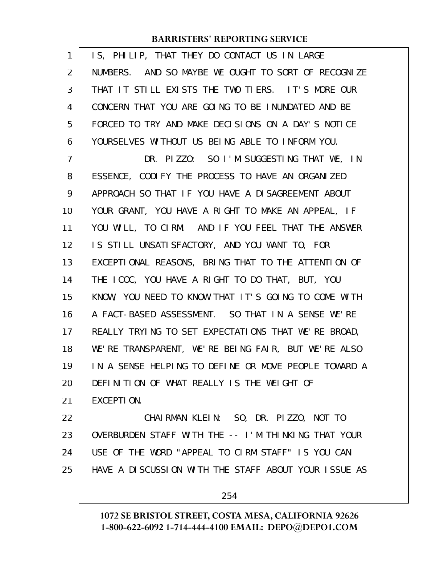| 1              | IS, PHILIP, THAT THEY DO CONTACT US IN LARGE         |
|----------------|------------------------------------------------------|
| $\overline{2}$ | NUMBERS. AND SO MAYBE WE OUGHT TO SORT OF RECOGNIZE  |
| 3              | THAT IT STILL EXISTS THE TWO TIERS. IT'S MORE OUR    |
| 4              | CONCERN THAT YOU ARE GOING TO BE INUNDATED AND BE    |
| 5              | FORCED TO TRY AND MAKE DECISIONS ON A DAY'S NOTICE   |
| 6              | YOURSELVES WITHOUT US BEING ABLE TO INFORM YOU.      |
| 7              | DR. PIZZO: SO I'M SUGGESTING THAT WE, IN             |
| 8              | ESSENCE, CODIFY THE PROCESS TO HAVE AN ORGANIZED     |
| 9              | APPROACH SO THAT IF YOU HAVE A DISAGREEMENT ABOUT    |
| 10             | YOUR GRANT, YOU HAVE A RIGHT TO MAKE AN APPEAL, IF   |
| 11             | YOU WILL, TO CIRM. AND IF YOU FEEL THAT THE ANSWER   |
| 12             | IS STILL UNSATISFACTORY, AND YOU WANT TO, FOR        |
| 13             | EXCEPTIONAL REASONS, BRING THAT TO THE ATTENTION OF  |
| 14             | THE ICOC, YOU HAVE A RIGHT TO DO THAT, BUT, YOU      |
| 15             | KNOW, YOU NEED TO KNOW THAT IT'S GOING TO COME WITH  |
| 16             | A FACT-BASED ASSESSMENT. SO THAT IN A SENSE WE'RE    |
| 17             | REALLY TRYING TO SET EXPECTATIONS THAT WE'RE BROAD,  |
| 18             | WE'RE TRANSPARENT, WE'RE BEING FAIR, BUT WE'RE ALSO  |
| 19             | IN A SENSE HELPING TO DEFINE OR MOVE PEOPLE TOWARD A |
| 20             | DEFINITION OF WHAT REALLY IS THE WEIGHT OF           |
| 21             | EXCEPTION.                                           |
| 22             | CHAIRMAN KLEIN: SO, DR. PIZZO, NOT TO                |
| 23             | OVERBURDEN STAFF WITH THE -- I'M THINKING THAT YOUR  |
| 24             | USE OF THE WORD "APPEAL TO CIRM STAFF" IS YOU CAN    |
| 25             | HAVE A DISCUSSION WITH THE STAFF ABOUT YOUR ISSUE AS |
|                |                                                      |

254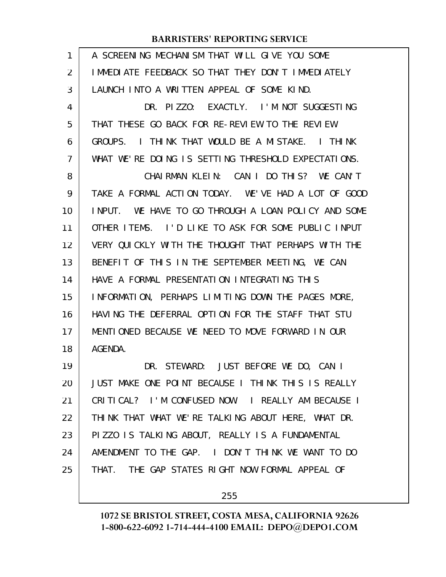| 1              | A SCREENING MECHANISM THAT WILL GIVE YOU SOME           |
|----------------|---------------------------------------------------------|
| $\overline{2}$ | I MMEDI ATE FEEDBACK SO THAT THEY DON'T I MMEDI ATELY   |
| 3              | LAUNCH INTO A WRITTEN APPEAL OF SOME KIND.              |
| 4              | DR. PIZZO: EXACTLY. I'M NOT SUGGESTING                  |
| 5              | THAT THESE GO BACK FOR RE-REVIEW TO THE REVIEW          |
| 6              | I THINK THAT WOULD BE A MISTAKE. I THINK<br>GROUPS.     |
| $\overline{7}$ | WHAT WE'RE DOING IS SETTING THRESHOLD EXPECTATIONS.     |
| 8              | CHAIRMAN KLEIN: CAN I DO THIS? WE CAN'T                 |
| 9              | TAKE A FORMAL ACTION TODAY. WE'VE HAD A LOT OF GOOD     |
| 10             | WE HAVE TO GO THROUGH A LOAN POLICY AND SOME<br>I NPUT. |
| 11             | OTHER ITEMS. I'D LIKE TO ASK FOR SOME PUBLIC INPUT      |
| 12             | VERY QUICKLY WITH THE THOUGHT THAT PERHAPS WITH THE     |
| 13             | BENEFIT OF THIS IN THE SEPTEMBER MEETING, WE CAN        |
| 14             | HAVE A FORMAL PRESENTATION INTEGRATING THIS             |
| 15             | INFORMATION, PERHAPS LIMITING DOWN THE PAGES MORE,      |
| 16             | HAVING THE DEFERRAL OPTION FOR THE STAFF THAT STU       |
| 17             | MENTIONED BECAUSE WE NEED TO MOVE FORWARD IN OUR        |
| 18             | AGENDA.                                                 |
| 19             | DR. STEWARD: JUST BEFORE WE DO, CAN I                   |
| 20             | JUST MAKE ONE POINT BECAUSE I THINK THIS IS REALLY      |
| 21             | CRITICAL? I'M CONFUSED NOW. I REALLY AM BECAUSE I       |
| 22             | THINK THAT WHAT WE'RE TALKING ABOUT HERE, WHAT DR.      |
| 23             | PIZZO IS TALKING ABOUT, REALLY IS A FUNDAMENTAL         |
| 24             | AMENDMENT TO THE GAP. I DON'T THINK WE WANT TO DO       |
| 25             | THAT. THE GAP STATES RIGHT NOW FORMAL APPEAL OF         |
|                |                                                         |

255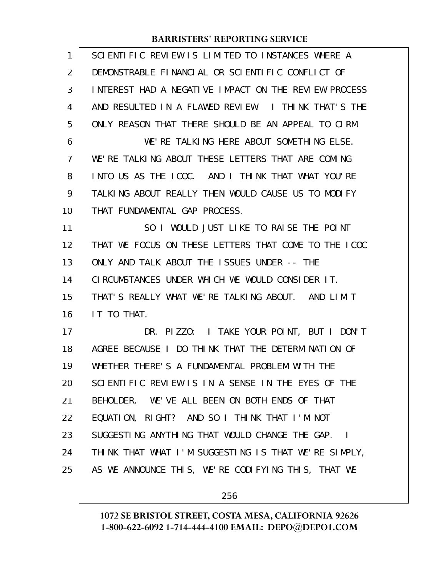| 1              | SCIENTIFIC REVIEW IS LIMITED TO INSTANCES WHERE A    |
|----------------|------------------------------------------------------|
| $\overline{2}$ | DEMONSTRABLE FINANCIAL OR SCIENTIFIC CONFLICT OF     |
| 3              | INTEREST HAD A NEGATIVE IMPACT ON THE REVIEW PROCESS |
| 4              | AND RESULTED IN A FLAWED REVIEW. I THINK THAT'S THE  |
| 5              | ONLY REASON THAT THERE SHOULD BE AN APPEAL TO CIRM.  |
| 6              | WE'RE TALKING HERE ABOUT SOMETHING ELSE.             |
| 7              | WE'RE TALKING ABOUT THESE LETTERS THAT ARE COMING    |
| 8              | INTO US AS THE ICOC. AND I THINK THAT WHAT YOU'RE    |
| 9              | TALKING ABOUT REALLY THEN WOULD CAUSE US TO MODIFY   |
| 10             | THAT FUNDAMENTAL GAP PROCESS.                        |
| 11             | SO I WOULD JUST LIKE TO RAISE THE POINT              |
| 12             | THAT WE FOCUS ON THESE LETTERS THAT COME TO THE ICOC |
| 13             | ONLY AND TALK ABOUT THE ISSUES UNDER -- THE          |
| 14             | CIRCUMSTANCES UNDER WHICH WE WOULD CONSIDER IT.      |
| 15             | THAT'S REALLY WHAT WE'RE TALKING ABOUT. AND LIMIT    |
| 16             | IT TO THAT.                                          |
| 17             | DR. PIZZO: I TAKE YOUR POINT, BUT I DON'T            |
| 18             | AGREE BECAUSE I DO THINK THAT THE DETERMINATION OF   |
| 19             | WHETHER THERE'S A FUNDAMENTAL PROBLEM WITH THE       |
| 20             | SCIENTIFIC REVIEW IS IN A SENSE IN THE EYES OF THE   |
| 21             | BEHOLDER. WE'VE ALL BEEN ON BOTH ENDS OF THAT        |
| 22             | EQUATION, RIGHT? AND SO I THINK THAT I'M NOT         |
| 23             | SUGGESTING ANYTHING THAT WOULD CHANGE THE GAP. I     |
| 24             | THINK THAT WHAT I'M SUGGESTING IS THAT WE'RE SIMPLY, |
| 25             | AS WE ANNOUNCE THIS, WE'RE CODIFYING THIS, THAT WE   |
|                |                                                      |

256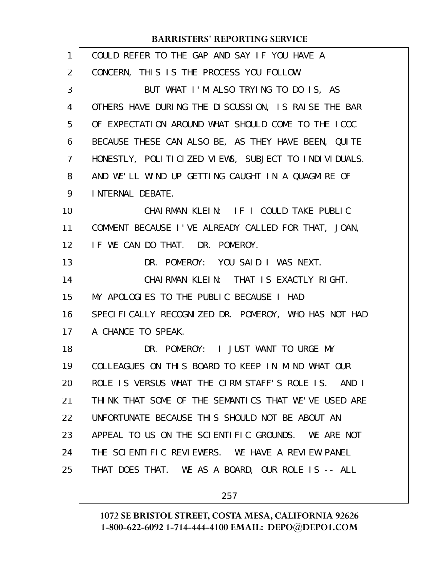| $\mathbf{1}$   | COULD REFER TO THE GAP AND SAY IF YOU HAVE A         |
|----------------|------------------------------------------------------|
| $\overline{2}$ | CONCERN, THIS IS THE PROCESS YOU FOLLOW.             |
| 3              | BUT WHAT I'M ALSO TRYING TO DO IS, AS                |
| 4              | OTHERS HAVE DURING THE DISCUSSION, IS RAISE THE BAR  |
| 5              | OF EXPECTATION AROUND WHAT SHOULD COME TO THE ICOC   |
| 6              | BECAUSE THESE CAN ALSO BE, AS THEY HAVE BEEN, QUITE  |
| $\overline{7}$ | HONESTLY, POLITICIZED VIEWS, SUBJECT TO INDIVIDUALS. |
| 8              | AND WE'LL WIND UP GETTING CAUGHT IN A QUAGMIRE OF    |
| 9              | INTERNAL DEBATE.                                     |
| 10             | CHAIRMAN KLEIN: IF I COULD TAKE PUBLIC               |
| 11             | COMMENT BECAUSE I'VE ALREADY CALLED FOR THAT, JOAN,  |
| 12             | IF WE CAN DO THAT. DR. POMEROY.                      |
| 13             | DR. POMEROY: YOU SAID I WAS NEXT.                    |
| 14             | CHAIRMAN KLEIN: THAT IS EXACTLY RIGHT.               |
| 15             | MY APOLOGIES TO THE PUBLIC BECAUSE I HAD             |
| 16             | SPECIFICALLY RECOGNIZED DR. POMEROY, WHO HAS NOT HAD |
| 17             | A CHANCE TO SPEAK.                                   |
| 18             | DR. POMEROY: I JUST WANT TO URGE MY                  |
| 19             | COLLEAGUES ON THIS BOARD TO KEEP IN MIND WHAT OUR    |
| 20             | ROLE IS VERSUS WHAT THE CIRM STAFF'S ROLE IS. AND I  |
| 21             | THINK THAT SOME OF THE SEMANTICS THAT WE'VE USED ARE |
| 22             | UNFORTUNATE BECAUSE THIS SHOULD NOT BE ABOUT AN      |
| 23             | APPEAL TO US ON THE SCIENTIFIC GROUNDS. WE ARE NOT   |
| 24             | THE SCIENTIFIC REVIEWERS. WE HAVE A REVIEW PANEL     |
| 25             | THAT DOES THAT. WE AS A BOARD, OUR ROLE IS -- ALL    |
|                |                                                      |

257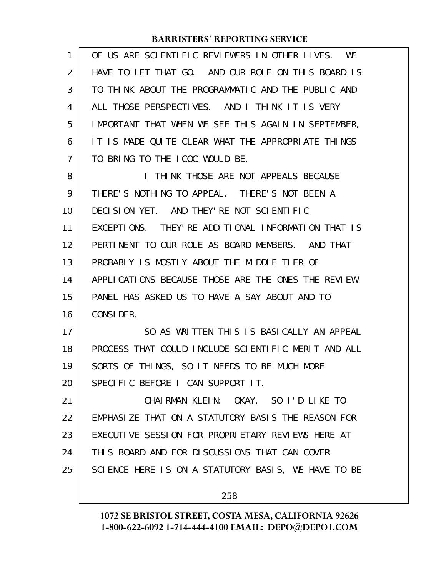| 1              | OF US ARE SCIENTIFIC REVIEWERS IN OTHER LIVES.<br>WE   |
|----------------|--------------------------------------------------------|
| 2              | HAVE TO LET THAT GO. AND OUR ROLE ON THIS BOARD IS     |
| 3              | TO THINK ABOUT THE PROGRAMMATIC AND THE PUBLIC AND     |
| 4              | ALL THOSE PERSPECTIVES. AND I THINK IT IS VERY         |
| 5              | IMPORTANT THAT WHEN WE SEE THIS AGAIN IN SEPTEMBER,    |
| 6              | IT IS MADE QUITE CLEAR WHAT THE APPROPRIATE THINGS     |
| $\overline{7}$ | TO BRING TO THE ICOC WOULD BE.                         |
| 8              | THINK THOSE ARE NOT APPEALS BECAUSE<br>$\mathbf{L}$    |
| 9              | THERE'S NOTHING TO APPEAL. THERE'S NOT BEEN A          |
| 10             | DECISION YET. AND THEY'RE NOT SCIENTIFIC               |
| 11             | THEY' RE ADDITIONAL INFORMATION THAT IS<br>EXCEPTIONS. |
| 12             | PERTINENT TO OUR ROLE AS BOARD MEMBERS. AND THAT       |
| 13             | PROBABLY IS MOSTLY ABOUT THE MIDDLE TIER OF            |
| 14             | APPLICATIONS BECAUSE THOSE ARE THE ONES THE REVIEW     |
| 15             | PANEL HAS ASKED US TO HAVE A SAY ABOUT AND TO          |
| 16             | CONSIDER.                                              |
| 17             | SO AS WRITTEN THIS IS BASICALLY AN APPEAL              |
| 18             | PROCESS THAT COULD INCLUDE SCIENTIFIC MERIT AND ALL    |
| 19             | SORTS OF THINGS, SO IT NEEDS TO BE MUCH MORE           |
| 20             | SPECIFIC BEFORE I CAN SUPPORT IT.                      |
| 21             | CHAIRMAN KLEIN: OKAY. SO I'D LIKE TO                   |
| 22             | EMPHASIZE THAT ON A STATUTORY BASIS THE REASON FOR     |
| 23             | EXECUTIVE SESSION FOR PROPRIETARY REVIEWS HERE AT      |
| 24             | THIS BOARD AND FOR DISCUSSIONS THAT CAN COVER          |
| 25             | SCIENCE HERE IS ON A STATUTORY BASIS, WE HAVE TO BE    |
|                | 258                                                    |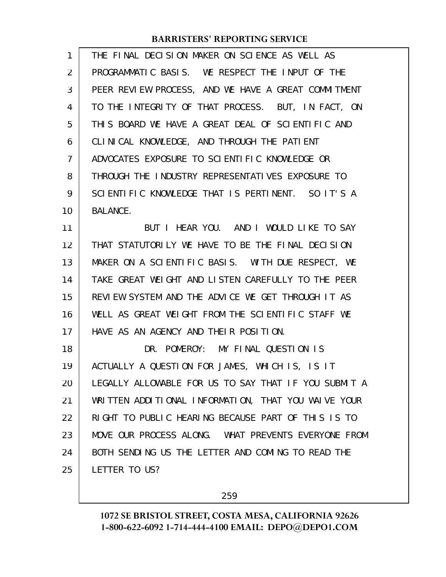| $\mathbf{1}$   | THE FINAL DECISION MAKER ON SCIENCE AS WELL AS       |
|----------------|------------------------------------------------------|
| $\overline{2}$ | PROGRAMMATIC BASIS. WE RESPECT THE INPUT OF THE      |
| 3              | PEER REVIEW PROCESS, AND WE HAVE A GREAT COMMITMENT  |
| 4              | TO THE INTEGRITY OF THAT PROCESS. BUT, IN FACT, ON   |
| 5              | THIS BOARD WE HAVE A GREAT DEAL OF SCIENTIFIC AND    |
| 6              | CLINICAL KNOWLEDGE, AND THROUGH THE PATIENT          |
| 7              | ADVOCATES EXPOSURE TO SCIENTIFIC KNOWLEDGE OR        |
| 8              | THROUGH THE INDUSTRY REPRESENTATIVES EXPOSURE TO     |
| 9              | SCIENTIFIC KNOWLEDGE THAT IS PERTINENT. SO IT'S A    |
| 10             | <b>BALANCE.</b>                                      |
| 11             | BUT I HEAR YOU. AND I WOULD LIKE TO SAY              |
| 12             | THAT STATUTORILY WE HAVE TO BE THE FINAL DECISION    |
| 13             | MAKER ON A SCIENTIFIC BASIS. WITH DUE RESPECT, WE    |
| 14             | TAKE GREAT WEIGHT AND LISTEN CAREFULLY TO THE PEER   |
| 15             | REVIEW SYSTEM AND THE ADVICE WE GET THROUGH IT AS    |
| 16             | WELL AS GREAT WEIGHT FROM THE SCIENTIFIC STAFF WE    |
| 17             | HAVE AS AN AGENCY AND THEIR POSITION.                |
| 18             | DR. POMEROY: MY FINAL QUESTION IS                    |
| 19             | ACTUALLY A QUESTION FOR JAMES, WHICH IS, IS IT       |
| 20             | LEGALLY ALLOWABLE FOR US TO SAY THAT IF YOU SUBMIT A |
| 21             | WRITTEN ADDITIONAL INFORMATION, THAT YOU WAIVE YOUR  |
| 22             | RIGHT TO PUBLIC HEARING BECAUSE PART OF THIS IS TO   |
| 23             | MOVE OUR PROCESS ALONG. WHAT PREVENTS EVERYONE FROM  |
| 24             | BOTH SENDING US THE LETTER AND COMING TO READ THE    |
| 25             | LETTER TO US?                                        |

259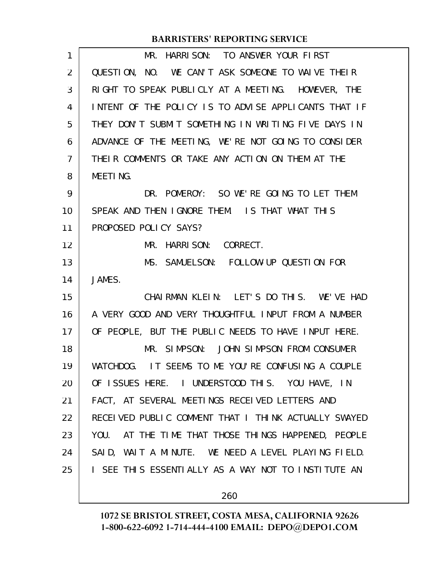| $\mathbf{1}$   | MR. HARRISON: TO ANSWER YOUR FIRST                   |
|----------------|------------------------------------------------------|
| 2              | QUESTION, NO. WE CAN'T ASK SOMEONE TO WAIVE THEIR    |
| 3              | RIGHT TO SPEAK PUBLICLY AT A MEETING. HOWEVER, THE   |
| 4              | INTENT OF THE POLICY IS TO ADVISE APPLICANTS THAT IF |
| 5              | THEY DON'T SUBMIT SOMETHING IN WRITING FIVE DAYS IN  |
| 6              | ADVANCE OF THE MEETING, WE'RE NOT GOING TO CONSIDER  |
| $\overline{7}$ | THEIR COMMENTS OR TAKE ANY ACTION ON THEM AT THE     |
| 8              | MEETING.                                             |
| 9              | DR. POMEROY: SO WE'RE GOING TO LET THEM              |
| 10             | SPEAK AND THEN IGNORE THEM. IS THAT WHAT THIS        |
| 11             | PROPOSED POLICY SAYS?                                |
| 12             | MR. HARRISON: CORRECT.                               |
| 13             | MS. SAMUELSON: FOLLOW-UP QUESTION FOR                |
| 14             | JAMES.                                               |
| 15             | CHAIRMAN KLEIN: LET'S DO THIS. WE'VE HAD             |
| 16             | A VERY GOOD AND VERY THOUGHTFUL INPUT FROM A NUMBER  |
| 17             | OF PEOPLE, BUT THE PUBLIC NEEDS TO HAVE INPUT HERE.  |
| 18             | MR. SIMPSON: JOHN SIMPSON FROM CONSUMER              |
| 19             | WATCHDOG. IT SEEMS TO ME YOU'RE CONFUSING A COUPLE   |
| 20             | OF ISSUES HERE. I UNDERSTOOD THIS. YOU HAVE, IN      |
| 21             | FACT, AT SEVERAL MEETINGS RECEIVED LETTERS AND       |
| 22             | RECEIVED PUBLIC COMMENT THAT I THINK ACTUALLY SWAYED |
| 23             | YOU. AT THE TIME THAT THOSE THINGS HAPPENED, PEOPLE  |
| 24             | SAID, WAIT A MINUTE. WE NEED A LEVEL PLAYING FIELD.  |
| 25             | I SEE THIS ESSENTIALLY AS A WAY NOT TO INSTITUTE AN  |
|                |                                                      |

260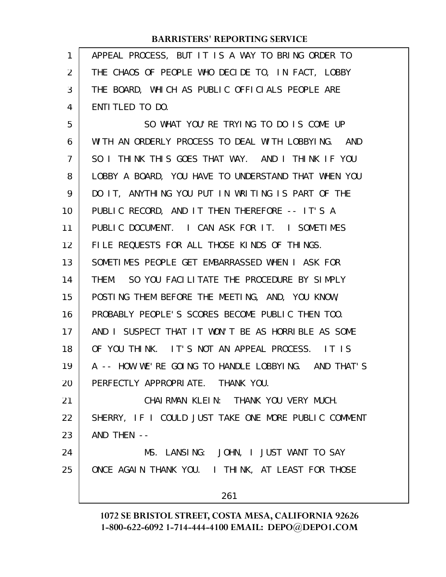| 1              | APPEAL PROCESS, BUT IT IS A WAY TO BRING ORDER TO    |
|----------------|------------------------------------------------------|
| $\overline{2}$ | THE CHAOS OF PEOPLE WHO DECIDE TO, IN FACT, LOBBY    |
| 3              | THE BOARD, WHICH AS PUBLIC OFFICIALS PEOPLE ARE      |
| 4              | ENTITLED TO DO.                                      |
| 5              | SO WHAT YOU'RE TRYING TO DO IS COME UP               |
| 6              | WITH AN ORDERLY PROCESS TO DEAL WITH LOBBYING. AND   |
| 7              | SO I THINK THIS GOES THAT WAY. AND I THINK IF YOU    |
| 8              | LOBBY A BOARD, YOU HAVE TO UNDERSTAND THAT WHEN YOU  |
| 9              | DO IT, ANYTHING YOU PUT IN WRITING IS PART OF THE    |
| 10             | PUBLIC RECORD, AND IT THEN THEREFORE -- IT'S A       |
| 11             | PUBLIC DOCUMENT. I CAN ASK FOR IT. I SOMETIMES       |
| 12             | FILE REQUESTS FOR ALL THOSE KINDS OF THINGS.         |
| 13             | SOMETIMES PEOPLE GET EMBARRASSED WHEN I ASK FOR      |
| 14             | THEM. SO YOU FACILITATE THE PROCEDURE BY SIMPLY      |
| 15             | POSTING THEM BEFORE THE MEETING, AND, YOU KNOW,      |
| 16             | PROBABLY PEOPLE'S SCORES BECOME PUBLIC THEN TOO.     |
| 17             | AND I SUSPECT THAT IT WON'T BE AS HORRIBLE AS SOME   |
| 18             | OF YOU THINK. IT'S NOT AN APPEAL PROCESS. IT IS      |
| 19             | A -- HOW WE'RE GOING TO HANDLE LOBBYING. AND THAT'S  |
| 20             | PERFECTLY APPROPRIATE. THANK YOU.                    |
| 21             | CHAIRMAN KLEIN: THANK YOU VERY MUCH.                 |
| 22             | SHERRY, IF I COULD JUST TAKE ONE MORE PUBLIC COMMENT |
| 23             | AND THEN --                                          |
| 24             | MS. LANSING: JOHN, I JUST WANT TO SAY                |
| 25             | ONCE AGAIN THANK YOU. I THINK, AT LEAST FOR THOSE    |
|                | 261                                                  |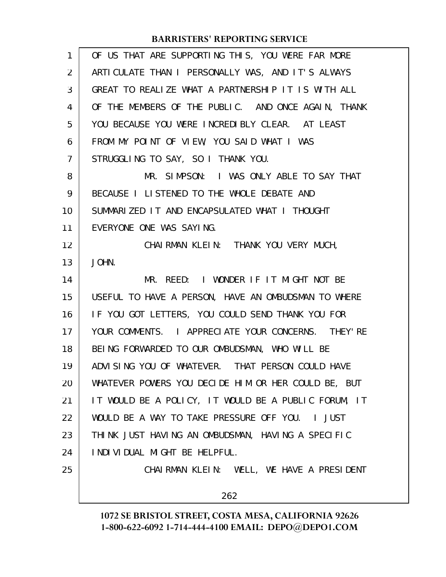| OF US THAT ARE SUPPORTING THIS, YOU WERE FAR MORE    |
|------------------------------------------------------|
| ARTICULATE THAN I PERSONALLY WAS, AND IT'S ALWAYS    |
| GREAT TO REALIZE WHAT A PARTNERSHIP IT IS WITH ALL   |
| OF THE MEMBERS OF THE PUBLIC. AND ONCE AGAIN, THANK  |
| YOU BECAUSE YOU WERE INCREDIBLY CLEAR. AT LEAST      |
| FROM MY POINT OF VIEW, YOU SAID WHAT I WAS           |
| STRUGGLING TO SAY, SO I THANK YOU.                   |
| MR. SIMPSON: I WAS ONLY ABLE TO SAY THAT             |
| BECAUSE I LISTENED TO THE WHOLE DEBATE AND           |
| SUMMARIZED IT AND ENCAPSULATED WHAT I THOUGHT        |
| EVERYONE ONE WAS SAYING.                             |
| CHAI RMAN KLEIN: THANK YOU VERY MUCH,                |
| JOHN.                                                |
| MR. REED: I WONDER IF IT MIGHT NOT BE                |
| USEFUL TO HAVE A PERSON, HAVE AN OMBUDSMAN TO WHERE  |
| IF YOU GOT LETTERS, YOU COULD SEND THANK YOU FOR     |
| YOUR COMMENTS. I APPRECIATE YOUR CONCERNS. THEY'RE   |
| BEING FORWARDED TO OUR OMBUDSMAN, WHO WILL BE        |
| ADVISING YOU OF WHATEVER. THAT PERSON COULD HAVE     |
| WHATEVER POWERS YOU DECIDE HIM OR HER COULD BE, BUT  |
| IT WOULD BE A POLICY, IT WOULD BE A PUBLIC FORUM, IT |
| WOULD BE A WAY TO TAKE PRESSURE OFF YOU. I JUST      |
| THINK JUST HAVING AN OMBUDSMAN, HAVING A SPECIFIC    |
| I NDI VI DUAL MI GHT BE HELPFUL.                     |
| CHAIRMAN KLEIN: WELL, WE HAVE A PRESIDENT            |
| 262                                                  |
|                                                      |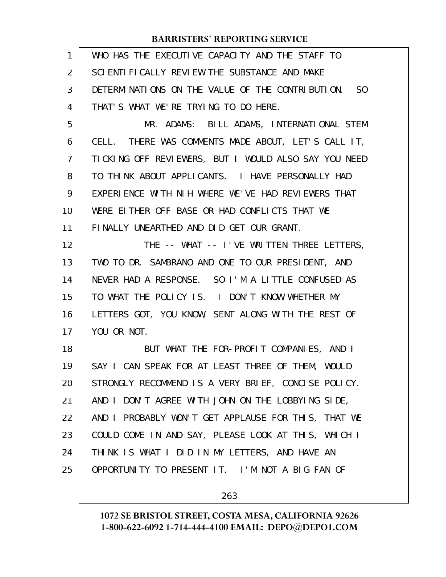| $\mathbf{1}$ | WHO HAS THE EXECUTIVE CAPACITY AND THE STAFF TO      |
|--------------|------------------------------------------------------|
| 2            | SCIENTI FICALLY REVIEW THE SUBSTANCE AND MAKE        |
| 3            | DETERMINATIONS ON THE VALUE OF THE CONTRIBUTION. SO  |
| 4            | THAT'S WHAT WE'RE TRYING TO DO HERE.                 |
| 5            | MR. ADAMS: BILL ADAMS, INTERNATIONAL STEM            |
| 6            | CELL. THERE WAS COMMENTS MADE ABOUT, LET'S CALL IT,  |
| 7            | TICKING OFF REVIEWERS, BUT I WOULD ALSO SAY YOU NEED |
| 8            | TO THINK ABOUT APPLICANTS. I HAVE PERSONALLY HAD     |
| 9            | EXPERIENCE WITH NIH WHERE WE'VE HAD REVIEWERS THAT   |
| 10           | WERE EITHER OFF BASE OR HAD CONFLICTS THAT WE        |
| 11           | FINALLY UNEARTHED AND DID GET OUR GRANT.             |
| 12           | THE -- WHAT -- I'VE WRITTEN THREE LETTERS,           |
| 13           | TWO TO DR. SAMBRANO AND ONE TO OUR PRESIDENT, AND    |
| 14           | NEVER HAD A RESPONSE. SO I'M A LITTLE CONFUSED AS    |
| 15           | TO WHAT THE POLICY IS. I DON'T KNOW WHETHER MY       |
| 16           | LETTERS GOT, YOU KNOW, SENT ALONG WITH THE REST OF   |
| 17           | YOU OR NOT.                                          |
| 18           | BUT WHAT THE FOR-PROFIT COMPANIES, AND I             |
| 19           | SAY I CAN SPEAK FOR AT LEAST THREE OF THEM, WOULD    |
| 20           | STRONGLY RECOMMEND IS A VERY BRIEF, CONCISE POLICY.  |
| 21           | AND I DON'T AGREE WITH JOHN ON THE LOBBYING SIDE,    |
| 22           | AND I PROBABLY WON'T GET APPLAUSE FOR THIS, THAT WE  |
| 23           | COULD COME IN AND SAY, PLEASE LOOK AT THIS, WHICH I  |
| 24           | THINK IS WHAT I DID IN MY LETTERS, AND HAVE AN       |
| 25           | OPPORTUNITY TO PRESENT IT. I'M NOT A BIG FAN OF      |
|              |                                                      |

263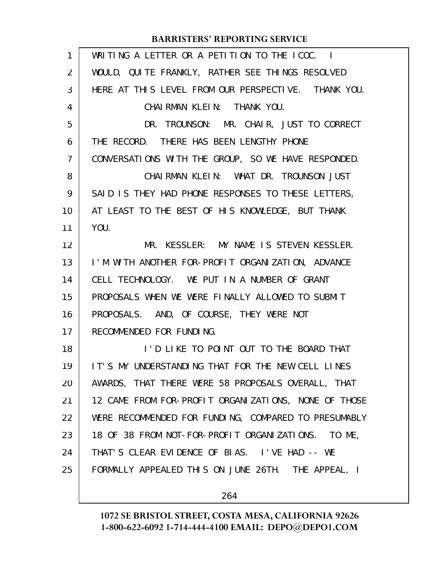| $\mathbf{1}$   | WRITING A LETTER OR A PETITION TO THE ICOC. I        |
|----------------|------------------------------------------------------|
| $\overline{2}$ | WOULD, QUITE FRANKLY, RATHER SEE THINGS RESOLVED     |
| 3              | HERE AT THIS LEVEL FROM OUR PERSPECTIVE. THANK YOU.  |
| 4              | CHAIRMAN KLEIN: THANK YOU.                           |
| 5              | DR. TROUNSON: MR. CHAIR, JUST TO CORRECT             |
| 6              | THE RECORD. THERE HAS BEEN LENGTHY PHONE             |
| 7              | CONVERSATIONS WITH THE GROUP, SO WE HAVE RESPONDED.  |
| 8              | CHAIRMAN KLEIN: WHAT DR. TROUNSON JUST               |
| 9              | SAID IS THEY HAD PHONE RESPONSES TO THESE LETTERS,   |
| 10             | AT LEAST TO THE BEST OF HIS KNOWLEDGE, BUT THANK     |
| 11             | YOU.                                                 |
| 12             | MR. KESSLER: MY NAME IS STEVEN KESSLER.              |
| 13             | I'M WITH ANOTHER FOR-PROFIT ORGANIZATION, ADVANCE    |
| 14             | CELL TECHNOLOGY. WE PUT IN A NUMBER OF GRANT         |
| 15             | PROPOSALS WHEN WE WERE FINALLY ALLOWED TO SUBMIT     |
| 16             | PROPOSALS. AND, OF COURSE, THEY WERE NOT             |
| 17             | RECOMMENDED FOR FUNDING.                             |
| 18             | I'D LIKE TO POINT OUT TO THE BOARD THAT              |
| 19             | IT'S MY UNDERSTANDING THAT FOR THE NEW CELL LINES    |
| 20             | AWARDS, THAT THERE WERE 58 PROPOSALS OVERALL, THAT   |
| 21             | 12 CAME FROM FOR-PROFIT ORGANIZATIONS, NONE OF THOSE |
| 22             | WERE RECOMMENDED FOR FUNDING, COMPARED TO PRESUMABLY |
| 23             | 18 OF 38 FROM NOT-FOR-PROFIT ORGANIZATIONS. TO ME,   |
| 24             | THAT'S CLEAR EVIDENCE OF BIAS. I'VE HAD -- WE        |
| 25             | FORMALLY APPEALED THIS ON JUNE 26TH. THE APPEAL, I   |
|                |                                                      |

264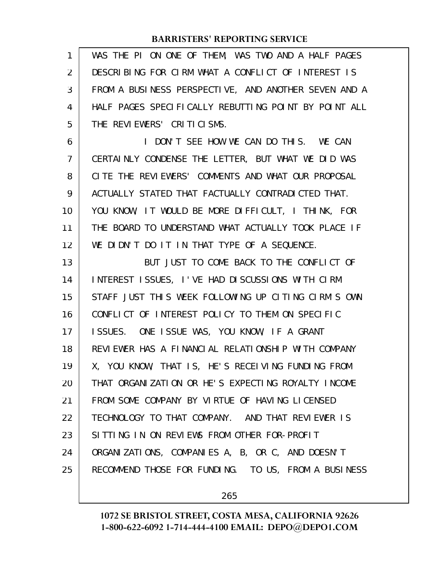| 1              | WAS THE PI ON ONE OF THEM, WAS TWO AND A HALF PAGES  |
|----------------|------------------------------------------------------|
| 2              | DESCRIBING FOR CIRM WHAT A CONFLICT OF INTEREST IS   |
| 3              | FROM A BUSINESS PERSPECTIVE, AND ANOTHER SEVEN AND A |
| 4              | HALF PAGES SPECIFICALLY REBUTTING POINT BY POINT ALL |
| 5              | THE REVIEWERS' CRITICISMS.                           |
| 6              | I DON'T SEE HOW WE CAN DO THIS. WE CAN               |
| $\overline{7}$ | CERTAINLY CONDENSE THE LETTER, BUT WHAT WE DID WAS   |
| 8              | CITE THE REVIEWERS' COMMENTS AND WHAT OUR PROPOSAL   |
| 9              | ACTUALLY STATED THAT FACTUALLY CONTRADICTED THAT.    |
| 10             | YOU KNOW, IT WOULD BE MORE DIFFICULT, I THINK, FOR   |
| 11             | THE BOARD TO UNDERSTAND WHAT ACTUALLY TOOK PLACE IF  |
| 12             | WE DIDN'T DO IT IN THAT TYPE OF A SEQUENCE.          |
| 13             | BUT JUST TO COME BACK TO THE CONFLICT OF             |
| 14             | INTEREST ISSUES, I'VE HAD DISCUSSIONS WITH CIRM      |
| 15             | STAFF JUST THIS WEEK FOLLOWING UP CITING CIRM'S OWN  |
| 16             | CONFLICT OF INTEREST POLICY TO THEM ON SPECIFIC      |
| 17             | ISSUES. ONE ISSUE WAS, YOU KNOW, IF A GRANT          |
| 18             | REVIEWER HAS A FINANCIAL RELATIONSHIP WITH COMPANY   |
| 19             | X, YOU KNOW, THAT IS, HE'S RECEIVING FUNDING FROM    |
| 20             | THAT ORGANIZATION OR HE'S EXPECTING ROYALTY INCOME   |
| 21             | FROM SOME COMPANY BY VIRTUE OF HAVING LICENSED       |
| 22             | TECHNOLOGY TO THAT COMPANY. AND THAT REVIEWER IS     |
| 23             | SITTING IN ON REVIEWS FROM OTHER FOR-PROFIT          |
| 24             | ORGANIZATIONS, COMPANIES A, B, OR C, AND DOESN'T     |
| 25             | RECOMMEND THOSE FOR FUNDING. TO US, FROM A BUSINESS  |
|                |                                                      |

265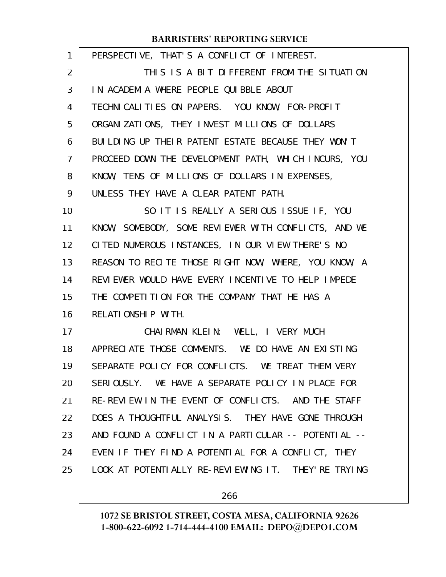| 1  | PERSPECTIVE, THAT'S A CONFLICT OF INTEREST.            |
|----|--------------------------------------------------------|
| 2  | THIS IS A BIT DIFFERENT FROM THE SITUATION             |
| 3  | IN ACADEMIA WHERE PEOPLE QUIBBLE ABOUT                 |
| 4  | TECHNICALITIES ON PAPERS. YOU KNOW, FOR-PROFIT         |
| 5  | ORGANIZATIONS, THEY INVEST MILLIONS OF DOLLARS         |
| 6  | BUILDING UP THEIR PATENT ESTATE BECAUSE THEY WON'T     |
| 7  | PROCEED DOWN THE DEVELOPMENT PATH, WHICH INCURS, YOU   |
| 8  | KNOW, TENS OF MILLIONS OF DOLLARS IN EXPENSES,         |
| 9  | UNLESS THEY HAVE A CLEAR PATENT PATH.                  |
| 10 | SO IT IS REALLY A SERIOUS ISSUE IF, YOU                |
| 11 | KNOW, SOMEBODY, SOME REVIEWER WITH CONFLICTS, AND WE   |
| 12 | CITED NUMEROUS INSTANCES, IN OUR VIEW THERE'S NO       |
| 13 | REASON TO RECITE THOSE RIGHT NOW, WHERE, YOU KNOW, A   |
| 14 | REVIEWER WOULD HAVE EVERY INCENTIVE TO HELP IMPEDE     |
| 15 | THE COMPETITION FOR THE COMPANY THAT HE HAS A          |
| 16 | RELATIONSHIP WITH.                                     |
| 17 | CHAIRMAN KLEIN: WELL, I VERY MUCH                      |
| 18 | APPRECIATE THOSE COMMENTS. WE DO HAVE AN EXISTING      |
| 19 | SEPARATE POLICY FOR CONFLICTS. WE TREAT THEM VERY      |
| 20 | SERIOUSLY. WE HAVE A SEPARATE POLICY IN PLACE FOR      |
| 21 | RE-REVIEW IN THE EVENT OF CONFLICTS. AND THE STAFF     |
| 22 | DOES A THOUGHTFUL ANALYSIS. THEY HAVE GONE THROUGH     |
| 23 | AND FOUND A CONFLICT IN A PARTICULAR -- POTENTIAL --   |
| 24 | EVEN IF THEY FIND A POTENTIAL FOR A CONFLICT, THEY     |
| 25 | LOOK AT POTENTI ALLY RE-REVI EWING IT. THEY' RE TRYING |
|    |                                                        |

266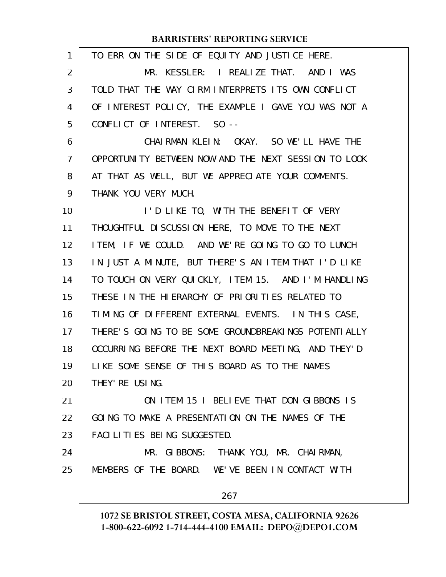| 1              | TO ERR ON THE SIDE OF EQUITY AND JUSTICE HERE.       |
|----------------|------------------------------------------------------|
| $\overline{2}$ | MR. KESSLER: I REALIZE THAT. AND I WAS               |
| 3              | TOLD THAT THE WAY CIRM INTERPRETS ITS OWN CONFLICT   |
| 4              | OF INTEREST POLICY, THE EXAMPLE I GAVE YOU WAS NOT A |
| 5              | CONFLICT OF INTEREST. SO --                          |
| 6              | CHAIRMAN KLEIN: OKAY. SO WE'LL HAVE THE              |
| $\mathcal{I}$  | OPPORTUNITY BETWEEN NOW AND THE NEXT SESSION TO LOOK |
| 8              | AT THAT AS WELL, BUT WE APPRECIATE YOUR COMMENTS.    |
| 9              | THANK YOU VERY MUCH.                                 |
| 10             | I'D LIKE TO, WITH THE BENEFIT OF VERY                |
| 11             | THOUGHTFUL DI SCUSSION HERE, TO MOVE TO THE NEXT     |
| 12             | ITEM, IF WE COULD. AND WE'RE GOING TO GO TO LUNCH    |
| 13             | IN JUST A MINUTE, BUT THERE'S AN ITEM THAT I'D LIKE  |
| 14             | TO TOUCH ON VERY QUICKLY, ITEM 15. AND I'M HANDLING  |
| 15             | THESE IN THE HIERARCHY OF PRIORITIES RELATED TO      |
| 16             | TIMING OF DIFFERENT EXTERNAL EVENTS. IN THIS CASE,   |
| 17             | THERE'S GOING TO BE SOME GROUNDBREAKINGS POTENTIALLY |
| 18             | OCCURRING BEFORE THE NEXT BOARD MEETING, AND THEY'D  |
| 19             | LIKE SOME SENSE OF THIS BOARD AS TO THE NAMES        |
| 20             | THEY' RE USING.                                      |
| 21             | ON ITEM 15 I BELIEVE THAT DON GIBBONS IS             |
| 22             | GOING TO MAKE A PRESENTATION ON THE NAMES OF THE     |
| 23             | FACILITIES BEING SUGGESTED.                          |
| 24             | MR. GIBBONS: THANK YOU, MR. CHAIRMAN,                |
| 25             | MEMBERS OF THE BOARD. WE'VE BEEN IN CONTACT WITH     |
|                | 267                                                  |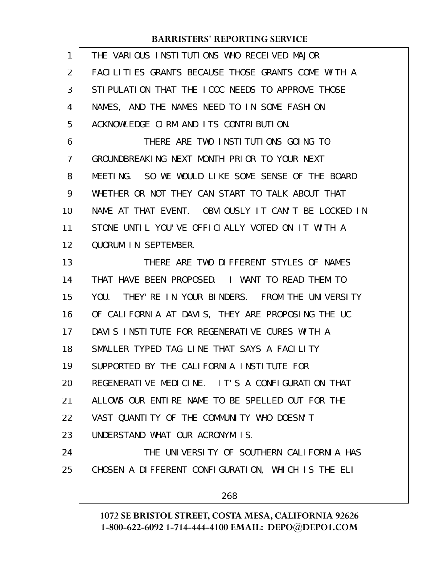| 1              | THE VARIOUS INSTITUTIONS WHO RECEIVED MAJOR         |
|----------------|-----------------------------------------------------|
| $\overline{2}$ | FACILITIES GRANTS BECAUSE THOSE GRANTS COME WITH A  |
| 3              | STIPULATION THAT THE ICOC NEEDS TO APPROVE THOSE    |
| 4              | NAMES, AND THE NAMES NEED TO IN SOME FASHION        |
| 5              | ACKNOWLEDGE CIRM AND ITS CONTRIBUTION.              |
| 6              | THERE ARE TWO INSTITUTIONS GOING TO                 |
| $\overline{7}$ | GROUNDBREAKING NEXT MONTH PRIOR TO YOUR NEXT        |
| 8              | MEETING. SO WE WOULD LIKE SOME SENSE OF THE BOARD   |
| 9              | WHETHER OR NOT THEY CAN START TO TALK ABOUT THAT    |
| 10             | NAME AT THAT EVENT. OBVIOUSLY IT CAN'T BE LOCKED IN |
| 11             | STONE UNTIL YOU'VE OFFICIALLY VOTED ON IT WITH A    |
| 12             | QUORUM IN SEPTEMBER.                                |
| 13             | THERE ARE TWO DIFFERENT STYLES OF NAMES             |
| 14             | THAT HAVE BEEN PROPOSED. I WANT TO READ THEM TO     |
| 15             | YOU. THEY' RE IN YOUR BINDERS. FROM THE UNIVERSITY  |
| 16             | OF CALIFORNIA AT DAVIS, THEY ARE PROPOSING THE UC   |
| 17             | DAVIS INSTITUTE FOR REGENERATIVE CURES WITH A       |
| 18             | SMALLER TYPED TAG LINE THAT SAYS A FACILITY         |
| 19             | SUPPORTED BY THE CALIFORNIA INSTITUTE FOR           |
| 20             | REGENERATIVE MEDICINE. IT'S A CONFIGURATION THAT    |
| 21             | ALLOWS OUR ENTIRE NAME TO BE SPELLED OUT FOR THE    |
| 22             | VAST QUANTITY OF THE COMMUNITY WHO DOESN'T          |
| 23             | UNDERSTAND WHAT OUR ACRONYM IS.                     |
| 24             | THE UNIVERSITY OF SOUTHERN CALL FORNIA HAS          |
| 25             | CHOSEN A DIFFERENT CONFIGURATION, WHICH IS THE ELI  |
|                | 268                                                 |
|                |                                                     |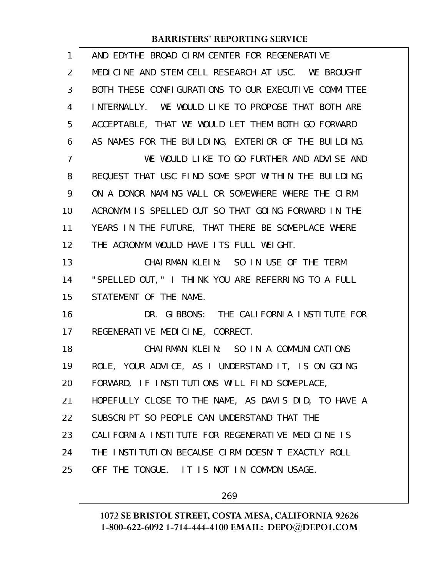| 1              | AND EDYTHE BROAD CIRM CENTER FOR REGENERATIVE        |
|----------------|------------------------------------------------------|
| $\overline{2}$ | MEDICINE AND STEM CELL RESEARCH AT USC. WE BROUGHT   |
| 3              | BOTH THESE CONFIGURATIONS TO OUR EXECUTIVE COMMITTEE |
| 4              | INTERNALLY. WE WOULD LIKE TO PROPOSE THAT BOTH ARE   |
| 5              | ACCEPTABLE, THAT WE WOULD LET THEM BOTH GO FORWARD   |
| 6              | AS NAMES FOR THE BUILDING, EXTERIOR OF THE BUILDING. |
| $\overline{7}$ | WE WOULD LIKE TO GO FURTHER AND ADVISE AND           |
| 8              | REQUEST THAT USC FIND SOME SPOT WITHIN THE BUILDING  |
| 9              | ON A DONOR NAMING WALL OR SOMEWHERE WHERE THE CIRM   |
| 10             | ACRONYM IS SPELLED OUT SO THAT GOING FORWARD IN THE  |
| 11             | YEARS IN THE FUTURE, THAT THERE BE SOMEPLACE WHERE   |
| 12             | THE ACRONYM WOULD HAVE ITS FULL WEIGHT.              |
| 13             | CHAIRMAN KLEIN: SO IN USE OF THE TERM                |
| 14             | "SPELLED OUT, " I THINK YOU ARE REFERRING TO A FULL  |
| 15             | STATEMENT OF THE NAME.                               |
| 16             | DR. GIBBONS: THE CALIFORNIA INSTITUTE FOR            |
| 17             | REGENERATIVE MEDICINE, CORRECT.                      |
| 18             | CHAIRMAN KLEIN: SO IN A COMMUNICATIONS               |
| 19             | ROLE, YOUR ADVICE, AS I UNDERSTAND IT, IS ON GOING   |
| 20             | FORWARD, IF INSTITUTIONS WILL FIND SOMEPLACE,        |
| 21             | HOPEFULLY CLOSE TO THE NAME, AS DAVIS DID, TO HAVE A |
| 22             | SUBSCRIPT SO PEOPLE CAN UNDERSTAND THAT THE          |
| 23             | CALIFORNIA INSTITUTE FOR REGENERATIVE MEDICINE IS    |
| 24             | THE INSTITUTION BECAUSE CIRM DOESN'T EXACTLY ROLL    |
| 25             | OFF THE TONGUE. IT IS NOT IN COMMON USAGE.           |
|                |                                                      |

269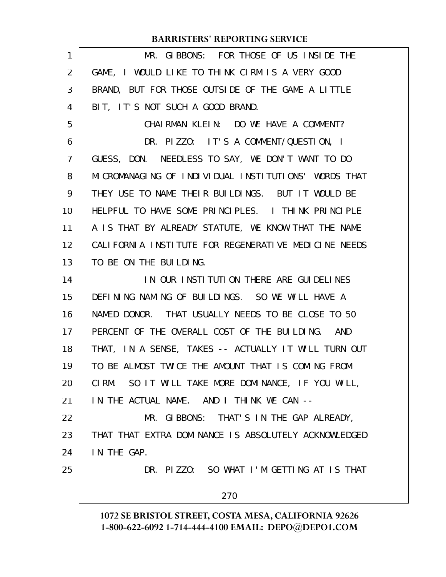|                | <b>BARRISTERS' REPORTING SERVICE</b>                  |
|----------------|-------------------------------------------------------|
| 1              | MR. GIBBONS: FOR THOSE OF US INSIDE THE               |
| 2              | GAME, I WOULD LIKE TO THINK CIRM IS A VERY GOOD       |
| 3              | BRAND, BUT FOR THOSE OUTSIDE OF THE GAME A LITTLE     |
| 4              | BIT, IT'S NOT SUCH A GOOD BRAND.                      |
| 5              | CHAIRMAN KLEIN: DO WE HAVE A COMMENT?                 |
| 6              | DR. PIZZO: IT'S A COMMENT/QUESTION, I                 |
| $\overline{7}$ | GUESS, DON. NEEDLESS TO SAY, WE DON'T WANT TO DO      |
| 8              | MICROMANAGING OF INDIVIDUAL INSTITUTIONS' WORDS THAT  |
| 9              | THEY USE TO NAME THEIR BUILDINGS. BUT IT WOULD BE     |
| 10             | HELPFUL TO HAVE SOME PRINCIPLES. I THINK PRINCIPLE    |
| 11             | A IS THAT BY ALREADY STATUTE, WE KNOW THAT THE NAME   |
| 12             | CALI FORNIA INSTITUTE FOR REGENERATIVE MEDICINE NEEDS |
| 13             | TO BE ON THE BUILDING.                                |
| 14             | IN OUR INSTITUTION THERE ARE GUIDELINES               |
| 15             | DEFINING NAMING OF BUILDINGS. SO WE WILL HAVE A       |
| 16             | NAMED DONOR. THAT USUALLY NEEDS TO BE CLOSE TO 50     |
| 17             | PERCENT OF THE OVERALL COST OF THE BUILDING. AND      |
| 18             | THAT, IN A SENSE, TAKES -- ACTUALLY IT WILL TURN OUT  |
| 19             | TO BE ALMOST TWICE THE AMOUNT THAT IS COMING FROM     |
| 20             | CIRM. SO IT WILL TAKE MORE DOMINANCE, IF YOU WILL,    |
| 21             | IN THE ACTUAL NAME. AND I THINK WE CAN --             |
| 22             | MR. GIBBONS: THAT'S IN THE GAP ALREADY,               |
| 23             | THAT THAT EXTRA DOMINANCE IS ABSOLUTELY ACKNOWLEDGED  |
| 24             | IN THE GAP.                                           |
| 25             | DR. PIZZO: SO WHAT I'M GETTING AT IS THAT             |
|                | 270                                                   |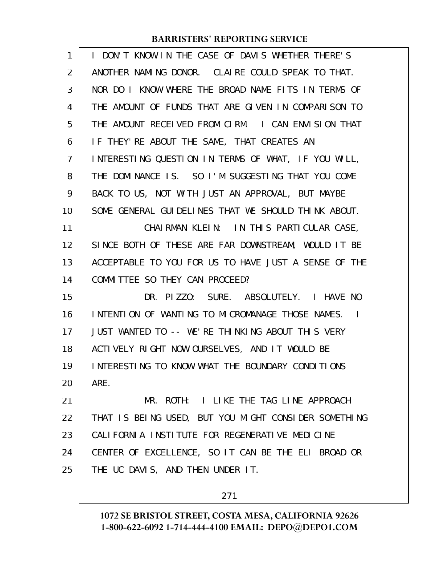| 1  | I DON'T KNOW IN THE CASE OF DAVIS WHETHER THERE'S    |
|----|------------------------------------------------------|
| 2  | ANOTHER NAMING DONOR. CLAIRE COULD SPEAK TO THAT.    |
| 3  | NOR DO I KNOW WHERE THE BROAD NAME FITS IN TERMS OF  |
| 4  | THE AMOUNT OF FUNDS THAT ARE GIVEN IN COMPARISON TO  |
| 5  | THE AMOUNT RECEIVED FROM CIRM. I CAN ENVISION THAT   |
| 6  | IF THEY'RE ABOUT THE SAME, THAT CREATES AN           |
| 7  | INTERESTING QUESTION IN TERMS OF WHAT, IF YOU WILL,  |
| 8  | THE DOMINANCE IS. SO I'M SUGGESTING THAT YOU COME    |
| 9  | BACK TO US, NOT WITH JUST AN APPROVAL, BUT MAYBE     |
| 10 | SOME GENERAL GUIDELINES THAT WE SHOULD THINK ABOUT.  |
| 11 | CHAIRMAN KLEIN: IN THIS PARTICULAR CASE,             |
| 12 | SINCE BOTH OF THESE ARE FAR DOWNSTREAM, WOULD IT BE  |
| 13 | ACCEPTABLE TO YOU FOR US TO HAVE JUST A SENSE OF THE |
| 14 | COMMITTEE SO THEY CAN PROCEED?                       |
| 15 | DR. PIZZO: SURE. ABSOLUTELY. I HAVE NO               |
| 16 | INTENTION OF WANTING TO MICROMANAGE THOSE NAMES.     |
| 17 | JUST WANTED TO -- WE'RE THINKING ABOUT THIS VERY     |
| 18 | ACTIVELY RIGHT NOW OURSELVES, AND IT WOULD BE        |
| 19 | INTERESTING TO KNOW WHAT THE BOUNDARY CONDITIONS     |
| 20 | ARE.                                                 |
| 21 | MR. ROTH: I LIKE THE TAG LINE APPROACH               |
| 22 | THAT IS BEING USED, BUT YOU MIGHT CONSIDER SOMETHING |
| 23 | CALIFORNIA INSTITUTE FOR REGENERATIVE MEDICINE       |
| 24 | CENTER OF EXCELLENCE, SO IT CAN BE THE ELI BROAD OR  |
| 25 | THE UC DAVIS, AND THEN UNDER IT.                     |
|    |                                                      |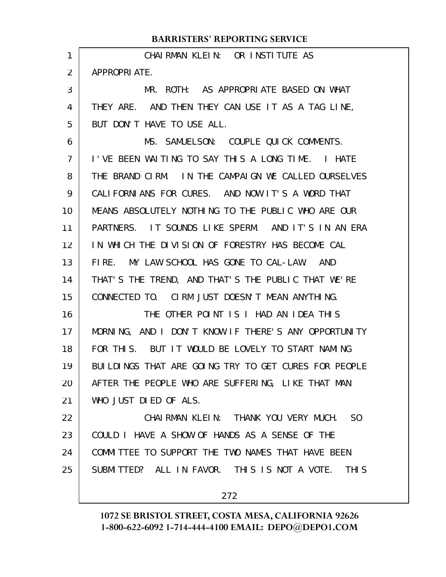#### CHAIRMAN KLEIN: OR INSTITUTE AS APPROPRI ATE. MR. ROTH: AS APPROPRIATE BASED ON WHAT THEY ARE. AND THEN THEY CAN USE IT AS A TAG LINE, BUT DON'T HAVE TO USE ALL. MS. SAMUELSON: COUPLE QUICK COMMENTS. I'VE BEEN WAITING TO SAY THIS A LONG TIME. I HATE THE BRAND CIRM. IN THE CAMPAIGN WE CALLED OURSELVES CALIFORNIANS FOR CURES. AND NOW IT'S A WORD THAT MEANS ABSOLUTELY NOTHING TO THE PUBLIC WHO ARE OUR PARTNERS. IT SOUNDS LIKE SPERM. AND IT'S IN AN ERA IN WHICH THE DIVISION OF FORESTRY HAS BECOME CAL FIRE. MY LAW SCHOOL HAS GONE TO CAL-LAW. AND THAT'S THE TREND, AND THAT'S THE PUBLIC THAT WE'RE CONNECTED TO. CIRM JUST DOESN'T MEAN ANYTHING. THE OTHER POINT IS I HAD AN IDEA THIS MORNING, AND I DON'T KNOW IF THERE'S ANY OPPORTUNITY FOR THIS. BUT IT WOULD BE LOVELY TO START NAMING BUILDINGS THAT ARE GOING TRY TO GET CURES FOR PEOPLE AFTER THE PEOPLE WHO ARE SUFFERING, LIKE THAT MAN WHO JUST DIED OF ALS. CHAIRMAN KLEIN: THANK YOU VERY MUCH. SO COULD I HAVE A SHOW OF HANDS AS A SENSE OF THE COMMITTEE TO SUPPORT THE TWO NAMES THAT HAVE BEEN SUBMITTED? ALL IN FAVOR. THIS IS NOT A VOTE. THIS **BARRISTERS' REPORTING SERVICE** 1 2 3 4 5 6 7 8 9 10 11 12 13 14 15 16 17 18 19 20 21 22 23 24

25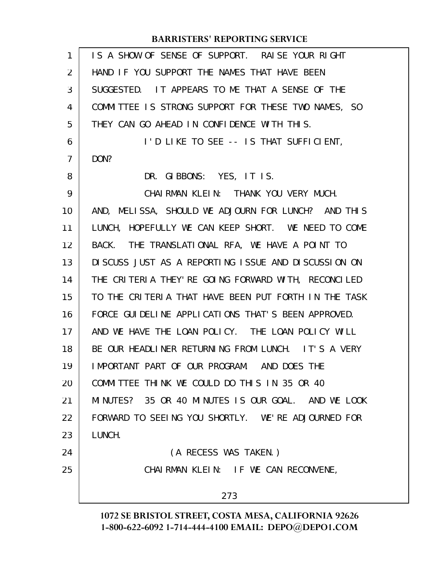| $\mathbf{1}$   | IS A SHOW OF SENSE OF SUPPORT. RAISE YOUR RIGHT        |
|----------------|--------------------------------------------------------|
| 2              | HAND IF YOU SUPPORT THE NAMES THAT HAVE BEEN           |
| 3              | SUGGESTED. IT APPEARS TO ME THAT A SENSE OF THE        |
| 4              | COMMITTEE IS STRONG SUPPORT FOR THESE TWO NAMES, SO    |
| 5              | THEY CAN GO AHEAD IN CONFIDENCE WITH THIS.             |
| 6              | I'D LIKE TO SEE -- IS THAT SUFFICIENT,                 |
| $\overline{7}$ | DON?                                                   |
| 8              | DR. GIBBONS: YES, IT IS.                               |
| 9              | CHAI RMAN KLEIN: THANK YOU VERY MUCH.                  |
| 10             | AND, MELISSA, SHOULD WE ADJOURN FOR LUNCH? AND THIS    |
| 11             | LUNCH, HOPEFULLY WE CAN KEEP SHORT. WE NEED TO COME    |
| 12             | BACK. THE TRANSLATIONAL RFA, WE HAVE A POINT TO        |
| 13             | DI SCUSS JUST AS A REPORTING I SSUE AND DI SCUSSION ON |
| 14             | THE CRITERIA THEY' RE GOING FORWARD WITH, RECONCILED   |
| 15             | TO THE CRITERIA THAT HAVE BEEN PUT FORTH IN THE TASK   |
| 16             | FORCE GUI DELINE APPLICATIONS THAT'S BEEN APPROVED.    |
| 17             | AND WE HAVE THE LOAN POLICY. THE LOAN POLICY WILL      |
| 18             | BE OUR HEADLINER RETURNING FROM LUNCH. IT'S A VERY     |
| 19             | IMPORTANT PART OF OUR PROGRAM. AND DOES THE            |
| 20             | COMMITTEE THINK WE COULD DO THIS IN 35 OR 40           |
| 21             | MINUTES? 35 OR 40 MINUTES IS OUR GOAL. AND WE LOOK     |
| 22             | FORWARD TO SEEING YOU SHORTLY. WE'RE ADJOURNED FOR     |
| 23             | LUNCH.                                                 |
| 24             | (A RECESS WAS TAKEN.)                                  |
| 25             | CHAIRMAN KLEIN: IF WE CAN RECONVENE,                   |
|                | 273                                                    |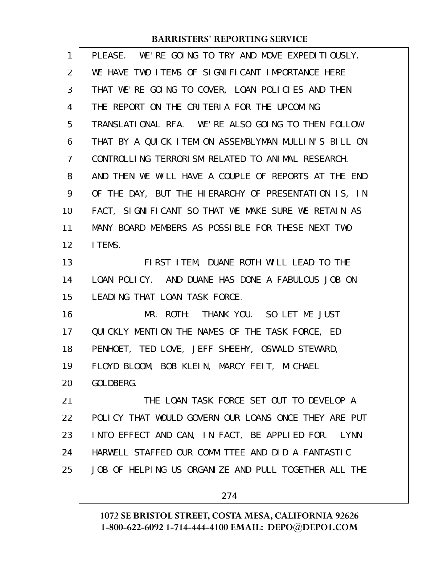| $\mathbf{1}$   | PLEASE. WE'RE GOING TO TRY AND MOVE EXPEDITIOUSLY.   |
|----------------|------------------------------------------------------|
| 2              | WE HAVE TWO ITEMS OF SIGNIFICANT IMPORTANCE HERE     |
| 3              | THAT WE'RE GOING TO COVER, LOAN POLICIES AND THEN    |
| 4              | THE REPORT ON THE CRITERIA FOR THE UPCOMING          |
| 5              | TRANSLATIONAL RFA. WE'RE ALSO GOING TO THEN FOLLOW   |
| 6              | THAT BY A QUICK ITEM ON ASSEMBLYMAN MULLIN'S BILL ON |
| $\overline{7}$ | CONTROLLING TERRORISM RELATED TO ANIMAL RESEARCH.    |
| 8              | AND THEN WE WILL HAVE A COUPLE OF REPORTS AT THE END |
| 9              | OF THE DAY, BUT THE HIERARCHY OF PRESENTATION IS, IN |
| 10             | FACT, SIGNIFICANT SO THAT WE MAKE SURE WE RETAIN AS  |
| 11             | MANY BOARD MEMBERS AS POSSIBLE FOR THESE NEXT TWO    |
| 12             | I TEMS.                                              |
| 13             | FIRST ITEM, DUANE ROTH WILL LEAD TO THE              |
| 14             | LOAN POLICY. AND DUANE HAS DONE A FABULOUS JOB ON    |
| 15             | LEADING THAT LOAN TASK FORCE.                        |
| 16             | MR. ROTH: THANK YOU. SO LET ME JUST                  |
| 17             | QUICKLY MENTION THE NAMES OF THE TASK FORCE, ED      |
| 18             | PENHOET, TED LOVE, JEFF SHEEHY, OSWALD STEWARD,      |
| 19             | FLOYD BLOOM, BOB KLEIN, MARCY FEIT, MICHAEL          |
| 20             | GOLDBERG.                                            |
| 21             | THE LOAN TASK FORCE SET OUT TO DEVELOP A             |
| 22             | POLICY THAT WOULD GOVERN OUR LOANS ONCE THEY ARE PUT |
| 23             | INTO EFFECT AND CAN, IN FACT, BE APPLIED FOR. LYNN   |
| 24             | HARWELL STAFFED OUR COMMITTEE AND DID A FANTASTIC    |
| 25             | JOB OF HELPING US ORGANIZE AND PULL TOGETHER ALL THE |
|                | 274                                                  |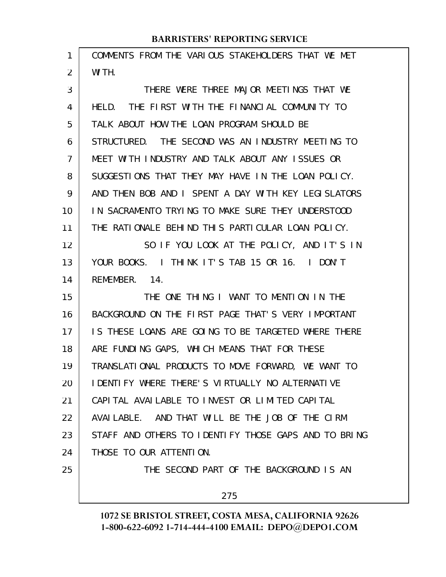| COMMENTS FROM THE VARIOUS STAKEHOLDERS THAT WE MET      |
|---------------------------------------------------------|
| WITH.                                                   |
| THERE WERE THREE MAJOR MEETINGS THAT WE                 |
| HELD. THE FIRST WITH THE FINANCIAL COMMUNITY TO         |
| TALK ABOUT HOW THE LOAN PROGRAM SHOULD BE               |
| STRUCTURED. THE SECOND WAS AN INDUSTRY MEETING TO       |
| MEET WITH INDUSTRY AND TALK ABOUT ANY ISSUES OR         |
| SUGGESTIONS THAT THEY MAY HAVE IN THE LOAN POLICY.      |
| AND THEN BOB AND I SPENT A DAY WITH KEY LEGISLATORS     |
| IN SACRAMENTO TRYING TO MAKE SURE THEY UNDERSTOOD       |
| THE RATIONALE BEHIND THIS PARTICULAR LOAN POLICY.       |
| SO IF YOU LOOK AT THE POLICY, AND IT'S IN               |
| YOUR BOOKS. I THINK IT'S TAB 15 OR 16. I DON'T          |
| REMEMBER. 14.                                           |
| THE ONE THING I WANT TO MENTION IN THE                  |
| BACKGROUND ON THE FIRST PAGE THAT'S VERY IMPORTANT      |
| IS THESE LOANS ARE GOING TO BE TARGETED WHERE THERE     |
| ARE FUNDING GAPS, WHICH MEANS THAT FOR THESE            |
| TRANSLATIONAL PRODUCTS TO MOVE FORWARD, WE WANT TO      |
| <b>I DENTIFY WHERE THERE'S VIRTUALLY NO ALTERNATIVE</b> |
| CAPITAL AVAILABLE TO INVEST OR LIMITED CAPITAL          |
| AVAILABLE. AND THAT WILL BE THE JOB OF THE CIRM         |
| STAFF AND OTHERS TO IDENTIFY THOSE GAPS AND TO BRING    |
| THOSE TO OUR ATTENTION.                                 |
| THE SECOND PART OF THE BACKGROUND IS AN                 |
| 275                                                     |
|                                                         |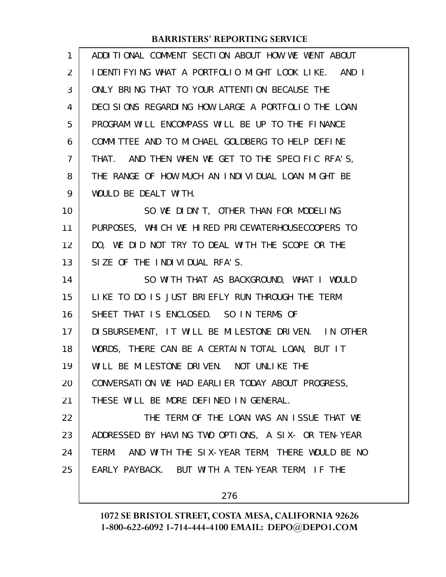| ADDITIONAL COMMENT SECTION ABOUT HOW WE WENT ABOUT   |
|------------------------------------------------------|
| I DENTIFYING WHAT A PORTFOLIO MIGHT LOOK LIKE. AND I |
| ONLY BRING THAT TO YOUR ATTENTION BECAUSE THE        |
| DECISIONS REGARDING HOW LARGE A PORTFOLIO THE LOAN   |
| PROGRAM WILL ENCOMPASS WILL BE UP TO THE FINANCE     |
| COMMITTEE AND TO MICHAEL GOLDBERG TO HELP DEFINE     |
| THAT. AND THEN WHEN WE GET TO THE SPECIFIC RFA'S,    |
| THE RANGE OF HOW MUCH AN INDIVIDUAL LOAN MIGHT BE    |
| WOULD BE DEALT WITH.                                 |
| SO WE DIDN'T, OTHER THAN FOR MODELING                |
| PURPOSES, WHICH WE HIRED PRICEWATERHOUSECOOPERS TO   |
| DO, WE DID NOT TRY TO DEAL WITH THE SCOPE OR THE     |
| SIZE OF THE INDIVIDUAL RFA'S.                        |
| SO WITH THAT AS BACKGROUND, WHAT I WOULD             |
| LIKE TO DO IS JUST BRIEFLY RUN THROUGH THE TERM      |
| SHEET THAT IS ENCLOSED. SO IN TERMS OF               |
| DI SBURSEMENT, IT WILL BE MILESTONE DRIVEN. IN OTHER |
| WORDS, THERE CAN BE A CERTAIN TOTAL LOAN, BUT IT     |
| WILL BE MILESTONE DRIVEN. NOT UNLIKE THE             |
| CONVERSATION WE HAD EARLIER TODAY ABOUT PROGRESS,    |
| THESE WILL BE MORE DEFINED IN GENERAL.               |
| THE TERM OF THE LOAN WAS AN ISSUE THAT WE            |
| ADDRESSED BY HAVING TWO OPTIONS, A SIX- OR TEN-YEAR  |
| TERM. AND WITH THE SIX-YEAR TERM, THERE WOULD BE NO  |
| EARLY PAYBACK. BUT WITH A TEN-YEAR TERM, IF THE      |
| 276                                                  |
|                                                      |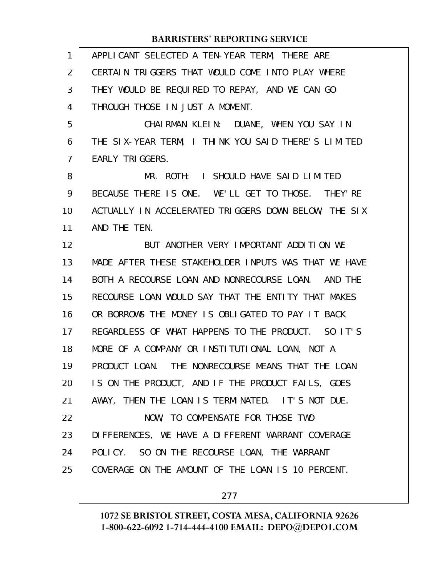| $\mathbf{1}$   | APPLICANT SELECTED A TEN-YEAR TERM, THERE ARE        |
|----------------|------------------------------------------------------|
| $\overline{2}$ | CERTAIN TRIGGERS THAT WOULD COME INTO PLAY WHERE     |
| 3              | THEY WOULD BE REQUIRED TO REPAY, AND WE CAN GO       |
| 4              | THROUGH THOSE IN JUST A MOMENT.                      |
| 5              | CHAIRMAN KLEIN: DUANE, WHEN YOU SAY IN               |
| 6              | THE SIX-YEAR TERM, I THINK YOU SAID THERE'S LIMITED  |
| $\overline{7}$ | EARLY TRIGGERS.                                      |
| 8              | MR. ROTH: I SHOULD HAVE SAID LIMITED                 |
| 9              | BECAUSE THERE IS ONE. WE'LL GET TO THOSE. THEY'RE    |
| 10             | ACTUALLY IN ACCELERATED TRIGGERS DOWN BELOW, THE SIX |
| 11             | AND THE TEN.                                         |
| 12             | BUT ANOTHER VERY IMPORTANT ADDITION WE               |
| 13             | MADE AFTER THESE STAKEHOLDER INPUTS WAS THAT WE HAVE |
| 14             | BOTH A RECOURSE LOAN AND NONRECOURSE LOAN. AND THE   |
| 15             | RECOURSE LOAN WOULD SAY THAT THE ENTITY THAT MAKES   |
| 16             | OR BORROWS THE MONEY IS OBLIGATED TO PAY IT BACK     |
| 17             | REGARDLESS OF WHAT HAPPENS TO THE PRODUCT. SO IT'S   |
| 18             | MORE OF A COMPANY OR INSTITUTIONAL LOAN, NOT A       |
| 19             | PRODUCT LOAN. THE NONRECOURSE MEANS THAT THE LOAN    |
| 20             | IS ON THE PRODUCT, AND IF THE PRODUCT FAILS, GOES    |
| 21             | AWAY, THEN THE LOAN IS TERMINATED. IT'S NOT DUE.     |
| 22             | NOW, TO COMPENSATE FOR THOSE TWO                     |
| 23             | DIFFERENCES, WE HAVE A DIFFERENT WARRANT COVERAGE    |
| 24             | POLICY. SO ON THE RECOURSE LOAN, THE WARRANT         |
| 25             | COVERAGE ON THE AMOUNT OF THE LOAN IS 10 PERCENT.    |
|                |                                                      |

277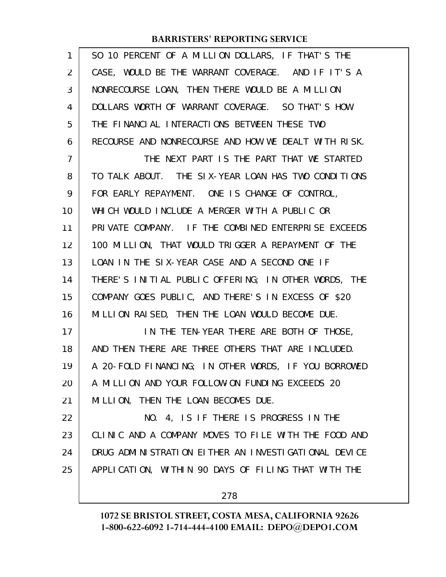| 1              | SO 10 PERCENT OF A MILLION DOLLARS, IF THAT'S THE    |
|----------------|------------------------------------------------------|
| 2              | CASE, WOULD BE THE WARRANT COVERAGE. AND IF IT'S A   |
| 3              | NONRECOURSE LOAN, THEN THERE WOULD BE A MILLION      |
| 4              | DOLLARS WORTH OF WARRANT COVERAGE. SO THAT'S HOW     |
| 5              | THE FINANCIAL INTERACTIONS BETWEEN THESE TWO         |
| 6              | RECOURSE AND NONRECOURSE AND HOW WE DEALT WITH RISK. |
| $\overline{7}$ | THE NEXT PART IS THE PART THAT WE STARTED            |
| 8              | TO TALK ABOUT. THE SIX-YEAR LOAN HAS TWO CONDITIONS  |
| 9              | FOR EARLY REPAYMENT. ONE IS CHANGE OF CONTROL,       |
| 10             | WHICH WOULD INCLUDE A MERGER WITH A PUBLIC OR        |
| 11             | PRIVATE COMPANY. IF THE COMBINED ENTERPRISE EXCEEDS  |
| 12             | 100 MILLION, THAT WOULD TRIGGER A REPAYMENT OF THE   |
| 13             | LOAN IN THE SIX-YEAR CASE AND A SECOND ONE IF        |
| 14             | THERE'S INITIAL PUBLIC OFFERING; IN OTHER WORDS, THE |
| 15             | COMPANY GOES PUBLIC, AND THERE'S IN EXCESS OF \$20   |
| 16             | MILLION RAISED, THEN THE LOAN WOULD BECOME DUE.      |
| 17             | IN THE TEN-YEAR THERE ARE BOTH OF THOSE,             |
| 18             | AND THEN THERE ARE THREE OTHERS THAT ARE INCLUDED.   |
| 19             | A 20-FOLD FINANCING; IN OTHER WORDS, IF YOU BORROWED |
| 20             | A MILLION AND YOUR FOLLOW-ON FUNDING EXCEEDS 20      |
| 21             | MILLION, THEN THE LOAN BECOMES DUE.                  |
| 22             | NO. 4, IS IF THERE IS PROGRESS IN THE                |
| 23             | CLINIC AND A COMPANY MOVES TO FILE WITH THE FOOD AND |
| 24             | DRUG ADMINISTRATION EITHER AN INVESTIGATIONAL DEVICE |
| 25             | APPLICATION, WITHIN 90 DAYS OF FILING THAT WITH THE  |
|                |                                                      |

278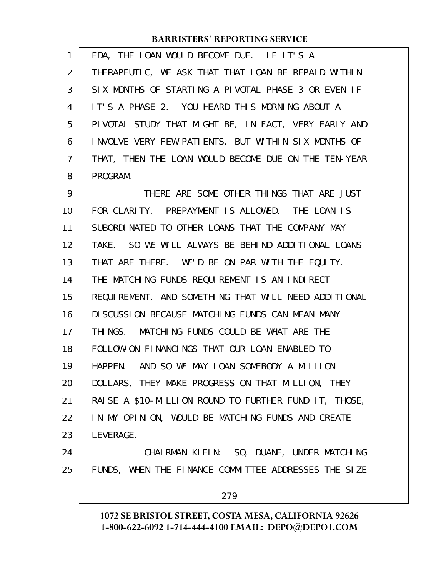| $\mathbf{1}$ | FDA, THE LOAN WOULD BECOME DUE. IF IT'S A             |
|--------------|-------------------------------------------------------|
| 2            | THERAPEUTIC, WE ASK THAT THAT LOAN BE REPAID WITHIN   |
| 3            | SIX MONTHS OF STARTING A PIVOTAL PHASE 3 OR EVEN IF   |
| 4            | IT'S A PHASE 2. YOU HEARD THIS MORNING ABOUT A        |
| 5            | PIVOTAL STUDY THAT MIGHT BE, IN FACT, VERY EARLY AND  |
| 6            | INVOLVE VERY FEW PATIENTS, BUT WITHIN SIX MONTHS OF   |
| 7            | THAT, THEN THE LOAN WOULD BECOME DUE ON THE TEN-YEAR  |
| 8            | PROGRAM.                                              |
| 9            | THERE ARE SOME OTHER THINGS THAT ARE JUST             |
| 10           | FOR CLARITY. PREPAYMENT IS ALLOWED. THE LOAN IS       |
| 11           | SUBORDINATED TO OTHER LOANS THAT THE COMPANY MAY      |
| 12           | TAKE. SO WE WILL ALWAYS BE BEHIND ADDITIONAL LOANS    |
| 13           | THAT ARE THERE. WE'D BE ON PAR WITH THE EQUITY.       |
| 14           | THE MATCHING FUNDS REQUIREMENT IS AN INDIRECT         |
| 15           | REQUIREMENT, AND SOMETHING THAT WILL NEED ADDITIONAL  |
| 16           | DI SCUSSION BECAUSE MATCHING FUNDS CAN MEAN MANY      |
| 17           | THINGS. MATCHING FUNDS COULD BE WHAT ARE THE          |
| 18           | FOLLOW-ON FINANCINGS THAT OUR LOAN ENABLED TO         |
| 19           | HAPPEN. AND SO WE MAY LOAN SOMEBODY A MILLION         |
| 20           | DOLLARS, THEY MAKE PROGRESS ON THAT MILLION, THEY     |
| 21           | RAISE A \$10-MILLION ROUND TO FURTHER FUND IT, THOSE, |
| 22           | IN MY OPINION, WOULD BE MATCHING FUNDS AND CREATE     |
| 23           | LEVERAGE.                                             |
| 24           | CHAI RMAN KLEIN: SO, DUANE, UNDER MATCHING            |
| 25           | FUNDS, WHEN THE FINANCE COMMITTEE ADDRESSES THE SIZE  |
|              | 279                                                   |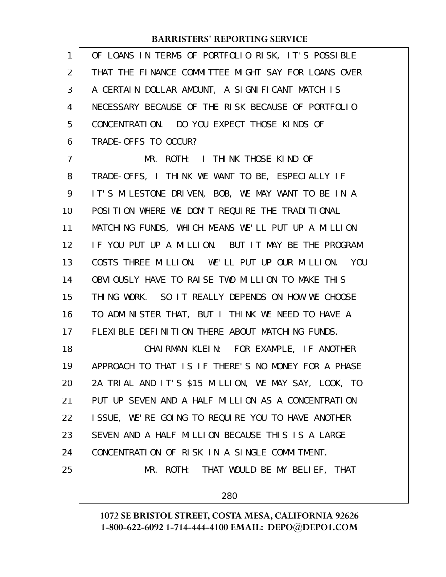| 1  | OF LOANS IN TERMS OF PORTFOLIO RISK, IT'S POSSIBLE   |
|----|------------------------------------------------------|
| 2  | THAT THE FINANCE COMMITTEE MIGHT SAY FOR LOANS OVER  |
| 3  | A CERTAIN DOLLAR AMOUNT, A SIGNIFICANT MATCH IS      |
| 4  | NECESSARY BECAUSE OF THE RISK BECAUSE OF PORTFOLIO   |
| 5  | CONCENTRATION. DO YOU EXPECT THOSE KINDS OF          |
| 6  | TRADE-OFFS TO OCCUR?                                 |
| 7  | MR. ROTH: I THINK THOSE KIND OF                      |
| 8  | TRADE-OFFS, I THINK WE WANT TO BE, ESPECIALLY IF     |
| 9  | IT'S MILESTONE DRIVEN, BOB, WE MAY WANT TO BE IN A   |
| 10 | POSITION WHERE WE DON'T REQUIRE THE TRADITIONAL      |
| 11 | MATCHING FUNDS, WHICH MEANS WE'LL PUT UP A MILLION   |
| 12 | IF YOU PUT UP A MILLION. BUT IT MAY BE THE PROGRAM   |
| 13 | COSTS THREE MILLION. WE'LL PUT UP OUR MILLION. YOU   |
| 14 | OBVIOUSLY HAVE TO RAISE TWO MILLION TO MAKE THIS     |
| 15 | THING WORK. SO IT REALLY DEPENDS ON HOW WE CHOOSE    |
| 16 | TO ADMINISTER THAT, BUT I THINK WE NEED TO HAVE A    |
| 17 | FLEXIBLE DEFINITION THERE ABOUT MATCHING FUNDS.      |
| 18 | CHAIRMAN KLEIN: FOR EXAMPLE, IF ANOTHER              |
| 19 | APPROACH TO THAT IS IF THERE'S NO MONEY FOR A PHASE  |
| 20 | 2A TRIAL AND IT'S \$15 MILLION, WE MAY SAY, LOOK, TO |
| 21 | PUT UP SEVEN AND A HALF MILLION AS A CONCENTRATION   |
| 22 | ISSUE, WE'RE GOING TO REQUIRE YOU TO HAVE ANOTHER    |
| 23 | SEVEN AND A HALF MILLION BECAUSE THIS IS A LARGE     |
| 24 | CONCENTRATION OF RISK IN A SINGLE COMMITMENT.        |
| 25 | MR. ROTH: THAT WOULD BE MY BELIEF, THAT              |
|    |                                                      |

280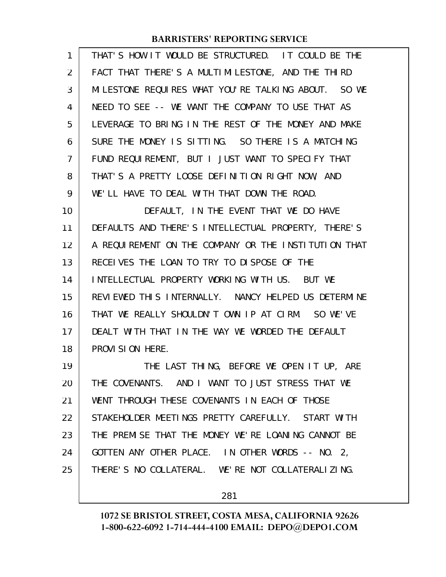| $\mathbf{1}$   | THAT'S HOW IT WOULD BE STRUCTURED. IT COULD BE THE   |
|----------------|------------------------------------------------------|
| 2              | FACT THAT THERE'S A MULTIMILESTONE, AND THE THIRD    |
| 3              | MILESTONE REQUIRES WHAT YOU'RE TALKING ABOUT. SO WE  |
| 4              | NEED TO SEE -- WE WANT THE COMPANY TO USE THAT AS    |
| 5              | LEVERAGE TO BRING IN THE REST OF THE MONEY AND MAKE  |
| 6              | SURE THE MONEY IS SITTING. SO THERE IS A MATCHING    |
| $\overline{7}$ | FUND REQUIREMENT, BUT I JUST WANT TO SPECIFY THAT    |
| 8              | THAT'S A PRETTY LOOSE DEFINITION RIGHT NOW, AND      |
| 9              | WE'LL HAVE TO DEAL WITH THAT DOWN THE ROAD.          |
| 10             | DEFAULT, IN THE EVENT THAT WE DO HAVE                |
| 11             | DEFAULTS AND THERE'S INTELLECTUAL PROPERTY, THERE'S  |
| 12             | A REQUIREMENT ON THE COMPANY OR THE INSTITUTION THAT |
| 13             | RECEIVES THE LOAN TO TRY TO DISPOSE OF THE           |
| 14             | INTELLECTUAL PROPERTY WORKING WITH US. BUT WE        |
| 15             | REVIEWED THIS INTERNALLY. NANCY HELPED US DETERMINE  |
| 16             | THAT WE REALLY SHOULDN'T OWN IP AT CIRM. SO WE'VE    |
| 17             | DEALT WITH THAT IN THE WAY WE WORDED THE DEFAULT     |
| 18             | PROVI SI ON HERE.                                    |
| 19             | THE LAST THING, BEFORE WE OPEN IT UP, ARE            |
| 20             | THE COVENANTS. AND I WANT TO JUST STRESS THAT WE     |
| 21             | WENT THROUGH THESE COVENANTS IN EACH OF THOSE        |
| 22             | STAKEHOLDER MEETINGS PRETTY CAREFULLY. START WITH    |
| 23             | THE PREMISE THAT THE MONEY WE'RE LOANING CANNOT BE   |
| 24             | GOTTEN ANY OTHER PLACE. IN OTHER WORDS -- NO. 2,     |
|                |                                                      |
| 25             | THERE'S NO COLLATERAL. WE'RE NOT COLLATERALIZING.    |

281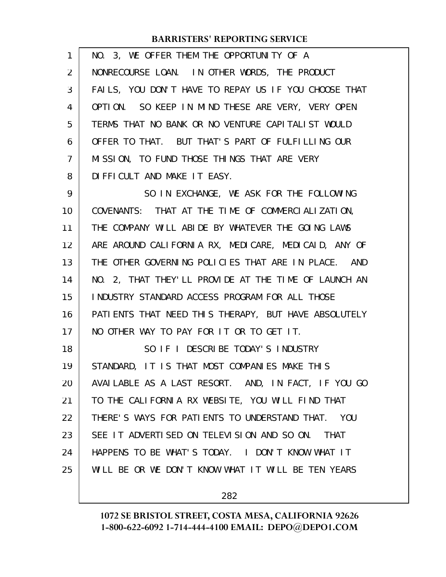| 1  | NO. 3, WE OFFER THEM THE OPPORTUNITY OF A                   |
|----|-------------------------------------------------------------|
| 2  | NONRECOURSE LOAN. IN OTHER WORDS, THE PRODUCT               |
| 3  | FAILS, YOU DON'T HAVE TO REPAY US IF YOU CHOOSE THAT        |
| 4  | OPTION. SO KEEP IN MIND THESE ARE VERY, VERY OPEN           |
| 5  | TERMS THAT NO BANK OR NO VENTURE CAPITALIST WOULD           |
| 6  | OFFER TO THAT. BUT THAT'S PART OF FULFILLING OUR            |
| 7  | MISSION, TO FUND THOSE THINGS THAT ARE VERY                 |
| 8  | DIFFICULT AND MAKE IT EASY.                                 |
| 9  | SO IN EXCHANGE, WE ASK FOR THE FOLLOWING                    |
| 10 | COVENANTS: THAT AT THE TIME OF COMMERCIALIZATION,           |
| 11 | THE COMPANY WILL ABIDE BY WHATEVER THE GOING LAWS           |
| 12 | ARE AROUND CALIFORNIA RX, MEDICARE, MEDICAID, ANY OF        |
| 13 | THE OTHER GOVERNING POLICIES THAT ARE IN PLACE. AND         |
| 14 | NO. 2, THAT THEY'LL PROVIDE AT THE TIME OF LAUNCH AN        |
| 15 | INDUSTRY STANDARD ACCESS PROGRAM FOR ALL THOSE              |
| 16 | PATI ENTS THAT NEED THIS THERAPY, BUT HAVE ABSOLUTELY       |
| 17 | NO OTHER WAY TO PAY FOR IT OR TO GET IT.                    |
| 18 | SO IF I DESCRIBE TODAY'S INDUSTRY                           |
| 19 | STANDARD, IT IS THAT MOST COMPANIES MAKE THIS               |
| 20 | AVAILABLE AS A LAST RESORT. AND, IN FACT, IF YOU GO         |
| 21 | TO THE CALIFORNIA RX WEBSITE, YOU WILL FIND THAT            |
| 22 | THERE'S WAYS FOR PATIENTS TO UNDERSTAND THAT.<br><b>YOU</b> |
| 23 | SEE IT ADVERTISED ON TELEVISION AND SO ON.<br><b>THAT</b>   |
| 24 | HAPPENS TO BE WHAT'S TODAY. I DON'T KNOW WHAT IT            |
| 25 | WILL BE OR WE DON'T KNOW WHAT IT WILL BE TEN YEARS          |
|    |                                                             |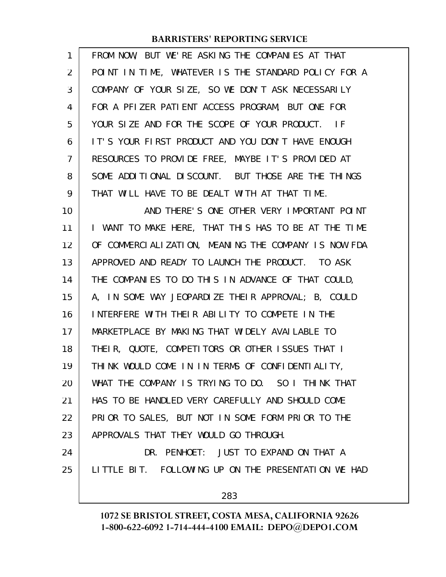| 1              | FROM NOW, BUT WE'RE ASKING THE COMPANIES AT THAT     |
|----------------|------------------------------------------------------|
| 2              | POINT IN TIME, WHATEVER IS THE STANDARD POLICY FOR A |
| 3              | COMPANY OF YOUR SIZE, SO WE DON'T ASK NECESSARILY    |
| 4              | FOR A PFIZER PATIENT ACCESS PROGRAM, BUT ONE FOR     |
| 5              | YOUR SIZE AND FOR THE SCOPE OF YOUR PRODUCT. IF      |
| 6              | IT'S YOUR FIRST PRODUCT AND YOU DON'T HAVE ENOUGH    |
| $\overline{7}$ | RESOURCES TO PROVIDE FREE, MAYBE IT'S PROVIDED AT    |
| 8              | SOME ADDITIONAL DISCOUNT. BUT THOSE ARE THE THINGS   |
| 9              | THAT WILL HAVE TO BE DEALT WITH AT THAT TIME.        |
| 10             | AND THERE'S ONE OTHER VERY IMPORTANT POINT           |
| 11             | I WANT TO MAKE HERE, THAT THIS HAS TO BE AT THE TIME |
| 12             | OF COMMERCIALIZATION, MEANING THE COMPANY IS NOW FDA |
| 13             | APPROVED AND READY TO LAUNCH THE PRODUCT. TO ASK     |
| 14             | THE COMPANIES TO DO THIS IN ADVANCE OF THAT COULD,   |
| 15             | A, IN SOME WAY JEOPARDIZE THEIR APPROVAL; B, COULD   |
| 16             | INTERFERE WITH THEIR ABILITY TO COMPETE IN THE       |
| 17             | MARKETPLACE BY MAKING THAT WIDELY AVAILABLE TO       |
| 18             | THEIR, QUOTE, COMPETITORS OR OTHER ISSUES THAT I     |
| 19             | THINK WOULD COME IN IN TERMS OF CONFIDENTIALITY,     |
| 20             | WHAT THE COMPANY IS TRYING TO DO. SO I THINK THAT    |
| 21             | HAS TO BE HANDLED VERY CAREFULLY AND SHOULD COME     |
| 22             | PRIOR TO SALES, BUT NOT IN SOME FORM PRIOR TO THE    |
| 23             | APPROVALS THAT THEY WOULD GO THROUGH.                |
| 24             | DR. PENHOET: JUST TO EXPAND ON THAT A                |
| 25             | LITTLE BIT. FOLLOWING UP ON THE PRESENTATION WE HAD  |
|                | 283                                                  |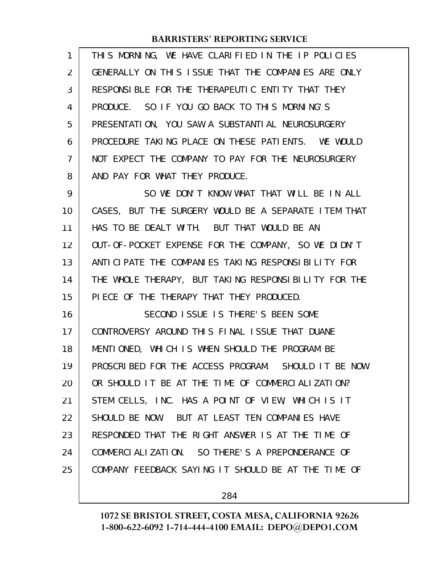| 1              | THIS MORNING, WE HAVE CLARIFIED IN THE IP POLICIES   |
|----------------|------------------------------------------------------|
| 2              | GENERALLY ON THIS ISSUE THAT THE COMPANIES ARE ONLY  |
| 3              | RESPONSIBLE FOR THE THERAPEUTIC ENTITY THAT THEY     |
| 4              | PRODUCE. SO IF YOU GO BACK TO THIS MORNING'S         |
| 5              | PRESENTATION, YOU SAW A SUBSTANTIAL NEUROSURGERY     |
| 6              | PROCEDURE TAKING PLACE ON THESE PATIENTS. WE WOULD   |
| $\overline{7}$ | NOT EXPECT THE COMPANY TO PAY FOR THE NEUROSURGERY   |
| 8              | AND PAY FOR WHAT THEY PRODUCE.                       |
| 9              | SO WE DON'T KNOW WHAT THAT WILL BE IN ALL            |
| 10             | CASES, BUT THE SURGERY WOULD BE A SEPARATE ITEM THAT |
| 11             | HAS TO BE DEALT WITH. BUT THAT WOULD BE AN           |
| 12             | OUT-OF-POCKET EXPENSE FOR THE COMPANY, SO WE DIDN'T  |
| 13             | ANTI CI PATE THE COMPANIES TAKING RESPONSIBILITY FOR |
| 14             | THE WHOLE THERAPY, BUT TAKING RESPONSIBILITY FOR THE |
| 15             | PIECE OF THE THERAPY THAT THEY PRODUCED.             |
| 16             | SECOND ISSUE IS THERE'S BEEN SOME                    |
| 17             | CONTROVERSY AROUND THIS FINAL ISSUE THAT DUANE       |
| 18             | MENTIONED, WHICH IS WHEN SHOULD THE PROGRAM BE       |
| 19             | PROSCRIBED FOR THE ACCESS PROGRAM. SHOULD IT BE NOW  |
| 20             | OR SHOULD IT BE AT THE TIME OF COMMERCIALIZATION?    |
| 21             | STEM CELLS, INC. HAS A POINT OF VIEW, WHICH IS IT    |
| 22             | SHOULD BE NOW. BUT AT LEAST TEN COMPANIES HAVE       |
| 23             | RESPONDED THAT THE RIGHT ANSWER IS AT THE TIME OF    |
| 24             | COMMERCIALIZATION. SO THERE'S A PREPONDERANCE OF     |
| 25             | COMPANY FEEDBACK SAYING IT SHOULD BE AT THE TIME OF  |
|                |                                                      |

284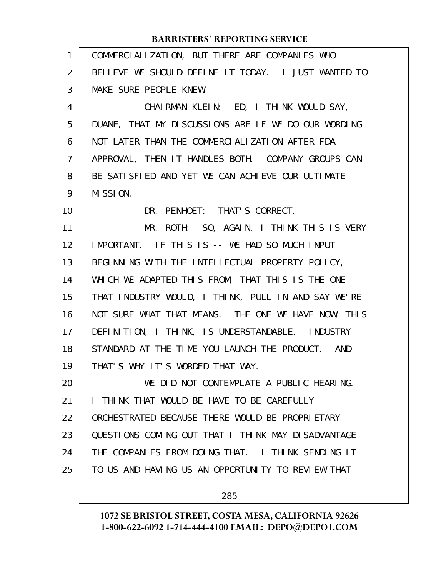| $\mathbf{1}$   | COMMERCIALIZATION, BUT THERE ARE COMPANIES WHO      |
|----------------|-----------------------------------------------------|
| 2              | BELIEVE WE SHOULD DEFINE IT TODAY. I JUST WANTED TO |
| 3              | MAKE SURE PEOPLE KNEW.                              |
| 4              | CHAIRMAN KLEIN: ED, I THINK WOULD SAY,              |
| 5              | DUANE, THAT MY DISCUSSIONS ARE IF WE DO OUR WORDING |
| 6              | NOT LATER THAN THE COMMERCIALIZATION AFTER FDA      |
| $\overline{7}$ | APPROVAL, THEN IT HANDLES BOTH. COMPANY GROUPS CAN  |
| 8              | BE SATISFIED AND YET WE CAN ACHIEVE OUR ULTIMATE    |
| 9              | MISSION.                                            |
| 10             | DR. PENHOET: THAT'S CORRECT.                        |
| 11             | MR. ROTH: SO, AGAIN, I THINK THIS IS VERY           |
| 12             | IMPORTANT. IF THIS IS -- WE HAD SO MUCH INPUT       |
| 13             | BEGINNING WITH THE INTELLECTUAL PROPERTY POLICY,    |
| 14             | WHICH WE ADAPTED THIS FROM, THAT THIS IS THE ONE    |
| 15             | THAT INDUSTRY WOULD, I THINK, PULL IN AND SAY WE'RE |
| 16             | NOT SURE WHAT THAT MEANS. THE ONE WE HAVE NOW, THIS |
| 17             | DEFINITION, I THINK, IS UNDERSTANDABLE. INDUSTRY    |
| 18             | STANDARD AT THE TIME YOU LAUNCH THE PRODUCT. AND    |
| 19             | THAT'S WHY IT'S WORDED THAT WAY.                    |
| 20             | WE DID NOT CONTEMPLATE A PUBLIC HEARING.            |
| 21             | I THINK THAT WOULD BE HAVE TO BE CAREFULLY          |
| 22             | ORCHESTRATED BECAUSE THERE WOULD BE PROPRIETARY     |
| 23             | QUESTIONS COMING OUT THAT I THINK MAY DISADVANTAGE  |
| 24             | THE COMPANIES FROM DOING THAT. I THINK SENDING IT   |
| 25             | TO US AND HAVING US AN OPPORTUNITY TO REVIEW THAT   |
|                |                                                     |

285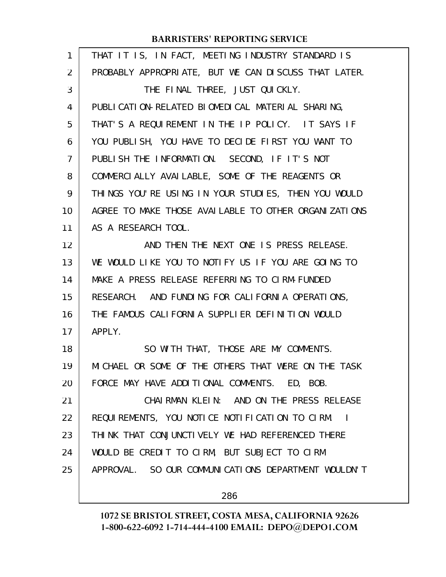| THAT IT IS, IN FACT, MEETING INDUSTRY STANDARD IS    |
|------------------------------------------------------|
| PROBABLY APPROPRIATE, BUT WE CAN DISCUSS THAT LATER. |
| THE FINAL THREE, JUST QUICKLY.                       |
| PUBLICATION-RELATED BIOMEDICAL MATERIAL SHARING,     |
| THAT'S A REQUIREMENT IN THE IP POLICY. IT SAYS IF    |
| YOU PUBLISH, YOU HAVE TO DECIDE FIRST YOU WANT TO    |
| PUBLISH THE INFORMATION. SECOND, IF IT'S NOT         |
| COMMERCIALLY AVAILABLE, SOME OF THE REAGENTS OR      |
| THINGS YOU'RE USING IN YOUR STUDIES, THEN YOU WOULD  |
| AGREE TO MAKE THOSE AVAILABLE TO OTHER ORGANIZATIONS |
| AS A RESEARCH TOOL.                                  |
| AND THEN THE NEXT ONE IS PRESS RELEASE.              |
| WE WOULD LIKE YOU TO NOTIFY US IF YOU ARE GOING TO   |
| MAKE A PRESS RELEASE REFERRING TO CIRM-FUNDED        |
| RESEARCH. AND FUNDING FOR CALIFORNIA OPERATIONS,     |
| THE FAMOUS CALIFORNIA SUPPLIER DEFINITION WOULD      |
| APPLY.                                               |
| SO WITH THAT, THOSE ARE MY COMMENTS.                 |
| MICHAEL OR SOME OF THE OTHERS THAT WERE ON THE TASK  |
| FORCE MAY HAVE ADDITIONAL COMMENTS. ED, BOB.         |
| CHAIRMAN KLEIN: AND ON THE PRESS RELEASE             |
| REQUIREMENTS, YOU NOTICE NOTIFICATION TO CIRM.       |
| THINK THAT CONJUNCTIVELY WE HAD REFERENCED THERE     |
| WOULD BE CREDIT TO CIRM, BUT SUBJECT TO CIRM         |
| APPROVAL. SO OUR COMMUNICATIONS DEPARTMENT WOULDN'T  |
| 286                                                  |
|                                                      |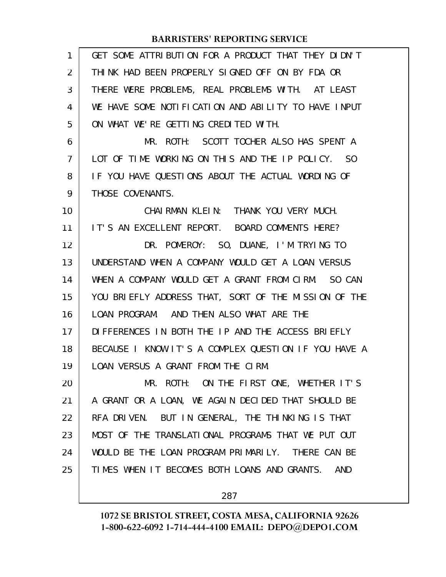| 1              | GET SOME ATTRIBUTION FOR A PRODUCT THAT THEY DIDN'T  |
|----------------|------------------------------------------------------|
| 2              | THINK HAD BEEN PROPERLY SIGNED OFF ON BY FDA OR      |
| 3              | THERE WERE PROBLEMS, REAL PROBLEMS WITH. AT LEAST    |
| 4              | WE HAVE SOME NOTIFICATION AND ABILITY TO HAVE INPUT  |
| 5              | ON WHAT WE'RE GETTING CREDITED WITH.                 |
| 6              | MR. ROTH: SCOTT TOCHER ALSO HAS SPENT A              |
| $\overline{7}$ | LOT OF TIME WORKING ON THIS AND THE IP POLICY. SO    |
| 8              | IF YOU HAVE QUESTIONS ABOUT THE ACTUAL WORDING OF    |
| 9              | THOSE COVENANTS.                                     |
| 10             | CHAIRMAN KLEIN: THANK YOU VERY MUCH.                 |
| 11             | IT'S AN EXCELLENT REPORT. BOARD COMMENTS HERE?       |
| 12             | DR. POMEROY: SO, DUANE, I'M TRYING TO                |
| 13             | UNDERSTAND WHEN A COMPANY WOULD GET A LOAN VERSUS    |
| 14             | WHEN A COMPANY WOULD GET A GRANT FROM CIRM. SO CAN   |
| 15             | YOU BRIEFLY ADDRESS THAT, SORT OF THE MISSION OF THE |
| 16             | LOAN PROGRAM. AND THEN ALSO WHAT ARE THE             |
| 17             | DIFFERENCES IN BOTH THE IP AND THE ACCESS BRIEFLY    |
| 18             | BECAUSE I KNOW IT'S A COMPLEX QUESTION IF YOU HAVE A |
| 19             | LOAN VERSUS A GRANT FROM THE CIRM.                   |
| 20             | MR. ROTH: ON THE FIRST ONE, WHETHER IT'S             |
| 21             | A GRANT OR A LOAN, WE AGAIN DECIDED THAT SHOULD BE   |
| 22             | RFA DRIVEN. BUT IN GENERAL, THE THINKING IS THAT     |
| 23             | MOST OF THE TRANSLATIONAL PROGRAMS THAT WE PUT OUT   |
| 24             | WOULD BE THE LOAN PROGRAM PRIMARILY. THERE CAN BE    |
| 25             | TIMES WHEN IT BECOMES BOTH LOANS AND GRANTS.<br>AND  |
|                |                                                      |

287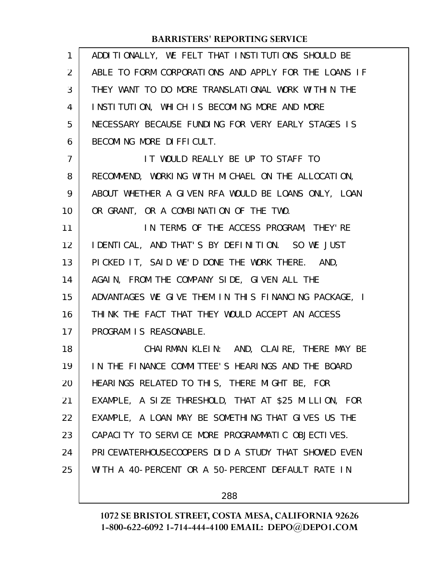| 1              | ADDITIONALLY, WE FELT THAT INSTITUTIONS SHOULD BE    |
|----------------|------------------------------------------------------|
| $\overline{2}$ | ABLE TO FORM CORPORATIONS AND APPLY FOR THE LOANS IF |
| 3              | THEY WANT TO DO MORE TRANSLATIONAL WORK WITHIN THE   |
| 4              | INSTITUTION, WHICH IS BECOMING MORE AND MORE         |
| 5              | NECESSARY BECAUSE FUNDING FOR VERY EARLY STAGES IS   |
| 6              | BECOMING MORE DIFFICULT.                             |
| $\overline{7}$ | IT WOULD REALLY BE UP TO STAFF TO                    |
| 8              | RECOMMEND, WORKING WITH MICHAEL ON THE ALLOCATION,   |
| 9              | ABOUT WHETHER A GIVEN RFA WOULD BE LOANS ONLY, LOAN  |
| 10             | OR GRANT, OR A COMBINATION OF THE TWO.               |
| 11             | IN TERMS OF THE ACCESS PROGRAM, THEY'RE              |
| 12             | I DENTICAL, AND THAT'S BY DEFINITION. SO WE JUST     |
| 13             | PICKED IT, SAID WE'D DONE THE WORK THERE. AND,       |
| 14             | AGAIN, FROM THE COMPANY SIDE, GIVEN ALL THE          |
| 15             | ADVANTAGES WE GIVE THEM IN THIS FINANCING PACKAGE, I |
| 16             | THINK THE FACT THAT THEY WOULD ACCEPT AN ACCESS      |
| 17             | PROGRAM IS REASONABLE.                               |
| 18             | CHAIRMAN KLEIN: AND, CLAIRE, THERE MAY BE            |
| 19             | IN THE FINANCE COMMITTEE'S HEARINGS AND THE BOARD    |
| 20             | HEARINGS RELATED TO THIS, THERE MIGHT BE, FOR        |
| 21             | EXAMPLE, A SIZE THRESHOLD, THAT AT \$25 MILLION, FOR |
| 22             | EXAMPLE, A LOAN MAY BE SOMETHING THAT GIVES US THE   |
| 23             | CAPACITY TO SERVICE MORE PROGRAMMATIC OBJECTIVES.    |
| 24             | PRICEWATERHOUSECOOPERS DID A STUDY THAT SHOWED EVEN  |
| 25             | WITH A 40-PERCENT OR A 50-PERCENT DEFAULT RATE IN    |
|                |                                                      |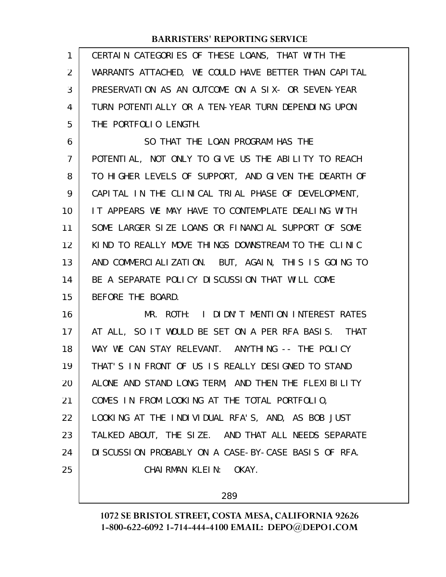| 1              | CERTAIN CATEGORIES OF THESE LOANS, THAT WITH THE     |
|----------------|------------------------------------------------------|
| $\overline{2}$ | WARRANTS ATTACHED, WE COULD HAVE BETTER THAN CAPITAL |
| 3              | PRESERVATION AS AN OUTCOME ON A SIX- OR SEVEN-YEAR   |
| 4              | TURN POTENTI ALLY OR A TEN-YEAR TURN DEPENDING UPON  |
| 5              | THE PORTFOLIO LENGTH.                                |
| 6              | SO THAT THE LOAN PROGRAM HAS THE                     |
| 7              | POTENTIAL, NOT ONLY TO GIVE US THE ABILITY TO REACH  |
| 8              | TO HIGHER LEVELS OF SUPPORT, AND GIVEN THE DEARTH OF |
| 9              | CAPITAL IN THE CLINICAL TRIAL PHASE OF DEVELOPMENT,  |
| 10             | IT APPEARS WE MAY HAVE TO CONTEMPLATE DEALING WITH   |
| 11             | SOME LARGER SIZE LOANS OR FINANCIAL SUPPORT OF SOME  |
| 12             | KIND TO REALLY MOVE THINGS DOWNSTREAM TO THE CLINIC  |
| 13             | AND COMMERCIALIZATION. BUT, AGAIN, THIS IS GOING TO  |
| 14             | BE A SEPARATE POLICY DISCUSSION THAT WILL COME       |
| 15             | BEFORE THE BOARD.                                    |
| 16             | MR. ROTH: I DIDN'T MENTION INTEREST RATES            |
| 17             | AT ALL, SO IT WOULD BE SET ON A PER RFA BASIS. THAT  |
| 18             | WAY WE CAN STAY RELEVANT. ANYTHING -- THE POLICY     |
| 19             | THAT'S IN FRONT OF US IS REALLY DESIGNED TO STAND    |
| 20             | ALONE AND STAND LONG TERM, AND THEN THE FLEXIBILITY  |
| 21             | COMES IN FROM LOOKING AT THE TOTAL PORTFOLIO,        |
| 22             | LOOKING AT THE INDIVIDUAL RFA'S, AND, AS BOB JUST    |
| 23             | TALKED ABOUT, THE SIZE. AND THAT ALL NEEDS SEPARATE  |
| 24             | DI SCUSSION PROBABLY ON A CASE-BY-CASE BASIS OF RFA. |
| 25             | CHAIRMAN KLEIN: OKAY.                                |
|                |                                                      |

289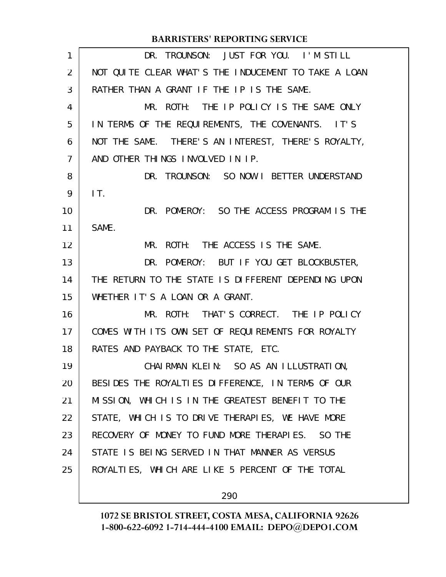| 1              | DR. TROUNSON: JUST FOR YOU. I'M STILL                |
|----------------|------------------------------------------------------|
| $\overline{2}$ | NOT QUITE CLEAR WHAT'S THE INDUCEMENT TO TAKE A LOAN |
| 3              | RATHER THAN A GRANT IF THE IP IS THE SAME.           |
| 4              | MR. ROTH: THE IP POLICY IS THE SAME ONLY             |
| 5              | IN TERMS OF THE REQUIREMENTS, THE COVENANTS. IT'S    |
| 6              | NOT THE SAME. THERE'S AN INTEREST, THERE'S ROYALTY,  |
| 7              | AND OTHER THINGS INVOLVED IN IP.                     |
| 8              | DR. TROUNSON: SO NOW I BETTER UNDERSTAND             |
| 9              | IT.                                                  |
| 10             | DR. POMEROY: SO THE ACCESS PROGRAM IS THE            |
| 11             | SAME.                                                |
| 12             | MR. ROTH: THE ACCESS IS THE SAME.                    |
| 13             | DR. POMEROY: BUT IF YOU GET BLOCKBUSTER,             |
| 14             | THE RETURN TO THE STATE IS DIFFERENT DEPENDING UPON  |
| 15             | WHETHER IT'S A LOAN OR A GRANT.                      |
| 16             | MR. ROTH: THAT'S CORRECT. THE IP POLICY              |
| 17             | COMES WITH ITS OWN SET OF REQUIREMENTS FOR ROYALTY   |
| 18             | RATES AND PAYBACK TO THE STATE, ETC.                 |
| 19             | CHAIRMAN KLEIN: SO AS AN ILLUSTRATION,               |
| 20             | BESIDES THE ROYALTIES DIFFERENCE, IN TERMS OF OUR    |
| 21             | MISSION, WHICH IS IN THE GREATEST BENEFIT TO THE     |
| 22             | STATE, WHICH IS TO DRIVE THERAPIES, WE HAVE MORE     |
| 23             | RECOVERY OF MONEY TO FUND MORE THERAPIES. SO THE     |
| 24             | STATE IS BEING SERVED IN THAT MANNER AS VERSUS       |
| 25             | ROYALTIES, WHICH ARE LIKE 5 PERCENT OF THE TOTAL     |
|                |                                                      |

290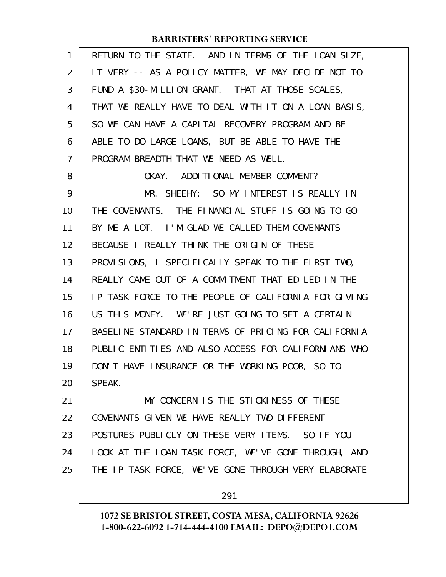| 1  | RETURN TO THE STATE. AND IN TERMS OF THE LOAN SIZE,  |
|----|------------------------------------------------------|
| 2  | IT VERY -- AS A POLICY MATTER, WE MAY DECIDE NOT TO  |
| 3  | FUND A \$30-MILLION GRANT. THAT AT THOSE SCALES,     |
| 4  | THAT WE REALLY HAVE TO DEAL WITH IT ON A LOAN BASIS, |
| 5  | SO WE CAN HAVE A CAPITAL RECOVERY PROGRAM AND BE     |
| 6  | ABLE TO DO LARGE LOANS, BUT BE ABLE TO HAVE THE      |
| 7  | PROGRAM BREADTH THAT WE NEED AS WELL.                |
| 8  | OKAY. ADDITIONAL MEMBER COMMENT?                     |
| 9  | MR. SHEEHY: SO MY INTEREST IS REALLY IN              |
| 10 | THE COVENANTS. THE FINANCIAL STUFF IS GOING TO GO    |
| 11 | BY ME A LOT. I'M GLAD WE CALLED THEM COVENANTS       |
| 12 | BECAUSE I REALLY THINK THE ORIGIN OF THESE           |
| 13 | PROVISIONS, I SPECIFICALLY SPEAK TO THE FIRST TWO,   |
| 14 | REALLY CAME OUT OF A COMMITMENT THAT ED LED IN THE   |
| 15 | IP TASK FORCE TO THE PEOPLE OF CALIFORNIA FOR GIVING |
| 16 | US THIS MONEY. WE'RE JUST GOING TO SET A CERTAIN     |
| 17 | BASELINE STANDARD IN TERMS OF PRICING FOR CALIFORNIA |
| 18 | PUBLIC ENTITIES AND ALSO ACCESS FOR CALIFORNIANS WHO |
| 19 | DON'T HAVE INSURANCE OR THE WORKING POOR, SO TO      |
| 20 | SPEAK.                                               |
| 21 | MY CONCERN IS THE STICKINESS OF THESE                |
| 22 | COVENANTS GIVEN WE HAVE REALLY TWO DIFFERENT         |
| 23 | POSTURES PUBLICLY ON THESE VERY ITEMS. SO IF YOU     |
| 24 | LOOK AT THE LOAN TASK FORCE, WE'VE GONE THROUGH, AND |
| 25 | THE IP TASK FORCE, WE'VE GONE THROUGH VERY ELABORATE |
|    |                                                      |

291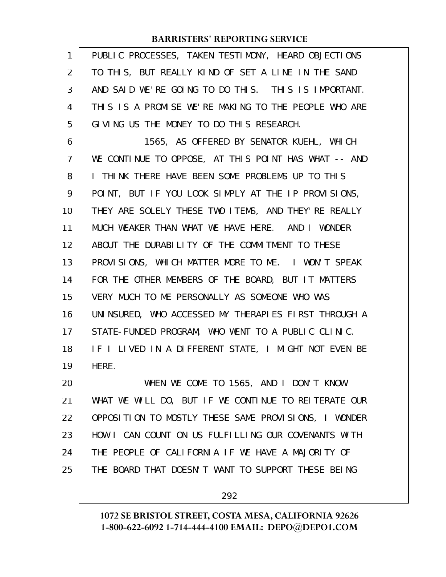| 1              | PUBLIC PROCESSES, TAKEN TESTIMONY, HEARD OBJECTIONS  |
|----------------|------------------------------------------------------|
| 2              | TO THIS, BUT REALLY KIND OF SET A LINE IN THE SAND   |
| 3              | AND SAID WE'RE GOING TO DO THIS. THIS IS IMPORTANT.  |
| 4              | THIS IS A PROMISE WE'RE MAKING TO THE PEOPLE WHO ARE |
| 5              | GIVING US THE MONEY TO DO THIS RESEARCH.             |
| 6              | 1565, AS OFFERED BY SENATOR KUEHL, WHICH             |
| $\overline{7}$ | WE CONTINUE TO OPPOSE, AT THIS POINT HAS WHAT -- AND |
| 8              | I THINK THERE HAVE BEEN SOME PROBLEMS UP TO THIS     |
| 9              | POINT, BUT IF YOU LOOK SIMPLY AT THE IP PROVISIONS,  |
| 10             | THEY ARE SOLELY THESE TWO ITEMS, AND THEY'RE REALLY  |
| 11             | MUCH WEAKER THAN WHAT WE HAVE HERE. AND I WONDER     |
| 12             | ABOUT THE DURABILITY OF THE COMMITMENT TO THESE      |
| 13             | PROVISIONS, WHICH MATTER MORE TO ME. I WON'T SPEAK   |
| 14             | FOR THE OTHER MEMBERS OF THE BOARD, BUT IT MATTERS   |
| 15             | VERY MUCH TO ME PERSONALLY AS SOMEONE WHO WAS        |
| 16             | UNINSURED, WHO ACCESSED MY THERAPIES FIRST THROUGH A |
| 17             | STATE-FUNDED PROGRAM, WHO WENT TO A PUBLIC CLINIC.   |
| 18             | IF I LIVED IN A DIFFERENT STATE, I MIGHT NOT EVEN BE |
| 19             | HERE.                                                |
| 20             | WHEN WE COME TO 1565, AND I DON'T KNOW               |
| 21             | WHAT WE WILL DO, BUT IF WE CONTINUE TO REITERATE OUR |
| 22             | OPPOSITION TO MOSTLY THESE SAME PROVISIONS, I WONDER |
| 23             | HOW I CAN COUNT ON US FULFILLING OUR COVENANTS WITH  |
| 24             | THE PEOPLE OF CALIFORNIA IF WE HAVE A MAJORITY OF    |
| 25             | THE BOARD THAT DOESN'T WANT TO SUPPORT THESE BEING   |
|                |                                                      |

292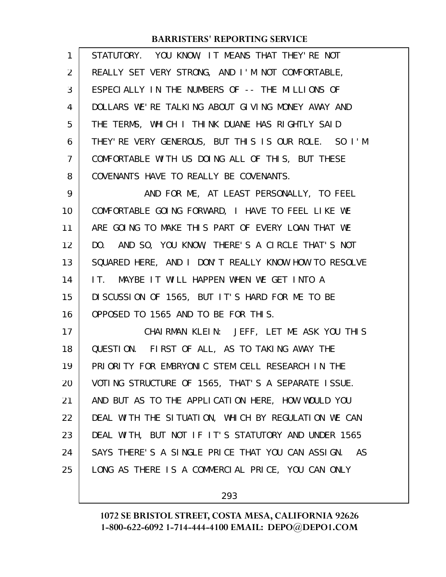| $\mathbf{1}$   | STATUTORY. YOU KNOW, IT MEANS THAT THEY'RE NOT       |
|----------------|------------------------------------------------------|
| 2              | REALLY SET VERY STRONG, AND I'M NOT COMFORTABLE,     |
| 3              | ESPECIALLY IN THE NUMBERS OF -- THE MILLIONS OF      |
| 4              | DOLLARS WE'RE TALKING ABOUT GIVING MONEY AWAY AND    |
| 5              | THE TERMS, WHICH I THINK DUANE HAS RIGHTLY SAID      |
| 6              | THEY' RE VERY GENEROUS, BUT THIS IS OUR ROLE. SO I'M |
| $\overline{7}$ | COMFORTABLE WITH US DOING ALL OF THIS, BUT THESE     |
| 8              | COVENANTS HAVE TO REALLY BE COVENANTS.               |
| 9              | AND FOR ME, AT LEAST PERSONALLY, TO FEEL             |
| 10             | COMFORTABLE GOING FORWARD, I HAVE TO FEEL LIKE WE    |
| 11             | ARE GOING TO MAKE THIS PART OF EVERY LOAN THAT WE    |
| 12             | DO. AND SO, YOU KNOW, THERE'S A CIRCLE THAT'S NOT    |
| 13             | SQUARED HERE, AND I DON'T REALLY KNOW HOW TO RESOLVE |
| 14             | IT. MAYBE IT WILL HAPPEN WHEN WE GET INTO A          |
| 15             | DISCUSSION OF 1565, BUT IT'S HARD FOR ME TO BE       |
| 16             | OPPOSED TO 1565 AND TO BE FOR THIS.                  |
| 17             | CHAIRMAN KLEIN: JEFF, LET ME ASK YOU THIS            |
| 18             | QUESTION. FIRST OF ALL, AS TO TAKING AWAY THE        |
| 19             | PRIORITY FOR EMBRYONIC STEM CELL RESEARCH IN THE     |
| 20             | VOTING STRUCTURE OF 1565, THAT'S A SEPARATE ISSUE.   |
| 21             | AND BUT AS TO THE APPLICATION HERE, HOW WOULD YOU    |
| 22             | DEAL WITH THE SITUATION, WHICH BY REGULATION WE CAN  |
| 23             | DEAL WITH, BUT NOT IF IT'S STATUTORY AND UNDER 1565  |
| 24             | SAYS THERE'S A SINGLE PRICE THAT YOU CAN ASSIGN. AS  |
| 25             | LONG AS THERE IS A COMMERCIAL PRICE, YOU CAN ONLY    |
|                |                                                      |

293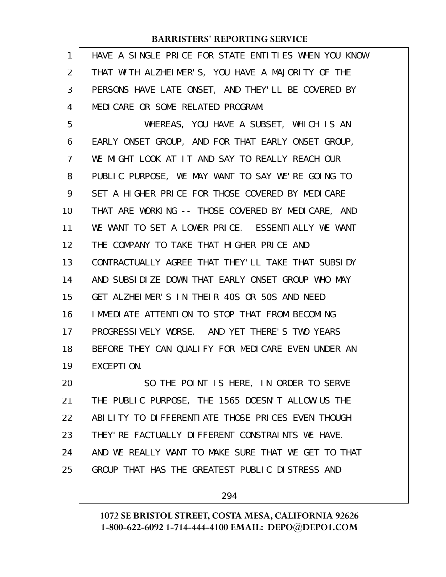| $\mathbf{1}$   | HAVE A SINGLE PRICE FOR STATE ENTITIES WHEN YOU KNOW |
|----------------|------------------------------------------------------|
| 2              | THAT WITH ALZHEIMER'S, YOU HAVE A MAJORITY OF THE    |
| 3              | PERSONS HAVE LATE ONSET, AND THEY'LL BE COVERED BY   |
| 4              | MEDICARE OR SOME RELATED PROGRAM.                    |
| 5              | WHEREAS, YOU HAVE A SUBSET, WHICH IS AN              |
| 6              | EARLY ONSET GROUP, AND FOR THAT EARLY ONSET GROUP,   |
| $\overline{7}$ | WE MIGHT LOOK AT IT AND SAY TO REALLY REACH OUR      |
| 8              | PUBLIC PURPOSE, WE MAY WANT TO SAY WE'RE GOING TO    |
| 9              | SET A HIGHER PRICE FOR THOSE COVERED BY MEDICARE     |
| 10             | THAT ARE WORKING -- THOSE COVERED BY MEDICARE, AND   |
| 11             | WE WANT TO SET A LOWER PRICE. ESSENTIALLY WE WANT    |
| 12             | THE COMPANY TO TAKE THAT HIGHER PRICE AND            |
| 13             | CONTRACTUALLY AGREE THAT THEY'LL TAKE THAT SUBSIDY   |
| 14             | AND SUBSIDIZE DOWN THAT EARLY ONSET GROUP WHO MAY    |
| 15             | GET ALZHEIMER'S IN THEIR 40S OR 50S AND NEED         |
| 16             | IMMEDIATE ATTENTION TO STOP THAT FROM BECOMING       |
| 17             | PROGRESSIVELY WORSE. AND YET THERE'S TWO YEARS       |
| 18             | BEFORE THEY CAN QUALIFY FOR MEDICARE EVEN UNDER AN   |
| 19             | EXCEPTION.                                           |
| 20             | SO THE POINT IS HERE, IN ORDER TO SERVE              |
| 21             | THE PUBLIC PURPOSE, THE 1565 DOESN'T ALLOW US THE    |
| 22             | ABILITY TO DIFFERENTIATE THOSE PRICES EVEN THOUGH    |
| 23             | THEY' RE FACTUALLY DI FFERENT CONSTRAINTS WE HAVE.   |
| 24             | AND WE REALLY WANT TO MAKE SURE THAT WE GET TO THAT  |
| 25             | GROUP THAT HAS THE GREATEST PUBLIC DISTRESS AND      |
|                |                                                      |

294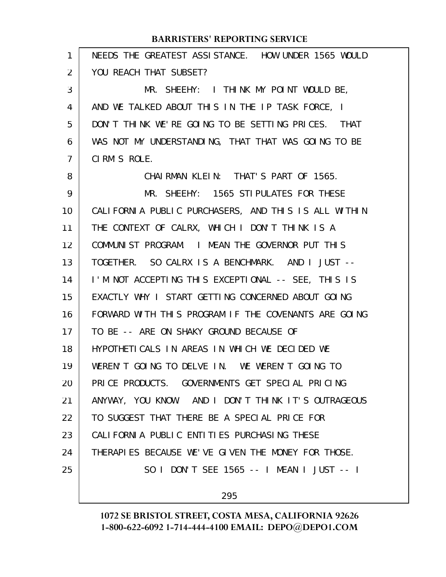#### NEEDS THE GREATEST ASSISTANCE. HOW UNDER 1565 WOULD YOU REACH THAT SUBSET? MR. SHEEHY: I THINK MY POINT WOULD BE, AND WE TALKED ABOUT THIS IN THE IP TASK FORCE, I DON'T THINK WE'RE GOING TO BE SETTING PRICES. THAT WAS NOT MY UNDERSTANDING, THAT THAT WAS GOING TO BE CIRM'S ROLE. CHAIRMAN KLEIN: THAT'S PART OF 1565. MR. SHEEHY: 1565 STIPULATES FOR THESE CALIFORNIA PUBLIC PURCHASERS, AND THIS IS ALL WITHIN THE CONTEXT OF CALRX, WHICH I DON'T THINK IS A COMMUNIST PROGRAM. I MEAN THE GOVERNOR PUT THIS TOGETHER. SO CALRX IS A BENCHMARK. AND I JUST -- I'M NOT ACCEPTING THIS EXCEPTIONAL -- SEE, THIS IS EXACTLY WHY I START GETTING CONCERNED ABOUT GOING FORWARD WITH THIS PROGRAM IF THE COVENANTS ARE GOING TO BE -- ARE ON SHAKY GROUND BECAUSE OF HYPOTHETICALS IN AREAS IN WHICH WE DECIDED WE WEREN'T GOING TO DELVE IN. WE WEREN'T GOING TO PRICE PRODUCTS. GOVERNMENTS GET SPECIAL PRICING ANYWAY, YOU KNOW. AND I DON'T THINK IT'S OUTRAGEOUS TO SUGGEST THAT THERE BE A SPECIAL PRICE FOR CALIFORNIA PUBLIC ENTITIES PURCHASING THESE THERAPIES BECAUSE WE'VE GIVEN THE MONEY FOR THOSE. SO I DON'T SEE 1565 -- I MEAN I JUST -- I **BARRISTERS' REPORTING SERVICE** 1 2 3 4 5 6 7 8 9 10 11 12 13 14 15 16 17 18 19 20 21 22 23 24 25

295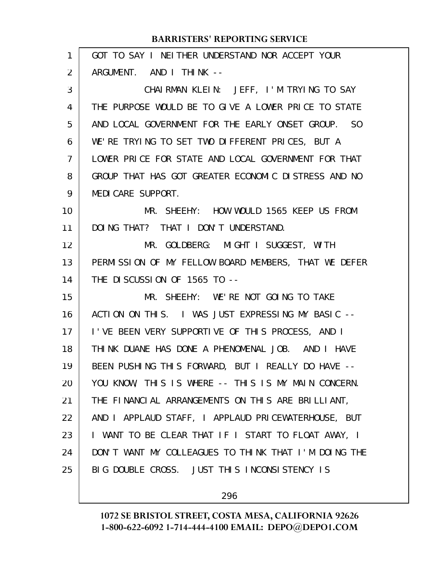| 1  | GOT TO SAY I NEITHER UNDERSTAND NOR ACCEPT YOUR      |
|----|------------------------------------------------------|
| 2  | ARGUMENT. AND I THINK --                             |
| 3  | CHAIRMAN KLEIN: JEFF, I'M TRYING TO SAY              |
| 4  | THE PURPOSE WOULD BE TO GIVE A LOWER PRICE TO STATE  |
| 5  | AND LOCAL GOVERNMENT FOR THE EARLY ONSET GROUP. SO   |
| 6  | WE'RE TRYING TO SET TWO DIFFERENT PRICES, BUT A      |
| 7  | LOWER PRICE FOR STATE AND LOCAL GOVERNMENT FOR THAT  |
| 8  | GROUP THAT HAS GOT GREATER ECONOMIC DISTRESS AND NO  |
| 9  | MEDI CARE SUPPORT.                                   |
| 10 | MR. SHEEHY: HOW WOULD 1565 KEEP US FROM              |
| 11 | DOING THAT? THAT I DON'T UNDERSTAND.                 |
| 12 | MR. GOLDBERG: MIGHT I SUGGEST, WITH                  |
| 13 | PERMISSION OF MY FELLOW BOARD MEMBERS, THAT WE DEFER |
| 14 | THE DISCUSSION OF 1565 TO --                         |
| 15 | MR. SHEEHY: WE'RE NOT GOING TO TAKE                  |
| 16 | ACTION ON THIS. I WAS JUST EXPRESSING MY BASIC --    |
| 17 | I'VE BEEN VERY SUPPORTIVE OF THIS PROCESS, AND I     |
| 18 | THINK DUANE HAS DONE A PHENOMENAL JOB. AND I HAVE    |
| 19 | BEEN PUSHING THIS FORWARD, BUT I REALLY DO HAVE --   |
| 20 | YOU KNOW, THIS IS WHERE -- THIS IS MY MAIN CONCERN.  |
| 21 | THE FINANCIAL ARRANGEMENTS ON THIS ARE BRILLIANT,    |
| 22 | AND I APPLAUD STAFF, I APPLAUD PRICEWATERHOUSE, BUT  |
| 23 | I WANT TO BE CLEAR THAT IF I START TO FLOAT AWAY, I  |
| 24 | DON'T WANT MY COLLEAGUES TO THINK THAT I'M DOING THE |
| 25 | BIG DOUBLE CROSS. JUST THIS INCONSISTENCY IS         |
|    |                                                      |

296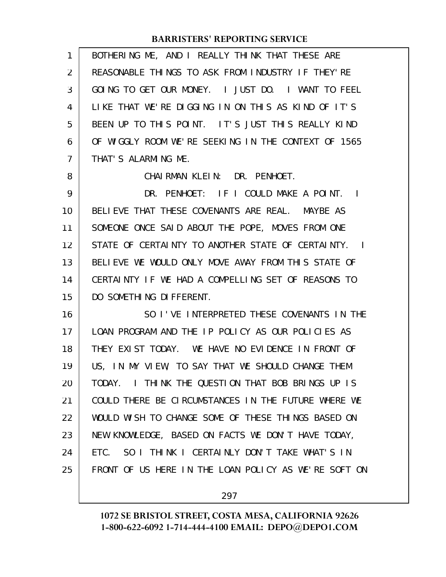| 1  | BOTHERING ME, AND I REALLY THINK THAT THESE ARE                     |
|----|---------------------------------------------------------------------|
| 2  | REASONABLE THINGS TO ASK FROM INDUSTRY IF THEY'RE                   |
| 3  | GOING TO GET OUR MONEY. I JUST DO. I WANT TO FEEL                   |
| 4  | LIKE THAT WE'RE DIGGING IN ON THIS AS KIND OF IT'S                  |
| 5  | BEEN UP TO THIS POINT. IT'S JUST THIS REALLY KIND                   |
| 6  | OF WIGGLY ROOM WE'RE SEEKING IN THE CONTEXT OF 1565                 |
| 7  | THAT'S ALARMING ME.                                                 |
| 8  | CHAIRMAN KLEIN: DR. PENHOET.                                        |
| 9  | DR. PENHOET: IF I COULD MAKE A POINT. I                             |
| 10 | BELIEVE THAT THESE COVENANTS ARE REAL. MAYBE AS                     |
| 11 | SOMEONE ONCE SAID ABOUT THE POPE, MOVES FROM ONE                    |
| 12 | STATE OF CERTALNTY TO ANOTHER STATE OF CERTALNTY.<br>$\blacksquare$ |
| 13 | BELIEVE WE WOULD ONLY MOVE AWAY FROM THIS STATE OF                  |
| 14 | CERTAINTY IF WE HAD A COMPELLING SET OF REASONS TO                  |
| 15 | DO SOMETHING DIFFERENT.                                             |
| 16 | SO I'VE INTERPRETED THESE COVENANTS IN THE                          |
| 17 | LOAN PROGRAM AND THE IP POLICY AS OUR POLICIES AS                   |
| 18 | THEY EXIST TODAY. WE HAVE NO EVIDENCE IN FRONT OF                   |
| 19 | US, IN MY VIEW, TO SAY THAT WE SHOULD CHANGE THEM                   |
| 20 | I THINK THE QUESTION THAT BOB BRINGS UP IS<br>TODAY.                |
| 21 | COULD THERE BE CIRCUMSTANCES IN THE FUTURE WHERE WE                 |
| 22 | WOULD WISH TO CHANGE SOME OF THESE THINGS BASED ON                  |
| 23 | NEW KNOWLEDGE, BASED ON FACTS WE DON'T HAVE TODAY,                  |
| 24 | SO I THINK I CERTAINLY DON'T TAKE WHAT'S IN<br>ETC.                 |
| 25 | FRONT OF US HERE IN THE LOAN POLICY AS WE'RE SOFT ON                |
|    |                                                                     |

297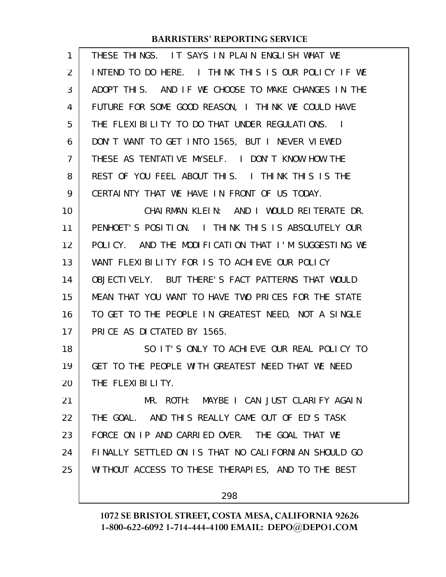| 1  | THESE THINGS. IT SAYS IN PLAIN ENGLISH WHAT WE      |
|----|-----------------------------------------------------|
| 2  | INTEND TO DO HERE. I THINK THIS IS OUR POLICY IF WE |
| 3  | ADOPT THIS. AND IF WE CHOOSE TO MAKE CHANGES IN THE |
| 4  | FUTURE FOR SOME GOOD REASON, I THINK WE COULD HAVE  |
| 5  | THE FLEXIBILITY TO DO THAT UNDER REGULATIONS. I     |
| 6  | DON'T WANT TO GET INTO 1565, BUT I NEVER VIEWED     |
| 7  | THESE AS TENTATIVE MYSELF. I DON'T KNOW HOW THE     |
| 8  | REST OF YOU FEEL ABOUT THIS. I THINK THIS IS THE    |
| 9  | CERTAINTY THAT WE HAVE IN FRONT OF US TODAY.        |
| 10 | CHAIRMAN KLEIN: AND I WOULD REITERATE DR.           |
| 11 | PENHOET'S POSITION. I THINK THIS IS ABSOLUTELY OUR  |
| 12 | POLICY. AND THE MODIFICATION THAT I'M SUGGESTING WE |
| 13 | WANT FLEXIBILITY FOR IS TO ACHIEVE OUR POLICY       |
| 14 | OBJECTIVELY. BUT THERE'S FACT PATTERNS THAT WOULD   |
| 15 | MEAN THAT YOU WANT TO HAVE TWO PRICES FOR THE STATE |
| 16 | TO GET TO THE PEOPLE IN GREATEST NEED, NOT A SINGLE |
| 17 | PRICE AS DICTATED BY 1565.                          |
| 18 | SO IT'S ONLY TO ACHIEVE OUR REAL POLICY TO          |
| 19 | GET TO THE PEOPLE WITH GREATEST NEED THAT WE NEED   |
| 20 | THE FLEXIBILITY.                                    |
| 21 | MR. ROTH: MAYBE I CAN JUST CLARIFY AGAIN            |
| 22 | THE GOAL. AND THIS REALLY CAME OUT OF ED'S TASK     |
| 23 | FORCE ON IP AND CARRIED OVER. THE GOAL THAT WE      |
| 24 | FINALLY SETTLED ON IS THAT NO CALIFORNIAN SHOULD GO |
| 25 | WITHOUT ACCESS TO THESE THERAPIES, AND TO THE BEST  |
|    | 298                                                 |
|    |                                                     |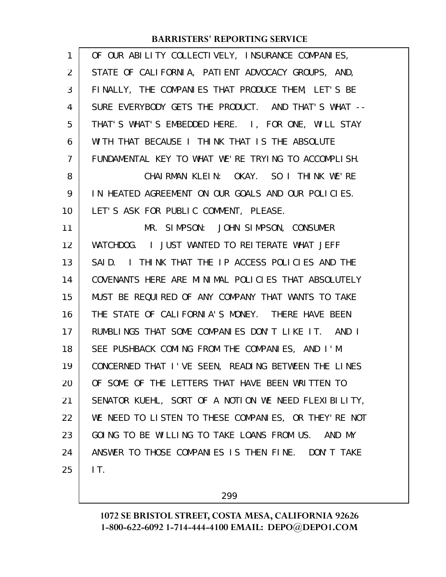| $\mathbf{1}$ | OF OUR ABILITY COLLECTIVELY, INSURANCE COMPANIES,    |
|--------------|------------------------------------------------------|
| 2            | STATE OF CALIFORNIA, PATIENT ADVOCACY GROUPS, AND,   |
| 3            | FINALLY, THE COMPANIES THAT PRODUCE THEM, LET'S BE   |
| 4            | SURE EVERYBODY GETS THE PRODUCT. AND THAT'S WHAT --  |
| 5            | THAT'S WHAT'S EMBEDDED HERE. I, FOR ONE, WILL STAY   |
| 6            | WITH THAT BECAUSE I THINK THAT IS THE ABSOLUTE       |
| 7            | FUNDAMENTAL KEY TO WHAT WE'RE TRYING TO ACCOMPLISH.  |
| 8            | CHAIRMAN KLEIN: OKAY. SO I THINK WE'RE               |
| 9            | IN HEATED AGREEMENT ON OUR GOALS AND OUR POLICIES.   |
| 10           | LET'S ASK FOR PUBLIC COMMENT, PLEASE.                |
| 11           | MR. SIMPSON: JOHN SIMPSON, CONSUMER                  |
| 12           | WATCHDOG. I JUST WANTED TO REITERATE WHAT JEFF       |
| 13           | SAID. I THINK THAT THE IP ACCESS POLICIES AND THE    |
| 14           | COVENANTS HERE ARE MINIMAL POLICIES THAT ABSOLUTELY  |
| 15           | MUST BE REQUIRED OF ANY COMPANY THAT WANTS TO TAKE   |
| 16           | THE STATE OF CALIFORNIA'S MONEY. THERE HAVE BEEN     |
| 17           | RUMBLINGS THAT SOME COMPANIES DON'T LIKE IT. AND I   |
| 18           | SEE PUSHBACK COMING FROM THE COMPANIES, AND I'M      |
| 19           | CONCERNED THAT I'VE SEEN, READING BETWEEN THE LINES  |
| 20           | OF SOME OF THE LETTERS THAT HAVE BEEN WRITTEN TO     |
| 21           | SENATOR KUEHL, SORT OF A NOTION WE NEED FLEXIBILITY, |
| 22           | WE NEED TO LISTEN TO THESE COMPANIES, OR THEY'RE NOT |
| 23           | GOING TO BE WILLING TO TAKE LOANS FROM US. AND MY    |
| 24           | ANSWER TO THOSE COMPANIES IS THEN FINE. DON'T TAKE   |
| 25           | IT.                                                  |

299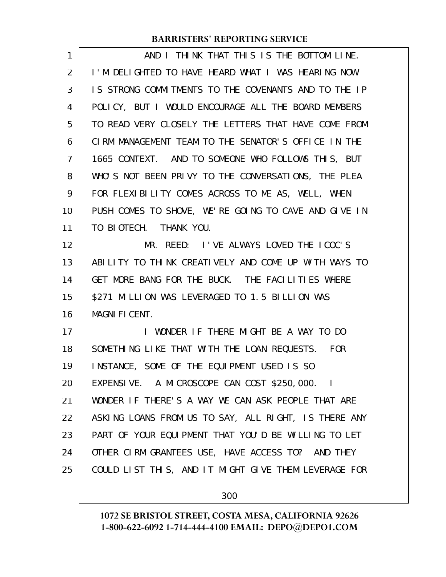| 1  | AND I THINK THAT THIS IS THE BOTTOM LINE.            |
|----|------------------------------------------------------|
| 2  | I'M DELIGHTED TO HAVE HEARD WHAT I WAS HEARING NOW   |
| 3  | IS STRONG COMMITMENTS TO THE COVENANTS AND TO THE IP |
| 4  | POLICY, BUT I WOULD ENCOURAGE ALL THE BOARD MEMBERS  |
| 5  | TO READ VERY CLOSELY THE LETTERS THAT HAVE COME FROM |
| 6  | CIRM MANAGEMENT TEAM TO THE SENATOR'S OFFICE IN THE  |
| 7  | 1665 CONTEXT. AND TO SOMEONE WHO FOLLOWS THIS, BUT   |
| 8  | WHO'S NOT BEEN PRIVY TO THE CONVERSATIONS, THE PLEA  |
| 9  | FOR FLEXIBILITY COMES ACROSS TO ME AS, WELL, WHEN    |
| 10 | PUSH COMES TO SHOVE, WE'RE GOING TO CAVE AND GIVE IN |
| 11 | TO BIOTECH. THANK YOU.                               |
| 12 | MR. REED: I'VE ALWAYS LOVED THE ICOC'S               |
| 13 | ABILITY TO THINK CREATIVELY AND COME UP WITH WAYS TO |
| 14 | GET MORE BANG FOR THE BUCK. THE FACILITIES WHERE     |
| 15 | \$271 MILLION WAS LEVERAGED TO 1.5 BILLION WAS       |
| 16 | <b>MAGNIFICENT.</b>                                  |
| 17 | I WONDER IF THERE MIGHT BE A WAY TO DO               |
| 18 | SOMETHING LIKE THAT WITH THE LOAN REQUESTS. FOR      |
| 19 | INSTANCE, SOME OF THE EQUIPMENT USED IS SO           |
| 20 | EXPENSIVE. A MICROSCOPE CAN COST \$250,000. I        |
| 21 | WONDER IF THERE'S A WAY WE CAN ASK PEOPLE THAT ARE   |
| 22 | ASKING LOANS FROM US TO SAY, ALL RIGHT, IS THERE ANY |
| 23 | PART OF YOUR EQUIPMENT THAT YOU'D BE WILLING TO LET  |
| 24 | OTHER CIRM GRANTEES USE, HAVE ACCESS TO? AND THEY    |
| 25 | COULD LIST THIS, AND IT MIGHT GIVE THEM LEVERAGE FOR |
|    |                                                      |

300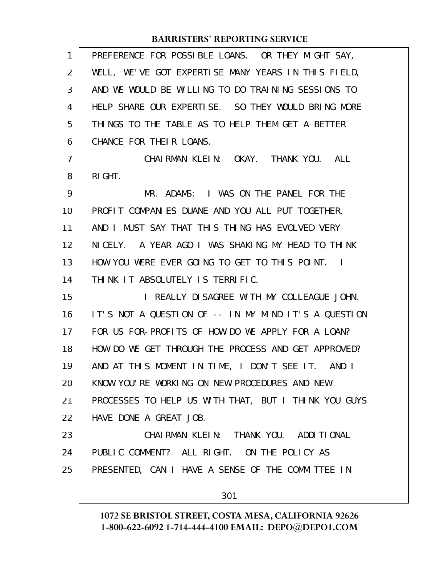| 1              | PREFERENCE FOR POSSIBLE LOANS. OR THEY MIGHT SAY,    |
|----------------|------------------------------------------------------|
| 2              | WELL, WE'VE GOT EXPERTISE MANY YEARS IN THIS FIELD,  |
| 3              | AND WE WOULD BE WILLING TO DO TRAINING SESSIONS TO   |
| 4              | HELP SHARE OUR EXPERTISE. SO THEY WOULD BRING MORE   |
| 5              | THINGS TO THE TABLE AS TO HELP THEM GET A BETTER     |
| 6              | CHANCE FOR THEIR LOANS.                              |
| $\overline{7}$ | CHAIRMAN KLEIN: OKAY. THANK YOU. ALL                 |
| 8              | RI GHT.                                              |
| 9              | MR. ADAMS: I WAS ON THE PANEL FOR THE                |
| 10             | PROFIT COMPANIES DUANE AND YOU ALL PUT TOGETHER.     |
| 11             | AND I MUST SAY THAT THIS THING HAS EVOLVED VERY      |
| 12             | NICELY. A YEAR AGO I WAS SHAKING MY HEAD TO THINK    |
| 13             | HOW YOU WERE EVER GOING TO GET TO THIS POINT. I      |
| 14             | THINK IT ABSOLUTELY IS TERRIFIC.                     |
| 15             | I REALLY DISAGREE WITH MY COLLEAGUE JOHN.            |
| 16             | IT'S NOT A QUESTION OF -- IN MY MIND IT'S A QUESTION |
| 17             | FOR US FOR-PROFITS OF HOW DO WE APPLY FOR A LOAN?    |
| 18             | HOW DO WE GET THROUGH THE PROCESS AND GET APPROVED?  |
| 19             | AND AT THIS MOMENT IN TIME, I DON'T SEE IT. AND I    |
| 20             | KNOW YOU'RE WORKING ON NEW PROCEDURES AND NEW        |
| 21             | PROCESSES TO HELP US WITH THAT, BUT I THINK YOU GUYS |
| 22             | HAVE DONE A GREAT JOB.                               |
| 23             | CHAI RMAN KLEIN: THANK YOU. ADDITIONAL               |
| 24             | PUBLIC COMMENT? ALL RIGHT. ON THE POLICY AS          |
| 25             | PRESENTED, CAN I HAVE A SENSE OF THE COMMITTEE IN    |
|                | 301                                                  |
|                |                                                      |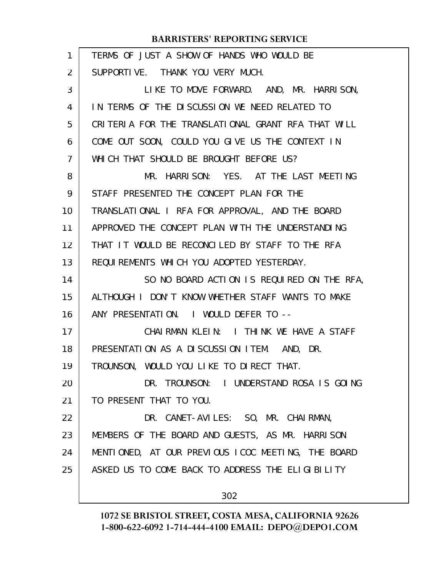| 1              | TERMS OF JUST A SHOW OF HANDS WHO WOULD BE         |
|----------------|----------------------------------------------------|
| $\overline{2}$ | SUPPORTIVE. THANK YOU VERY MUCH.                   |
| 3              | LIKE TO MOVE FORWARD. AND, MR. HARRISON,           |
| 4              | IN TERMS OF THE DISCUSSION WE NEED RELATED TO      |
| 5              | CRITERIA FOR THE TRANSLATIONAL GRANT RFA THAT WILL |
| 6              | COME OUT SOON, COULD YOU GIVE US THE CONTEXT IN    |
| $\overline{7}$ | WHICH THAT SHOULD BE BROUGHT BEFORE US?            |
| 8              | MR. HARRISON: YES. AT THE LAST MEETING             |
| 9              | STAFF PRESENTED THE CONCEPT PLAN FOR THE           |
| 10             | TRANSLATIONAL I RFA FOR APPROVAL, AND THE BOARD    |
| 11             | APPROVED THE CONCEPT PLAN WITH THE UNDERSTANDING   |
| 12             | THAT IT WOULD BE RECONCLLED BY STAFF TO THE RFA    |
| 13             | REQUIREMENTS WHICH YOU ADOPTED YESTERDAY.          |
| 14             | SO NO BOARD ACTION IS REQUIRED ON THE RFA,         |
| 15             | ALTHOUGH I DON'T KNOW WHETHER STAFF WANTS TO MAKE  |
| 16             | ANY PRESENTATION. I WOULD DEFER TO --              |
| 17             | CHAIRMAN KLEIN: I THINK WE HAVE A STAFF            |
| 18             | PRESENTATION AS A DISCUSSION ITEM. AND, DR.        |
| 19             | TROUNSON, WOULD YOU LIKE TO DIRECT THAT.           |
| 20             | DR. TROUNSON: I UNDERSTAND ROSA IS GOING           |
| 21             | TO PRESENT THAT TO YOU.                            |
| 22             | DR. CANET-AVILES: SO, MR. CHAIRMAN,                |
| 23             | MEMBERS OF THE BOARD AND GUESTS, AS MR. HARRISON   |
| 24             | MENTIONED, AT OUR PREVIOUS ICOC MEETING, THE BOARD |
| 25             | ASKED US TO COME BACK TO ADDRESS THE ELIGIBILITY   |
|                | 302                                                |
|                |                                                    |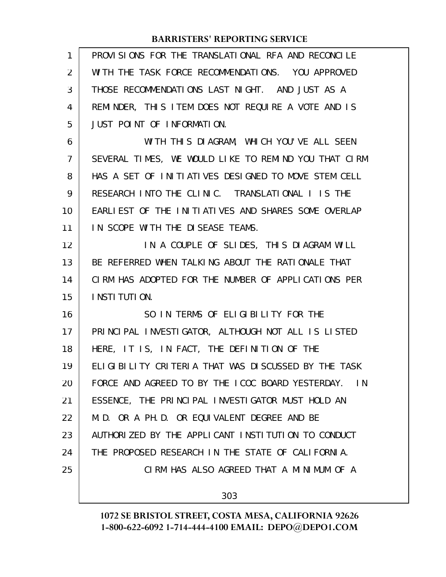| 1              | PROVISIONS FOR THE TRANSLATIONAL RFA AND RECONCLLE   |
|----------------|------------------------------------------------------|
| $\overline{2}$ | WITH THE TASK FORCE RECOMMENDATIONS. YOU APPROVED    |
| 3              | THOSE RECOMMENDATIONS LAST NIGHT. AND JUST AS A      |
| 4              | REMINDER, THIS ITEM DOES NOT REQUIRE A VOTE AND IS   |
| 5              | JUST POINT OF INFORMATION.                           |
| 6              | WITH THIS DIAGRAM, WHICH YOU'VE ALL SEEN             |
| $\overline{7}$ | SEVERAL TIMES, WE WOULD LIKE TO REMIND YOU THAT CIRM |
| 8              | HAS A SET OF INITIATIVES DESIGNED TO MOVE STEM CELL  |
| 9              | RESEARCH INTO THE CLINIC. TRANSLATIONAL I IS THE     |
| 10             | EARLIEST OF THE INITIATIVES AND SHARES SOME OVERLAP  |
| 11             | IN SCOPE WITH THE DISEASE TEAMS.                     |
| 12             | IN A COUPLE OF SLIDES, THIS DIAGRAM WILL             |
| 13             | BE REFERRED WHEN TALKING ABOUT THE RATIONALE THAT    |
| 14             | CIRM HAS ADOPTED FOR THE NUMBER OF APPLICATIONS PER  |
| 15             | I NSTI TUTI ON.                                      |
| 16             | SO IN TERMS OF ELIGIBILITY FOR THE                   |
| 17             | PRINCIPAL INVESTIGATOR, ALTHOUGH NOT ALL IS LISTED   |
| 18             | HERE, IT IS, IN FACT, THE DEFINITION OF THE          |
| 19             | ELIGIBILITY CRITERIA THAT WAS DISCUSSED BY THE TASK  |
| 20             | FORCE AND AGREED TO BY THE ICOC BOARD YESTERDAY. IN  |
| 21             | ESSENCE, THE PRINCIPAL INVESTIGATOR MUST HOLD AN     |
| 22             | M.D. OR A PH.D. OR EQUIVALENT DEGREE AND BE          |
| 23             | AUTHORIZED BY THE APPLICANT INSTITUTION TO CONDUCT   |
| 24             | THE PROPOSED RESEARCH IN THE STATE OF CALIFORNIA.    |
| 25             | CIRM HAS ALSO AGREED THAT A MINIMUM OF A             |
|                |                                                      |
|                | 303                                                  |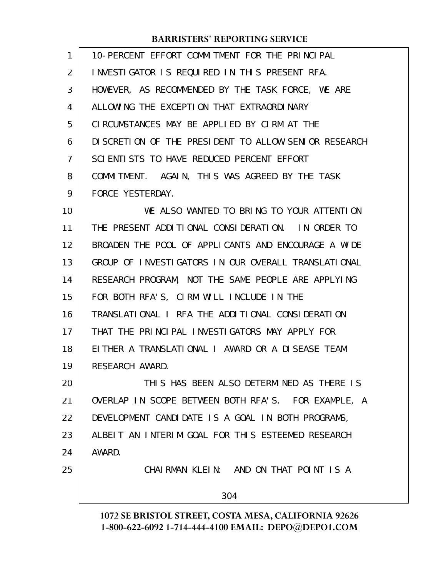| $\mathbf{1}$      | 10-PERCENT EFFORT COMMITMENT FOR THE PRINCIPAL        |
|-------------------|-------------------------------------------------------|
| 2                 | INVESTIGATOR IS REQUIRED IN THIS PRESENT RFA.         |
| 3                 | HOWEVER, AS RECOMMENDED BY THE TASK FORCE, WE ARE     |
| 4                 | ALLOWING THE EXCEPTION THAT EXTRAORDINARY             |
| 5                 | CIRCUMSTANCES MAY BE APPLIED BY CIRM AT THE           |
| 6                 | DI SCRETION OF THE PRESIDENT TO ALLOW SENIOR RESEARCH |
| $\overline{7}$    | SCIENTISTS TO HAVE REDUCED PERCENT EFFORT             |
| 8                 | COMMITMENT. AGAIN, THIS WAS AGREED BY THE TASK        |
| 9                 | FORCE YESTERDAY.                                      |
| 10                | WE ALSO WANTED TO BRING TO YOUR ATTENTION             |
| 11                | THE PRESENT ADDITIONAL CONSIDERATION. IN ORDER TO     |
| $12 \overline{ }$ | BROADEN THE POOL OF APPLICANTS AND ENCOURAGE A WIDE   |
| 13                | GROUP OF INVESTIGATORS IN OUR OVERALL TRANSLATIONAL   |
| 14                | RESEARCH PROGRAM, NOT THE SAME PEOPLE ARE APPLYING    |
| 15                | FOR BOTH RFA'S, CIRM WILL INCLUDE IN THE              |
| 16                | TRANSLATIONAL I RFA THE ADDITIONAL CONSIDERATION      |
| 17                | THAT THE PRINCLPAL INVESTIGATORS MAY APPLY FOR        |
| 18                | EITHER A TRANSLATIONAL I AWARD OR A DISEASE TEAM      |
| 19                | RESEARCH AWARD.                                       |
| 20                | THIS HAS BEEN ALSO DETERMINED AS THERE IS             |
| 21                | OVERLAP IN SCOPE BETWEEN BOTH RFA'S. FOR EXAMPLE, A   |
| 22                | DEVELOPMENT CANDIDATE IS A GOAL IN BOTH PROGRAMS,     |
| 23                | ALBEIT AN INTERIM GOAL FOR THIS ESTEEMED RESEARCH     |
| 24                | AWARD.                                                |
| 25                | CHAIRMAN KLEIN: AND ON THAT POINT IS A                |

304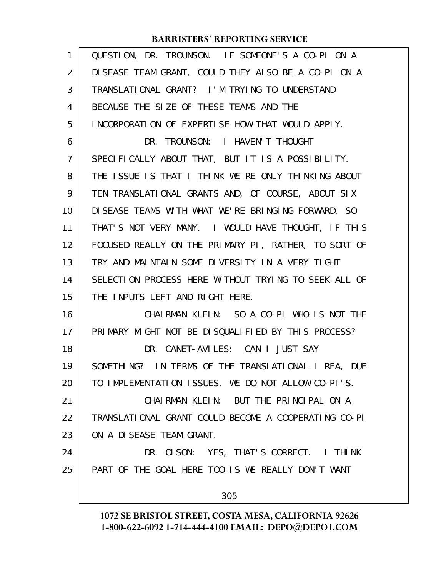| $\mathbf{1}$   | QUESTION, DR. TROUNSON. IF SOMEONE'S A CO-PI ON A    |
|----------------|------------------------------------------------------|
| 2              | DISEASE TEAM GRANT, COULD THEY ALSO BE A CO-PI ON A  |
| 3              | TRANSLATIONAL GRANT? I'M TRYING TO UNDERSTAND        |
| 4              | BECAUSE THE SIZE OF THESE TEAMS AND THE              |
| 5              | INCORPORATION OF EXPERTISE HOW THAT WOULD APPLY.     |
| 6              | DR. TROUNSON: I HAVEN'T THOUGHT                      |
| $\overline{7}$ | SPECIFICALLY ABOUT THAT, BUT IT IS A POSSIBILITY.    |
| 8              | THE ISSUE IS THAT I THINK WE'RE ONLY THINKING ABOUT  |
| 9              | TEN TRANSLATIONAL GRANTS AND, OF COURSE, ABOUT SIX   |
| 10             | DISEASE TEAMS WITH WHAT WE'RE BRINGING FORWARD, SO   |
| 11             | THAT'S NOT VERY MANY. I WOULD HAVE THOUGHT, IF THIS  |
| 12             | FOCUSED REALLY ON THE PRIMARY PI, RATHER, TO SORT OF |
| 13             | TRY AND MAINTAIN SOME DIVERSITY IN A VERY TIGHT      |
| 14             | SELECTION PROCESS HERE WITHOUT TRYING TO SEEK ALL OF |
| 15             | THE INPUTS LEFT AND RIGHT HERE.                      |
| 16             | CHAIRMAN KLEIN: SO A CO-PI WHO IS NOT THE            |
| 17             | PRIMARY MIGHT NOT BE DISQUALIFIED BY THIS PROCESS?   |
| 18             | DR. CANET-AVILES: CAN I JUST SAY                     |
| 19             | SOMETHING? IN TERMS OF THE TRANSLATIONAL I RFA, DUE  |
| 20             | TO IMPLEMENTATION ISSUES, WE DO NOT ALLOW CO-PI'S.   |
| 21             | CHAIRMAN KLEIN: BUT THE PRINCIPAL ON A               |
| 22             | TRANSLATIONAL GRANT COULD BECOME A COOPERATING CO-PI |
| 23             | ON A DISEASE TEAM GRANT.                             |
| 24             | DR. OLSON: YES, THAT'S CORRECT. I THINK              |
| 25             | PART OF THE GOAL HERE TOO IS WE REALLY DON'T WANT    |
|                | 305                                                  |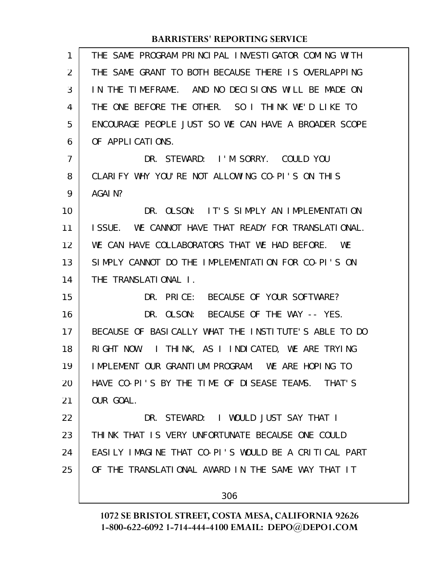| 1  | THE SAME PROGRAM PRINCIPAL INVESTIGATOR COMING WITH  |
|----|------------------------------------------------------|
| 2  | THE SAME GRANT TO BOTH BECAUSE THERE IS OVERLAPPING  |
| 3  | IN THE TIMEFRAME. AND NO DECISIONS WILL BE MADE ON   |
| 4  | THE ONE BEFORE THE OTHER. SO I THINK WE'D LIKE TO    |
| 5  | ENCOURAGE PEOPLE JUST SO WE CAN HAVE A BROADER SCOPE |
| 6  | OF APPLICATIONS.                                     |
| 7  | DR. STEWARD: I'M SORRY. COULD YOU                    |
| 8  | CLARIFY WHY YOU'RE NOT ALLOWING CO-PI'S ON THIS      |
| 9  | AGAI N?                                              |
| 10 | DR. OLSON: IT'S SIMPLY AN IMPLEMENTATION             |
| 11 | ISSUE. WE CANNOT HAVE THAT READY FOR TRANSLATIONAL.  |
| 12 | WE CAN HAVE COLLABORATORS THAT WE HAD BEFORE.<br>WF  |
| 13 | SIMPLY CANNOT DO THE IMPLEMENTATION FOR CO-PI'S ON   |
| 14 | THE TRANSLATIONAL I.                                 |
| 15 | DR. PRICE: BECAUSE OF YOUR SOFTWARE?                 |
| 16 | DR. OLSON: BECAUSE OF THE WAY -- YES.                |
| 17 | BECAUSE OF BASICALLY WHAT THE INSTITUTE'S ABLE TO DO |
| 18 | I THINK, AS I INDICATED, WE ARE TRYING<br>RIGHT NOW. |
| 19 | IMPLEMENT OUR GRANTIUM PROGRAM. WE ARE HOPING TO     |
| 20 | HAVE CO-PI'S BY THE TIME OF DISEASE TEAMS. THAT'S    |
| 21 | OUR GOAL.                                            |
| 22 | DR. STEWARD: I WOULD JUST SAY THAT I                 |
| 23 | THINK THAT IS VERY UNFORTUNATE BECAUSE ONE COULD     |
| 24 | EASILY IMAGINE THAT CO-PI'S WOULD BE A CRITICAL PART |
| 25 | OF THE TRANSLATIONAL AWARD IN THE SAME WAY THAT IT   |
|    | 306                                                  |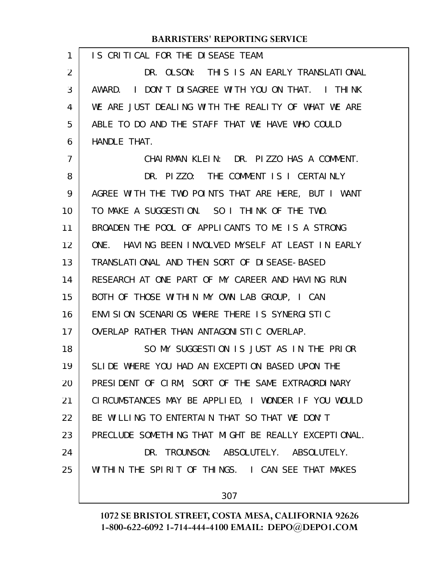IS CRITICAL FOR THE DISEASE TEAM. DR. OLSON: THIS IS AN EARLY TRANSLATIONAL AWARD. I DON'T DISAGREE WITH YOU ON THAT. I THINK WE ARE JUST DEALING WITH THE REALITY OF WHAT WE ARE ABLE TO DO AND THE STAFF THAT WE HAVE WHO COULD HANDLE THAT. CHAIRMAN KLEIN: DR. PIZZO HAS A COMMENT. DR. PIZZO: THE COMMENT IS I CERTAINLY AGREE WITH THE TWO POINTS THAT ARE HERE, BUT I WANT TO MAKE A SUGGESTION. SO I THINK OF THE TWO. BROADEN THE POOL OF APPLICANTS TO ME IS A STRONG ONE. HAVING BEEN INVOLVED MYSELF AT LEAST IN EARLY TRANSLATIONAL AND THEN SORT OF DISEASE-BASED RESEARCH AT ONE PART OF MY CAREER AND HAVING RUN BOTH OF THOSE WITHIN MY OWN LAB GROUP, I CAN ENVISION SCENARIOS WHERE THERE IS SYNERGISTIC OVERLAP RATHER THAN ANTAGONISTIC OVERLAP. SO MY SUGGESTION IS JUST AS IN THE PRIOR SLIDE WHERE YOU HAD AN EXCEPTION BASED UPON THE PRESIDENT OF CIRM, SORT OF THE SAME EXTRAORDINARY CIRCUMSTANCES MAY BE APPLIED, I WONDER IF YOU WOULD BE WILLING TO ENTERTAIN THAT SO THAT WE DON'T PRECLUDE SOMETHING THAT MIGHT BE REALLY EXCEPTIONAL. DR. TROUNSON: ABSOLUTELY. ABSOLUTELY. WITHIN THE SPIRIT OF THINGS. I CAN SEE THAT MAKES 307 1 2 3 4 5 6 7 8 9 10 11 12 13 14 15 16 17 18 19 20 21 22 23 24 25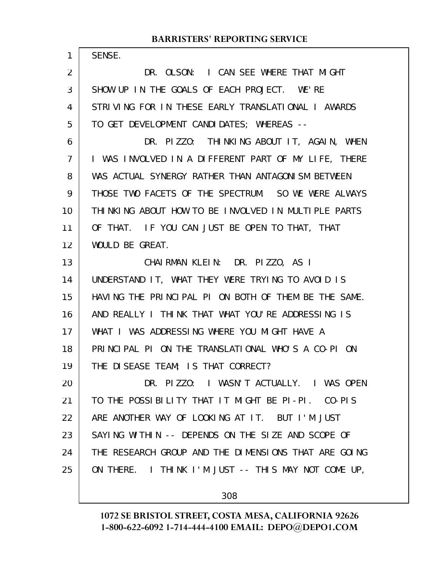| $\mathbf{1}$   | SENSE.                                               |
|----------------|------------------------------------------------------|
| $\overline{2}$ | DR. OLSON: I CAN SEE WHERE THAT MIGHT                |
| 3              | SHOW UP IN THE GOALS OF EACH PROJECT. WE'RE          |
| 4              | STRIVING FOR IN THESE EARLY TRANSLATIONAL I AWARDS   |
| 5              | TO GET DEVELOPMENT CANDIDATES; WHEREAS --            |
| 6              | DR. PIZZO: THINKING ABOUT IT, AGAIN, WHEN            |
| 7              | I WAS INVOLVED IN A DIFFERENT PART OF MY LIFE, THERE |
| 8              | WAS ACTUAL SYNERGY RATHER THAN ANTAGONISM BETWEEN    |
| 9              | THOSE TWO FACETS OF THE SPECTRUM. SO WE WERE ALWAYS  |
| 10             | THINKING ABOUT HOW TO BE INVOLVED IN MULTIPLE PARTS  |
| 11             | OF THAT. IF YOU CAN JUST BE OPEN TO THAT, THAT       |
| 12             | WOULD BE GREAT.                                      |
| 13             | CHAIRMAN KLEIN: DR. PIZZO, AS I                      |
| 14             | UNDERSTAND IT, WHAT THEY WERE TRYING TO AVOID IS     |
| 15             | HAVING THE PRINCIPAL PI ON BOTH OF THEM BE THE SAME. |
| 16             | AND REALLY I THINK THAT WHAT YOU'RE ADDRESSING IS    |
| 17             | WHAT I WAS ADDRESSING WHERE YOU MIGHT HAVE A         |
| 18             | PRINCIPAL PI ON THE TRANSLATIONAL WHO'S A CO-PI ON   |
| 19             | THE DISEASE TEAM; IS THAT CORRECT?                   |
| 20             | DR. PIZZO: I WASN'T ACTUALLY. I WAS OPEN             |
| 21             | TO THE POSSIBILITY THAT IT MIGHT BE PI-PI. CO-PIS    |
| 22             | ARE ANOTHER WAY OF LOOKING AT IT. BUT I'M JUST       |
| 23             | SAYING WITHIN -- DEPENDS ON THE SIZE AND SCOPE OF    |
| 24             | THE RESEARCH GROUP AND THE DIMENSIONS THAT ARE GOING |
| 25             | ON THERE. I THINK I'M JUST -- THIS MAY NOT COME UP,  |
|                |                                                      |

308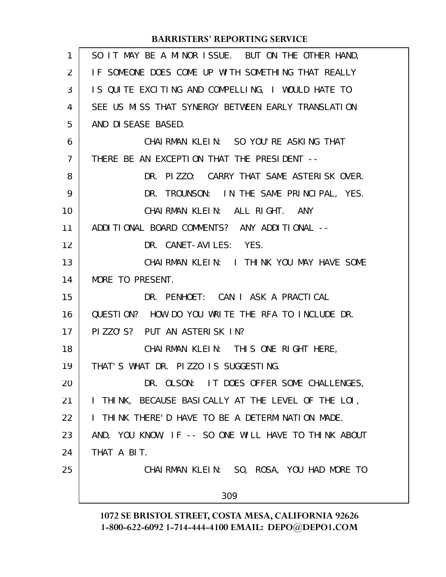| 1              | SO IT MAY BE A MINOR ISSUE. BUT ON THE OTHER HAND,   |
|----------------|------------------------------------------------------|
| $\overline{2}$ | IF SOMEONE DOES COME UP WITH SOMETHING THAT REALLY   |
| 3              | IS QUITE EXCITING AND COMPELLING, I WOULD HATE TO    |
| 4              | SEE US MISS THAT SYNERGY BETWEEN EARLY TRANSLATION   |
| 5              | AND DISEASE BASED.                                   |
| 6              | CHAIRMAN KLEIN: SO YOU'RE ASKING THAT                |
| $\overline{7}$ | THERE BE AN EXCEPTION THAT THE PRESIDENT --          |
| 8              | DR. PIZZO: CARRY THAT SAME ASTERISK OVER.            |
| 9              | DR. TROUNSON: IN THE SAME PRINCIPAL, YES.            |
| 10             | CHAIRMAN KLEIN: ALL RIGHT.<br>ANY                    |
| 11             | ADDITIONAL BOARD COMMENTS? ANY ADDITIONAL --         |
| 12             | DR. CANET-AVILES: YES.                               |
| 13             | CHAIRMAN KLEIN: I THINK YOU MAY HAVE SOME            |
| 14             | MORE TO PRESENT.                                     |
| 15             | DR. PENHOET: CAN I ASK A PRACTICAL                   |
| 16             | QUESTION? HOW DO YOU WRITE THE RFA TO INCLUDE DR.    |
| 17             | PIZZO'S? PUT AN ASTERISK IN?                         |
| 18             | CHAIRMAN KLEIN: THIS ONE RIGHT HERE,                 |
| 19             | THAT'S WHAT DR. PIZZO IS SUGGESTING.                 |
| 20             | DR. OLSON: IT DOES OFFER SOME CHALLENGES,            |
| 21             | I THINK, BECAUSE BASICALLY AT THE LEVEL OF THE LOI,  |
| 22             | I THINK THERE'D HAVE TO BE A DETERMINATION MADE.     |
| 23             | AND, YOU KNOW, IF -- SO ONE WILL HAVE TO THINK ABOUT |
| 24             | THAT A BIT.                                          |
| 25             | CHAIRMAN KLEIN: SO, ROSA, YOU HAD MORE TO            |
|                | 309                                                  |
|                |                                                      |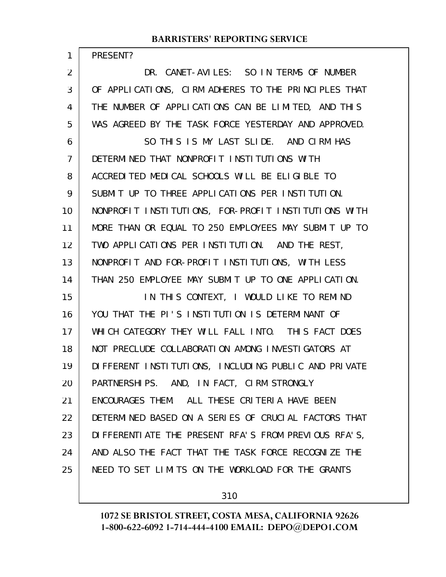PRESENT?

1

DR. CANET-AVILES: SO IN TERMS OF NUMBER OF APPLICATIONS, CIRM ADHERES TO THE PRINCIPLES THAT THE NUMBER OF APPLICATIONS CAN BE LIMITED, AND THIS WAS AGREED BY THE TASK FORCE YESTERDAY AND APPROVED. 2 3 4 5

SO THIS IS MY LAST SLIDE. AND CIRM HAS DETERMINED THAT NONPROFIT INSTITUTIONS WITH ACCREDITED MEDICAL SCHOOLS WILL BE ELIGIBLE TO SUBMIT UP TO THREE APPLICATIONS PER INSTITUTION. NONPROFIT INSTITUTIONS, FOR-PROFIT INSTITUTIONS WITH MORE THAN OR EQUAL TO 250 EMPLOYEES MAY SUBMIT UP TO TWO APPLICATIONS PER INSTITUTION. AND THE REST, NONPROFIT AND FOR-PROFIT INSTITUTIONS, WITH LESS THAN 250 EMPLOYEE MAY SUBMIT UP TO ONE APPLICATION. IN THIS CONTEXT, I WOULD LIKE TO REMIND YOU THAT THE PI'S INSTITUTION IS DETERMINANT OF WHICH CATEGORY THEY WILL FALL INTO. THIS FACT DOES NOT PRECLUDE COLLABORATION AMONG INVESTIGATORS AT DIFFERENT INSTITUTIONS, INCLUDING PUBLIC AND PRIVATE 6 7 8 9 10 11 12 13 14 15 16 17 18 19

PARTNERSHIPS. AND, IN FACT, CIRM STRONGLY ENCOURAGES THEM. ALL THESE CRITERIA HAVE BEEN DETERMINED BASED ON A SERIES OF CRUCIAL FACTORS THAT DIFFERENTIATE THE PRESENT RFA'S FROM PREVIOUS RFA'S, AND ALSO THE FACT THAT THE TASK FORCE RECOGNIZE THE NEED TO SET LIMITS ON THE WORKLOAD FOR THE GRANTS 20 21 22 23 24 25

310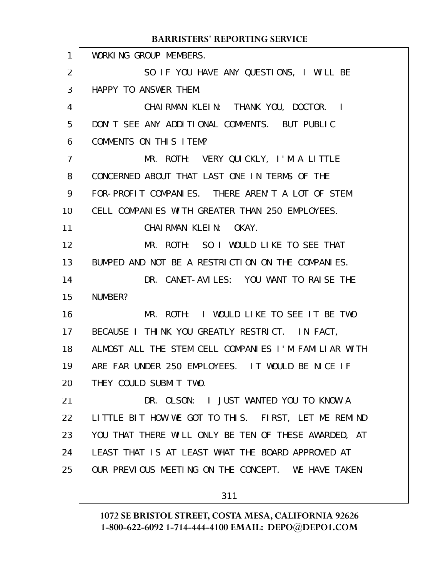|                   | DARRISTERS REI ORTHVO SERVICE                        |
|-------------------|------------------------------------------------------|
| $\mathbf{1}$      | WORKING GROUP MEMBERS.                               |
| $\overline{2}$    | SO IF YOU HAVE ANY QUESTIONS, I WILL BE              |
| 3                 | HAPPY TO ANSWER THEM.                                |
| 4                 | CHAIRMAN KLEIN: THANK YOU, DOCTOR. I                 |
| 5                 | DON'T SEE ANY ADDITIONAL COMMENTS. BUT PUBLIC        |
| 6                 | COMMENTS ON THIS ITEM?                               |
| $\overline{7}$    | MR. ROTH: VERY QUICKLY, I'M A LITTLE                 |
| 8                 | CONCERNED ABOUT THAT LAST ONE IN TERMS OF THE        |
| 9                 | FOR-PROFIT COMPANIES. THERE AREN'T A LOT OF STEM     |
| 10 <sup>°</sup>   | CELL COMPANIES WITH GREATER THAN 250 EMPLOYEES.      |
| 11                | CHAIRMAN KLEIN: OKAY.                                |
| $12 \overline{ }$ | MR. ROTH: SO I WOULD LIKE TO SEE THAT                |
| 13                | BUMPED AND NOT BE A RESTRICTION ON THE COMPANIES.    |
| 14                | DR. CANET-AVILES: YOU WANT TO RAISE THE              |
| 15                | NUMBER?                                              |
| 16                | MR. ROTH: I WOULD LIKE TO SEE IT BE TWO              |
| 17 <sup>2</sup>   | BECAUSE I THINK YOU GREATLY RESTRICT. IN FACT,       |
| 18                | ALMOST ALL THE STEM CELL COMPANIES I'M FAMILIAR WITH |
| 19                | ARE FAR UNDER 250 EMPLOYEES. IT WOULD BE NICE IF     |
| 20                | THEY COULD SUBMIT TWO.                               |
| 21                | DR. OLSON: I JUST WANTED YOU TO KNOW A               |
| 22                | LITTLE BIT HOW WE GOT TO THIS. FIRST, LET ME REMIND  |
| 23                | YOU THAT THERE WILL ONLY BE TEN OF THESE AWARDED, AT |
| 24                | LEAST THAT IS AT LEAST WHAT THE BOARD APPROVED AT    |
| 25                | OUR PREVIOUS MEETING ON THE CONCEPT. WE HAVE TAKEN   |
|                   | 311                                                  |
|                   |                                                      |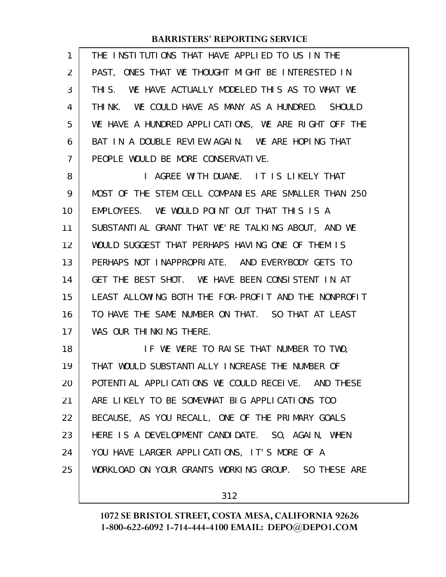| 1              | THE INSTITUTIONS THAT HAVE APPLIED TO US IN THE       |
|----------------|-------------------------------------------------------|
| 2              | PAST, ONES THAT WE THOUGHT MIGHT BE INTERESTED IN     |
| 3              | WE HAVE ACTUALLY MODELED THIS AS TO WHAT WE<br>THI S. |
| 4              | WE COULD HAVE AS MANY AS A HUNDRED. SHOULD<br>THI NK. |
| 5              | WE HAVE A HUNDRED APPLICATIONS, WE ARE RIGHT OFF THE  |
| 6              | BAT IN A DOUBLE REVIEW AGAIN. WE ARE HOPING THAT      |
| $\overline{7}$ | PEOPLE WOULD BE MORE CONSERVATIVE.                    |
| 8              | AGREE WITH DUANE. IT IS LIKELY THAT<br>I.             |
| 9              | MOST OF THE STEM CELL COMPANIES ARE SMALLER THAN 250  |
| 10             | EMPLOYEES. WE WOULD POINT OUT THAT THIS IS A          |
| 11             | SUBSTANTIAL GRANT THAT WE'RE TALKING ABOUT, AND WE    |
| 12             | WOULD SUGGEST THAT PERHAPS HAVING ONE OF THEM IS      |
| 13             | PERHAPS NOT INAPPROPRIATE. AND EVERYBODY GETS TO      |
| 14             | GET THE BEST SHOT. WE HAVE BEEN CONSISTENT IN AT      |
| 15             | LEAST ALLOWING BOTH THE FOR-PROFIT AND THE NONPROFIT  |
| 16             | TO HAVE THE SAME NUMBER ON THAT. SO THAT AT LEAST     |
| 17             | WAS OUR THINKING THERE.                               |
| 18             | IF WE WERE TO RAISE THAT NUMBER TO TWO,               |
| 19             | THAT WOULD SUBSTANTIALLY INCREASE THE NUMBER OF       |
| 20             | POTENTIAL APPLICATIONS WE COULD RECEIVE. AND THESE    |
| 21             | ARE LIKELY TO BE SOMEWHAT BIG APPLICATIONS TOO        |
| 22             | BECAUSE, AS YOU RECALL, ONE OF THE PRIMARY GOALS      |
| 23             | HERE IS A DEVELOPMENT CANDIDATE. SO, AGAIN, WHEN      |
| 24             | YOU HAVE LARGER APPLICATIONS, IT'S MORE OF A          |
| 25             | WORKLOAD ON YOUR GRANTS WORKING GROUP. SO THESE ARE   |
|                |                                                       |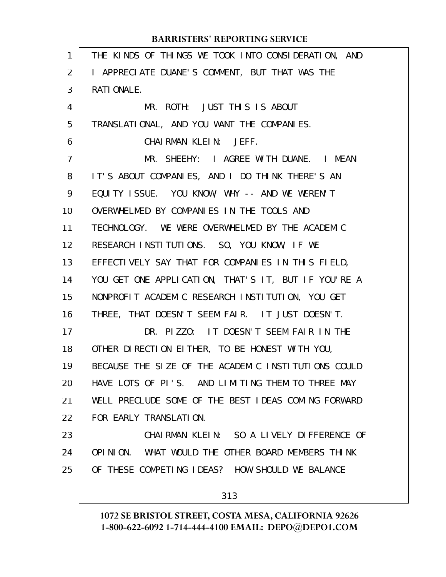| $\mathbf{1}$ | THE KINDS OF THINGS WE TOOK INTO CONSIDERATION, AND |
|--------------|-----------------------------------------------------|
| 2            | I APPRECIATE DUANE'S COMMENT, BUT THAT WAS THE      |
| 3            | RATI ONALE.                                         |
| 4            | MR. ROTH: JUST THIS IS ABOUT                        |
| 5            | TRANSLATIONAL, AND YOU WANT THE COMPANIES.          |
| 6            | CHAIRMAN KLEIN: JEFF.                               |
| 7            | MR. SHEEHY: I AGREE WITH DUANE. I MEAN              |
| 8            | IT'S ABOUT COMPANIES, AND I DO THINK THERE'S AN     |
| 9            | EQUITY ISSUE. YOU KNOW, WHY -- AND WE WEREN'T       |
| 10           | OVERWHELMED BY COMPANIES IN THE TOOLS AND           |
| 11           | TECHNOLOGY. WE WERE OVERWHELMED BY THE ACADEMIC     |
| 12           | RESEARCH INSTITUTIONS. SO, YOU KNOW, IF WE          |
| 13           | EFFECTIVELY SAY THAT FOR COMPANIES IN THIS FIELD,   |
| 14           | YOU GET ONE APPLICATION, THAT'S IT, BUT IF YOU'RE A |
| 15           | NONPROFIT ACADEMIC RESEARCH INSTITUTION, YOU GET    |
| 16           | THREE, THAT DOESN'T SEEM FAIR. IT JUST DOESN'T.     |
| 17           | DR. PIZZO: IT DOESN'T SEEM FAIR IN THE              |
| 18           | OTHER DIRECTION EITHER, TO BE HONEST WITH YOU,      |
| 19           | BECAUSE THE SIZE OF THE ACADEMIC INSTITUTIONS COULD |
| 20           | HAVE LOTS OF PI'S. AND LIMITING THEM TO THREE MAY   |
| 21           | WELL PRECLUDE SOME OF THE BEST IDEAS COMING FORWARD |
| 22           | FOR EARLY TRANSLATION.                              |
| 23           | CHAIRMAN KLEIN: SO A LIVELY DIFFERENCE OF           |
| 24           | OPINION. WHAT WOULD THE OTHER BOARD MEMBERS THINK   |
| 25           | OF THESE COMPETING IDEAS? HOW SHOULD WE BALANCE     |
|              |                                                     |
|              | 313                                                 |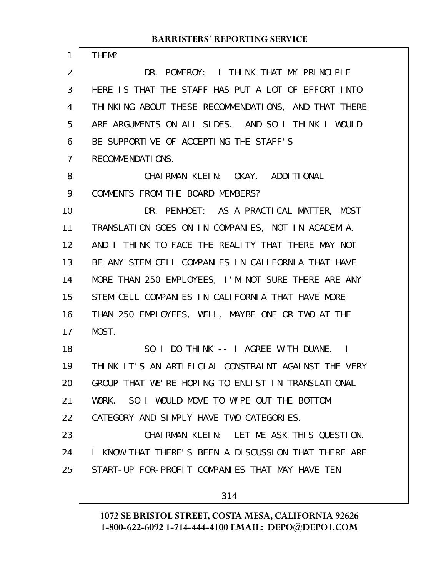| 1              | THEM?                                                |
|----------------|------------------------------------------------------|
| $\overline{2}$ | DR. POMEROY: I THINK THAT MY PRINCIPLE               |
| 3              | HERE IS THAT THE STAFF HAS PUT A LOT OF EFFORT INTO  |
| 4              | THINKING ABOUT THESE RECOMMENDATIONS, AND THAT THERE |
| 5              | ARE ARGUMENTS ON ALL SIDES. AND SO I THINK I WOULD   |
| 6              | BE SUPPORTIVE OF ACCEPTING THE STAFF'S               |
| 7              | RECOMMENDATIONS.                                     |
| 8              | CHAIRMAN KLEIN: OKAY. ADDITIONAL                     |
| 9              | COMMENTS FROM THE BOARD MEMBERS?                     |
| 10             | DR. PENHOET: AS A PRACTICAL MATTER, MOST             |
| 11             | TRANSLATION GOES ON IN COMPANIES, NOT IN ACADEMIA.   |
| 12             | AND I THINK TO FACE THE REALITY THAT THERE MAY NOT   |
| 13             | BE ANY STEM CELL COMPANIES IN CALIFORNIA THAT HAVE   |
| 14             | MORE THAN 250 EMPLOYEES, I'M NOT SURE THERE ARE ANY  |
| 15             | STEM CELL COMPANIES IN CALIFORNIA THAT HAVE MORE     |
| 16             | THAN 250 EMPLOYEES, WELL, MAYBE ONE OR TWO AT THE    |
| 17             | MOST.                                                |
| 18             | SO I DO THINK -- I AGREE WITH DUANE. I               |
| 19             | THINK IT'S AN ARTIFICIAL CONSTRAINT AGAINST THE VERY |
| 20             | GROUP THAT WE'RE HOPING TO ENLIST IN TRANSLATIONAL   |
| 21             | SO I WOULD MOVE TO WIPE OUT THE BOTTOM<br>WORK.      |
| 22             | CATEGORY AND SIMPLY HAVE TWO CATEGORIES.             |
| 23             | CHAIRMAN KLEIN: LET ME ASK THIS QUESTION.            |
| 24             | I KNOW THAT THERE'S BEEN A DISCUSSION THAT THERE ARE |
| 25             | START-UP FOR-PROFIT COMPANIES THAT MAY HAVE TEN      |
|                | 314                                                  |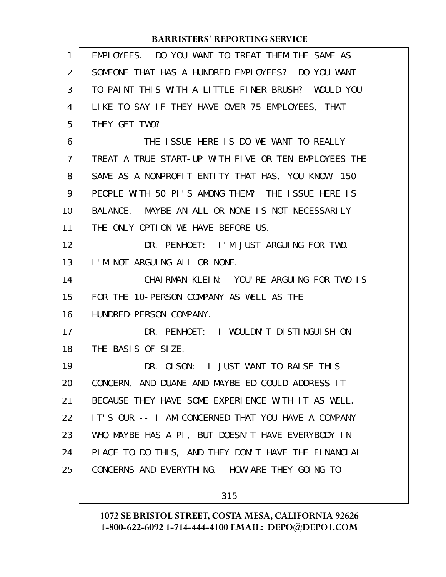| $\mathbf{1}$   | EMPLOYEES. DO YOU WANT TO TREAT THEM THE SAME AS     |
|----------------|------------------------------------------------------|
| 2              | SOMEONE THAT HAS A HUNDRED EMPLOYEES? DO YOU WANT    |
| 3              | TO PAINT THIS WITH A LITTLE FINER BRUSH? WOULD YOU   |
| 4              | LIKE TO SAY IF THEY HAVE OVER 75 EMPLOYEES, THAT     |
| 5              | THEY GET TWO?                                        |
| 6              | THE ISSUE HERE IS DO WE WANT TO REALLY               |
| $\overline{7}$ | TREAT A TRUE START-UP WITH FIVE OR TEN EMPLOYEES THE |
| 8              | SAME AS A NONPROFIT ENTITY THAT HAS, YOU KNOW, 150   |
| 9              | PEOPLE WITH 50 PI'S AMONG THEM? THE ISSUE HERE IS    |
| 10             | BALANCE. MAYBE AN ALL OR NONE IS NOT NECESSARILY     |
| 11             | THE ONLY OPTION WE HAVE BEFORE US.                   |
| 12             | DR. PENHOET: I'M JUST ARGUING FOR TWO.               |
| 13             | I'M NOT ARGUING ALL OR NONE.                         |
| 14             | CHAIRMAN KLEIN: YOU'RE ARGUING FOR TWO IS            |
| 15             | FOR THE 10-PERSON COMPANY AS WELL AS THE             |
| 16             | HUNDRED-PERSON COMPANY.                              |
| 17             | DR. PENHOET: I WOULDN'T DISTINGUISH ON               |
| 18             | THE BASIS OF SIZE.                                   |
| 19             | DR. OLSON: I JUST WANT TO RAISE THIS                 |
| 20             | CONCERN, AND DUANE AND MAYBE ED COULD ADDRESS IT     |
| 21             | BECAUSE THEY HAVE SOME EXPERIENCE WITH IT AS WELL.   |
| 22             | IT'S OUR -- I AM CONCERNED THAT YOU HAVE A COMPANY   |
| 23             | WHO MAYBE HAS A PI, BUT DOESN'T HAVE EVERYBODY IN    |
| 24             | PLACE TO DO THIS, AND THEY DON'T HAVE THE FINANCIAL  |
| 25             | CONCERNS AND EVERYTHING. HOW ARE THEY GOING TO       |
|                | 315                                                  |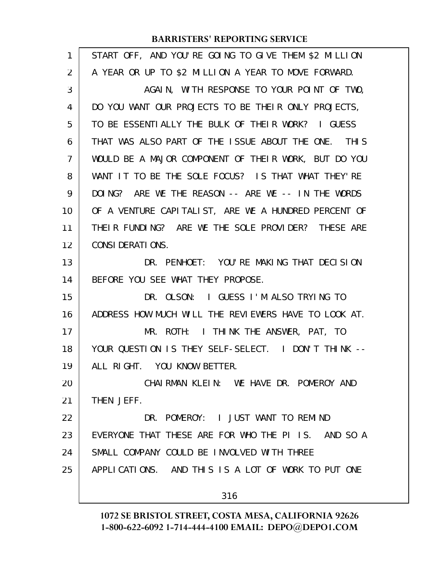| 1  | START OFF, AND YOU'RE GOING TO GIVE THEM \$2 MILLION |
|----|------------------------------------------------------|
| 2  | A YEAR OR UP TO \$2 MILLION A YEAR TO MOVE FORWARD.  |
| 3  | AGAIN, WITH RESPONSE TO YOUR POINT OF TWO,           |
| 4  | DO YOU WANT OUR PROJECTS TO BE THEIR ONLY PROJECTS,  |
| 5  | TO BE ESSENTIALLY THE BULK OF THEIR WORK? I GUESS    |
| 6  | THAT WAS ALSO PART OF THE ISSUE ABOUT THE ONE. THIS  |
| 7  | WOULD BE A MAJOR COMPONENT OF THEIR WORK, BUT DO YOU |
| 8  | WANT IT TO BE THE SOLE FOCUS? IS THAT WHAT THEY'RE   |
| 9  | DOING? ARE WE THE REASON -- ARE WE -- IN THE WORDS   |
| 10 | OF A VENTURE CAPITALIST, ARE WE A HUNDRED PERCENT OF |
| 11 | THEIR FUNDING? ARE WE THE SOLE PROVIDER? THESE ARE   |
| 12 | <b>CONSI DERATI ONS.</b>                             |
| 13 | DR. PENHOET: YOU'RE MAKING THAT DECISION             |
| 14 | BEFORE YOU SEE WHAT THEY PROPOSE.                    |
| 15 | DR. OLSON: I GUESS I'M ALSO TRYING TO                |
| 16 | ADDRESS HOW MUCH WILL THE REVIEWERS HAVE TO LOOK AT. |
| 17 | MR. ROTH: I THINK THE ANSWER, PAT, TO                |
| 18 | YOUR QUESTION IS THEY SELF-SELECT. I DON'T THINK --  |
| 19 | ALL RIGHT. YOU KNOW BETTER.                          |
| 20 | CHAIRMAN KLEIN: WE HAVE DR. POMEROY AND              |
| 21 | THEN JEFF.                                           |
| 22 | DR. POMEROY: I JUST WANT TO REMIND                   |
| 23 | EVERYONE THAT THESE ARE FOR WHO THE PI IS. AND SO A  |
| 24 | SMALL COMPANY COULD BE INVOLVED WITH THREE           |
| 25 | APPLICATIONS. AND THIS IS A LOT OF WORK TO PUT ONE   |
|    | 316                                                  |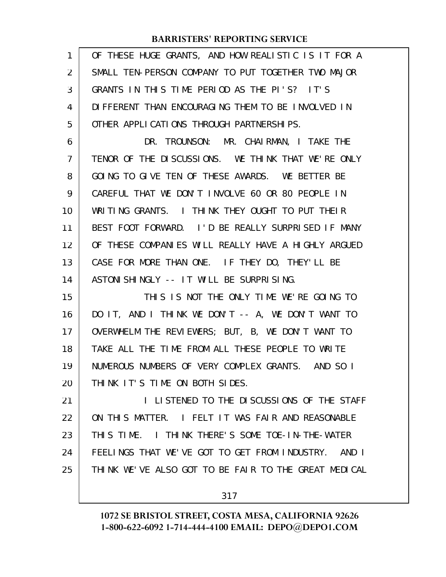| 1  | OF THESE HUGE GRANTS, AND HOW REALISTIC IS IT FOR A    |
|----|--------------------------------------------------------|
| 2  | SMALL TEN-PERSON COMPANY TO PUT TOGETHER TWO MAJOR     |
| 3  | GRANTS IN THIS TIME PERIOD AS THE PI'S? IT'S           |
| 4  | DIFFERENT THAN ENCOURAGING THEM TO BE INVOLVED IN      |
| 5  | OTHER APPLICATIONS THROUGH PARTNERSHIPS.               |
| 6  | DR. TROUNSON: MR. CHAIRMAN, I TAKE THE                 |
| 7  | TENOR OF THE DISCUSSIONS. WE THINK THAT WE'RE ONLY     |
| 8  | GOING TO GIVE TEN OF THESE AWARDS. WE BETTER BE        |
| 9  | CAREFUL THAT WE DON'T INVOLVE 60 OR 80 PEOPLE IN       |
| 10 | WRITING GRANTS. I THINK THEY OUGHT TO PUT THEIR        |
| 11 | BEST FOOT FORWARD. I'D BE REALLY SURPRISED IF MANY     |
| 12 | OF THESE COMPANIES WILL REALLY HAVE A HIGHLY ARGUED    |
| 13 | CASE FOR MORE THAN ONE. IF THEY DO, THEY'LL BE         |
| 14 | ASTONI SHI NGLY -- IT WILL BE SURPRISING.              |
| 15 | THIS IS NOT THE ONLY TIME WE'RE GOING TO               |
| 16 | DO IT, AND I THINK WE DON'T -- A, WE DON'T WANT TO     |
| 17 | OVERWHELM THE REVIEWERS; BUT, B, WE DON'T WANT TO      |
| 18 | TAKE ALL THE TIME FROM ALL THESE PEOPLE TO WRITE       |
| 19 | NUMEROUS NUMBERS OF VERY COMPLEX GRANTS. AND SO I      |
| 20 | THINK IT'S TIME ON BOTH SIDES.                         |
| 21 | I LISTENED TO THE DISCUSSIONS OF THE STAFF             |
| 22 | ON THIS MATTER. I FELT IT WAS FAIR AND REASONABLE      |
| 23 | THIS TIME. I THINK THERE'S SOME TOE-IN-THE-WATER       |
| 24 | FEELINGS THAT WE'VE GOT TO GET FROM INDUSTRY.<br>AND I |
| 25 | THINK WE'VE ALSO GOT TO BE FAIR TO THE GREAT MEDICAL   |
|    |                                                        |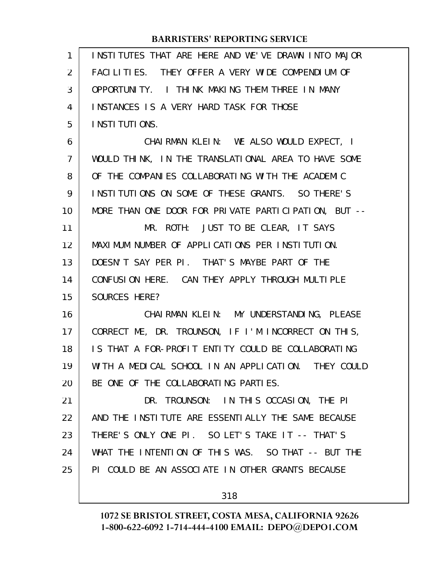| 1              | INSTITUTES THAT ARE HERE AND WE'VE DRAWN INTO MAJOR  |
|----------------|------------------------------------------------------|
| 2              | FACILITIES. THEY OFFER A VERY WIDE COMPENDIUM OF     |
| 3              | OPPORTUNITY. I THINK MAKING THEM THREE IN MANY       |
| 4              | <b>INSTANCES IS A VERY HARD TASK FOR THOSE</b>       |
| 5              | I NSTI TUTI ONS.                                     |
| 6              | CHAIRMAN KLEIN: WE ALSO WOULD EXPECT, I              |
| $\overline{7}$ | WOULD THINK, IN THE TRANSLATIONAL AREA TO HAVE SOME  |
| 8              | OF THE COMPANIES COLLABORATING WITH THE ACADEMIC     |
| 9              | INSTITUTIONS ON SOME OF THESE GRANTS. SO THERE'S     |
| 10             | MORE THAN ONE DOOR FOR PRIVATE PARTICIPATION, BUT -- |
| 11             | MR. ROTH: JUST TO BE CLEAR, IT SAYS                  |
| 12             | MAXIMUM NUMBER OF APPLICATIONS PER INSTITUTION.      |
| 13             | DOESN'T SAY PER PI. THAT'S MAYBE PART OF THE         |
| 14             | CONFUSION HERE. CAN THEY APPLY THROUGH MULTIPLE      |
| 15             | SOURCES HERE?                                        |
| 16             | CHAI RMAN KLEIN: MY UNDERSTANDING, PLEASE            |
| 17             | CORRECT ME, DR. TROUNSON, IF I'M INCORRECT ON THIS,  |
| 18             | IS THAT A FOR-PROFIT ENTITY COULD BE COLLABORATING   |
| 19             | WITH A MEDICAL SCHOOL IN AN APPLICATION. THEY COULD  |
| 20             | BE ONE OF THE COLLABORATING PARTIES.                 |
| 21             | DR. TROUNSON: IN THIS OCCASION, THE PI               |
| 22             | AND THE INSTITUTE ARE ESSENTIALLY THE SAME BECAUSE   |
| 23             | THERE'S ONLY ONE PI. SO LET'S TAKE IT -- THAT'S      |
| 24             | WHAT THE INTENTION OF THIS WAS. SO THAT -- BUT THE   |
| 25             | PI COULD BE AN ASSOCIATE IN OTHER GRANTS BECAUSE     |
|                |                                                      |

318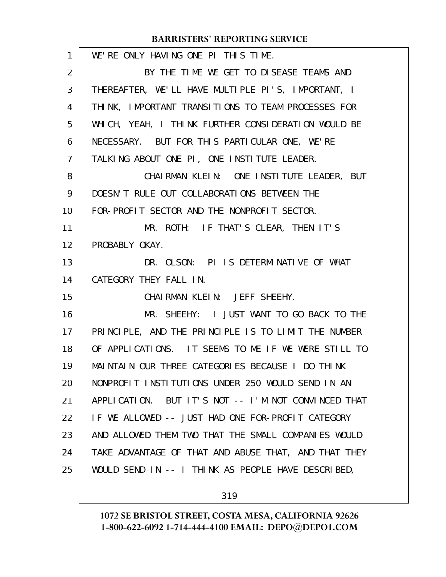WE'RE ONLY HAVING ONE PI THIS TIME. BY THE TIME WE GET TO DISEASE TEAMS AND THEREAFTER, WE'LL HAVE MULTIPLE PI'S, IMPORTANT, I THINK, IMPORTANT TRANSITIONS TO TEAM PROCESSES FOR WHICH, YEAH, I THINK FURTHER CONSIDERATION WOULD BE NECESSARY. BUT FOR THIS PARTICULAR ONE, WE'RE TALKING ABOUT ONE PI, ONE INSTITUTE LEADER. CHAIRMAN KLEIN: ONE INSTITUTE LEADER, BUT DOESN'T RULE OUT COLLABORATIONS BETWEEN THE FOR-PROFIT SECTOR AND THE NONPROFIT SECTOR. MR. ROTH: IF THAT'S CLEAR, THEN IT'S PROBABLY OKAY. DR. OLSON: PI IS DETERMINATIVE OF WHAT CATEGORY THEY FALL IN. CHAIRMAN KLEIN: JEFF SHEEHY. MR. SHEEHY: I JUST WANT TO GO BACK TO THE PRINCIPLE, AND THE PRINCIPLE IS TO LIMIT THE NUMBER OF APPLICATIONS. IT SEEMS TO ME IF WE WERE STILL TO MAINTAIN OUR THREE CATEGORIES BECAUSE I DO THINK NONPROFIT INSTITUTIONS UNDER 250 WOULD SEND IN AN APPLICATION. BUT IT'S NOT -- I'M NOT CONVINCED THAT IF WE ALLOWED -- JUST HAD ONE FOR-PROFIT CATEGORY AND ALLOWED THEM TWO THAT THE SMALL COMPANIES WOULD TAKE ADVANTAGE OF THAT AND ABUSE THAT, AND THAT THEY WOULD SEND IN -- I THINK AS PEOPLE HAVE DESCRIBED, 1 2 3 4 5 6 7 8 9 10 11 12 13 14 15 16 17 18 19 20 21 22 23 24 25

319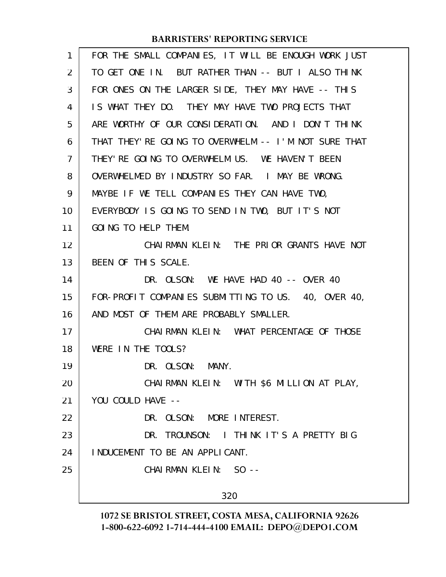| 1              | FOR THE SMALL COMPANIES, IT WILL BE ENOUGH WORK JUST  |
|----------------|-------------------------------------------------------|
| $\overline{2}$ | TO GET ONE IN. BUT RATHER THAN -- BUT I ALSO THINK    |
| 3              | FOR ONES ON THE LARGER SIDE, THEY MAY HAVE -- THIS    |
| 4              | IS WHAT THEY DO. THEY MAY HAVE TWO PROJECTS THAT      |
| 5              | ARE WORTHY OF OUR CONSIDERATION. AND I DON'T THINK    |
| 6              | THAT THEY' RE GOING TO OVERWHELM -- I'M NOT SURE THAT |
| $\overline{7}$ | THEY' RE GOING TO OVERWHELM US. WE HAVEN'T BEEN       |
| 8              | OVERWHELMED BY INDUSTRY SO FAR. I MAY BE WRONG.       |
| 9              | MAYBE IF WE TELL COMPANIES THEY CAN HAVE TWO,         |
| 10             | EVERYBODY IS GOING TO SEND IN TWO, BUT IT'S NOT       |
| 11             | GOING TO HELP THEM.                                   |
| 12             | CHAIRMAN KLEIN: THE PRIOR GRANTS HAVE NOT             |
| 13             | BEEN OF THIS SCALE.                                   |
| 14             | DR. OLSON: WE HAVE HAD 40 -- OVER 40                  |
| 15             | FOR-PROFIT COMPANIES SUBMITTING TO US. 40, OVER 40,   |
| 16             | AND MOST OF THEM ARE PROBABLY SMALLER.                |
| 17             | CHAIRMAN KLEIN: WHAT PERCENTAGE OF THOSE              |
| 18             | WERE IN THE TOOLS?                                    |
| 19             | DR. OLSON: MANY.                                      |
| 20             | CHAIRMAN KLEIN: WITH \$6 MILLION AT PLAY,             |
| 21             | YOU COULD HAVE --                                     |
| 22             | DR. OLSON: MORE INTEREST.                             |
| 23             | DR. TROUNSON: I THINK IT'S A PRETTY BIG               |
| 24             | INDUCEMENT TO BE AN APPLICANT.                        |
| 25             | CHAIRMAN KLEIN: SO --                                 |
|                | 320                                                   |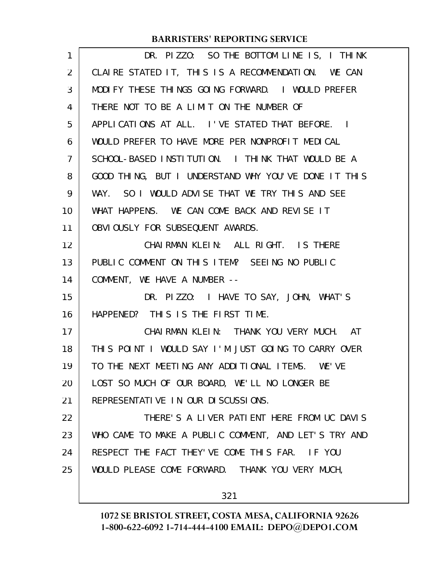| $\mathbf{1}$   | DR. PIZZO: SO THE BOTTOM LINE IS, I THINK            |
|----------------|------------------------------------------------------|
| $\overline{2}$ | CLAIRE STATED IT, THIS IS A RECOMMENDATION. WE CAN   |
| 3              | MODIFY THESE THINGS GOING FORWARD. I WOULD PREFER    |
| 4              | THERE NOT TO BE A LIMIT ON THE NUMBER OF             |
| 5              | APPLICATIONS AT ALL. I'VE STATED THAT BEFORE. I      |
| 6              | WOULD PREFER TO HAVE MORE PER NONPROFIT MEDICAL      |
| $\overline{7}$ | SCHOOL-BASED INSTITUTION. I THINK THAT WOULD BE A    |
| 8              | GOOD THING, BUT I UNDERSTAND WHY YOU'VE DONE IT THIS |
| 9              | WAY. SO I WOULD ADVISE THAT WE TRY THIS AND SEE      |
| 10             | WHAT HAPPENS. WE CAN COME BACK AND REVISE IT         |
| 11             | OBVIOUSLY FOR SUBSEQUENT AWARDS.                     |
| 12             | CHAIRMAN KLEIN: ALL RIGHT. IS THERE                  |
| 13             | PUBLIC COMMENT ON THIS ITEM? SEEING NO PUBLIC        |
| 14             | COMMENT, WE HAVE A NUMBER --                         |
| 15             | DR. PIZZO: I HAVE TO SAY, JOHN, WHAT'S               |
| 16             | HAPPENED? THIS IS THE FIRST TIME.                    |
| 17             | CHAIRMAN KLEIN: THANK YOU VERY MUCH. AT              |
| 18             | THIS POINT I WOULD SAY I'M JUST GOING TO CARRY OVER  |
| 19             | TO THE NEXT MEETING ANY ADDITIONAL ITEMS. WE'VE      |
| 20             | LOST SO MUCH OF OUR BOARD, WE'LL NO LONGER BE        |
| 21             | REPRESENTATIVE IN OUR DISCUSSIONS.                   |
| 22             | THERE'S A LIVER PATIENT HERE FROM UC DAVIS           |
| 23             | WHO CAME TO MAKE A PUBLIC COMMENT, AND LET'S TRY AND |
| 24             | RESPECT THE FACT THEY'VE COME THIS FAR. IF YOU       |
| 25             | WOULD PLEASE COME FORWARD. THANK YOU VERY MUCH,      |
|                | 321                                                  |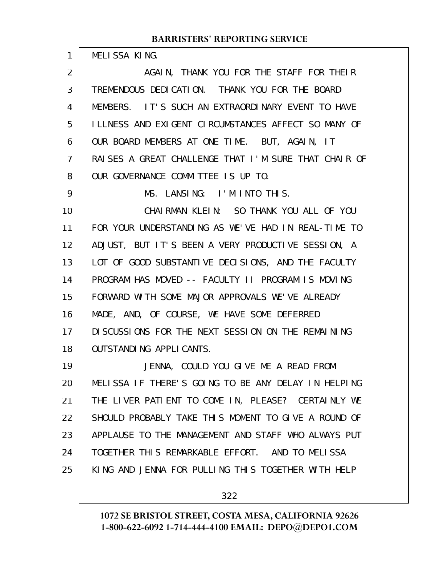MELISSA KING.

1

AGAIN, THANK YOU FOR THE STAFF FOR THEIR TREMENDOUS DEDICATION. THANK YOU FOR THE BOARD MEMBERS. IT'S SUCH AN EXTRAORDINARY EVENT TO HAVE ILLNESS AND EXIGENT CIRCUMSTANCES AFFECT SO MANY OF OUR BOARD MEMBERS AT ONE TIME. BUT, AGAIN, IT RAISES A GREAT CHALLENGE THAT I'M SURE THAT CHAIR OF OUR GOVERNANCE COMMITTEE IS UP TO. MS. LANSING: I'M INTO THIS. CHAIRMAN KLEIN: SO THANK YOU ALL OF YOU 2 3 4 5 6 7 8 9 10

FOR YOUR UNDERSTANDING AS WE'VE HAD IN REAL-TIME TO ADJUST, BUT IT'S BEEN A VERY PRODUCTIVE SESSION, A LOT OF GOOD SUBSTANTIVE DECISIONS, AND THE FACULTY PROGRAM HAS MOVED -- FACULTY II PROGRAM IS MOVING FORWARD WITH SOME MAJOR APPROVALS WE'VE ALREADY MADE, AND, OF COURSE, WE HAVE SOME DEFERRED DISCUSSIONS FOR THE NEXT SESSION ON THE REMAINING OUTSTANDING APPLICANTS. 11 12 13 14 15 16 17 18

JENNA, COULD YOU GIVE ME A READ FROM MELISSA IF THERE'S GOING TO BE ANY DELAY IN HELPING THE LIVER PATIENT TO COME IN, PLEASE? CERTAINLY WE SHOULD PROBABLY TAKE THIS MOMENT TO GIVE A ROUND OF APPLAUSE TO THE MANAGEMENT AND STAFF WHO ALWAYS PUT TOGETHER THIS REMARKABLE EFFORT. AND TO MELISSA KING AND JENNA FOR PULLING THIS TOGETHER WITH HELP 19 20 21 22 23 24 25

322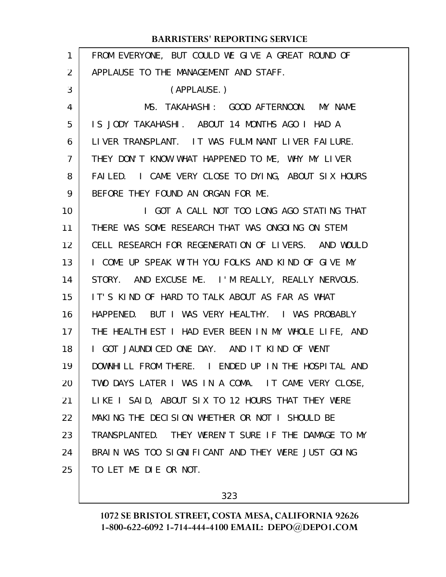| FROM EVERYONE, BUT COULD WE GIVE A GREAT ROUND OF    |
|------------------------------------------------------|
| APPLAUSE TO THE MANAGEMENT AND STAFF.                |
| (APPLAUSE.)                                          |
| MS. TAKAHASHI: GOOD AFTERNOON. MY NAME               |
| IS JODY TAKAHASHI. ABOUT 14 MONTHS AGO I HAD A       |
| LIVER TRANSPLANT. IT WAS FULMINANT LIVER FAILURE.    |
| THEY DON'T KNOW WHAT HAPPENED TO ME, WHY MY LIVER    |
| FAILED. I CAME VERY CLOSE TO DYING, ABOUT SIX HOURS  |
| BEFORE THEY FOUND AN ORGAN FOR ME.                   |
| I GOT A CALL NOT TOO LONG AGO STATING THAT           |
| THERE WAS SOME RESEARCH THAT WAS ONGOING ON STEM     |
| CELL RESEARCH FOR REGENERATION OF LIVERS. AND WOULD  |
| I COME UP SPEAK WITH YOU FOLKS AND KIND OF GIVE MY   |
| STORY. AND EXCUSE ME. I'M REALLY, REALLY NERVOUS.    |
| IT'S KIND OF HARD TO TALK ABOUT AS FAR AS WHAT       |
| HAPPENED. BUT I WAS VERY HEALTHY. I WAS PROBABLY     |
| THE HEALTHIEST I HAD EVER BEEN IN MY WHOLE LIFE, AND |
| I GOT JAUNDICED ONE DAY. AND IT KIND OF WENT         |
| DOWNHILL FROM THERE. I ENDED UP IN THE HOSPITAL AND  |
| TWO DAYS LATER I WAS IN A COMA. IT CAME VERY CLOSE,  |
| LIKE I SAID, ABOUT SIX TO 12 HOURS THAT THEY WERE    |
| MAKING THE DECISION WHETHER OR NOT I SHOULD BE       |
| TRANSPLANTED. THEY WEREN'T SURE IF THE DAMAGE TO MY  |
| BRAIN WAS TOO SIGNIFICANT AND THEY WERE JUST GOING   |
| TO LET ME DIE OR NOT.                                |
|                                                      |

323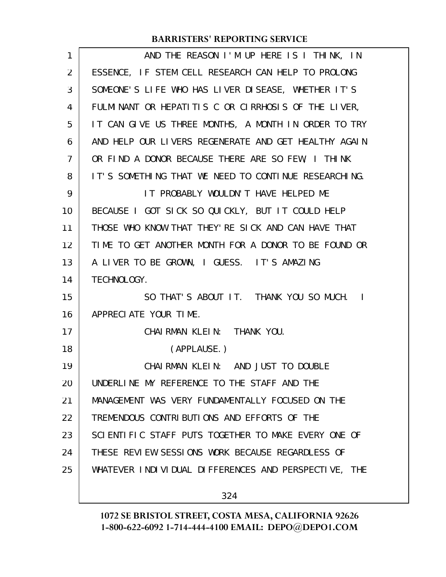| 1  | AND THE REASON I'M UP HERE IS I THINK, IN            |
|----|------------------------------------------------------|
| 2  | ESSENCE, IF STEM CELL RESEARCH CAN HELP TO PROLONG   |
| 3  | SOMEONE'S LIFE WHO HAS LIVER DISEASE, WHETHER IT'S   |
| 4  | FULMINANT OR HEPATITIS C OR CIRRHOSIS OF THE LIVER,  |
| 5  | IT CAN GIVE US THREE MONTHS, A MONTH IN ORDER TO TRY |
| 6  | AND HELP OUR LIVERS REGENERATE AND GET HEALTHY AGAIN |
| 7  | OR FIND A DONOR BECAUSE THERE ARE SO FEW, I THINK    |
| 8  | IT'S SOMETHING THAT WE NEED TO CONTINUE RESEARCHING. |
| 9  | IT PROBABLY WOULDN'T HAVE HELPED ME                  |
| 10 | BECAUSE I GOT SICK SO QUICKLY, BUT IT COULD HELP     |
| 11 | THOSE WHO KNOW THAT THEY'RE SICK AND CAN HAVE THAT   |
| 12 | TIME TO GET ANOTHER MONTH FOR A DONOR TO BE FOUND OR |
| 13 | A LIVER TO BE GROWN, I GUESS. IT'S AMAZING           |
| 14 | TECHNOLOGY.                                          |
| 15 | SO THAT'S ABOUT IT. THANK YOU SO MUCH. I             |
| 16 | APPRECIATE YOUR TIME.                                |
| 17 | CHAI RMAN KLEIN: THANK YOU.                          |
| 18 | (APPLAUSE.)                                          |
| 19 | CHAIRMAN KLEIN: AND JUST TO DOUBLE                   |
| 20 | UNDERLINE MY REFERENCE TO THE STAFF AND THE          |
| 21 | MANAGEMENT WAS VERY FUNDAMENTALLY FOCUSED ON THE     |
| 22 | TREMENDOUS CONTRIBUTIONS AND EFFORTS OF THE          |
| 23 | SCIENTIFIC STAFF PUTS TOGETHER TO MAKE EVERY ONE OF  |
| 24 | THESE REVIEW SESSIONS WORK BECAUSE REGARDLESS OF     |
| 25 | WHATEVER INDIVIDUAL DIFFERENCES AND PERSPECTIVE, THE |
|    |                                                      |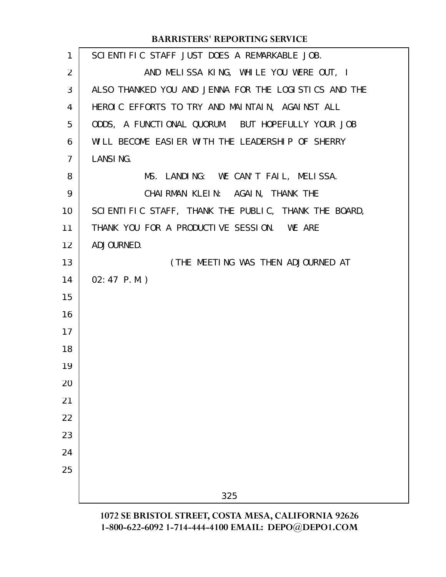| $\mathbf{1}$    | SCIENTIFIC STAFF JUST DOES A REMARKABLE JOB.         |
|-----------------|------------------------------------------------------|
| $\overline{2}$  | AND MELISSA KING, WHILE YOU WERE OUT, I              |
| 3               | ALSO THANKED YOU AND JENNA FOR THE LOGISTICS AND THE |
| 4               | HEROIC EFFORTS TO TRY AND MAINTAIN, AGAINST ALL      |
| 5               | ODDS, A FUNCTIONAL QUORUM. BUT HOPEFULLY YOUR JOB    |
| 6               | WILL BECOME EASIER WITH THE LEADERSHIP OF SHERRY     |
| $\overline{7}$  | <b>LANSING.</b>                                      |
| 8               | MS. LANDING: WE CAN'T FAIL, MELISSA.                 |
| 9               | CHAIRMAN KLEIN: AGAIN, THANK THE                     |
| 10              | SCIENTIFIC STAFF, THANK THE PUBLIC, THANK THE BOARD, |
| 11              | THANK YOU FOR A PRODUCTIVE SESSION. WE ARE           |
| 12 <sup>2</sup> | ADJOURNED.                                           |
| 13              | (THE MEETING WAS THEN ADJOURNED AT                   |
| 14              | $02:47$ P.M.)                                        |
| 15              |                                                      |
| 16              |                                                      |
| 17              |                                                      |
| 18              |                                                      |
| 19              |                                                      |
| 20              |                                                      |
| 21              |                                                      |
| 22              |                                                      |
| 23              |                                                      |
| 24              |                                                      |
| 25              |                                                      |
|                 | 325                                                  |
|                 |                                                      |

**1072 SE BRISTOL STREET, COSTA MESA, CALIFORNIA 92626 1-800-622-6092 1-714-444-4100 EMAIL: DEPO@DEPO1.COM**